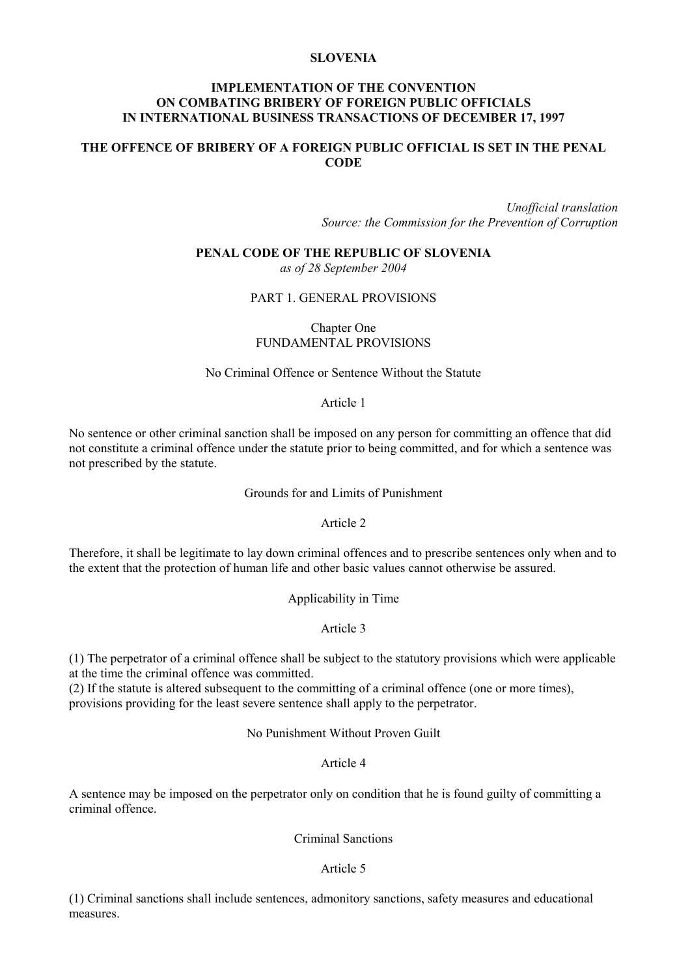# **SLOVENIA**

## **IMPLEMENTATION OF THE CONVENTION ON COMBATING BRIBERY OF FOREIGN PUBLIC OFFICIALS IN INTERNATIONAL BUSINESS TRANSACTIONS OF DECEMBER 17, 1997**

# **THE OFFENCE OF BRIBERY OF A FOREIGN PUBLIC OFFICIAL IS SET IN THE PENAL CODE**

*Unofficial translation Source: the Commission for the Prevention of Corruption*

**PENAL CODE OF THE REPUBLIC OF SLOVENIA** *as of 28 September 2004*

## PART 1. GENERAL PROVISIONS

Chapter One FUNDAMENTAL PROVISIONS

No Criminal Offence or Sentence Without the Statute

## Article 1

No sentence or other criminal sanction shall be imposed on any person for committing an offence that did not constitute a criminal offence under the statute prior to being committed, and for which a sentence was not prescribed by the statute.

Grounds for and Limits of Punishment

Article 2

Therefore, it shall be legitimate to lay down criminal offences and to prescribe sentences only when and to the extent that the protection of human life and other basic values cannot otherwise be assured.

Applicability in Time

### Article 3

(1) The perpetrator of a criminal offence shall be subject to the statutory provisions which were applicable at the time the criminal offence was committed.

(2) If the statute is altered subsequent to the committing of a criminal offence (one or more times), provisions providing for the least severe sentence shall apply to the perpetrator.

No Punishment Without Proven Guilt

Article 4

A sentence may be imposed on the perpetrator only on condition that he is found guilty of committing a criminal offence.

Criminal Sanctions

## Article 5

(1) Criminal sanctions shall include sentences, admonitory sanctions, safety measures and educational measures.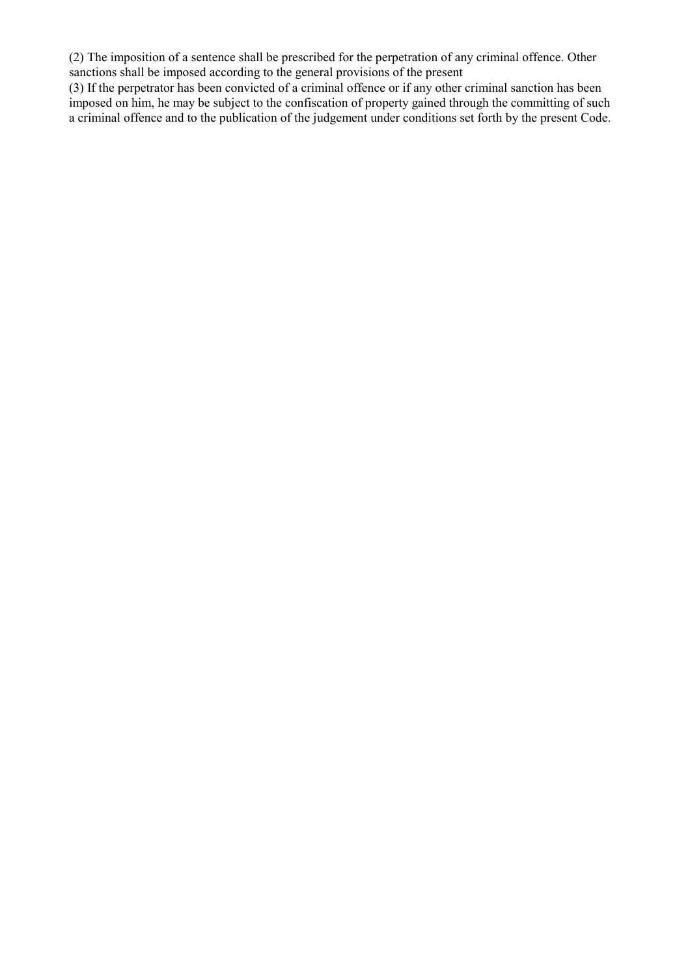(2) The imposition of a sentence shall be prescribed for the perpetration of any criminal offence. Other sanctions shall be imposed according to the general provisions of the present

(3) If the perpetrator has been convicted of a criminal offence or if any other criminal sanction has been imposed on him, he may be subject to the confiscation of property gained through the committing of such a criminal offence and to the publication of the judgement under conditions set forth by the present Code.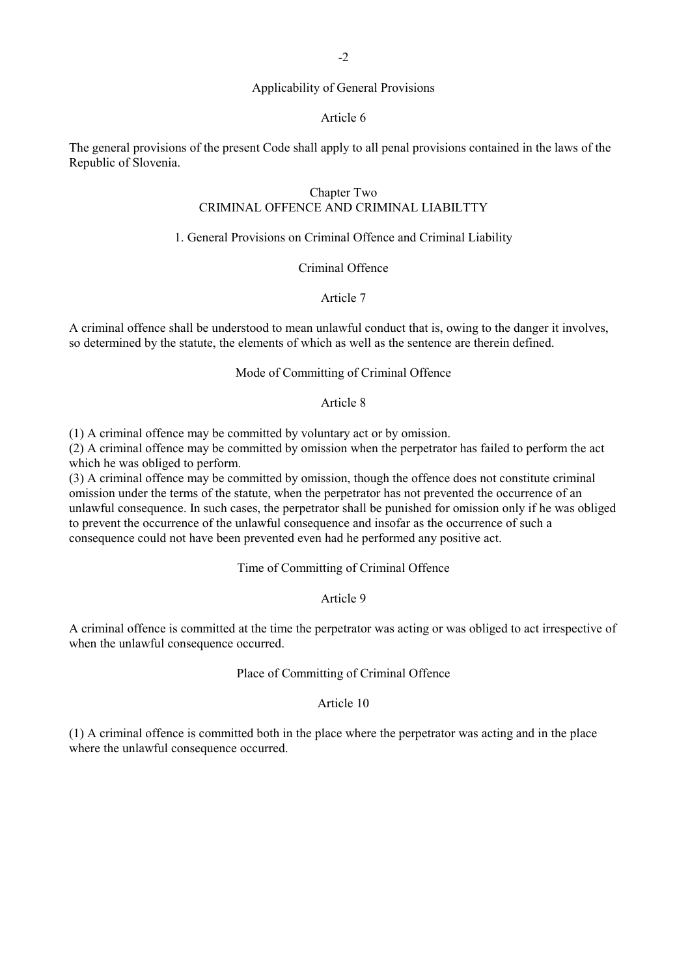## Applicability of General Provisions

### Article 6

The general provisions of the present Code shall apply to all penal provisions contained in the laws of the Republic of Slovenia.

# Chapter Two CRIMINAL OFFENCE AND CRIMINAL LIABILTTY

## 1. General Provisions on Criminal Offence and Criminal Liability

## Criminal Offence

## Article 7

A criminal offence shall be understood to mean unlawful conduct that is, owing to the danger it involves, so determined by the statute, the elements of which as well as the sentence are therein defined.

## Mode of Committing of Criminal Offence

## Article 8

(1) A criminal offence may be committed by voluntary act or by omission.

(2) A criminal offence may be committed by omission when the perpetrator has failed to perform the act which he was obliged to perform.

(3) A criminal offence may be committed by omission, though the offence does not constitute criminal omission under the terms of the statute, when the perpetrator has not prevented the occurrence of an unlawful consequence. In such cases, the perpetrator shall be punished for omission only if he was obliged to prevent the occurrence of the unlawful consequence and insofar as the occurrence of such a consequence could not have been prevented even had he performed any positive act.

# Time of Committing of Criminal Offence

## Article 9

A criminal offence is committed at the time the perpetrator was acting or was obliged to act irrespective of when the unlawful consequence occurred.

## Place of Committing of Criminal Offence

## Article 10

(1) A criminal offence is committed both in the place where the perpetrator was acting and in the place where the unlawful consequence occurred.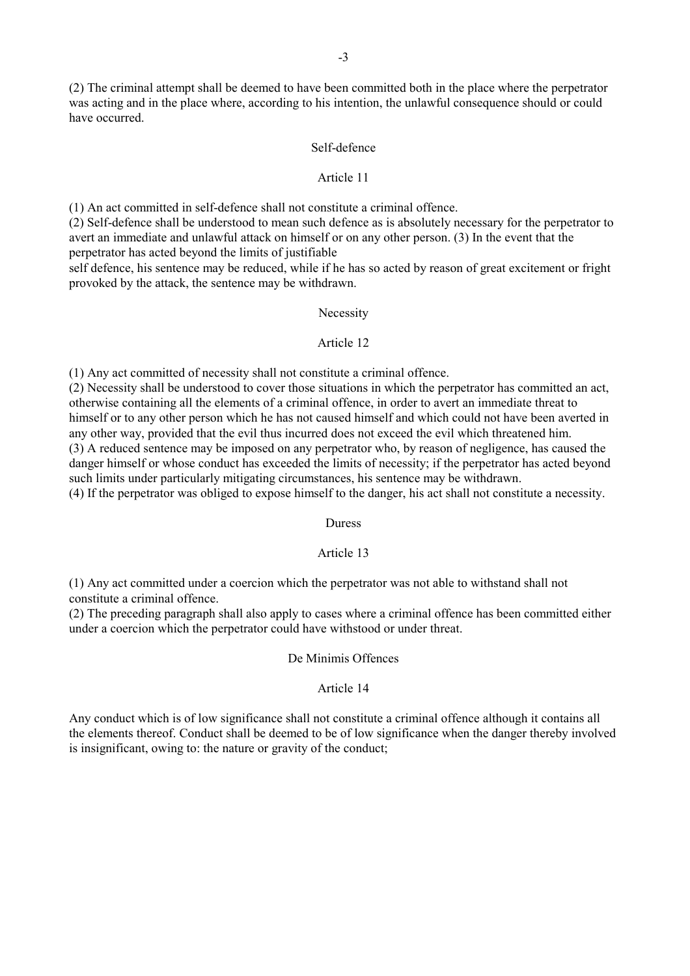(2) The criminal attempt shall be deemed to have been committed both in the place where the perpetrator was acting and in the place where, according to his intention, the unlawful consequence should or could have occurred.

### Self-defence

## Article 11

(1) An act committed in self-defence shall not constitute a criminal offence.

(2) Self-defence shall be understood to mean such defence as is absolutely necessary for the perpetrator to avert an immediate and unlawful attack on himself or on any other person. (3) In the event that the perpetrator has acted beyond the limits of justifiable

self defence, his sentence may be reduced, while if he has so acted by reason of great excitement or fright provoked by the attack, the sentence may be withdrawn.

### Necessity

### Article 12

(1) Any act committed of necessity shall not constitute a criminal offence.

(2) Necessity shall be understood to cover those situations in which the perpetrator has committed an act, otherwise containing all the elements of a criminal offence, in order to avert an immediate threat to himself or to any other person which he has not caused himself and which could not have been averted in any other way, provided that the evil thus incurred does not exceed the evil which threatened him. (3) A reduced sentence may be imposed on any perpetrator who, by reason of negligence, has caused the danger himself or whose conduct has exceeded the limits of necessity; if the perpetrator has acted beyond such limits under particularly mitigating circumstances, his sentence may be withdrawn. (4) If the perpetrator was obliged to expose himself to the danger, his act shall not constitute a necessity.

#### Duress

## Article 13

(1) Any act committed under a coercion which the perpetrator was not able to withstand shall not constitute a criminal offence.

(2) The preceding paragraph shall also apply to cases where a criminal offence has been committed either under a coercion which the perpetrator could have withstood or under threat.

### De Minimis Offences

#### Article 14

Any conduct which is of low significance shall not constitute a criminal offence although it contains all the elements thereof. Conduct shall be deemed to be of low significance when the danger thereby involved is insignificant, owing to: the nature or gravity of the conduct;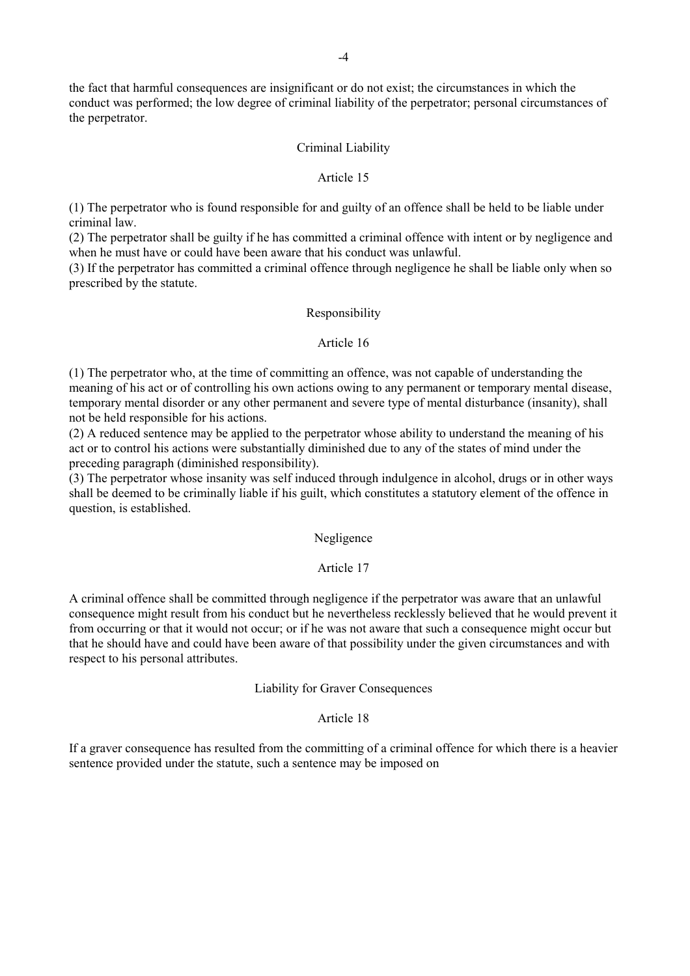the fact that harmful consequences are insignificant or do not exist; the circumstances in which the conduct was performed; the low degree of criminal liability of the perpetrator; personal circumstances of the perpetrator.

#### Criminal Liability

#### Article 15

(1) The perpetrator who is found responsible for and guilty of an offence shall be held to be liable under criminal law.

(2) The perpetrator shall be guilty if he has committed a criminal offence with intent or by negligence and when he must have or could have been aware that his conduct was unlawful.

(3) If the perpetrator has committed a criminal offence through negligence he shall be liable only when so prescribed by the statute.

### Responsibility

#### Article 16

(1) The perpetrator who, at the time of committing an offence, was not capable of understanding the meaning of his act or of controlling his own actions owing to any permanent or temporary mental disease, temporary mental disorder or any other permanent and severe type of mental disturbance (insanity), shall not be held responsible for his actions.

(2) A reduced sentence may be applied to the perpetrator whose ability to understand the meaning of his act or to control his actions were substantially diminished due to any of the states of mind under the preceding paragraph (diminished responsibility).

(3) The perpetrator whose insanity was self induced through indulgence in alcohol, drugs or in other ways shall be deemed to be criminally liable if his guilt, which constitutes a statutory element of the offence in question, is established.

## Negligence

### Article 17

A criminal offence shall be committed through negligence if the perpetrator was aware that an unlawful consequence might result from his conduct but he nevertheless recklessly believed that he would prevent it from occurring or that it would not occur; or if he was not aware that such a consequence might occur but that he should have and could have been aware of that possibility under the given circumstances and with respect to his personal attributes.

#### Liability for Graver Consequences

## Article 18

If a graver consequence has resulted from the committing of a criminal offence for which there is a heavier sentence provided under the statute, such a sentence may be imposed on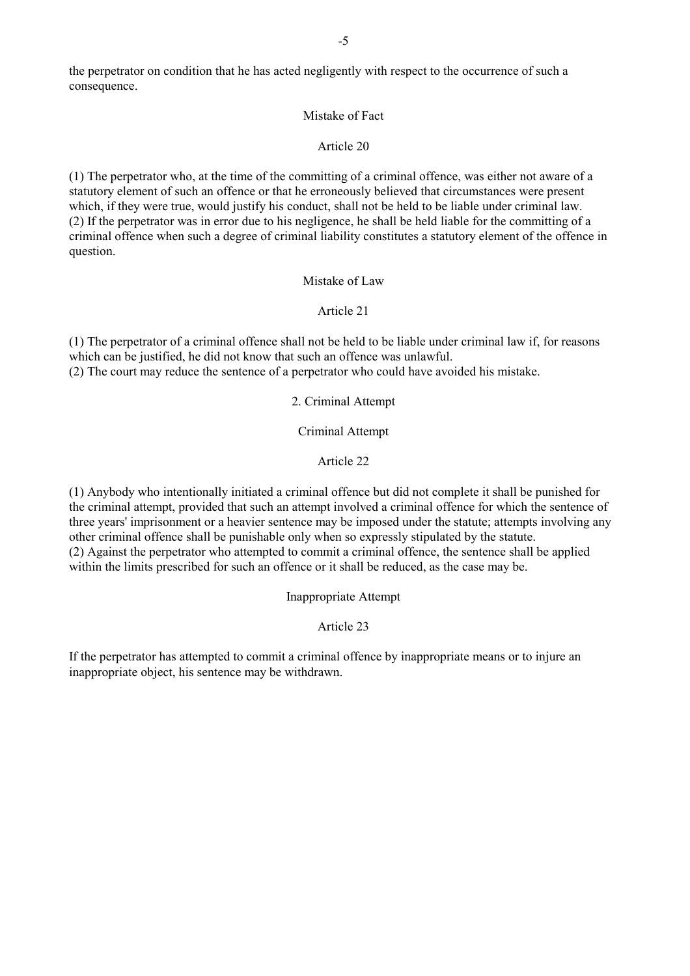the perpetrator on condition that he has acted negligently with respect to the occurrence of such a consequence.

## Mistake of Fact

## Article 20

(1) The perpetrator who, at the time of the committing of a criminal offence, was either not aware of a statutory element of such an offence or that he erroneously believed that circumstances were present which, if they were true, would justify his conduct, shall not be held to be liable under criminal law. (2) If the perpetrator was in error due to his negligence, he shall be held liable for the committing of a criminal offence when such a degree of criminal liability constitutes a statutory element of the offence in question.

## Mistake of Law

# Article 21

(1) The perpetrator of a criminal offence shall not be held to be liable under criminal law if, for reasons which can be justified, he did not know that such an offence was unlawful. (2) The court may reduce the sentence of a perpetrator who could have avoided his mistake.

2. Criminal Attempt

Criminal Attempt

Article 22

(1) Anybody who intentionally initiated a criminal offence but did not complete it shall be punished for the criminal attempt, provided that such an attempt involved a criminal offence for which the sentence of three years' imprisonment or a heavier sentence may be imposed under the statute; attempts involving any other criminal offence shall be punishable only when so expressly stipulated by the statute. (2) Against the perpetrator who attempted to commit a criminal offence, the sentence shall be applied within the limits prescribed for such an offence or it shall be reduced, as the case may be.

Inappropriate Attempt

# Article 23

If the perpetrator has attempted to commit a criminal offence by inappropriate means or to injure an inappropriate object, his sentence may be withdrawn.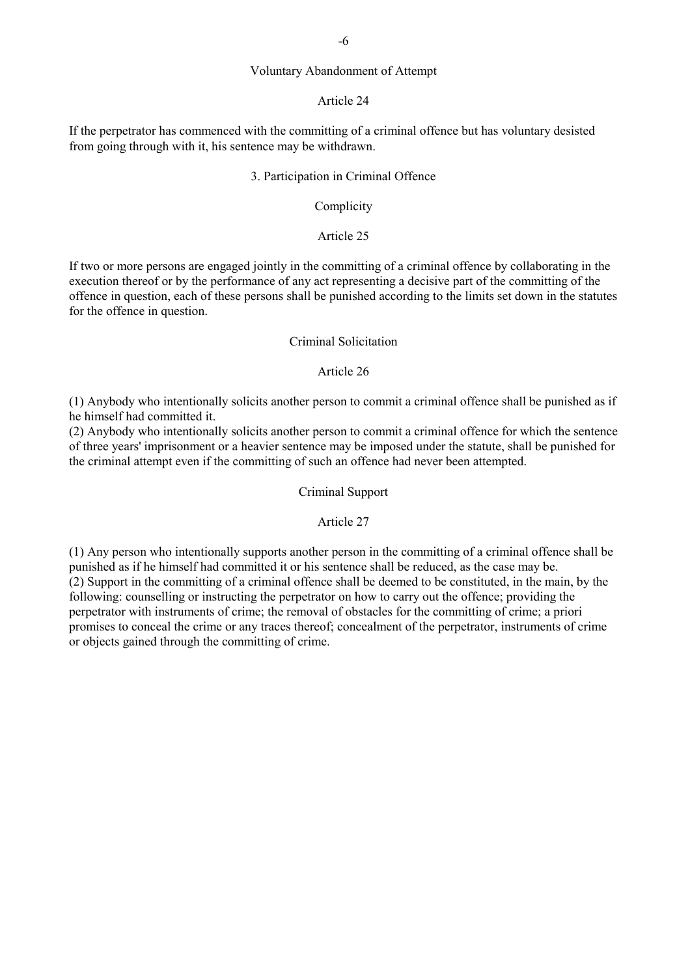## Voluntary Abandonment of Attempt

## Article 24

If the perpetrator has commenced with the committing of a criminal offence but has voluntary desisted from going through with it, his sentence may be withdrawn.

### 3. Participation in Criminal Offence

### Complicity

## Article 25

If two or more persons are engaged jointly in the committing of a criminal offence by collaborating in the execution thereof or by the performance of any act representing a decisive part of the committing of the offence in question, each of these persons shall be punished according to the limits set down in the statutes for the offence in question.

### Criminal Solicitation

#### Article 26

(1) Anybody who intentionally solicits another person to commit a criminal offence shall be punished as if he himself had committed it.

(2) Anybody who intentionally solicits another person to commit a criminal offence for which the sentence of three years' imprisonment or a heavier sentence may be imposed under the statute, shall be punished for the criminal attempt even if the committing of such an offence had never been attempted.

## Criminal Support

## Article 27

(1) Any person who intentionally supports another person in the committing of a criminal offence shall be punished as if he himself had committed it or his sentence shall be reduced, as the case may be. (2) Support in the committing of a criminal offence shall be deemed to be constituted, in the main, by the following: counselling or instructing the perpetrator on how to carry out the offence; providing the perpetrator with instruments of crime; the removal of obstacles for the committing of crime; a priori promises to conceal the crime or any traces thereof; concealment of the perpetrator, instruments of crime or objects gained through the committing of crime.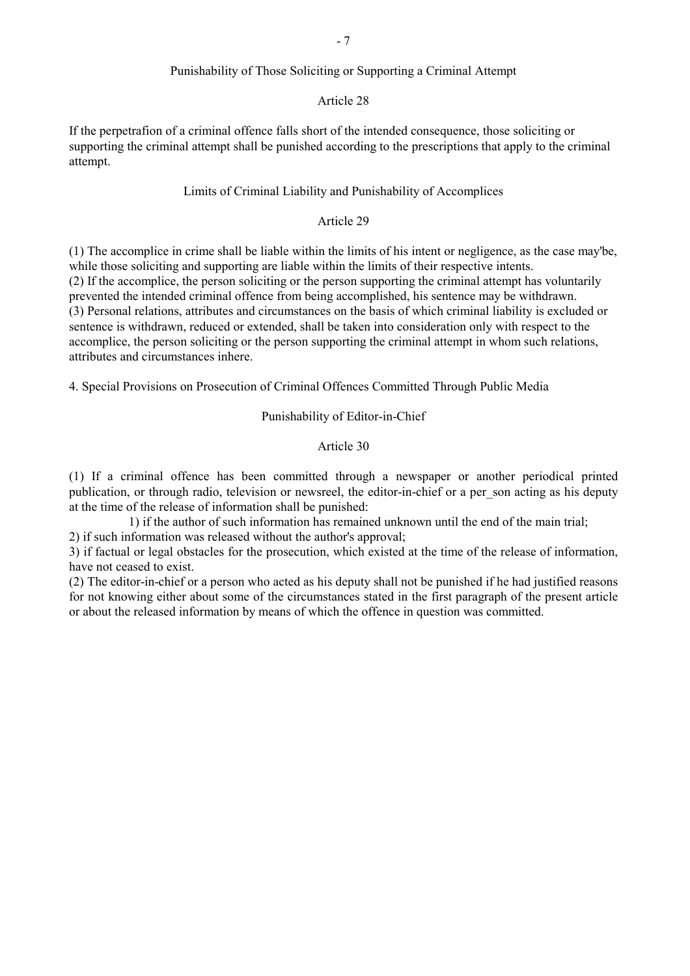## Punishability of Those Soliciting or Supporting a Criminal Attempt

## Article 28

If the perpetrafion of a criminal offence falls short of the intended consequence, those soliciting or supporting the criminal attempt shall be punished according to the prescriptions that apply to the criminal attempt.

# Limits of Criminal Liability and Punishability of Accomplices

## Article 29

(1) The accomplice in crime shall be liable within the limits of his intent or negligence, as the case may'be, while those soliciting and supporting are liable within the limits of their respective intents. (2) If the accomplice, the person soliciting or the person supporting the criminal attempt has voluntarily prevented the intended criminal offence from being accomplished, his sentence may be withdrawn. (3) Personal relations, attributes and circumstances on the basis of which criminal liability is excluded or sentence is withdrawn, reduced or extended, shall be taken into consideration only with respect to the accomplice, the person soliciting or the person supporting the criminal attempt in whom such relations, attributes and circumstances inhere.

4. Special Provisions on Prosecution of Criminal Offences Committed Through Public Media

Punishability of Editor-in-Chief

#### Article 30

(1) If a criminal offence has been committed through a newspaper or another periodical printed publication, or through radio, television or newsreel, the editor-in-chief or a per\_son acting as his deputy at the time of the release of information shall be punished:

1) if the author of such information has remained unknown until the end of the main trial; 2) if such information was released without the author's approval;

3) if factual or legal obstacles for the prosecution, which existed at the time of the release of information, have not ceased to exist.

(2) The editor-in-chief or a person who acted as his deputy shall not be punished if he had justified reasons for not knowing either about some of the circumstances stated in the first paragraph of the present article or about the released information by means of which the offence in question was committed.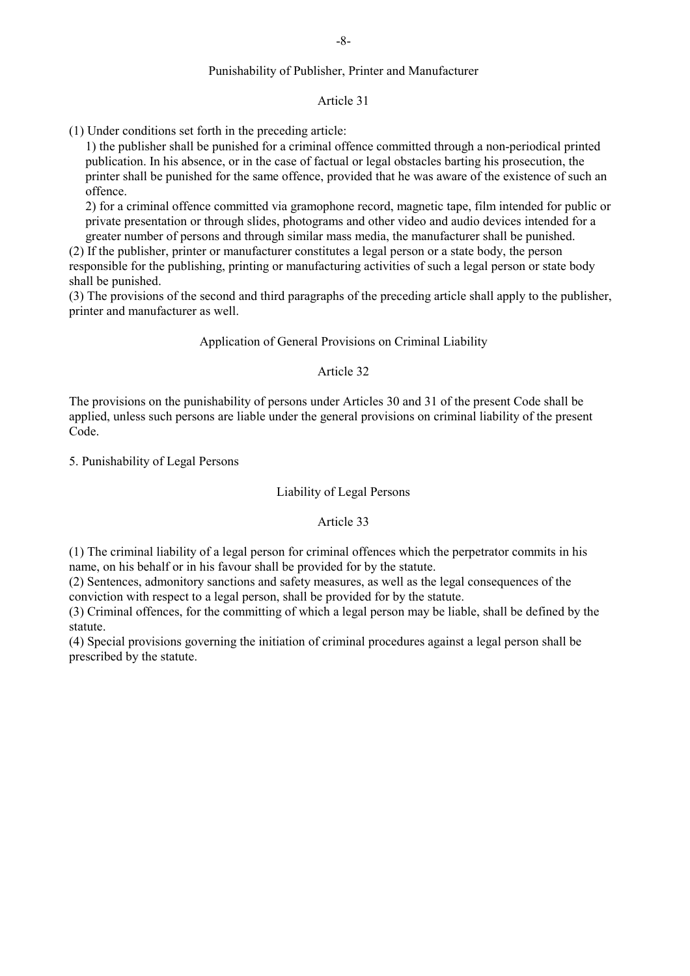## -8-

## Punishability of Publisher, Printer and Manufacturer

## Article 31

(1) Under conditions set forth in the preceding article:

1) the publisher shall be punished for a criminal offence committed through a non-periodical printed publication. In his absence, or in the case of factual or legal obstacles barting his prosecution, the printer shall be punished for the same offence, provided that he was aware of the existence of such an offence.

2) for a criminal offence committed via gramophone record, magnetic tape, film intended for public or private presentation or through slides, photograms and other video and audio devices intended for a greater number of persons and through similar mass media, the manufacturer shall be punished.

(2) If the publisher, printer or manufacturer constitutes a legal person or a state body, the person responsible for the publishing, printing or manufacturing activities of such a legal person or state body shall be punished.

(3) The provisions of the second and third paragraphs of the preceding article shall apply to the publisher, printer and manufacturer as well.

Application of General Provisions on Criminal Liability

### Article 32

The provisions on the punishability of persons under Articles 30 and 31 of the present Code shall be applied, unless such persons are liable under the general provisions on criminal liability of the present Code.

5. Punishability of Legal Persons

## Liability of Legal Persons

## Article 33

(1) The criminal liability of a legal person for criminal offences which the perpetrator commits in his name, on his behalf or in his favour shall be provided for by the statute.

(2) Sentences, admonitory sanctions and safety measures, as well as the legal consequences of the conviction with respect to a legal person, shall be provided for by the statute.

(3) Criminal offences, for the committing of which a legal person may be liable, shall be defined by the statute.

(4) Special provisions governing the initiation of criminal procedures against a legal person shall be prescribed by the statute.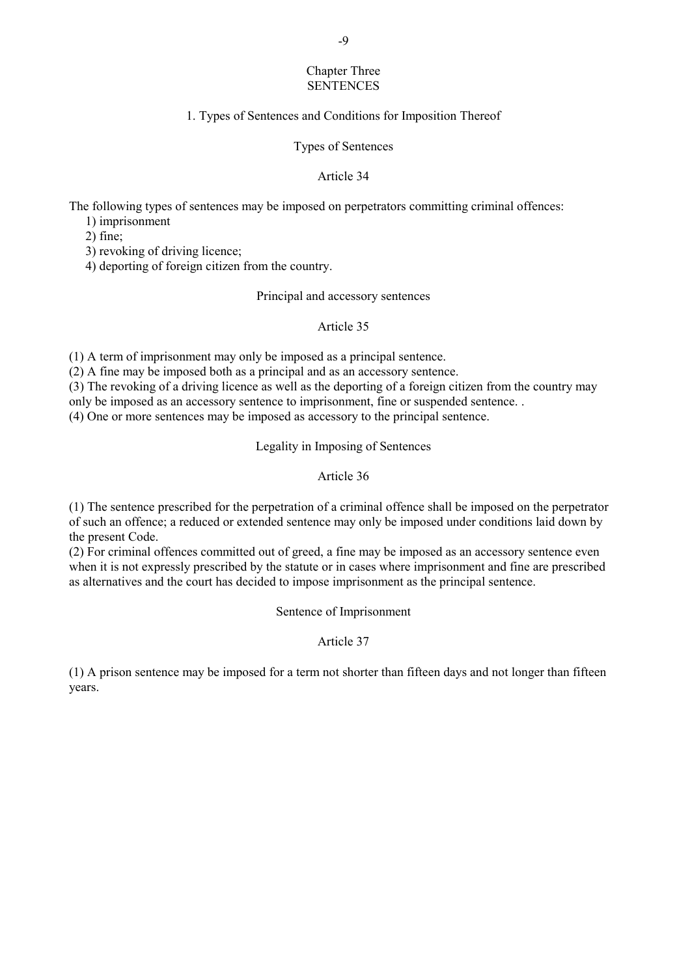## Chapter Three **SENTENCES**

# 1. Types of Sentences and Conditions for Imposition Thereof

Types of Sentences

## Article 34

The following types of sentences may be imposed on perpetrators committing criminal offences:

1) imprisonment

2) fine;

3) revoking of driving licence;

4) deporting of foreign citizen from the country.

## Principal and accessory sentences

# Article 35

(1) A term of imprisonment may only be imposed as a principal sentence.

(2) A fine may be imposed both as a principal and as an accessory sentence.

(3) The revoking of a driving licence as well as the deporting of a foreign citizen from the country may

only be imposed as an accessory sentence to imprisonment, fine or suspended sentence. .

(4) One or more sentences may be imposed as accessory to the principal sentence.

# Legality in Imposing of Sentences

# Article 36

(1) The sentence prescribed for the perpetration of a criminal offence shall be imposed on the perpetrator of such an offence; a reduced or extended sentence may only be imposed under conditions laid down by the present Code.

(2) For criminal offences committed out of greed, a fine may be imposed as an accessory sentence even when it is not expressly prescribed by the statute or in cases where imprisonment and fine are prescribed as alternatives and the court has decided to impose imprisonment as the principal sentence.

Sentence of Imprisonment

Article 37

(1) A prison sentence may be imposed for a term not shorter than fifteen days and not longer than fifteen years.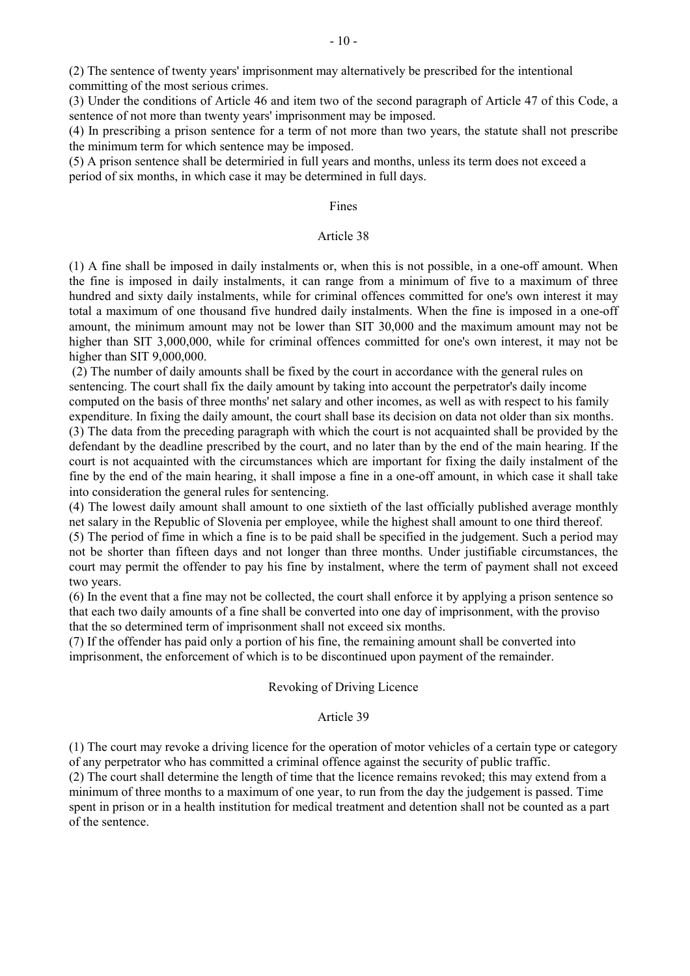(2) The sentence of twenty years' imprisonment may alternatively be prescribed for the intentional committing of the most serious crimes.

(3) Under the conditions of Article 46 and item two of the second paragraph of Article 47 of this Code, a sentence of not more than twenty years' imprisonment may be imposed.

(4) In prescribing a prison sentence for a term of not more than two years, the statute shall not prescribe the minimum term for which sentence may be imposed.

(5) A prison sentence shall be determiried in full years and months, unless its term does not exceed a period of six months, in which case it may be determined in full days.

#### Fines

## Article 38

(1) A fine shall be imposed in daily instalments or, when this is not possible, in a one-off amount. When the fine is imposed in daily instalments, it can range from a minimum of five to a maximum of three hundred and sixty daily instalments, while for criminal offences committed for one's own interest it may total a maximum of one thousand five hundred daily instalments. When the fine is imposed in a one-off amount, the minimum amount may not be lower than SIT 30,000 and the maximum amount may not be higher than SIT 3,000,000, while for criminal offences committed for one's own interest, it may not be higher than SIT 9,000,000.

 (2) The number of daily amounts shall be fixed by the court in accordance with the general rules on sentencing. The court shall fix the daily amount by taking into account the perpetrator's daily income computed on the basis of three months' net salary and other incomes, as well as with respect to his family expenditure. In fixing the daily amount, the court shall base its decision on data not older than six months.

(3) The data from the preceding paragraph with which the court is not acquainted shall be provided by the defendant by the deadline prescribed by the court, and no later than by the end of the main hearing. If the court is not acquainted with the circumstances which are important for fixing the daily instalment of the fine by the end of the main hearing, it shall impose a fine in a one-off amount, in which case it shall take into consideration the general rules for sentencing.

(4) The lowest daily amount shall amount to one sixtieth of the last officially published average monthly net salary in the Republic of Slovenia per employee, while the highest shall amount to one third thereof.

(5) The period of fime in which a fine is to be paid shall be specified in the judgement. Such a period may not be shorter than fifteen days and not longer than three months. Under justifiable circumstances, the court may permit the offender to pay his fine by instalment, where the term of payment shall not exceed two years.

(6) In the event that a fine may not be collected, the court shall enforce it by applying a prison sentence so that each two daily amounts of a fine shall be converted into one day of imprisonment, with the proviso that the so determined term of imprisonment shall not exceed six months.

(7) If the offender has paid only a portion of his fine, the remaining amount shall be converted into imprisonment, the enforcement of which is to be discontinued upon payment of the remainder.

#### Revoking of Driving Licence

# Article 39

(1) The court may revoke a driving licence for the operation of motor vehicles of a certain type or category of any perpetrator who has committed a criminal offence against the security of public traffic. (2) The court shall determine the length of time that the licence remains revoked; this may extend from a minimum of three months to a maximum of one year, to run from the day the judgement is passed. Time spent in prison or in a health institution for medical treatment and detention shall not be counted as a part of the sentence.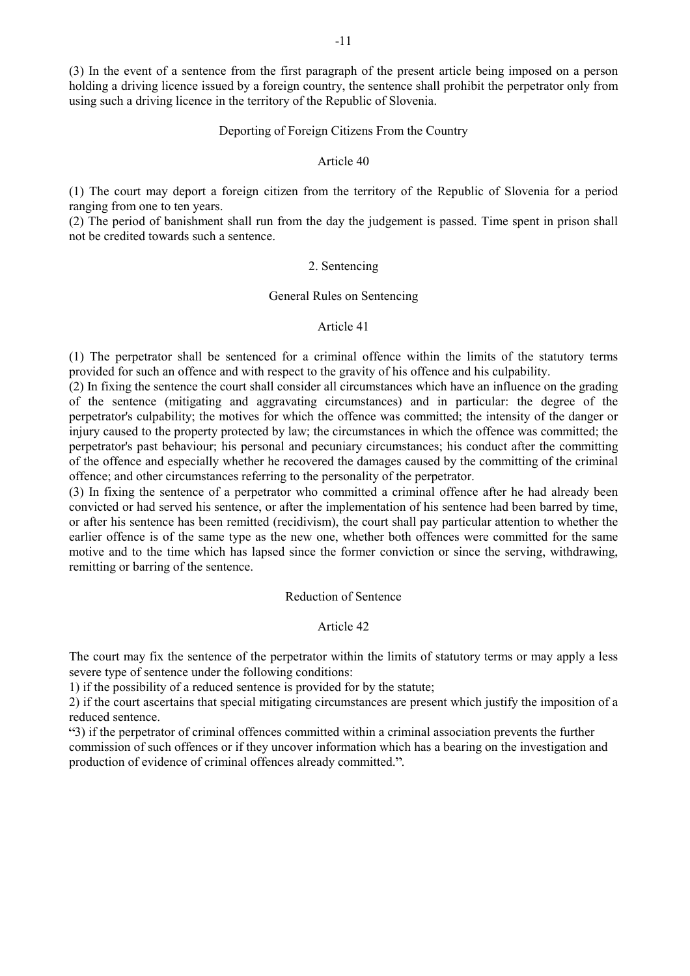(3) In the event of a sentence from the first paragraph of the present article being imposed on a person holding a driving licence issued by a foreign country, the sentence shall prohibit the perpetrator only from using such a driving licence in the territory of the Republic of Slovenia.

#### Deporting of Foreign Citizens From the Country

#### Article 40

(1) The court may deport a foreign citizen from the territory of the Republic of Slovenia for a period ranging from one to ten years.

(2) The period of banishment shall run from the day the judgement is passed. Time spent in prison shall not be credited towards such a sentence.

#### 2. Sentencing

#### General Rules on Sentencing

## Article 41

(1) The perpetrator shall be sentenced for a criminal offence within the limits of the statutory terms provided for such an offence and with respect to the gravity of his offence and his culpability.

(2) In fixing the sentence the court shall consider all circumstances which have an influence on the grading of the sentence (mitigating and aggravating circumstances) and in particular: the degree of the perpetrator's culpability; the motives for which the offence was committed; the intensity of the danger or injury caused to the property protected by law; the circumstances in which the offence was committed; the perpetrator's past behaviour; his personal and pecuniary circumstances; his conduct after the committing of the offence and especially whether he recovered the damages caused by the committing of the criminal offence; and other circumstances referring to the personality of the perpetrator.

(3) In fixing the sentence of a perpetrator who committed a criminal offence after he had already been convicted or had served his sentence, or after the implementation of his sentence had been barred by time, or after his sentence has been remitted (recidivism), the court shall pay particular attention to whether the earlier offence is of the same type as the new one, whether both offences were committed for the same motive and to the time which has lapsed since the former conviction or since the serving, withdrawing, remitting or barring of the sentence.

### Reduction of Sentence

## Article 42

The court may fix the sentence of the perpetrator within the limits of statutory terms or may apply a less severe type of sentence under the following conditions:

1) if the possibility of a reduced sentence is provided for by the statute;

2) if the court ascertains that special mitigating circumstances are present which justify the imposition of a reduced sentence.

3) if the perpetrator of criminal offences committed within a criminal association prevents the further commission of such offences or if they uncover information which has a bearing on the investigation and production of evidence of criminal offences already committed.".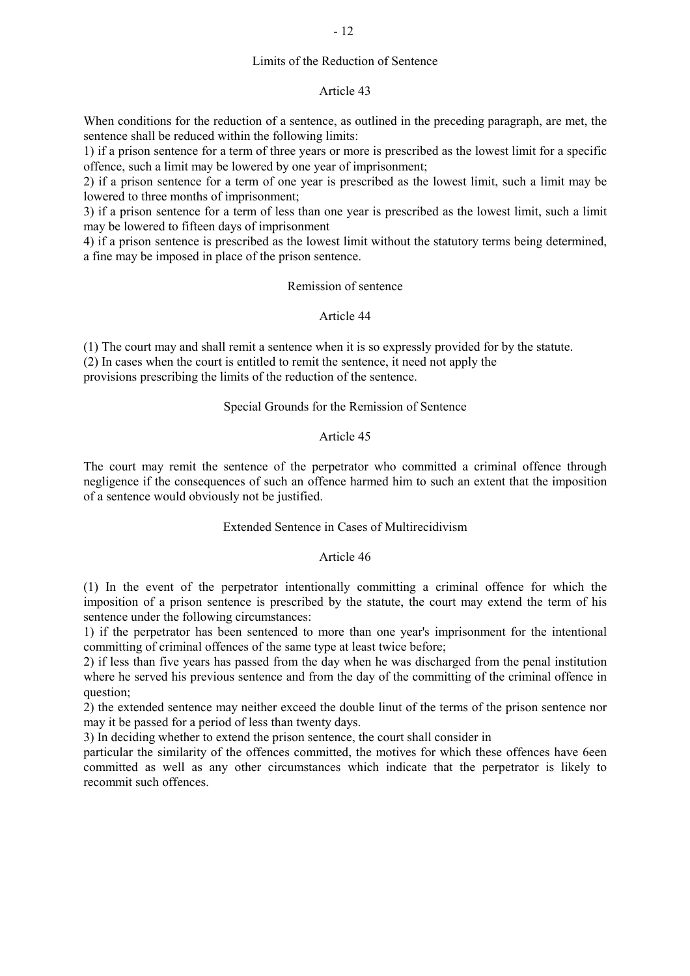## Limits of the Reduction of Sentence

#### Article 43

When conditions for the reduction of a sentence, as outlined in the preceding paragraph, are met, the sentence shall be reduced within the following limits:

1) if a prison sentence for a term of three years or more is prescribed as the lowest limit for a specific offence, such a limit may be lowered by one year of imprisonment;

2) if a prison sentence for a term of one year is prescribed as the lowest limit, such a limit may be lowered to three months of imprisonment;

3) if a prison sentence for a term of less than one year is prescribed as the lowest limit, such a limit may be lowered to fifteen days of imprisonment

4) if a prison sentence is prescribed as the lowest limit without the statutory terms being determined, a fine may be imposed in place of the prison sentence.

## Remission of sentence

#### Article 44

(1) The court may and shall remit a sentence when it is so expressly provided for by the statute. (2) In cases when the court is entitled to remit the sentence, it need not apply the provisions prescribing the limits of the reduction of the sentence.

#### Special Grounds for the Remission of Sentence

## Article 45

The court may remit the sentence of the perpetrator who committed a criminal offence through negligence if the consequences of such an offence harmed him to such an extent that the imposition of a sentence would obviously not be justified.

## Extended Sentence in Cases of Multirecidivism

#### Article 46

(1) In the event of the perpetrator intentionally committing a criminal offence for which the imposition of a prison sentence is prescribed by the statute, the court may extend the term of his sentence under the following circumstances:

1) if the perpetrator has been sentenced to more than one year's imprisonment for the intentional committing of criminal offences of the same type at least twice before;

2) if less than five years has passed from the day when he was discharged from the penal institution where he served his previous sentence and from the day of the committing of the criminal offence in question;

2) the extended sentence may neither exceed the double linut of the terms of the prison sentence nor may it be passed for a period of less than twenty days.

3) In deciding whether to extend the prison sentence, the court shall consider in

particular the similarity of the offences committed, the motives for which these offences have 6een committed as well as any other circumstances which indicate that the perpetrator is likely to recommit such offences.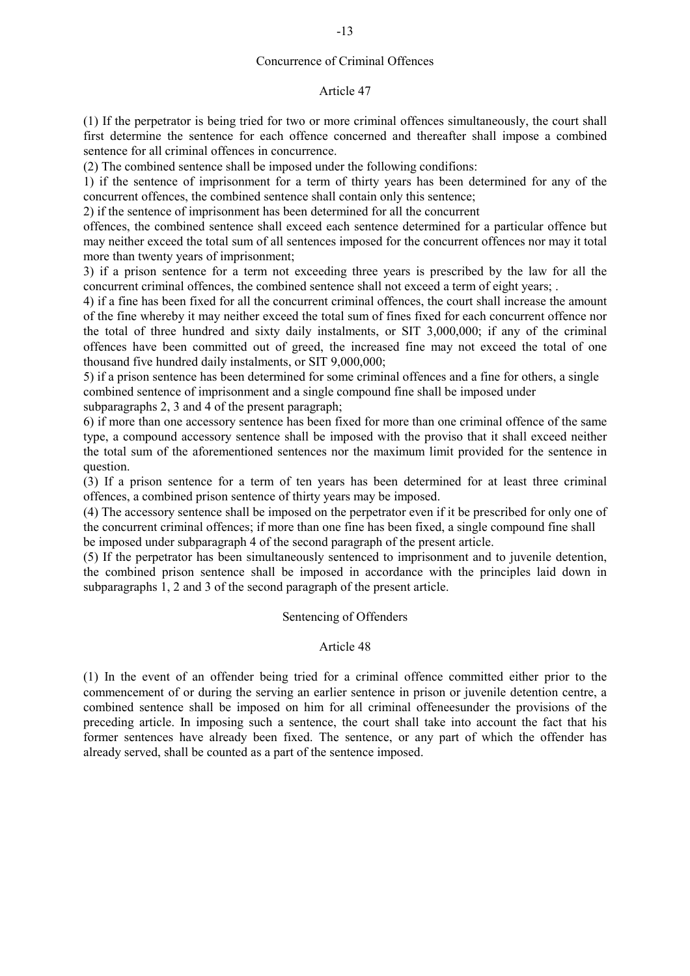## Concurrence of Criminal Offences

#### Article 47

(1) If the perpetrator is being tried for two or more criminal offences simultaneously, the court shall first determine the sentence for each offence concerned and thereafter shall impose a combined sentence for all criminal offences in concurrence.

(2) The combined sentence shall be imposed under the following condifions:

1) if the sentence of imprisonment for a term of thirty years has been determined for any of the concurrent offences, the combined sentence shall contain only this sentence;

2) if the sentence of imprisonment has been determined for all the concurrent

offences, the combined sentence shall exceed each sentence determined for a particular offence but may neither exceed the total sum of all sentences imposed for the concurrent offences nor may it total more than twenty years of imprisonment;

3) if a prison sentence for a term not exceeding three years is prescribed by the law for all the concurrent criminal offences, the combined sentence shall not exceed a term of eight years; .

4) if a fine has been fixed for all the concurrent criminal offences, the court shall increase the amount of the fine whereby it may neither exceed the total sum of fines fixed for each concurrent offence nor the total of three hundred and sixty daily instalments, or SIT 3,000,000; if any of the criminal offences have been committed out of greed, the increased fine may not exceed the total of one thousand five hundred daily instalments, or SIT 9,000,000;

5) if a prison sentence has been determined for some criminal offences and a fine for others, a single combined sentence of imprisonment and a single compound fine shall be imposed under

subparagraphs 2, 3 and 4 of the present paragraph;

6) if more than one accessory sentence has been fixed for more than one criminal offence of the same type, a compound accessory sentence shall be imposed with the proviso that it shall exceed neither the total sum of the aforementioned sentences nor the maximum limit provided for the sentence in question.

(3) If a prison sentence for a term of ten years has been determined for at least three criminal offences, a combined prison sentence of thirty years may be imposed.

(4) The accessory sentence shall be imposed on the perpetrator even if it be prescribed for only one of the concurrent criminal offences; if more than one fine has been fixed, a single compound fine shall be imposed under subparagraph 4 of the second paragraph of the present article.

(5) If the perpetrator has been simultaneously sentenced to imprisonment and to juvenile detention, the combined prison sentence shall be imposed in accordance with the principles laid down in subparagraphs 1, 2 and 3 of the second paragraph of the present article.

### Sentencing of Offenders

#### Article 48

(1) In the event of an offender being tried for a criminal offence committed either prior to the commencement of or during the serving an earlier sentence in prison or juvenile detention centre, a combined sentence shall be imposed on him for all criminal offeneesunder the provisions of the preceding article. In imposing such a sentence, the court shall take into account the fact that his former sentences have already been fixed. The sentence, or any part of which the offender has already served, shall be counted as a part of the sentence imposed.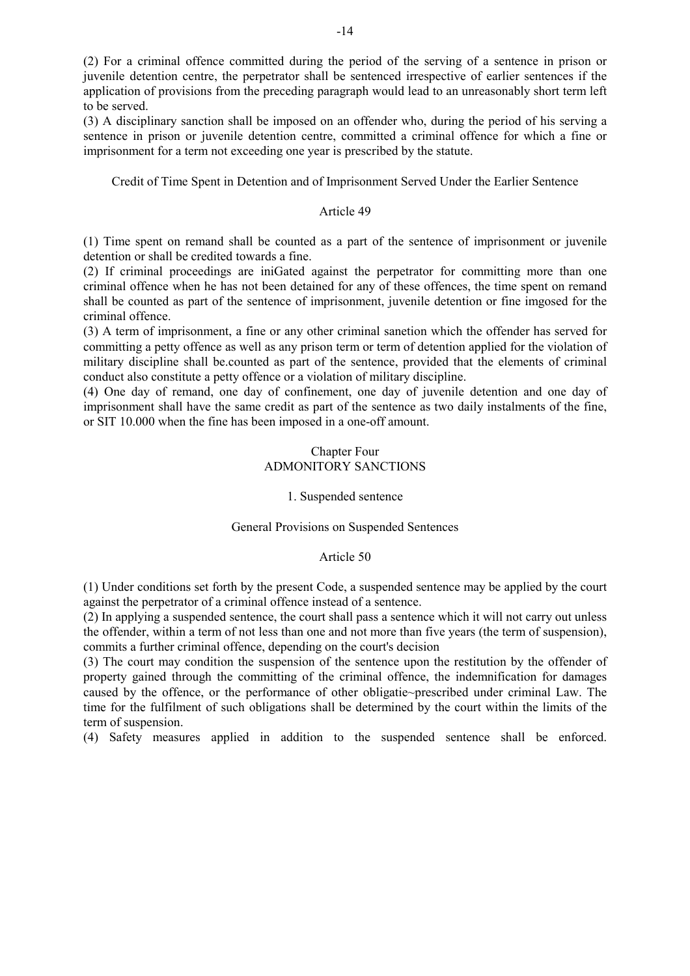(2) For a criminal offence committed during the period of the serving of a sentence in prison or juvenile detention centre, the perpetrator shall be sentenced irrespective of earlier sentences if the application of provisions from the preceding paragraph would lead to an unreasonably short term left to be served.

(3) A disciplinary sanction shall be imposed on an offender who, during the period of his serving a sentence in prison or juvenile detention centre, committed a criminal offence for which a fine or imprisonment for a term not exceeding one year is prescribed by the statute.

Credit of Time Spent in Detention and of Imprisonment Served Under the Earlier Sentence

# Article 49

(1) Time spent on remand shall be counted as a part of the sentence of imprisonment or juvenile detention or shall be credited towards a fine.

(2) If criminal proceedings are iniGated against the perpetrator for committing more than one criminal offence when he has not been detained for any of these offences, the time spent on remand shall be counted as part of the sentence of imprisonment, juvenile detention or fine imgosed for the criminal offence.

(3) A term of imprisonment, a fine or any other criminal sanetion which the offender has served for committing a petty offence as well as any prison term or term of detention applied for the violation of military discipline shall be.counted as part of the sentence, provided that the elements of criminal conduct also constitute a petty offence or a violation of military discipline.

(4) One day of remand, one day of confinement, one day of juvenile detention and one day of imprisonment shall have the same credit as part of the sentence as two daily instalments of the fine, or SIT 10.000 when the fine has been imposed in a one-off amount.

# Chapter Four ADMONITORY SANCTIONS

## 1. Suspended sentence

## General Provisions on Suspended Sentences

## Article 50

(1) Under conditions set forth by the present Code, a suspended sentence may be applied by the court against the perpetrator of a criminal offence instead of a sentence.

(2) In applying a suspended sentence, the court shall pass a sentence which it will not carry out unless the offender, within a term of not less than one and not more than five years (the term of suspension), commits a further criminal offence, depending on the court's decision

(3) The court may condition the suspension of the sentence upon the restitution by the offender of property gained through the committing of the criminal offence, the indemnification for damages caused by the offence, or the performance of other obligatie~prescribed under criminal Law. The time for the fulfilment of such obligations shall be determined by the court within the limits of the term of suspension.

(4) Safety measures applied in addition to the suspended sentence shall be enforced.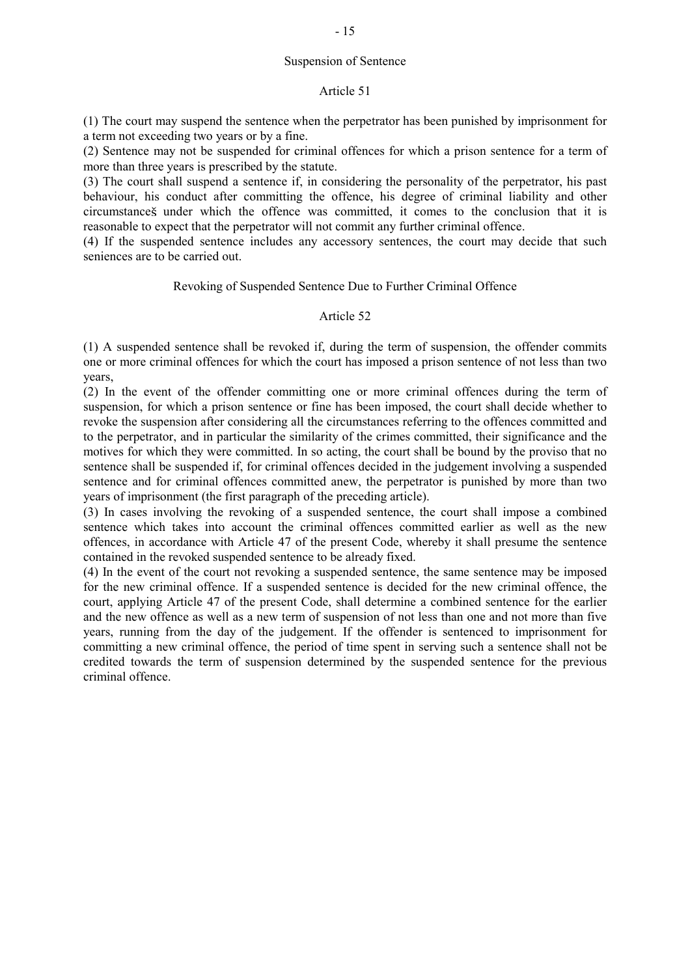## Suspension of Sentence

### Article 51

(1) The court may suspend the sentence when the perpetrator has been punished by imprisonment for a term not exceeding two years or by a fine.

(2) Sentence may not be suspended for criminal offences for which a prison sentence for a term of more than three years is prescribed by the statute.

(3) The court shall suspend a sentence if, in considering the personality of the perpetrator, his past behaviour, his conduct after committing the offence, his degree of criminal liability and other circumstances under which the offence was committed, it comes to the conclusion that it is reasonable to expect that the perpetrator will not commit any further criminal offence.

(4) If the suspended sentence includes any accessory sentences, the court may decide that such seniences are to be carried out.

### Revoking of Suspended Sentence Due to Further Criminal Offence

## Article 52

(1) A suspended sentence shall be revoked if, during the term of suspension, the offender commits one or more criminal offences for which the court has imposed a prison sentence of not less than two years,

(2) In the event of the offender committing one or more criminal offences during the term of suspension, for which a prison sentence or fine has been imposed, the court shall decide whether to revoke the suspension after considering all the circumstances referring to the offences committed and to the perpetrator, and in particular the similarity of the crimes committed, their significance and the motives for which they were committed. In so acting, the court shall be bound by the proviso that no sentence shall be suspended if, for criminal offences decided in the judgement involving a suspended sentence and for criminal offences committed anew, the perpetrator is punished by more than two years of imprisonment (the first paragraph of the preceding article).

(3) In cases involving the revoking of a suspended sentence, the court shall impose a combined sentence which takes into account the criminal offences committed earlier as well as the new offences, in accordance with Article 47 of the present Code, whereby it shall presume the sentence contained in the revoked suspended sentence to be already fixed.

(4) In the event of the court not revoking a suspended sentence, the same sentence may be imposed for the new criminal offence. If a suspended sentence is decided for the new criminal offence, the court, applying Article 47 of the present Code, shall determine a combined sentence for the earlier and the new offence as well as a new term of suspension of not less than one and not more than five years, running from the day of the judgement. If the offender is sentenced to imprisonment for committing a new criminal offence, the period of time spent in serving such a sentence shall not be credited towards the term of suspension determined by the suspended sentence for the previous criminal offence.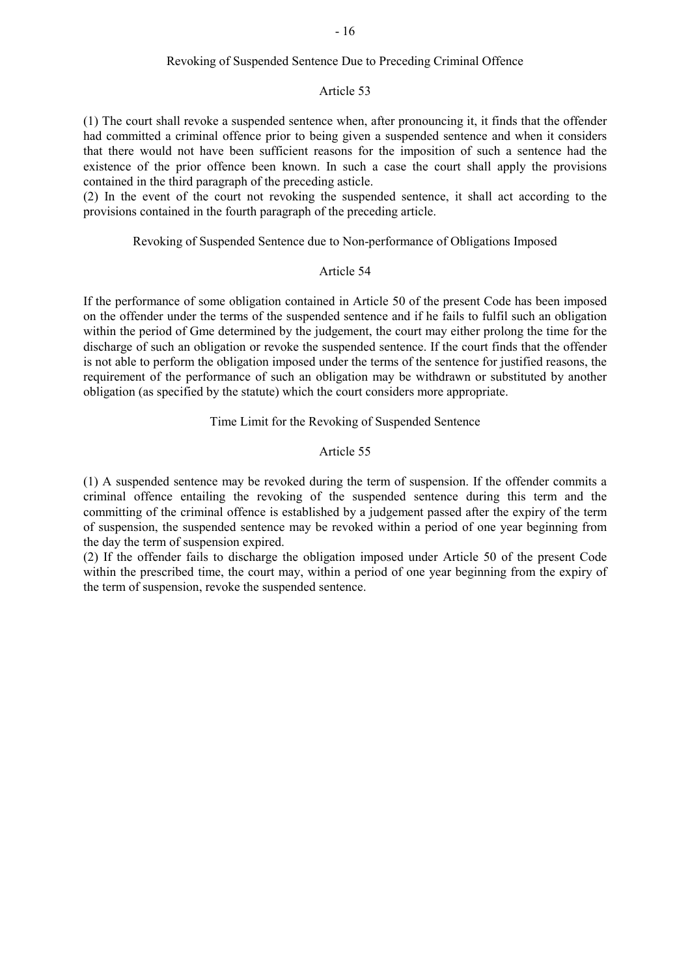## Revoking of Suspended Sentence Due to Preceding Criminal Offence

#### Article 53

(1) The court shall revoke a suspended sentence when, after pronouncing it, it finds that the offender had committed a criminal offence prior to being given a suspended sentence and when it considers that there would not have been sufficient reasons for the imposition of such a sentence had the existence of the prior offence been known. In such a case the court shall apply the provisions contained in the third paragraph of the preceding asticle.

(2) In the event of the court not revoking the suspended sentence, it shall act according to the provisions contained in the fourth paragraph of the preceding article.

# Revoking of Suspended Sentence due to Non-performance of Obligations Imposed

### Article 54

If the performance of some obligation contained in Article 50 of the present Code has been imposed on the offender under the terms of the suspended sentence and if he fails to fulfil such an obligation within the period of Gme determined by the judgement, the court may either prolong the time for the discharge of such an obligation or revoke the suspended sentence. If the court finds that the offender is not able to perform the obligation imposed under the terms of the sentence for justified reasons, the requirement of the performance of such an obligation may be withdrawn or substituted by another obligation (as specified by the statute) which the court considers more appropriate.

## Time Limit for the Revoking of Suspended Sentence

## Article 55

(1) A suspended sentence may be revoked during the term of suspension. If the offender commits a criminal offence entailing the revoking of the suspended sentence during this term and the committing of the criminal offence is established by a judgement passed after the expiry of the term of suspension, the suspended sentence may be revoked within a period of one year beginning from the day the term of suspension expired.

(2) If the offender fails to discharge the obligation imposed under Article 50 of the present Code within the prescribed time, the court may, within a period of one year beginning from the expiry of the term of suspension, revoke the suspended sentence.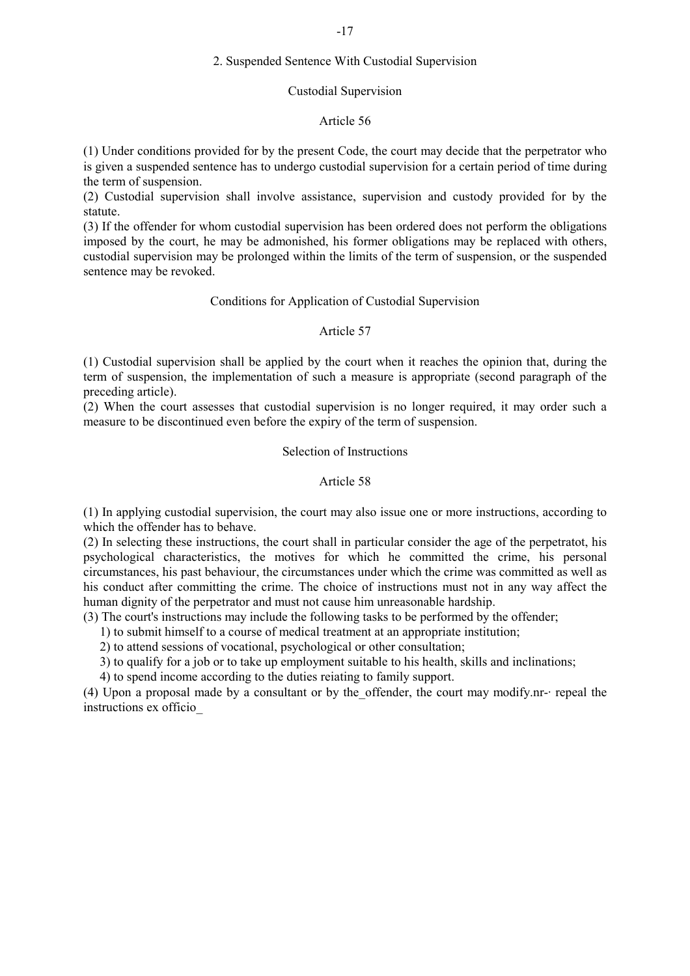#### -17

## 2. Suspended Sentence With Custodial Supervision

#### Custodial Supervision

## Article 56

(1) Under conditions provided for by the present Code, the court may decide that the perpetrator who is given a suspended sentence has to undergo custodial supervision for a certain period of time during the term of suspension.

(2) Custodial supervision shall involve assistance, supervision and custody provided for by the statute.

(3) If the offender for whom custodial supervision has been ordered does not perform the obligations imposed by the court, he may be admonished, his former obligations may be replaced with others, custodial supervision may be prolonged within the limits of the term of suspension, or the suspended sentence may be revoked.

## Conditions for Application of Custodial Supervision

#### Article 57

(1) Custodial supervision shall be applied by the court when it reaches the opinion that, during the term of suspension, the implementation of such a measure is appropriate (second paragraph of the preceding article).

(2) When the court assesses that custodial supervision is no longer required, it may order such a measure to be discontinued even before the expiry of the term of suspension.

### Selection of Instructions

#### Article 58

(1) In applying custodial supervision, the court may also issue one or more instructions, according to which the offender has to behave.

(2) In selecting these instructions, the court shall in particular consider the age of the perpetratot, his psychological characteristics, the motives for which he committed the crime, his personal circumstances, his past behaviour, the circumstances under which the crime was committed as well as his conduct after committing the crime. The choice of instructions must not in any way affect the human dignity of the perpetrator and must not cause him unreasonable hardship.

(3) The court's instructions may include the following tasks to be performed by the offender;

1) to submit himself to a course of medical treatment at an appropriate institution;

2) to attend sessions of vocational, psychological or other consultation;

3) to qualify for a job or to take up employment suitable to his health, skills and inclinations;

4) to spend income according to the duties reiating to family support.

(4) Upon a proposal made by a consultant or by the\_offender, the court may modify.nr-· repeal the instructions ex officio\_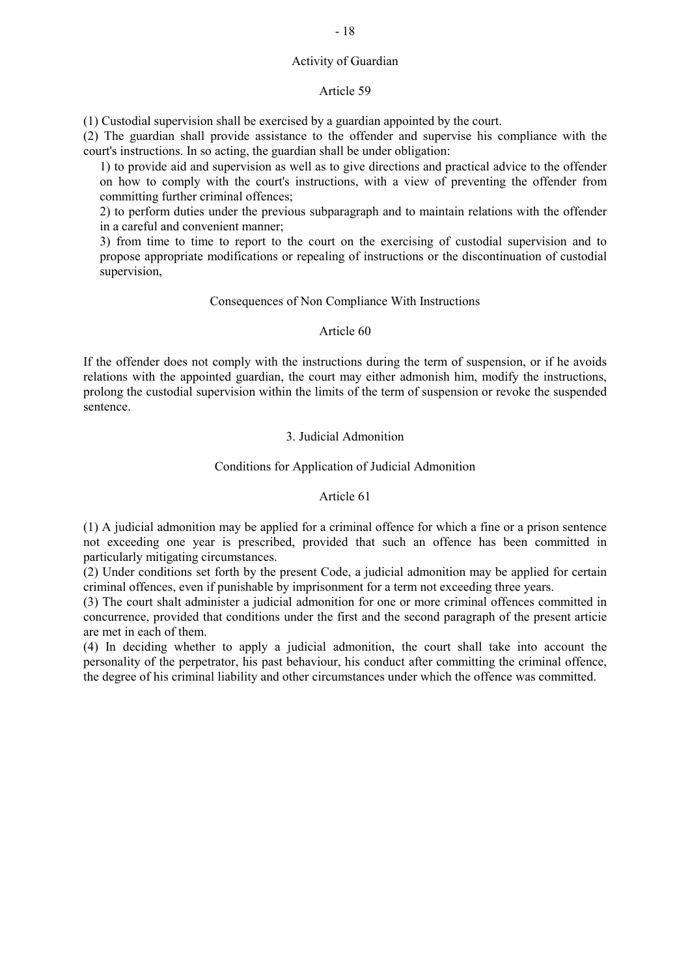### Activity of Guardian

## Article 59

(1) Custodial supervision shall be exercised by a guardian appointed by the court.

(2) The guardian shall provide assistance to the offender and supervise his compliance with the court's instructions. In so acting, the guardian shall be under obligation:

1) to provide aid and supervision as well as to give directions and practical advice to the offender on how to comply with the court's instructions, with a view of preventing the offender from committing further criminal offences;

2) to perform duties under the previous subparagraph and to maintain relations with the offender in a careful and convenient manner;

3) from time to time to report to the court on the exercising of custodial supervision and to propose appropriate modifications or repealing of instructions or the discontinuation of custodial supervision,

## Consequences of Non Compliance With Instructions

## Article 60

If the offender does not comply with the instructions during the term of suspension, or if he avoids relations with the appointed guardian, the court may either admonish him, modify the instructions, prolong the custodial supervision within the limits of the term of suspension or revoke the suspended sentence.

# 3. Judicial Admonition

# Conditions for Application of Judicial Admonition

## Article 61

(1) A judicial admonition may be applied for a criminal offence for which a fine or a prison sentence not exceeding one year is prescribed, provided that such an offence has been committed in particularly mitigating circumstances.

(2) Under conditions set forth by the present Code, a judicial admonition may be applied for certain criminal offences, even if punishable by imprisonment for a term not exceeding three years.

(3) The court shalt administer a judicial admonition for one or more criminal offences committed in concurrence, provided that conditions under the first and the second paragraph of the present articie are met in each of them.

(4) In deciding whether to apply a judicial admonition, the court shall take into account the personality of the perpetrator, his past behaviour, his conduct after committing the criminal offence, the degree of his criminal liability and other circumstances under which the offence was committed.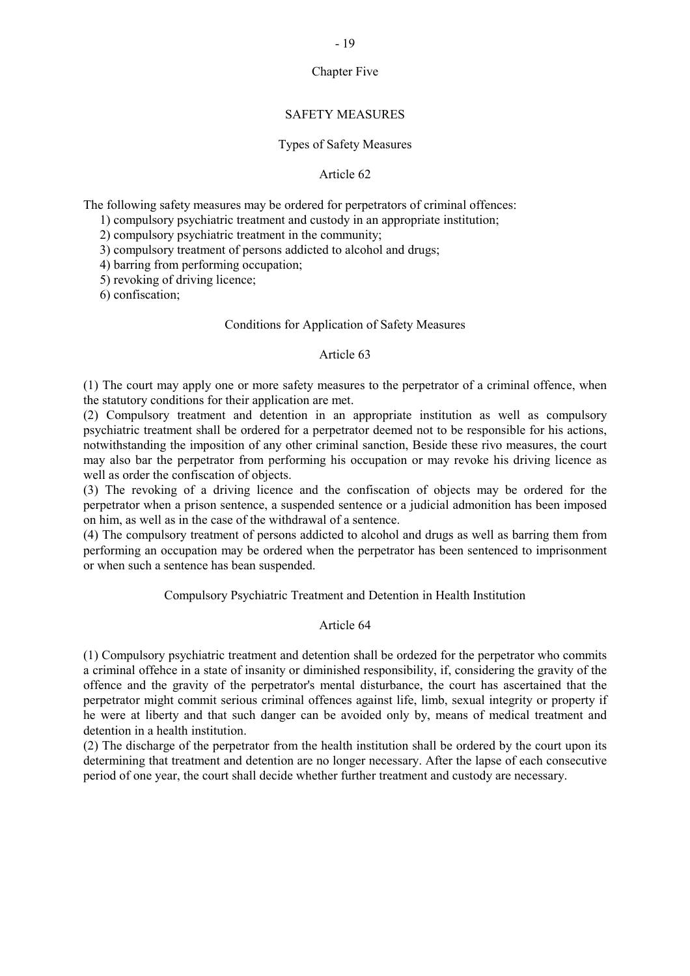## Chapter Five

## SAFETY MEASURES

#### Types of Safety Measures

## Article 62

The following safety measures may be ordered for perpetrators of criminal offences:

- 1) compulsory psychiatric treatment and custody in an appropriate institution;
- 2) compulsory psychiatric treatment in the community;
- 3) compulsory treatment of persons addicted to alcohol and drugs;
- 4) barring from performing occupation;
- 5) revoking of driving licence;

6) confiscation;

#### Conditions for Application of Safety Measures

#### Article 63

(1) The court may apply one or more safety measures to the perpetrator of a criminal offence, when the statutory conditions for their application are met.

(2) Compulsory treatment and detention in an appropriate institution as well as compulsory psychiatric treatment shall be ordered for a perpetrator deemed not to be responsible for his actions, notwithstanding the imposition of any other criminal sanction, Beside these rivo measures, the court may also bar the perpetrator from performing his occupation or may revoke his driving licence as well as order the confiscation of objects.

(3) The revoking of a driving licence and the confiscation of objects may be ordered for the perpetrator when a prison sentence, a suspended sentence or a judicial admonition has been imposed on him, as well as in the case of the withdrawal of a sentence.

(4) The compulsory treatment of persons addicted to alcohol and drugs as well as barring them from performing an occupation may be ordered when the perpetrator has been sentenced to imprisonment or when such a sentence has bean suspended.

## Compulsory Psychiatric Treatment and Detention in Health Institution

#### Article 64

(1) Compulsory psychiatric treatment and detention shall be ordezed for the perpetrator who commits a criminal offehce in a state of insanity or diminished responsibility, if, considering the gravity of the offence and the gravity of the perpetrator's mental disturbance, the court has ascertained that the perpetrator might commit serious criminal offences against life, limb, sexual integrity or property if he were at liberty and that such danger can be avoided only by, means of medical treatment and detention in a health institution.

(2) The discharge of the perpetrator from the health institution shall be ordered by the court upon its determining that treatment and detention are no longer necessary. After the lapse of each consecutive period of one year, the court shall decide whether further treatment and custody are necessary.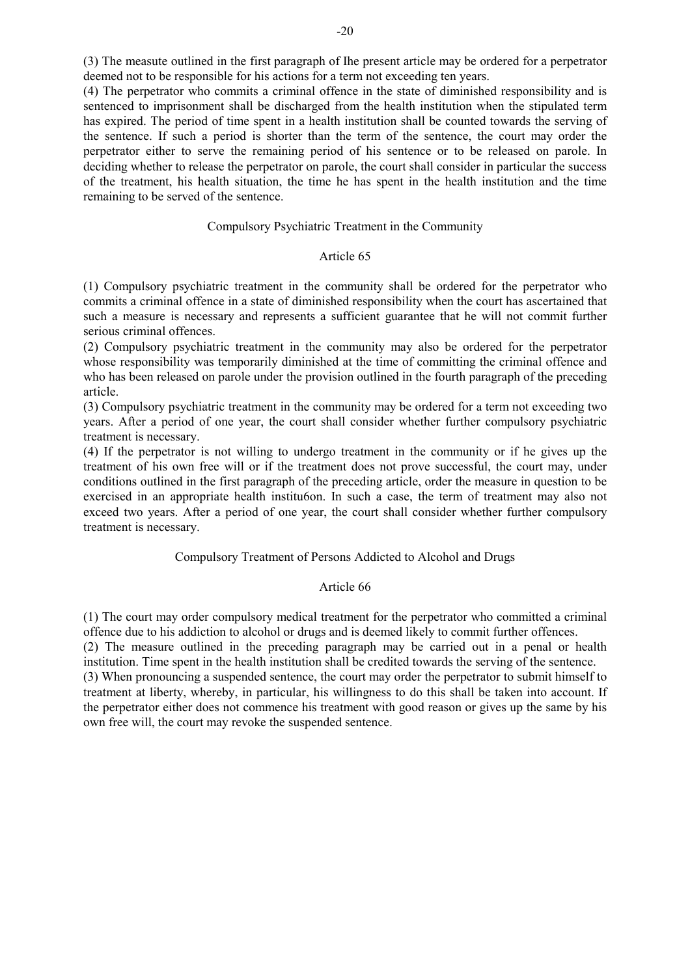(3) The measute outlined in the first paragraph of Ihe present article may be ordered for a perpetrator deemed not to be responsible for his actions for a term not exceeding ten years.

(4) The perpetrator who commits a criminal offence in the state of diminished responsibility and is sentenced to imprisonment shall be discharged from the health institution when the stipulated term has expired. The period of time spent in a health institution shall be counted towards the serving of the sentence. If such a period is shorter than the term of the sentence, the court may order the perpetrator either to serve the remaining period of his sentence or to be released on parole. In deciding whether to release the perpetrator on parole, the court shall consider in particular the success of the treatment, his health situation, the time he has spent in the health institution and the time remaining to be served of the sentence.

## Compulsory Psychiatric Treatment in the Community

#### Article 65

(1) Compulsory psychiatric treatment in the community shall be ordered for the perpetrator who commits a criminal offence in a state of diminished responsibility when the court has ascertained that such a measure is necessary and represents a sufficient guarantee that he will not commit further serious criminal offences.

(2) Compulsory psychiatric treatment in the community may also be ordered for the perpetrator whose responsibility was temporarily diminished at the time of committing the criminal offence and who has been released on parole under the provision outlined in the fourth paragraph of the preceding article.

(3) Compulsory psychiatric treatment in the community may be ordered for a term not exceeding two years. After a period of one year, the court shall consider whether further compulsory psychiatric treatment is necessary.

(4) If the perpetrator is not willing to undergo treatment in the community or if he gives up the treatment of his own free will or if the treatment does not prove successful, the court may, under conditions outlined in the first paragraph of the preceding article, order the measure in question to be exercised in an appropriate health institution. In such a case, the term of treatment may also not exceed two years. After a period of one year, the court shall consider whether further compulsory treatment is necessary.

## Compulsory Treatment of Persons Addicted to Alcohol and Drugs

#### Article 66

(1) The court may order compulsory medical treatment for the perpetrator who committed a criminal offence due to his addiction to alcohol or drugs and is deemed likely to commit further offences.

(2) The measure outlined in the preceding paragraph may be carried out in a penal or health institution. Time spent in the health institution shall be credited towards the serving of the sentence. (3) When pronouncing a suspended sentence, the court may order the perpetrator to submit himself to treatment at liberty, whereby, in particular, his willingness to do this shall be taken into account. If the perpetrator either does not commence his treatment with good reason or gives up the same by his

own free will, the court may revoke the suspended sentence.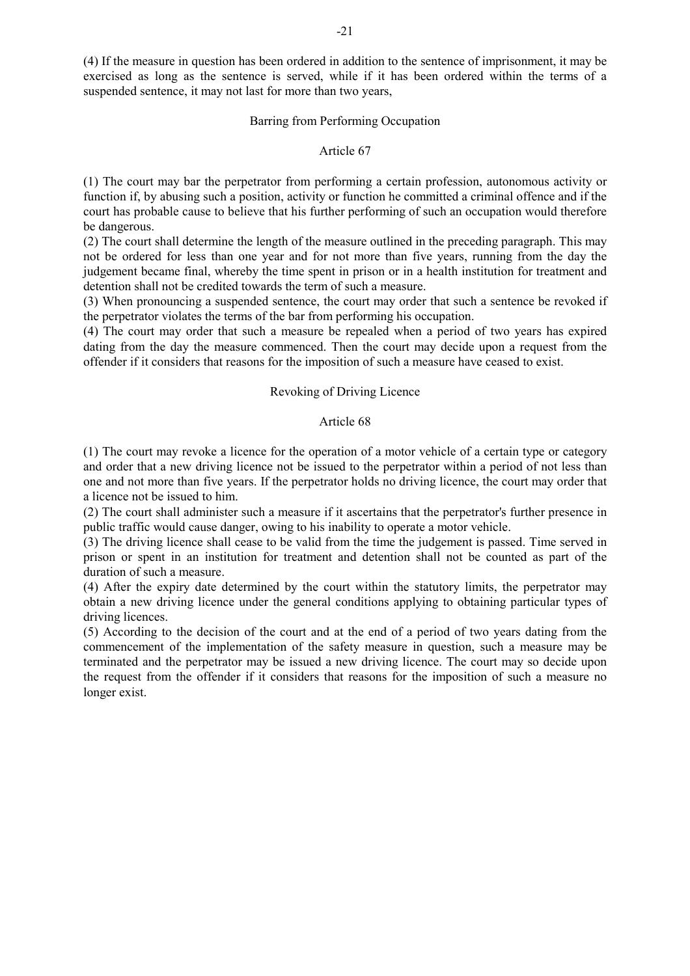(4) If the measure in question has been ordered in addition to the sentence of imprisonment, it may be exercised as long as the sentence is served, while if it has been ordered within the terms of a suspended sentence, it may not last for more than two years,

#### Barring from Performing Occupation

### Article 67

(1) The court may bar the perpetrator from performing a certain profession, autonomous activity or function if, by abusing such a position, activity or function he committed a criminal offence and if the court has probable cause to believe that his further performing of such an occupation would therefore be dangerous.

(2) The court shall determine the length of the measure outlined in the preceding paragraph. This may not be ordered for less than one year and for not more than five years, running from the day the judgement became final, whereby the time spent in prison or in a health institution for treatment and detention shall not be credited towards the term of such a measure.

(3) When pronouncing a suspended sentence, the court may order that such a sentence be revoked if the perpetrator violates the terms of the bar from performing his occupation.

(4) The court may order that such a measure be repealed when a period of two years has expired dating from the day the measure commenced. Then the court may decide upon a request from the offender if it considers that reasons for the imposition of such a measure have ceased to exist.

## Revoking of Driving Licence

#### Article 68

(1) The court may revoke a licence for the operation of a motor vehicle of a certain type or category and order that a new driving licence not be issued to the perpetrator within a period of not less than one and not more than five years. If the perpetrator holds no driving licence, the court may order that a licence not be issued to him.

(2) The court shall administer such a measure if it ascertains that the perpetrator's further presence in public traffic would cause danger, owing to his inability to operate a motor vehicle.

(3) The driving licence shall cease to be valid from the time the judgement is passed. Time served in prison or spent in an institution for treatment and detention shall not be counted as part of the duration of such a measure.

(4) After the expiry date determined by the court within the statutory limits, the perpetrator may obtain a new driving licence under the general conditions applying to obtaining particular types of driving licences.

(5) According to the decision of the court and at the end of a period of two years dating from the commencement of the implementation of the safety measure in question, such a measure may be terminated and the perpetrator may be issued a new driving licence. The court may so decide upon the request from the offender if it considers that reasons for the imposition of such a measure no longer exist.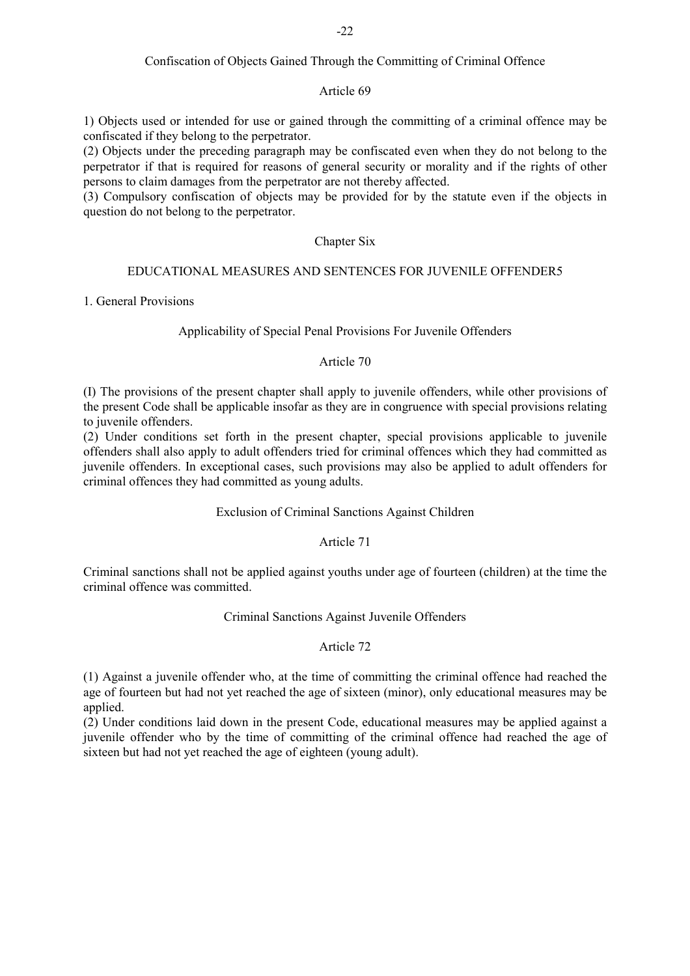# Confiscation of Objects Gained Through the Committing of Criminal Offence

## Article 69

1) Objects used or intended for use or gained through the committing of a criminal offence may be confiscated if they belong to the perpetrator.

(2) Objects under the preceding paragraph may be confiscated even when they do not belong to the perpetrator if that is required for reasons of general security or morality and if the rights of other persons to claim damages from the perpetrator are not thereby affected.

(3) Compulsory confiscation of objects may be provided for by the statute even if the objects in question do not belong to the perpetrator.

# Chapter Six

### EDUCATIONAL MEASURES AND SENTENCES FOR JUVENILE OFFENDER5

1. General Provisions

## Applicability of Special Penal Provisions For Juvenile Offenders

### Article 70

(I) The provisions of the present chapter shall apply to juvenile offenders, while other provisions of the present Code shall be applicable insofar as they are in congruence with special provisions relating to juvenile offenders.

(2) Under conditions set forth in the present chapter, special provisions applicable to juvenile offenders shall also apply to adult offenders tried for criminal offences which they had committed as juvenile offenders. In exceptional cases, such provisions may also be applied to adult offenders for criminal offences they had committed as young adults.

## Exclusion of Criminal Sanctions Against Children

## Article 71

Criminal sanctions shall not be applied against youths under age of fourteen (children) at the time the criminal offence was committed.

## Criminal Sanctions Against Juvenile Offenders

## Article 72

(1) Against a juvenile offender who, at the time of committing the criminal offence had reached the age of fourteen but had not yet reached the age of sixteen (minor), only educational measures may be applied.

(2) Under conditions laid down in the present Code, educational measures may be applied against a juvenile offender who by the time of committing of the criminal offence had reached the age of sixteen but had not yet reached the age of eighteen (young adult).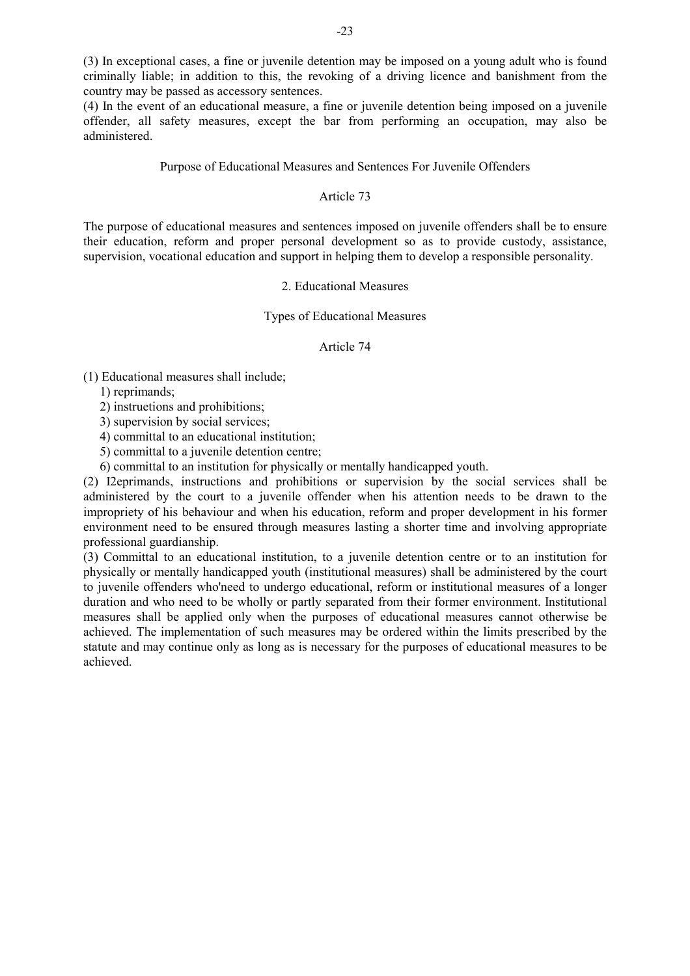(3) In exceptional cases, a fine or juvenile detention may be imposed on a young adult who is found criminally liable; in addition to this, the revoking of a driving licence and banishment from the country may be passed as accessory sentences.

(4) In the event of an educational measure, a fine or juvenile detention being imposed on a juvenile offender, all safety measures, except the bar from performing an occupation, may also be administered.

#### Purpose of Educational Measures and Sentences For Juvenile Offenders

### Article 73

The purpose of educational measures and sentences imposed on juvenile offenders shall be to ensure their education, reform and proper personal development so as to provide custody, assistance, supervision, vocational education and support in helping them to develop a responsible personality.

## 2. Educational Measures

Types of Educational Measures

#### Article 74

(1) Educational measures shall include;

1) reprimands;

2) instruetions and prohibitions;

3) supervision by social services;

4) committal to an educational institution;

5) committal to a juvenile detention centre;

6) committal to an institution for physically or mentally handicapped youth.

(2) I2eprimands, instructions and prohibitions or supervision by the social services shall be administered by the court to a juvenile offender when his attention needs to be drawn to the impropriety of his behaviour and when his education, reform and proper development in his former environment need to be ensured through measures lasting a shorter time and involving appropriate professional guardianship.

(3) Committal to an educational institution, to a juvenile detention centre or to an institution for physically or mentally handicapped youth (institutional measures) shall be administered by the court to juvenile offenders who'need to undergo educational, reform or institutional measures of a longer duration and who need to be wholly or partly separated from their former environment. Institutional measures shall be applied only when the purposes of educational measures cannot otherwise be achieved. The implementation of such measures may be ordered within the limits prescribed by the statute and may continue only as long as is necessary for the purposes of educational measures to be achieved.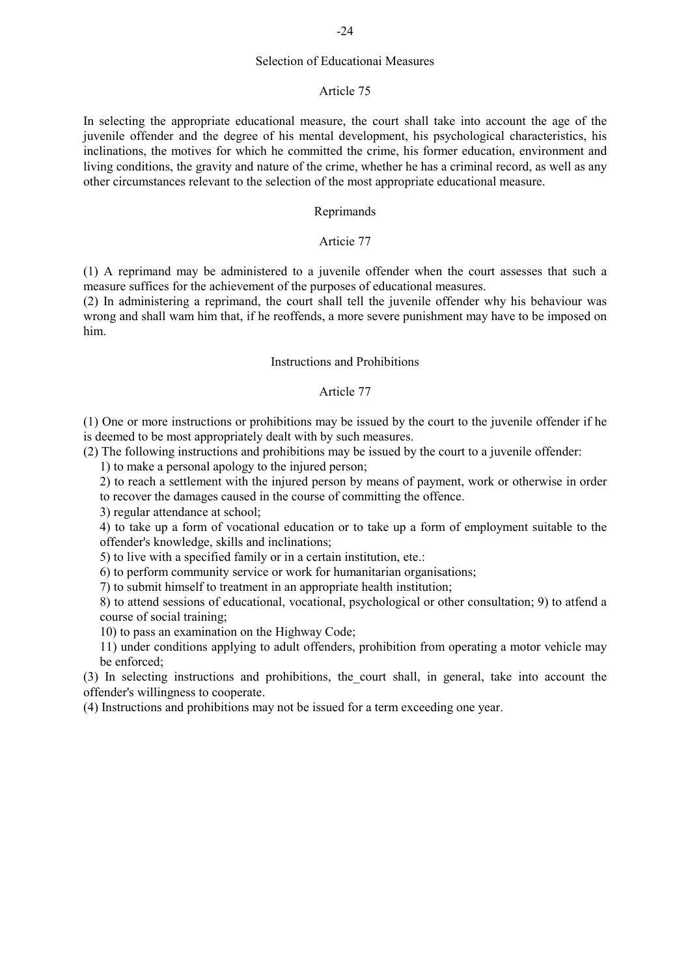## Selection of Educationai Measures

#### Article 75

In selecting the appropriate educational measure, the court shall take into account the age of the juvenile offender and the degree of his mental development, his psychological characteristics, his inclinations, the motives for which he committed the crime, his former education, environment and living conditions, the gravity and nature of the crime, whether he has a criminal record, as well as any other circumstances relevant to the selection of the most appropriate educational measure.

## Reprimands

## Articie 77

(1) A reprimand may be administered to a juvenile offender when the court assesses that such a measure suffices for the achievement of the purposes of educational measures.

(2) In administering a reprimand, the court shall tell the juvenile offender why his behaviour was wrong and shall wam him that, if he reoffends, a more severe punishment may have to be imposed on him.

## Instructions and Prohibitions

### Article 77

(1) One or more instructions or prohibitions may be issued by the court to the juvenile offender if he is deemed to be most appropriately dealt with by such measures.

(2) The following instructions and prohibitions may be issued by the court to a juvenile offender:

1) to make a personal apology to the injured person;

2) to reach a settlement with the injured person by means of payment, work or otherwise in order to recover the damages caused in the course of committing the offence.

3) regular attendance at school;

4) to take up a form of vocational education or to take up a form of employment suitable to the offender's knowledge, skills and inclinations;

5) to live with a specified family or in a certain institution, ete.:

6) to perform community service or work for humanitarian organisations;

7) to submit himself to treatment in an appropriate health institution;

8) to attend sessions of educational, vocational, psychological or other consultation; 9) to atfend a course of social training;

10) to pass an examination on the Highway Code;

11) under conditions applying to adult offenders, prohibition from operating a motor vehicle may be enforced;

(3) In selecting instructions and prohibitions, the\_court shall, in general, take into account the offender's willingness to cooperate.

(4) Instructions and prohibitions may not be issued for a term exceeding one year.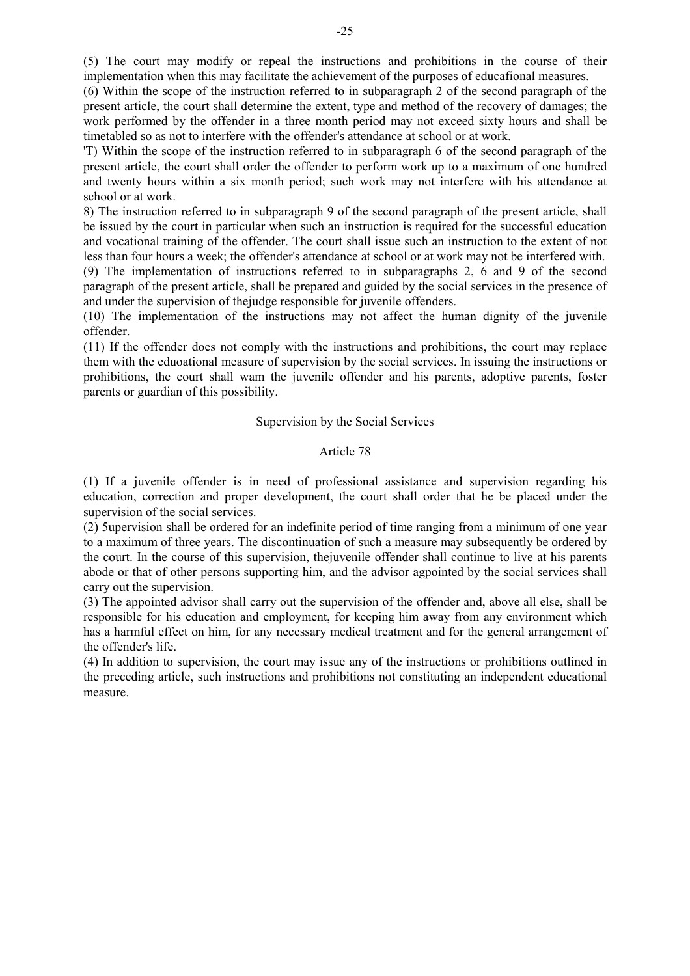(6) Within the scope of the instruction referred to in subparagraph 2 of the second paragraph of the present article, the court shall determine the extent, type and method of the recovery of damages; the work performed by the offender in a three month period may not exceed sixty hours and shall be timetabled so as not to interfere with the offender's attendance at school or at work.

'T) Within the scope of the instruction referred to in subparagraph 6 of the second paragraph of the present article, the court shall order the offender to perform work up to a maximum of one hundred and twenty hours within a six month period; such work may not interfere with his attendance at school or at work.

8) The instruction referred to in subparagraph 9 of the second paragraph of the present article, shall be issued by the court in particular when such an instruction is required for the successful education and vocational training of the offender. The court shall issue such an instruction to the extent of not less than four hours a week; the offender's attendance at school or at work may not be interfered with.

(9) The implementation of instructions referred to in subparagraphs 2, 6 and 9 of the second paragraph of the present article, shall be prepared and guided by the social services in the presence of and under the supervision of thejudge responsible for juvenile offenders.

(10) The implementation of the instructions may not affect the human dignity of the juvenile offender.

(11) If the offender does not comply with the instructions and prohibitions, the court may replace them with the eduoational measure of supervision by the social services. In issuing the instructions or prohibitions, the court shall wam the juvenile offender and his parents, adoptive parents, foster parents or guardian of this possibility.

### Supervision by the Social Services

### Article 78

(1) If a juvenile offender is in need of professional assistance and supervision regarding his education, correction and proper development, the court shall order that he be placed under the supervision of the social services.

(2) 5upervision shall be ordered for an indefinite period of time ranging from a minimum of one year to a maximum of three years. The discontinuation of such a measure may subsequently be ordered by the court. In the course of this supervision, thejuvenile offender shall continue to live at his parents abode or that of other persons supporting him, and the advisor agpointed by the social services shall carry out the supervision.

(3) The appointed advisor shall carry out the supervision of the offender and, above all else, shall be responsible for his education and employment, for keeping him away from any environment which has a harmful effect on him, for any necessary medical treatment and for the general arrangement of the offender's life.

(4) In addition to supervision, the court may issue any of the instructions or prohibitions outlined in the preceding article, such instructions and prohibitions not constituting an independent educational measure.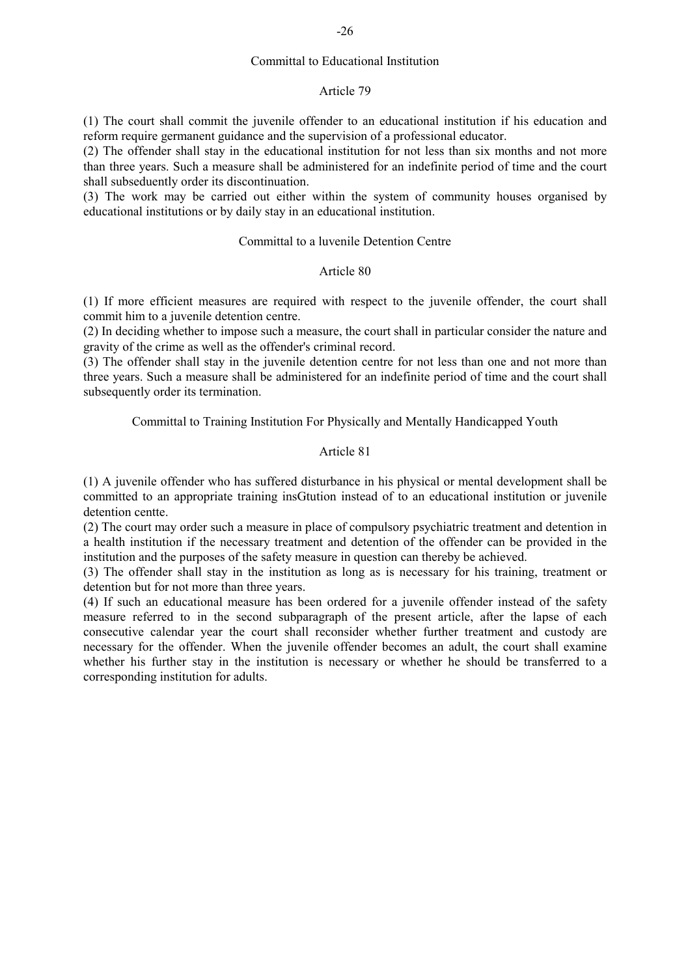### Committal to Educational Institution

#### Article 79

(1) The court shall commit the juvenile offender to an educational institution if his education and reform require germanent guidance and the supervision of a professional educator.

(2) The offender shall stay in the educational institution for not less than six months and not more than three years. Such a measure shall be administered for an indefinite period of time and the court shall subseduently order its discontinuation.

(3) The work may be carried out either within the system of community houses organised by educational institutions or by daily stay in an educational institution.

## Committal to a luvenile Detention Centre

#### Article 80

(1) If more efficient measures are required with respect to the juvenile offender, the court shall commit him to a juvenile detention centre.

(2) In deciding whether to impose such a measure, the court shall in particular consider the nature and gravity of the crime as well as the offender's criminal record.

(3) The offender shall stay in the juvenile detention centre for not less than one and not more than three years. Such a measure shall be administered for an indefinite period of time and the court shall subsequently order its termination.

Committal to Training Institution For Physically and Mentally Handicapped Youth

## Article 81

(1) A juvenile offender who has suffered disturbance in his physical or mental development shall be committed to an appropriate training insGtution instead of to an educational institution or juvenile detention centte.

(2) The court may order such a measure in place of compulsory psychiatric treatment and detention in a health institution if the necessary treatment and detention of the offender can be provided in the institution and the purposes of the safety measure in question can thereby be achieved.

(3) The offender shall stay in the institution as long as is necessary for his training, treatment or detention but for not more than three years.

(4) If such an educational measure has been ordered for a juvenile offender instead of the safety measure referred to in the second subparagraph of the present article, after the lapse of each consecutive calendar year the court shall reconsider whether further treatment and custody are necessary for the offender. When the juvenile offender becomes an adult, the court shall examine whether his further stay in the institution is necessary or whether he should be transferred to a corresponding institution for adults.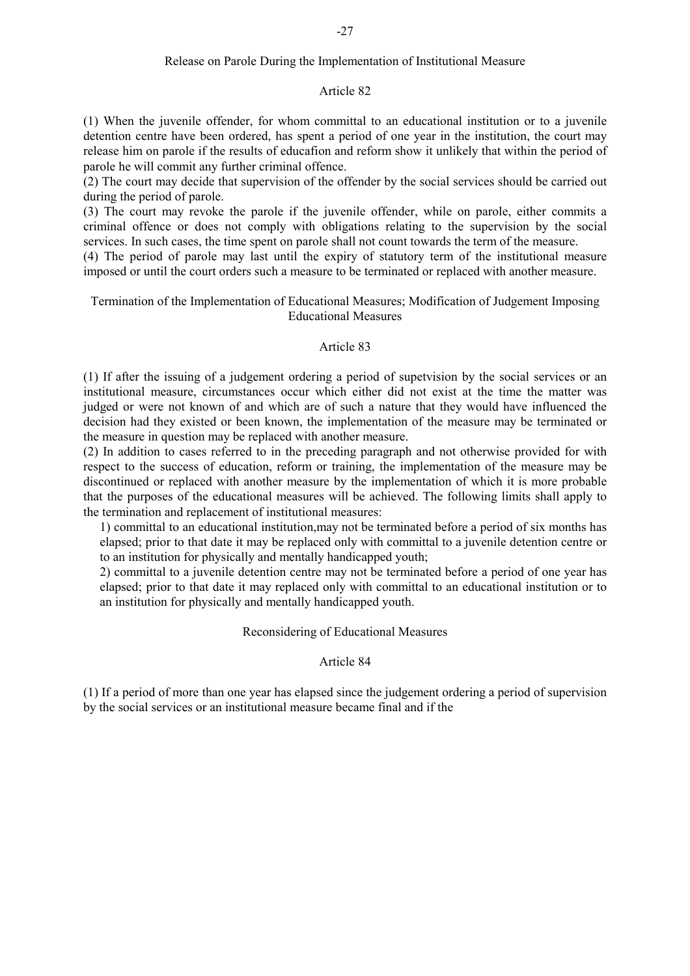## Release on Parole During the Implementation of Institutional Measure

#### Article 82

(1) When the juvenile offender, for whom committal to an educational institution or to a juvenile detention centre have been ordered, has spent a period of one year in the institution, the court may release him on parole if the results of educafion and reform show it unlikely that within the period of parole he will commit any further criminal offence.

(2) The court may decide that supervision of the offender by the social services should be carried out during the period of parole.

(3) The court may revoke the parole if the juvenile offender, while on parole, either commits a criminal offence or does not comply with obligations relating to the supervision by the social services. In such cases, the time spent on parole shall not count towards the term of the measure.

(4) The period of parole may last until the expiry of statutory term of the institutional measure imposed or until the court orders such a measure to be terminated or replaced with another measure.

## Termination of the Implementation of Educational Measures; Modification of Judgement Imposing Educational Measures

#### Article 83

(1) If after the issuing of a judgement ordering a period of supetvision by the social services or an institutional measure, circumstances occur which either did not exist at the time the matter was judged or were not known of and which are of such a nature that they would have influenced the decision had they existed or been known, the implementation of the measure may be terminated or the measure in question may be replaced with another measure.

(2) In addition to cases referred to in the preceding paragraph and not otherwise provided for with respect to the success of education, reform or training, the implementation of the measure may be discontinued or replaced with another measure by the implementation of which it is more probable that the purposes of the educational measures will be achieved. The following limits shall apply to the termination and replacement of institutional measures:

1) committal to an educational institution,may not be terminated before a period of six months has elapsed; prior to that date it may be replaced only with committal to a juvenile detention centre or to an institution for physically and mentally handicapped youth;

2) committal to a juvenile detention centre may not be terminated before a period of one year has elapsed; prior to that date it may replaced only with committal to an educational institution or to an institution for physically and mentally handicapped youth.

## Reconsidering of Educational Measures

### Article 84

(1) If a period of more than one year has elapsed since the judgement ordering a period of supervision by the social services or an institutional measure became final and if the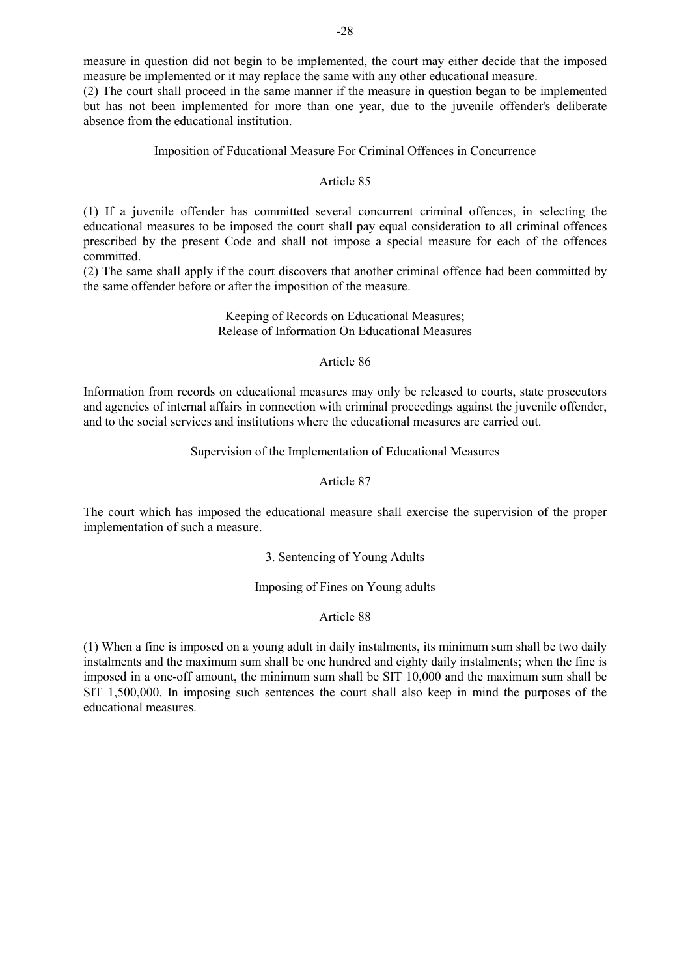measure in question did not begin to be implemented, the court may either decide that the imposed measure be implemented or it may replace the same with any other educational measure.

(2) The court shall proceed in the same manner if the measure in question began to be implemented but has not been implemented for more than one year, due to the juvenile offender's deliberate absence from the educational institution.

## Imposition of Fducational Measure For Criminal Offences in Concurrence

## Article 85

(1) If a juvenile offender has committed several concurrent criminal offences, in selecting the educational measures to be imposed the court shall pay equal consideration to all criminal offences prescribed by the present Code and shall not impose a special measure for each of the offences committed.

(2) The same shall apply if the court discovers that another criminal offence had been committed by the same offender before or after the imposition of the measure.

### Keeping of Records on Educational Measures; Release of Information On Educational Measures

### Article 86

Information from records on educational measures may only be released to courts, state prosecutors and agencies of internal affairs in connection with criminal proceedings against the juvenile offender, and to the social services and institutions where the educational measures are carried out.

## Supervision of the Implementation of Educational Measures

### Article 87

The court which has imposed the educational measure shall exercise the supervision of the proper implementation of such a measure.

#### 3. Sentencing of Young Adults

## Imposing of Fines on Young adults

## Article 88

(1) When a fine is imposed on a young adult in daily instalments, its minimum sum shall be two daily instalments and the maximum sum shall be one hundred and eighty daily instalments; when the fine is imposed in a one-off amount, the minimum sum shall be SIT 10,000 and the maximum sum shall be SIT 1,500,000. In imposing such sentences the court shall also keep in mind the purposes of the educational measures.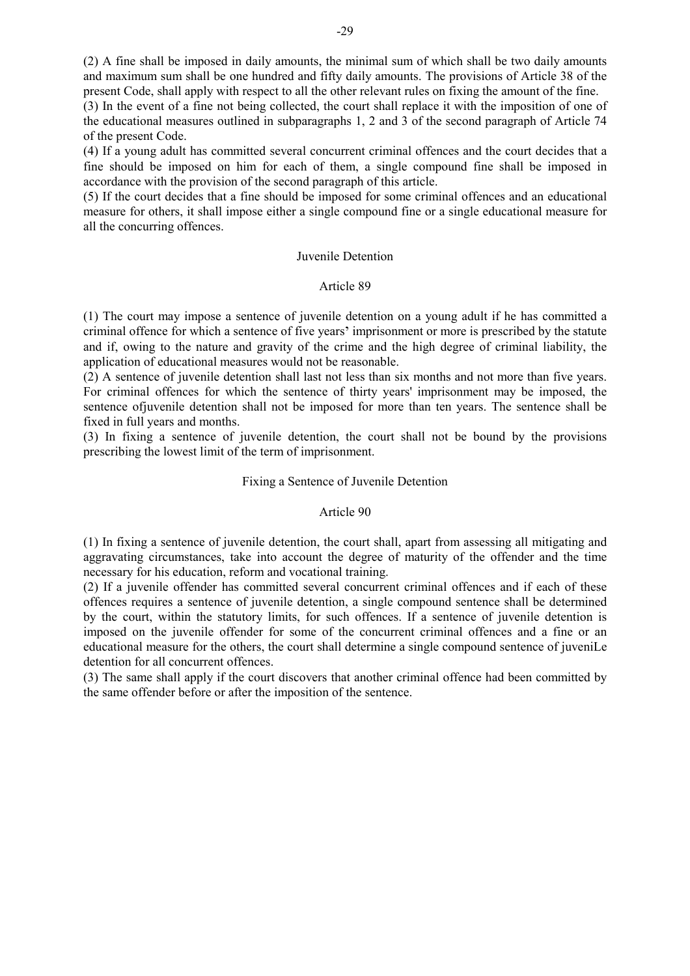(2) A fine shall be imposed in daily amounts, the minimal sum of which shall be two daily amounts and maximum sum shall be one hundred and fifty daily amounts. The provisions of Article 38 of the present Code, shall apply with respect to all the other relevant rules on fixing the amount of the fine.

(3) In the event of a fine not being collected, the court shall replace it with the imposition of one of the educational measures outlined in subparagraphs 1, 2 and 3 of the second paragraph of Article 74 of the present Code.

(4) If a young adult has committed several concurrent criminal offences and the court decides that a fine should be imposed on him for each of them, a single compound fine shall be imposed in accordance with the provision of the second paragraph of this article.

(5) If the court decides that a fine should be imposed for some criminal offences and an educational measure for others, it shall impose either a single compound fine or a single educational measure for all the concurring offences.

### Juvenile Detention

### Article 89

(1) The court may impose a sentence of juvenile detention on a young adult if he has committed a criminal offence for which a sentence of five years' imprisonment or more is prescribed by the statute and if, owing to the nature and gravity of the crime and the high degree of criminal liability, the application of educational measures would not be reasonable.

(2) A sentence of juvenile detention shall last not less than six months and not more than five years. For criminal offences for which the sentence of thirty years' imprisonment may be imposed, the sentence ofjuvenile detention shall not be imposed for more than ten years. The sentence shall be fixed in full years and months.

(3) In fixing a sentence of juvenile detention, the court shall not be bound by the provisions prescribing the lowest limit of the term of imprisonment.

## Fixing a Sentence of Juvenile Detention

#### Article 90

(1) In fixing a sentence of juvenile detention, the court shall, apart from assessing all mitigating and aggravating circumstances, take into account the degree of maturity of the offender and the time necessary for his education, reform and vocational training.

(2) If a juvenile offender has committed several concurrent criminal offences and if each of these offences requires a sentence of juvenile detention, a single compound sentence shall be determined by the court, within the statutory limits, for such offences. If a sentence of juvenile detention is imposed on the juvenile offender for some of the concurrent criminal offences and a fine or an educational measure for the others, the court shall determine a single compound sentence of juveniLe detention for all concurrent offences.

(3) The same shall apply if the court discovers that another criminal offence had been committed by the same offender before or after the imposition of the sentence.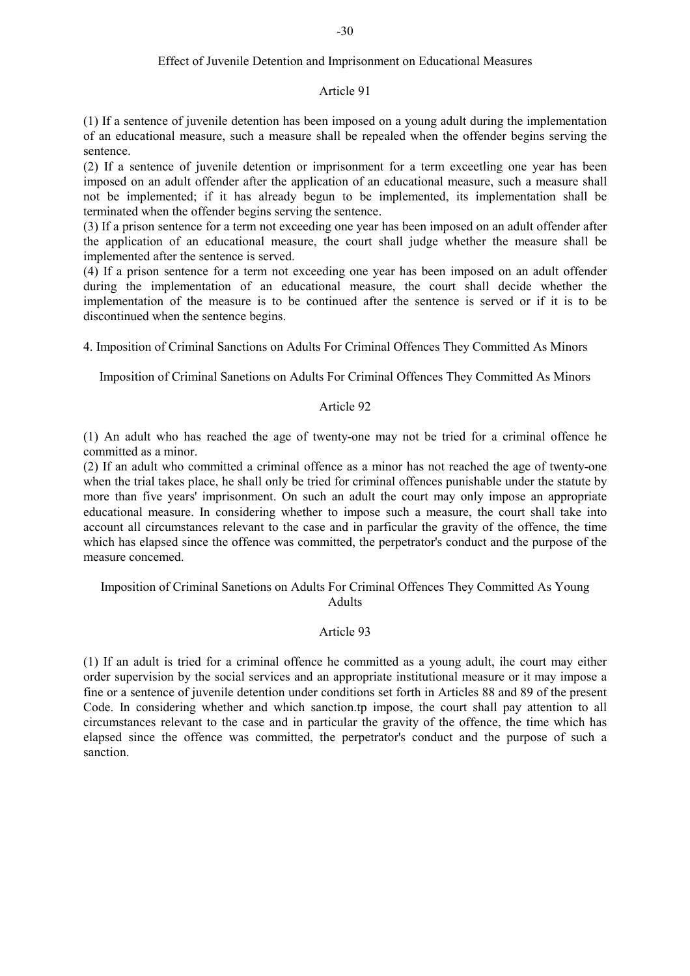## Article 91

(1) If a sentence of juvenile detention has been imposed on a young adult during the implementation of an educational measure, such a measure shall be repealed when the offender begins serving the sentence.

(2) If a sentence of juvenile detention or imprisonment for a term exceetling one year has been imposed on an adult offender after the application of an educational measure, such a measure shall not be implemented; if it has already begun to be implemented, its implementation shall be terminated when the offender begins serving the sentence.

(3) If a prison sentence for a term not exceeding one year has been imposed on an adult offender after the application of an educational measure, the court shall judge whether the measure shall be implemented after the sentence is served.

(4) If a prison sentence for a term not exceeding one year has been imposed on an adult offender during the implementation of an educational measure, the court shall decide whether the implementation of the measure is to be continued after the sentence is served or if it is to be discontinued when the sentence begins.

4. Imposition of Criminal Sanctions on Adults For Criminal Offences They Committed As Minors

Imposition of Criminal Sanetions on Adults For Criminal Offences They Committed As Minors

# Article 92

(1) An adult who has reached the age of twenty-one may not be tried for a criminal offence he committed as a minor.

(2) If an adult who committed a criminal offence as a minor has not reached the age of twenty-one when the trial takes place, he shall only be tried for criminal offences punishable under the statute by more than five years' imprisonment. On such an adult the court may only impose an appropriate educational measure. In considering whether to impose such a measure, the court shall take into account all circumstances relevant to the case and in parficular the gravity of the offence, the time which has elapsed since the offence was committed, the perpetrator's conduct and the purpose of the measure concemed.

Imposition of Criminal Sanetions on Adults For Criminal Offences They Committed As Young Adults

# Article 93

(1) If an adult is tried for a criminal offence he committed as a young adult, ihe court may either order supervision by the social services and an appropriate institutional measure or it may impose a fine or a sentence of juvenile detention under conditions set forth in Articles 88 and 89 of the present Code. In considering whether and which sanction.tp impose, the court shall pay attention to all circumstances relevant to the case and in particular the gravity of the offence, the time which has elapsed since the offence was committed, the perpetrator's conduct and the purpose of such a sanction.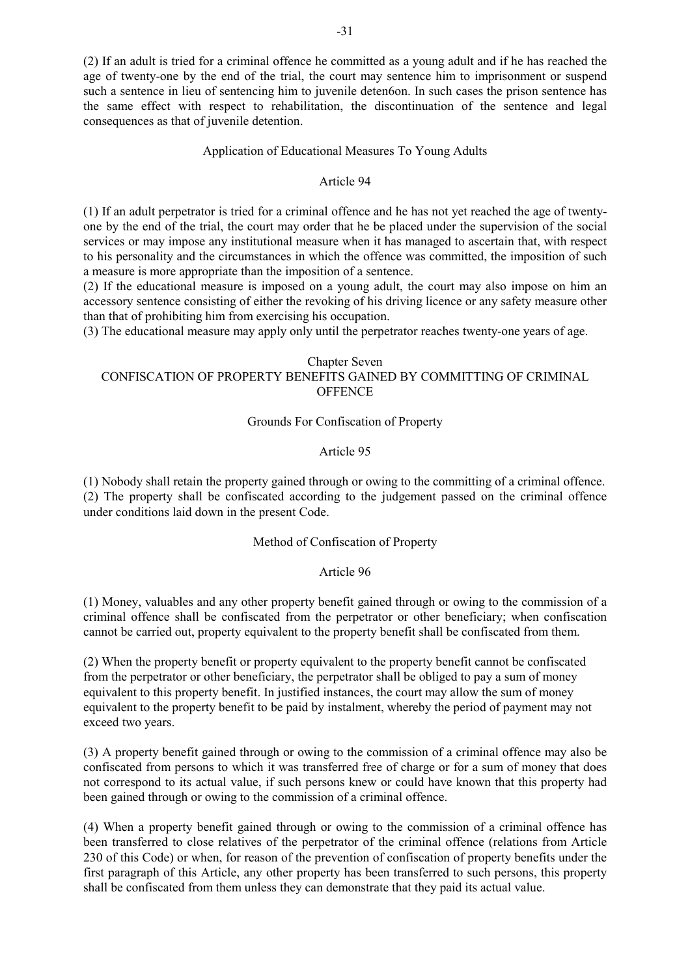(2) If an adult is tried for a criminal offence he committed as a young adult and if he has reached the age of twenty-one by the end of the trial, the court may sentence him to imprisonment or suspend such a sentence in lieu of sentencing him to juvenile deten6on. In such cases the prison sentence has the same effect with respect to rehabilitation, the discontinuation of the sentence and legal consequences as that of juvenile detention.

## Application of Educational Measures To Young Adults

### Article 94

(1) If an adult perpetrator is tried for a criminal offence and he has not yet reached the age of twentyone by the end of the trial, the court may order that he be placed under the supervision of the social services or may impose any institutional measure when it has managed to ascertain that, with respect to his personality and the circumstances in which the offence was committed, the imposition of such a measure is more appropriate than the imposition of a sentence.

(2) If the educational measure is imposed on a young adult, the court may also impose on him an accessory sentence consisting of either the revoking of his driving licence or any safety measure other than that of prohibiting him from exercising his occupation.

(3) The educational measure may apply only until the perpetrator reaches twenty-one years of age.

## Chapter Seven CONFISCATION OF PROPERTY BENEFITS GAINED BY COMMITTING OF CRIMINAL **OFFENCE**

## Grounds For Confiscation of Property

### Article 95

(1) Nobody shall retain the property gained through or owing to the committing of a criminal offence. (2) The property shall be confiscated according to the judgement passed on the criminal offence under conditions laid down in the present Code.

## Method of Confiscation of Property

#### Article 96

(1) Money, valuables and any other property benefit gained through or owing to the commission of a criminal offence shall be confiscated from the perpetrator or other beneficiary; when confiscation cannot be carried out, property equivalent to the property benefit shall be confiscated from them.

(2) When the property benefit or property equivalent to the property benefit cannot be confiscated from the perpetrator or other beneficiary, the perpetrator shall be obliged to pay a sum of money equivalent to this property benefit. In justified instances, the court may allow the sum of money equivalent to the property benefit to be paid by instalment, whereby the period of payment may not exceed two years.

(3) A property benefit gained through or owing to the commission of a criminal offence may also be confiscated from persons to which it was transferred free of charge or for a sum of money that does not correspond to its actual value, if such persons knew or could have known that this property had been gained through or owing to the commission of a criminal offence.

(4) When a property benefit gained through or owing to the commission of a criminal offence has been transferred to close relatives of the perpetrator of the criminal offence (relations from Article 230 of this Code) or when, for reason of the prevention of confiscation of property benefits under the first paragraph of this Article, any other property has been transferred to such persons, this property shall be confiscated from them unless they can demonstrate that they paid its actual value.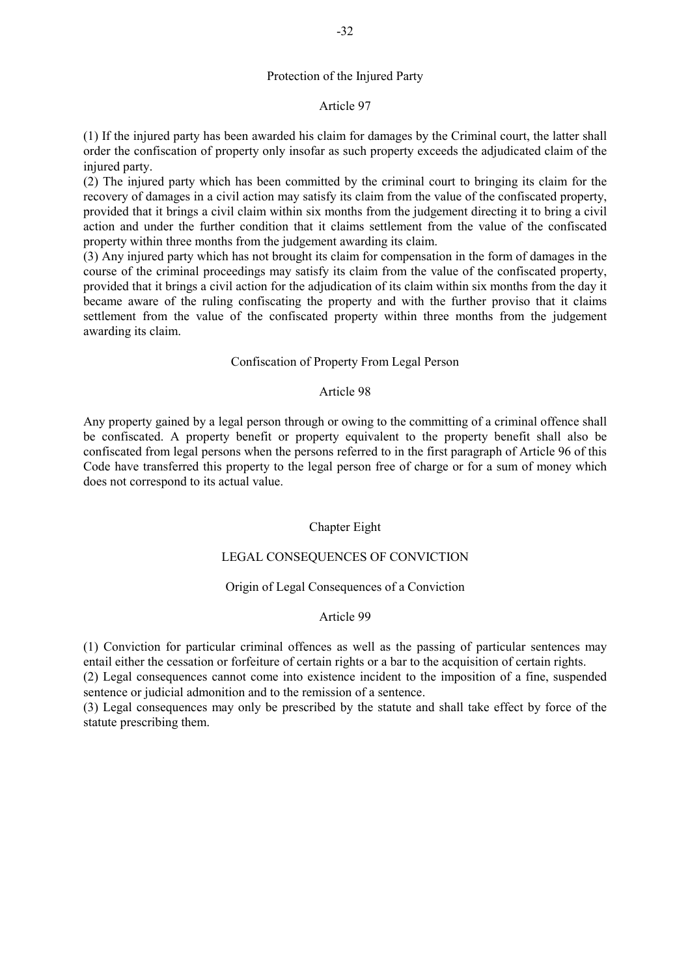## Protection of the Injured Party

## Article 97

(1) If the injured party has been awarded his claim for damages by the Criminal court, the latter shall order the confiscation of property only insofar as such property exceeds the adjudicated claim of the injured party.

(2) The injured party which has been committed by the criminal court to bringing its claim for the recovery of damages in a civil action may satisfy its claim from the value of the confiscated property, provided that it brings a civil claim within six months from the judgement directing it to bring a civil action and under the further condition that it claims settlement from the value of the confiscated property within three months from the judgement awarding its claim.

(3) Any injured party which has not brought its claim for compensation in the form of damages in the course of the criminal proceedings may satisfy its claim from the value of the confiscated property, provided that it brings a civil action for the adjudication of its claim within six months from the day it became aware of the ruling confiscating the property and with the further proviso that it claims settlement from the value of the confiscated property within three months from the judgement awarding its claim.

## Confiscation of Property From Legal Person

## Article 98

Any property gained by a legal person through or owing to the committing of a criminal offence shall be confiscated. A property benefit or property equivalent to the property benefit shall also be confiscated from legal persons when the persons referred to in the first paragraph of Article 96 of this Code have transferred this property to the legal person free of charge or for a sum of money which does not correspond to its actual value.

# Chapter Eight

# LEGAL CONSEQUENCES OF CONVICTION

## Origin of Legal Consequences of a Conviction

## Article 99

(1) Conviction for particular criminal offences as well as the passing of particular sentences may entail either the cessation or forfeiture of certain rights or a bar to the acquisition of certain rights.

(2) Legal consequences cannot come into existence incident to the imposition of a fine, suspended sentence or judicial admonition and to the remission of a sentence.

(3) Legal consequences may only be prescribed by the statute and shall take effect by force of the statute prescribing them.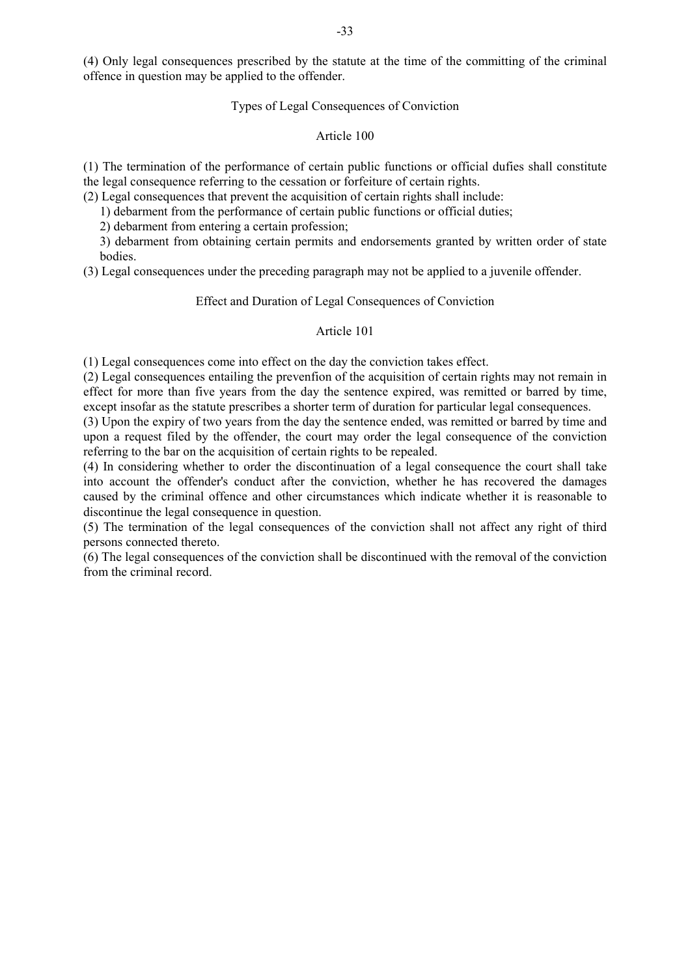(4) Only legal consequences prescribed by the statute at the time of the committing of the criminal offence in question may be applied to the offender.

#### Types of Legal Consequences of Conviction

#### Article 100

(1) The termination of the performance of certain public functions or official dufies shall constitute the legal consequence referring to the cessation or forfeiture of certain rights.

(2) Legal consequences that prevent the acquisition of certain rights shall include:

1) debarment from the performance of certain public functions or official duties;

2) debarment from entering a certain profession;

3) debarment from obtaining certain permits and endorsements granted by written order of state bodies.

(3) Legal consequences under the preceding paragraph may not be applied to a juvenile offender.

#### Effect and Duration of Legal Consequences of Conviction

#### Article 101

(1) Legal consequences come into effect on the day the conviction takes effect.

(2) Legal consequences entailing the prevenfion of the acquisition of certain rights may not remain in effect for more than five years from the day the sentence expired, was remitted or barred by time, except insofar as the statute prescribes a shorter term of duration for particular legal consequences.

(3) Upon the expiry of two years from the day the sentence ended, was remitted or barred by time and upon a request filed by the offender, the court may order the legal consequence of the conviction referring to the bar on the acquisition of certain rights to be repealed.

(4) In considering whether to order the discontinuation of a legal consequence the court shall take into account the offender's conduct after the conviction, whether he has recovered the damages caused by the criminal offence and other circumstances which indicate whether it is reasonable to discontinue the legal consequence in question.

(5) The termination of the legal consequences of the conviction shall not affect any right of third persons connected thereto.

(6) The legal consequences of the conviction shall be discontinued with the removal of the conviction from the criminal record.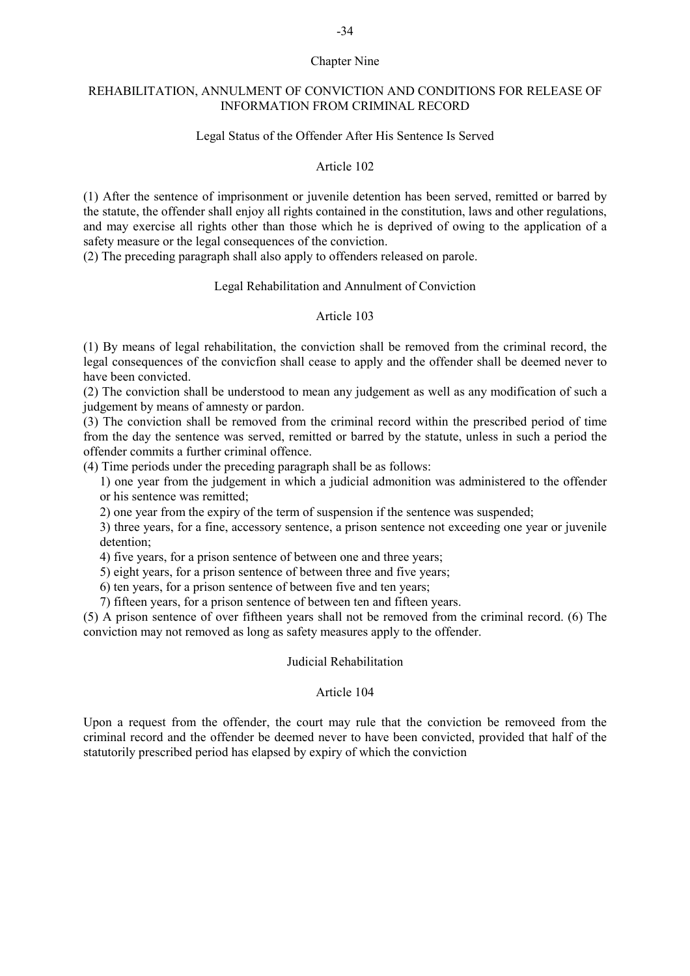#### Chapter Nine

### REHABILITATION, ANNULMENT OF CONVICTION AND CONDITIONS FOR RELEASE OF INFORMATION FROM CRIMINAL RECORD

## Legal Status of the Offender After His Sentence Is Served

#### Article 102

(1) After the sentence of imprisonment or juvenile detention has been served, remitted or barred by the statute, the offender shall enjoy all rights contained in the constitution, laws and other regulations, and may exercise all rights other than those which he is deprived of owing to the application of a safety measure or the legal consequences of the conviction.

(2) The preceding paragraph shall also apply to offenders released on parole.

## Legal Rehabilitation and Annulment of Conviction

## Article 103

(1) By means of legal rehabilitation, the conviction shall be removed from the criminal record, the legal consequences of the convicfion shall cease to apply and the offender shall be deemed never to have been convicted.

(2) The conviction shall be understood to mean any judgement as well as any modification of such a judgement by means of amnesty or pardon.

(3) The conviction shall be removed from the criminal record within the prescribed period of time from the day the sentence was served, remitted or barred by the statute, unless in such a period the offender commits a further criminal offence.

(4) Time periods under the preceding paragraph shall be as follows:

1) one year from the judgement in which a judicial admonition was administered to the offender or his sentence was remitted;

2) one year from the expiry of the term of suspension if the sentence was suspended;

3) three years, for a fine, accessory sentence, a prison sentence not exceeding one year or juvenile detention;

4) five years, for a prison sentence of between one and three years;

5) eight years, for a prison sentence of between three and five years;

6) ten years, for a prison sentence of between five and ten years;

7) fifteen years, for a prison sentence of between ten and fifteen years.

(5) A prison sentence of over fiftheen years shall not be removed from the criminal record. (6) The conviction may not removed as long as safety measures apply to the offender.

#### Judicial Rehabilitation

## Article 104

Upon a request from the offender, the court may rule that the conviction be removeed from the criminal record and the offender be deemed never to have been convicted, provided that half of the statutorily prescribed period has elapsed by expiry of which the conviction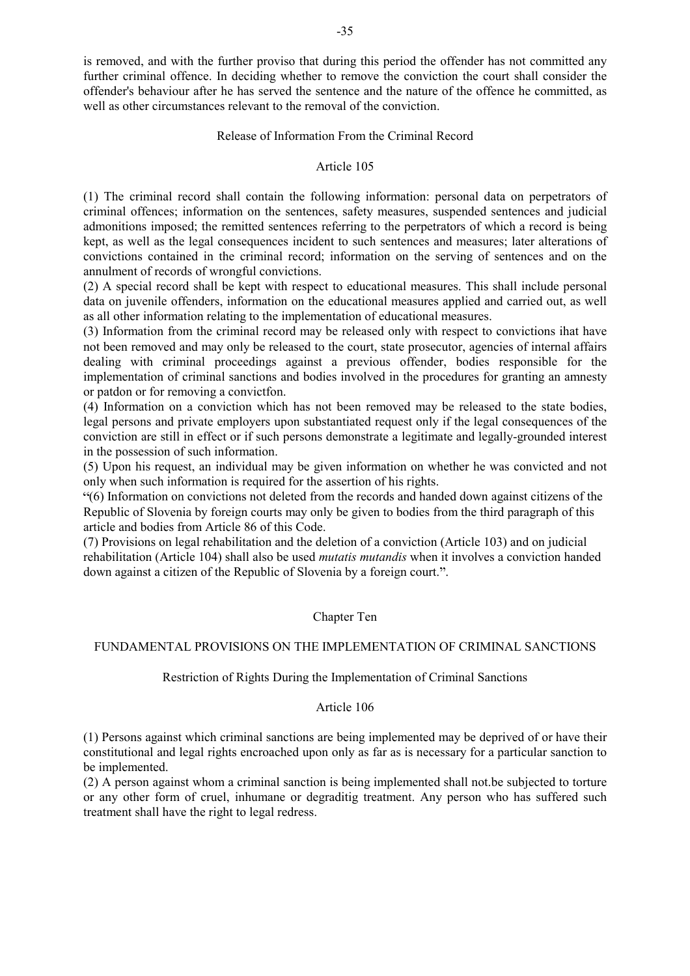is removed, and with the further proviso that during this period the offender has not committed any further criminal offence. In deciding whether to remove the conviction the court shall consider the offender's behaviour after he has served the sentence and the nature of the offence he committed, as well as other circumstances relevant to the removal of the conviction.

#### Release of Information From the Criminal Record

#### Article 105

(1) The criminal record shall contain the following information: personal data on perpetrators of criminal offences; information on the sentences, safety measures, suspended sentences and judicial admonitions imposed; the remitted sentences referring to the perpetrators of which a record is being kept, as well as the legal consequences incident to such sentences and measures; later alterations of convictions contained in the criminal record; information on the serving of sentences and on the annulment of records of wrongful convictions.

(2) A special record shall be kept with respect to educational measures. This shall include personal data on juvenile offenders, information on the educational measures applied and carried out, as well as all other information relating to the implementation of educational measures.

(3) Information from the criminal record may be released only with respect to convictions ihat have not been removed and may only be released to the court, state prosecutor, agencies of internal affairs dealing with criminal proceedings against a previous offender, bodies responsible for the implementation of criminal sanctions and bodies involved in the procedures for granting an amnesty or patdon or for removing a convictfon.

(4) Information on a conviction which has not been removed may be released to the state bodies, legal persons and private employers upon substantiated request only if the legal consequences of the conviction are still in effect or if such persons demonstrate a legitimate and legally-grounded interest in the possession of such information.

(5) Upon his request, an individual may be given information on whether he was convicted and not only when such information is required for the assertion of his rights.

(6) Information on convictions not deleted from the records and handed down against citizens of the Republic of Slovenia by foreign courts may only be given to bodies from the third paragraph of this article and bodies from Article 86 of this Code.

(7) Provisions on legal rehabilitation and the deletion of a conviction (Article 103) and on judicial rehabilitation (Article 104) shall also be used *mutatis mutandis* when it involves a conviction handed down against a citizen of the Republic of Slovenia by a foreign court.".

#### Chapter Ten

## FUNDAMENTAL PROVISIONS ON THE IMPLEMENTATION OF CRIMINAL SANCTIONS

## Restriction of Rights During the Implementation of Criminal Sanctions

#### Article 106

(1) Persons against which criminal sanctions are being implemented may be deprived of or have their constitutional and legal rights encroached upon only as far as is necessary for a particular sanction to be implemented.

(2) A person against whom a criminal sanction is being implemented shall not.be subjected to torture or any other form of cruel, inhumane or degraditig treatment. Any person who has suffered such treatment shall have the right to legal redress.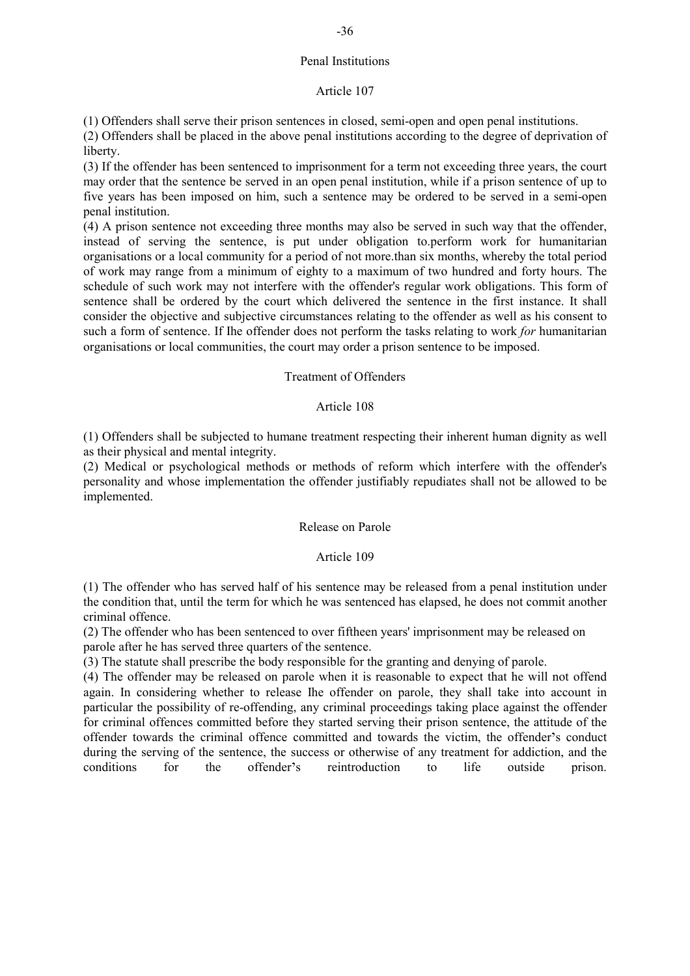## Penal Institutions

## Article 107

(1) Offenders shall serve their prison sentences in closed, semi-open and open penal institutions.

(2) Offenders shall be placed in the above penal institutions according to the degree of deprivation of liberty.

(3) If the offender has been sentenced to imprisonment for a term not exceeding three years, the court may order that the sentence be served in an open penal institution, while if a prison sentence of up to five years has been imposed on him, such a sentence may be ordered to be served in a semi-open penal institution.

(4) A prison sentence not exceeding three months may also be served in such way that the offender, instead of serving the sentence, is put under obligation to.perform work for humanitarian organisations or a local community for a period of not more.than six months, whereby the total period of work may range from a minimum of eighty to a maximum of two hundred and forty hours. The schedule of such work may not interfere with the offender's regular work obligations. This form of sentence shall be ordered by the court which delivered the sentence in the first instance. It shall consider the objective and subjective circumstances relating to the offender as well as his consent to such a form of sentence. If Ihe offender does not perform the tasks relating to work *for* humanitarian organisations or local communities, the court may order a prison sentence to be imposed.

## Treatment of Offenders

## Article 108

(1) Offenders shall be subjected to humane treatment respecting their inherent human dignity as well as their physical and mental integrity.

(2) Medical or psychological methods or methods of reform which interfere with the offender's personality and whose implementation the offender justifiably repudiates shall not be allowed to be implemented.

## Release on Parole

## Article 109

(1) The offender who has served half of his sentence may be released from a penal institution under the condition that, until the term for which he was sentenced has elapsed, he does not commit another criminal offence.

(2) The offender who has been sentenced to over fiftheen years' imprisonment may be released on parole after he has served three quarters of the sentence.

(3) The statute shall prescribe the body responsible for the granting and denying of parole.

(4) The offender may be released on parole when it is reasonable to expect that he will not offend again. In considering whether to release Ihe offender on parole, they shall take into account in particular the possibility of re-offending, any criminal proceedings taking place against the offender for criminal offences committed before they started serving their prison sentence, the attitude of the offender towards the criminal offence committed and towards the victim, the offender's conduct during the serving of the sentence, the success or otherwise of any treatment for addiction, and the conditions for the offender's reintroduction to life outside prison.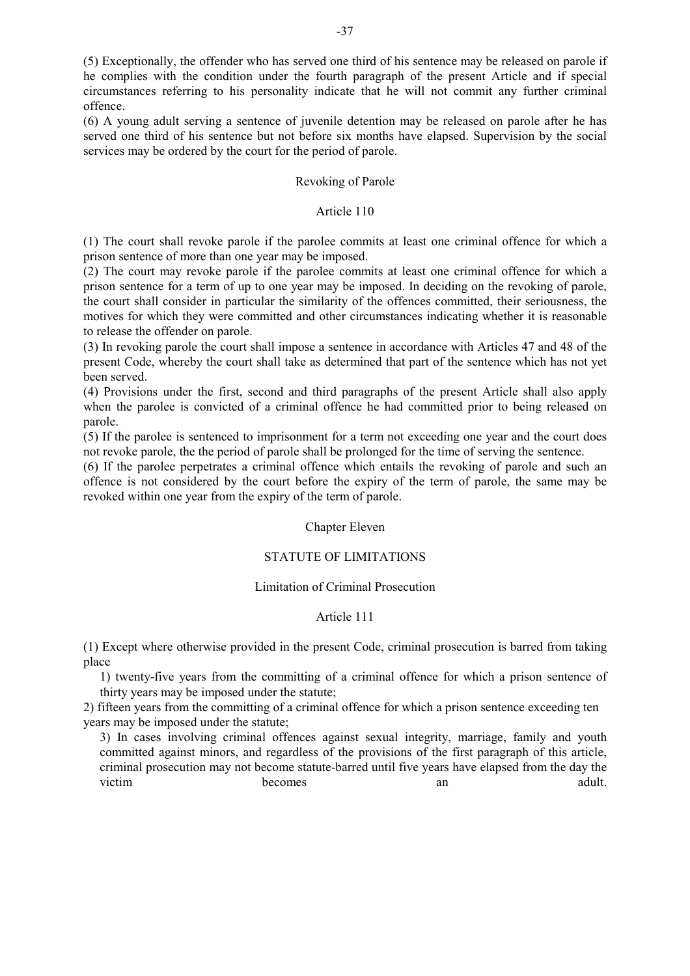(5) Exceptionally, the offender who has served one third of his sentence may be released on parole if he complies with the condition under the fourth paragraph of the present Article and if special circumstances referring to his personality indicate that he will not commit any further criminal offence.

(6) A young adult serving a sentence of juvenile detention may be released on parole after he has served one third of his sentence but not before six months have elapsed. Supervision by the social services may be ordered by the court for the period of parole.

#### Revoking of Parole

#### Article 110

(1) The court shall revoke parole if the parolee commits at least one criminal offence for which a prison sentence of more than one year may be imposed.

(2) The court may revoke parole if the parolee commits at least one criminal offence for which a prison sentence for a term of up to one year may be imposed. In deciding on the revoking of parole, the court shall consider in particular the similarity of the offences committed, their seriousness, the motives for which they were committed and other circumstances indicating whether it is reasonable to release the offender on parole.

(3) In revoking parole the court shall impose a sentence in accordance with Articles 47 and 48 of the present Code, whereby the court shall take as determined that part of the sentence which has not yet been served.

(4) Provisions under the first, second and third paragraphs of the present Article shall also apply when the parolee is convicted of a criminal offence he had committed prior to being released on parole.

(5) If the parolee is sentenced to imprisonment for a term not exceeding one year and the court does not revoke parole, the the period of parole shall be prolonged for the time of serving the sentence.

(6) If the parolee perpetrates a criminal offence which entails the revoking of parole and such an offence is not considered by the court before the expiry of the term of parole, the same may be revoked within one year from the expiry of the term of parole.

#### Chapter Eleven

## STATUTE OF LIMITATIONS

#### Limitation of Criminal Prosecution

#### Article 111

(1) Except where otherwise provided in the present Code, criminal prosecution is barred from taking place

1) twenty-five years from the committing of a criminal offence for which a prison sentence of thirty years may be imposed under the statute;

2) fifteen years from the committing of a criminal offence for which a prison sentence exceeding ten years may be imposed under the statute;

3) In cases involving criminal offences against sexual integrity, marriage, family and youth committed against minors, and regardless of the provisions of the first paragraph of this article, criminal prosecution may not become statute-barred until five years have elapsed from the day the victim becomes an adult.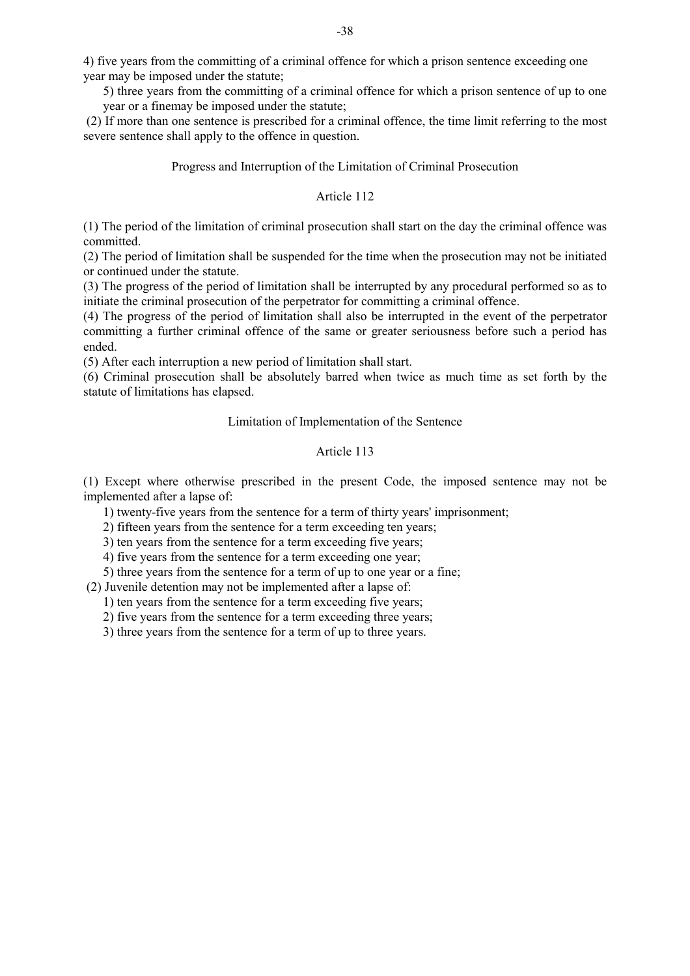4) five years from the committing of a criminal offence for which a prison sentence exceeding one year may be imposed under the statute;

5) three years from the committing of a criminal offence for which a prison sentence of up to one year or a finemay be imposed under the statute;

 (2) If more than one sentence is prescribed for a criminal offence, the time limit referring to the most severe sentence shall apply to the offence in question.

#### Progress and Interruption of the Limitation of Criminal Prosecution

## Article 112

(1) The period of the limitation of criminal prosecution shall start on the day the criminal offence was committed.

(2) The period of limitation shall be suspended for the time when the prosecution may not be initiated or continued under the statute.

(3) The progress of the period of limitation shall be interrupted by any procedural performed so as to initiate the criminal prosecution of the perpetrator for committing a criminal offence.

(4) The progress of the period of limitation shall also be interrupted in the event of the perpetrator committing a further criminal offence of the same or greater seriousness before such a period has ended.

(5) After each interruption a new period of limitation shall start.

(6) Criminal prosecution shall be absolutely barred when twice as much time as set forth by the statute of limitations has elapsed.

#### Limitation of Implementation of the Sentence

## Article 113

(1) Except where otherwise prescribed in the present Code, the imposed sentence may not be implemented after a lapse of:

1) twenty-five years from the sentence for a term of thirty years' imprisonment;

2) fifteen years from the sentence for a term exceeding ten years;

3) ten years from the sentence for a term exceeding five years;

4) five years from the sentence for a term exceeding one year;

5) three years from the sentence for a term of up to one year or a fine;

(2) Juvenile detention may not be implemented after a lapse of:

1) ten years from the sentence for a term exceeding five years;

2) five years from the sentence for a term exceeding three years;

3) three years from the sentence for a term of up to three years.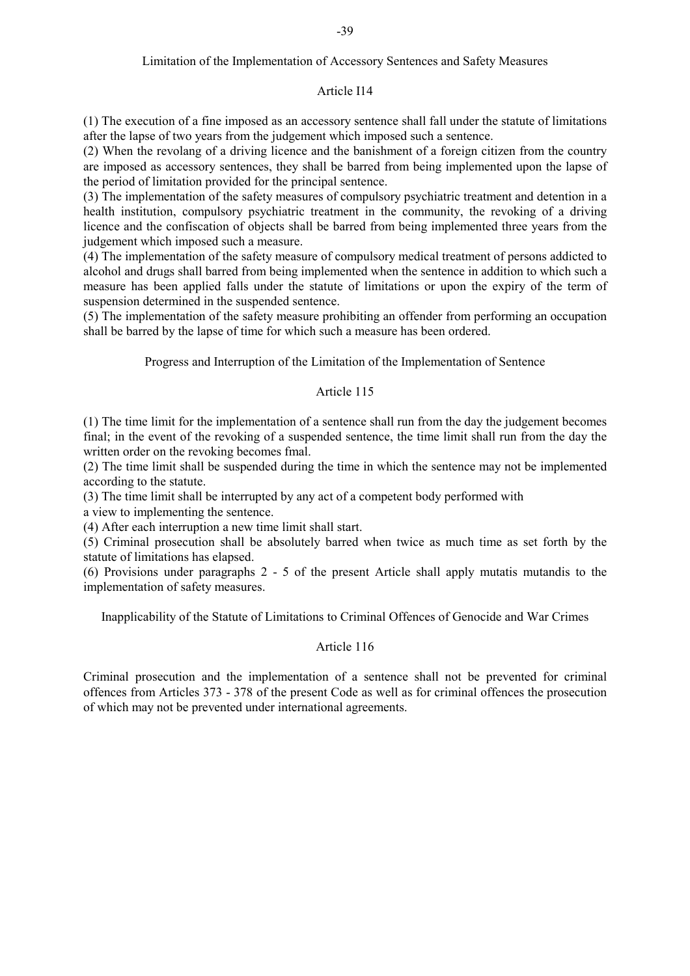## Limitation of the Implementation of Accessory Sentences and Safety Measures

#### Article I14

(1) The execution of a fine imposed as an accessory sentence shall fall under the statute of limitations after the lapse of two years from the judgement which imposed such a sentence.

(2) When the revolang of a driving licence and the banishment of a foreign citizen from the country are imposed as accessory sentences, they shall be barred from being implemented upon the lapse of the period of limitation provided for the principal sentence.

(3) The implementation of the safety measures of compulsory psychiatric treatment and detention in a health institution, compulsory psychiatric treatment in the community, the revoking of a driving licence and the confiscation of objects shall be barred from being implemented three years from the judgement which imposed such a measure.

(4) The implementation of the safety measure of compulsory medical treatment of persons addicted to alcohol and drugs shall barred from being implemented when the sentence in addition to which such a measure has been applied falls under the statute of limitations or upon the expiry of the term of suspension determined in the suspended sentence.

(5) The implementation of the safety measure prohibiting an offender from performing an occupation shall be barred by the lapse of time for which such a measure has been ordered.

Progress and Interruption of the Limitation of the Implementation of Sentence

## Article 115

(1) The time limit for the implementation of a sentence shall run from the day the judgement becomes final; in the event of the revoking of a suspended sentence, the time limit shall run from the day the written order on the revoking becomes fmal.

(2) The time limit shall be suspended during the time in which the sentence may not be implemented according to the statute.

(3) The time limit shall be interrupted by any act of a competent body performed with

a view to implementing the sentence.

(4) After each interruption a new time limit shall start.

(5) Criminal prosecution shall be absolutely barred when twice as much time as set forth by the statute of limitations has elapsed.

(6) Provisions under paragraphs 2 - 5 of the present Article shall apply mutatis mutandis to the implementation of safety measures.

Inapplicability of the Statute of Limitations to Criminal Offences of Genocide and War Crimes

## Article 116

Criminal prosecution and the implementation of a sentence shall not be prevented for criminal offences from Articles 373 - 378 of the present Code as well as for criminal offences the prosecution of which may not be prevented under international agreements.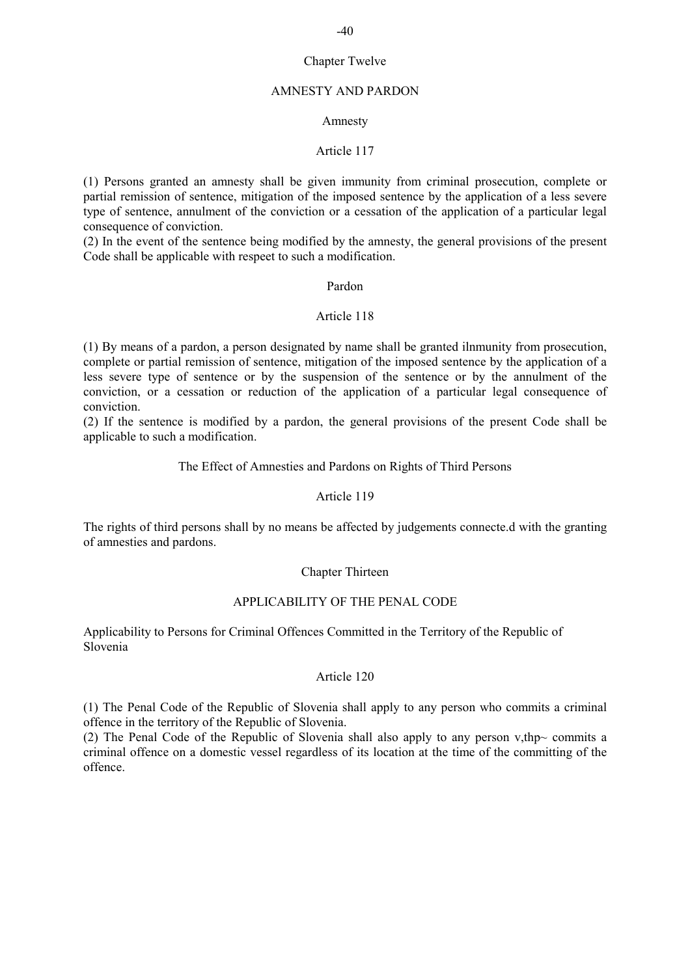# -40

## Chapter Twelve

## AMNESTY AND PARDON

## Amnesty

## Article 117

(1) Persons granted an amnesty shall be given immunity from criminal prosecution, complete or partial remission of sentence, mitigation of the imposed sentence by the application of a less severe type of sentence, annulment of the conviction or a cessation of the application of a particular legal consequence of conviction.

(2) In the event of the sentence being modified by the amnesty, the general provisions of the present Code shall be applicable with respeet to such a modification.

## Pardon

## Article 118

(1) By means of a pardon, a person designated by name shall be granted ilnmunity from prosecution, complete or partial remission of sentence, mitigation of the imposed sentence by the application of a less severe type of sentence or by the suspension of the sentence or by the annulment of the conviction, or a cessation or reduction of the application of a particular legal consequence of conviction.

(2) If the sentence is modified by a pardon, the general provisions of the present Code shall be applicable to such a modification.

## The Effect of Amnesties and Pardons on Rights of Third Persons

## Article 119

The rights of third persons shall by no means be affected by judgements connecte.d with the granting of amnesties and pardons.

## Chapter Thirteen

## APPLICABILITY OF THE PENAL CODE

Applicability to Persons for Criminal Offences Committed in the Territory of the Republic of Slovenia

#### Article 120

(1) The Penal Code of the Republic of Slovenia shall apply to any person who commits a criminal offence in the territory of the Republic of Slovenia.

(2) The Penal Code of the Republic of Slovenia shall also apply to any person v,thp~ commits a criminal offence on a domestic vessel regardless of its location at the time of the committing of the offence.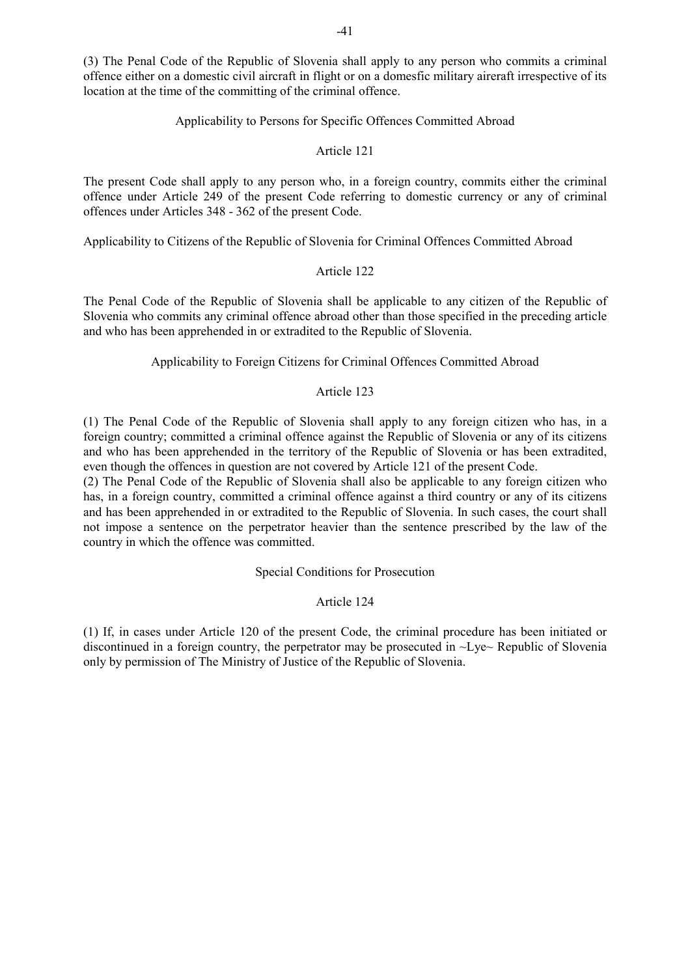(3) The Penal Code of the Republic of Slovenia shall apply to any person who commits a criminal offence either on a domestic civil aircraft in flight or on a domesfic military aireraft irrespective of its location at the time of the committing of the criminal offence.

## Applicability to Persons for Specific Offences Committed Abroad

## Article 121

The present Code shall apply to any person who, in a foreign country, commits either the criminal offence under Article 249 of the present Code referring to domestic currency or any of criminal offences under Articles 348 - 362 of the present Code.

Applicability to Citizens of the Republic of Slovenia for Criminal Offences Committed Abroad

#### Article 122

The Penal Code of the Republic of Slovenia shall be applicable to any citizen of the Republic of Slovenia who commits any criminal offence abroad other than those specified in the preceding article and who has been apprehended in or extradited to the Republic of Slovenia.

#### Applicability to Foreign Citizens for Criminal Offences Committed Abroad

## Article 123

(1) The Penal Code of the Republic of Slovenia shall apply to any foreign citizen who has, in a foreign country; committed a criminal offence against the Republic of Slovenia or any of its citizens and who has been apprehended in the territory of the Republic of Slovenia or has been extradited, even though the offences in question are not covered by Article 121 of the present Code.

(2) The Penal Code of the Republic of Slovenia shall also be applicable to any foreign citizen who has, in a foreign country, committed a criminal offence against a third country or any of its citizens and has been apprehended in or extradited to the Republic of Slovenia. In such cases, the court shall not impose a sentence on the perpetrator heavier than the sentence prescribed by the law of the country in which the offence was committed.

Special Conditions for Prosecution

Article 124

(1) If, in cases under Article 120 of the present Code, the criminal procedure has been initiated or discontinued in a foreign country, the perpetrator may be prosecuted in ~Lye~ Republic of Slovenia only by permission of The Ministry of Justice of the Republic of Slovenia.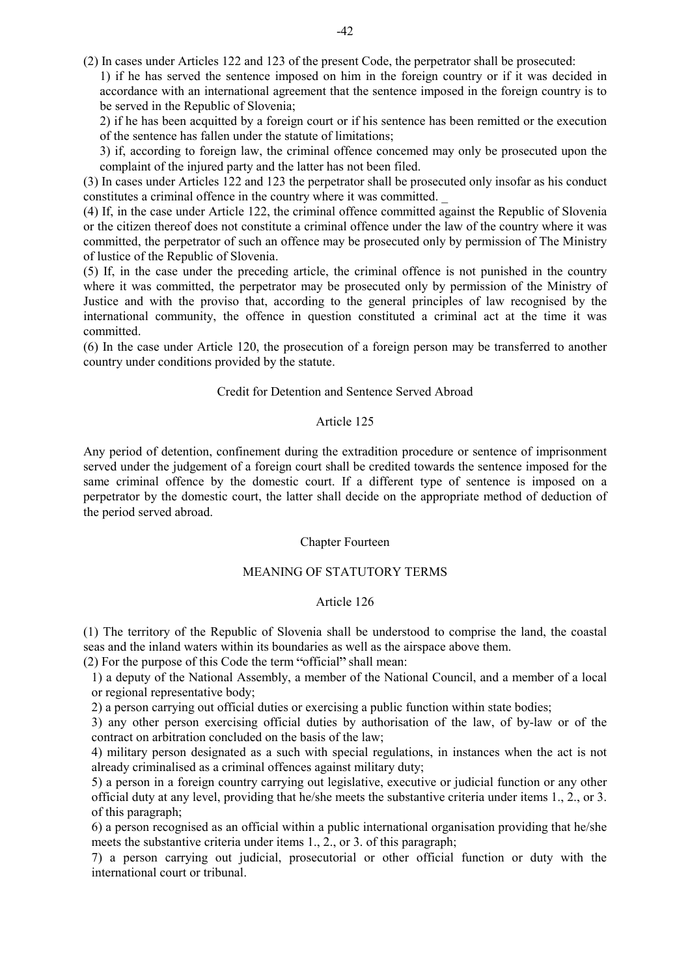(2) In cases under Articles 122 and 123 of the present Code, the perpetrator shall be prosecuted: 1) if he has served the sentence imposed on him in the foreign country or if it was decided in

accordance with an international agreement that the sentence imposed in the foreign country is to be served in the Republic of Slovenia;

2) if he has been acquitted by a foreign court or if his sentence has been remitted or the execution of the sentence has fallen under the statute of limitations;

3) if, according to foreign law, the criminal offence concemed may only be prosecuted upon the complaint of the injured party and the latter has not been filed.

(3) In cases under Articles 122 and 123 the perpetrator shall be prosecuted only insofar as his conduct constitutes a criminal offence in the country where it was committed. \_

(4) If, in the case under Article 122, the criminal offence committed against the Republic of Slovenia or the citizen thereof does not constitute a criminal offence under the law of the country where it was committed, the perpetrator of such an offence may be prosecuted only by permission of The Ministry of lustice of the Republic of Slovenia.

(5) If, in the case under the preceding article, the criminal offence is not punished in the country where it was committed, the perpetrator may be prosecuted only by permission of the Ministry of Justice and with the proviso that, according to the general principles of law recognised by the international community, the offence in question constituted a criminal act at the time it was committed.

(6) In the case under Article 120, the prosecution of a foreign person may be transferred to another country under conditions provided by the statute.

## Credit for Detention and Sentence Served Abroad

## Article 125

Any period of detention, confinement during the extradition procedure or sentence of imprisonment served under the judgement of a foreign court shall be credited towards the sentence imposed for the same criminal offence by the domestic court. If a different type of sentence is imposed on a perpetrator by the domestic court, the latter shall decide on the appropriate method of deduction of the period served abroad.

#### Chapter Fourteen

#### MEANING OF STATUTORY TERMS

## Article 126

(1) The territory of the Republic of Slovenia shall be understood to comprise the land, the coastal seas and the inland waters within its boundaries as well as the airspace above them.

 $(2)$  For the purpose of this Code the term "official" shall mean:

1) a deputy of the National Assembly, a member of the National Council, and a member of a local or regional representative body;

2) a person carrying out official duties or exercising a public function within state bodies;

3) any other person exercising official duties by authorisation of the law, of by-law or of the contract on arbitration concluded on the basis of the law;

4) military person designated as a such with special regulations, in instances when the act is not already criminalised as a criminal offences against military duty;

5) a person in a foreign country carrying out legislative, executive or judicial function or any other official duty at any level, providing that he/she meets the substantive criteria under items 1., 2., or 3. of this paragraph;

6) a person recognised as an official within a public international organisation providing that he/she meets the substantive criteria under items 1., 2., or 3. of this paragraph;

7) a person carrying out judicial, prosecutorial or other official function or duty with the international court or tribunal.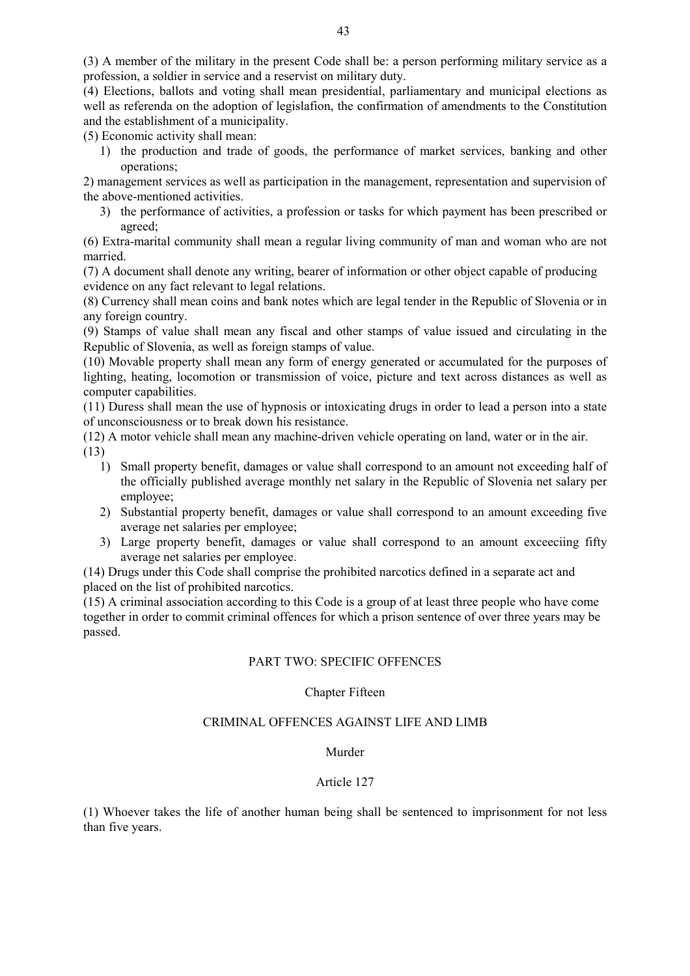(3) A member of the military in the present Code shall be: a person performing military service as a profession, a soldier in service and a reservist on military duty.

(4) Elections, ballots and voting shall mean presidential, parliamentary and municipal elections as well as referenda on the adoption of legislafion, the confirmation of amendments to the Constitution and the establishment of a municipality.

(5) Economic activity shall mean:

1) the production and trade of goods, the performance of market services, banking and other operations;

2) management services as well as participation in the management, representation and supervision of the above-mentioned activities.

3) the performance of activities, a profession or tasks for which payment has been prescribed or agreed;

(6) Extra-marital community shall mean a regular living community of man and woman who are not married.

(7) A document shall denote any writing, bearer of information or other object capable of producing evidence on any fact relevant to legal relations.

(8) Currency shall mean coins and bank notes which are legal tender in the Republic of Slovenia or in any foreign country.

(9) Stamps of value shall mean any fiscal and other stamps of value issued and circulating in the Republic of Slovenia, as well as foreign stamps of value.

(10) Movable property shall mean any form of energy generated or accumulated for the purposes of lighting, heating, locomotion or transmission of voice, picture and text across distances as well as computer capabilities.

(11) Duress shall mean the use of hypnosis or intoxicating drugs in order to lead a person into a state of unconsciousness or to break down his resistance.

(12) A motor vehicle shall mean any machine-driven vehicle operating on land, water or in the air. (13)

- 1) Small property benefit, damages or value shall correspond to an amount not exceeding half of the officially published average monthly net salary in the Republic of Slovenia net salary per employee;
- 2) Substantial property benefit, damages or value shall correspond to an amount exceeding five average net salaries per employee;
- 3) Large property benefit, damages or value shall correspond to an amount exceeciing fifty average net salaries per employee.

(14) Drugs under this Code shall comprise the prohibited narcotics defined in a separate act and placed on the list of prohibited narcotics.

(15) A criminal association according to this Code is a group of at least three people who have come together in order to commit criminal offences for which a prison sentence of over three years may be passed.

## PART TWO: SPECIFIC OFFENCES

## Chapter Fifteen

## CRIMINAL OFFENCES AGAINST LIFE AND LIMB

#### Murder

## Article 127

(1) Whoever takes the life of another human being shall be sentenced to imprisonment for not less than five years.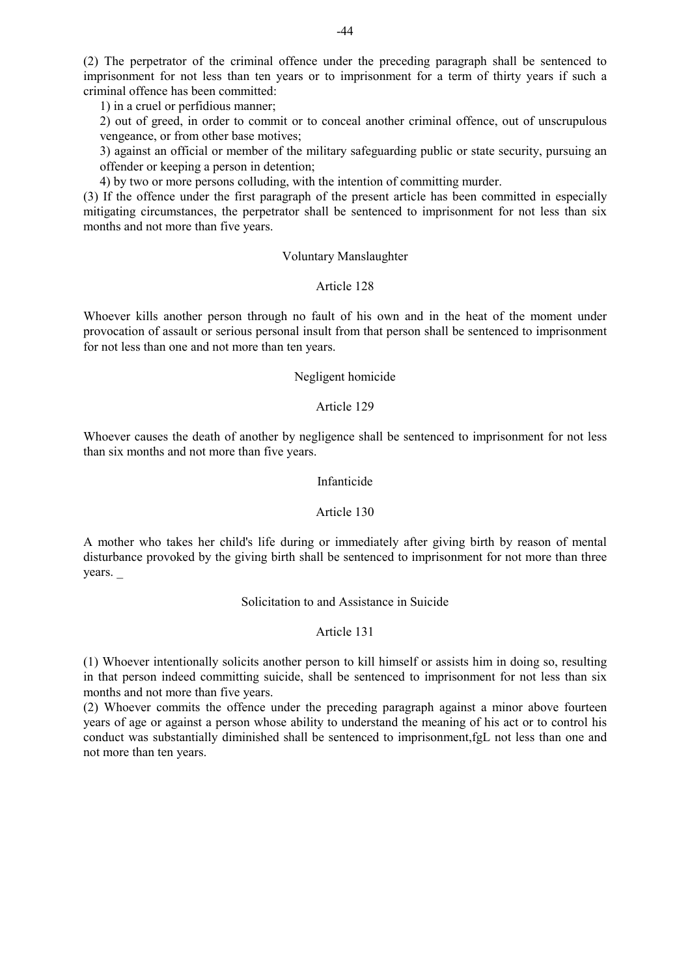(2) The perpetrator of the criminal offence under the preceding paragraph shall be sentenced to imprisonment for not less than ten years or to imprisonment for a term of thirty years if such a criminal offence has been committed:

1) in a cruel or perfidious manner;

2) out of greed, in order to commit or to conceal another criminal offence, out of unscrupulous vengeance, or from other base motives;

3) against an official or member of the military safeguarding public or state security, pursuing an offender or keeping a person in detention;

4) by two or more persons colluding, with the intention of committing murder.

(3) If the offence under the first paragraph of the present article has been committed in especially mitigating circumstances, the perpetrator shall be sentenced to imprisonment for not less than six months and not more than five years.

## Voluntary Manslaughter

## Article 128

Whoever kills another person through no fault of his own and in the heat of the moment under provocation of assault or serious personal insult from that person shall be sentenced to imprisonment for not less than one and not more than ten years.

## Negligent homicide

## Article 129

Whoever causes the death of another by negligence shall be sentenced to imprisonment for not less than six months and not more than five years.

#### Infanticide

## Article 130

A mother who takes her child's life during or immediately after giving birth by reason of mental disturbance provoked by the giving birth shall be sentenced to imprisonment for not more than three years. \_

## Solicitation to and Assistance in Suicide

## Article 131

(1) Whoever intentionally solicits another person to kill himself or assists him in doing so, resulting in that person indeed committing suicide, shall be sentenced to imprisonment for not less than six months and not more than five years.

(2) Whoever commits the offence under the preceding paragraph against a minor above fourteen years of age or against a person whose ability to understand the meaning of his act or to control his conduct was substantially diminished shall be sentenced to imprisonment,fgL not less than one and not more than ten years.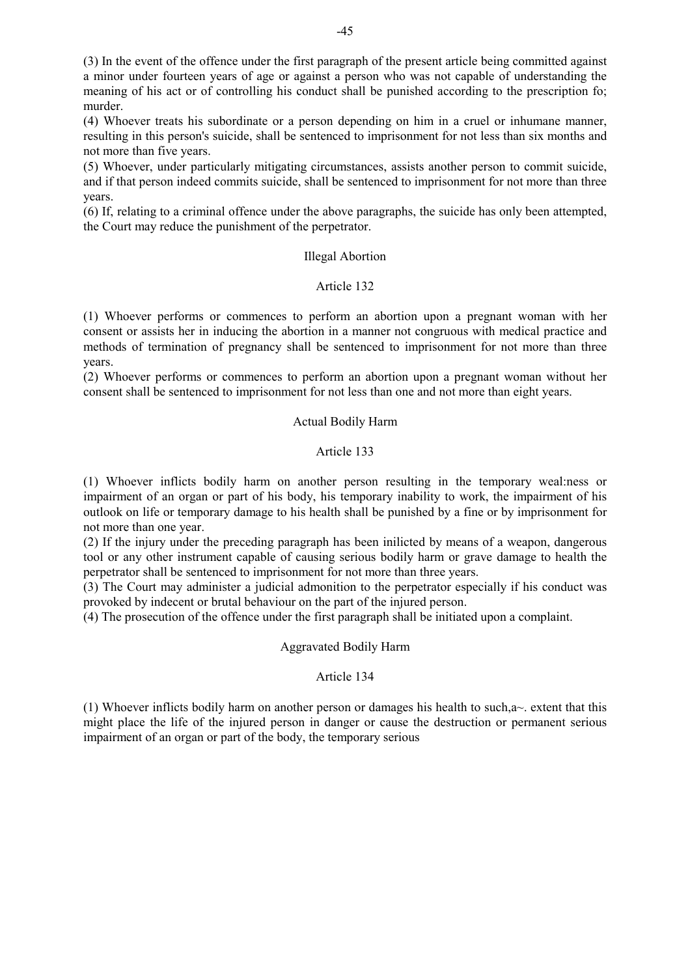(3) In the event of the offence under the first paragraph of the present article being committed against a minor under fourteen years of age or against a person who was not capable of understanding the meaning of his act or of controlling his conduct shall be punished according to the prescription fo; murder.

(4) Whoever treats his subordinate or a person depending on him in a cruel or inhumane manner, resulting in this person's suicide, shall be sentenced to imprisonment for not less than six months and not more than five years.

(5) Whoever, under particularly mitigating circumstances, assists another person to commit suicide, and if that person indeed commits suicide, shall be sentenced to imprisonment for not more than three years.

(6) If, relating to a criminal offence under the above paragraphs, the suicide has only been attempted, the Court may reduce the punishment of the perpetrator.

## Illegal Abortion

## Article 132

(1) Whoever performs or commences to perform an abortion upon a pregnant woman with her consent or assists her in inducing the abortion in a manner not congruous with medical practice and methods of termination of pregnancy shall be sentenced to imprisonment for not more than three years.

(2) Whoever performs or commences to perform an abortion upon a pregnant woman without her consent shall be sentenced to imprisonment for not less than one and not more than eight years.

## Actual Bodily Harm

## Article 133

(1) Whoever inflicts bodily harm on another person resulting in the temporary weal:ness or impairment of an organ or part of his body, his temporary inability to work, the impairment of his outlook on life or temporary damage to his health shall be punished by a fine or by imprisonment for not more than one year.

(2) If the injury under the preceding paragraph has been inilicted by means of a weapon, dangerous tool or any other instrument capable of causing serious bodily harm or grave damage to health the perpetrator shall be sentenced to imprisonment for not more than three years.

(3) The Court may administer a judicial admonition to the perpetrator especially if his conduct was provoked by indecent or brutal behaviour on the part of the injured person.

(4) The prosecution of the offence under the first paragraph shall be initiated upon a complaint.

#### Aggravated Bodily Harm

## Article 134

(1) Whoever inflicts bodily harm on another person or damages his health to such,a~. extent that this might place the life of the injured person in danger or cause the destruction or permanent serious impairment of an organ or part of the body, the temporary serious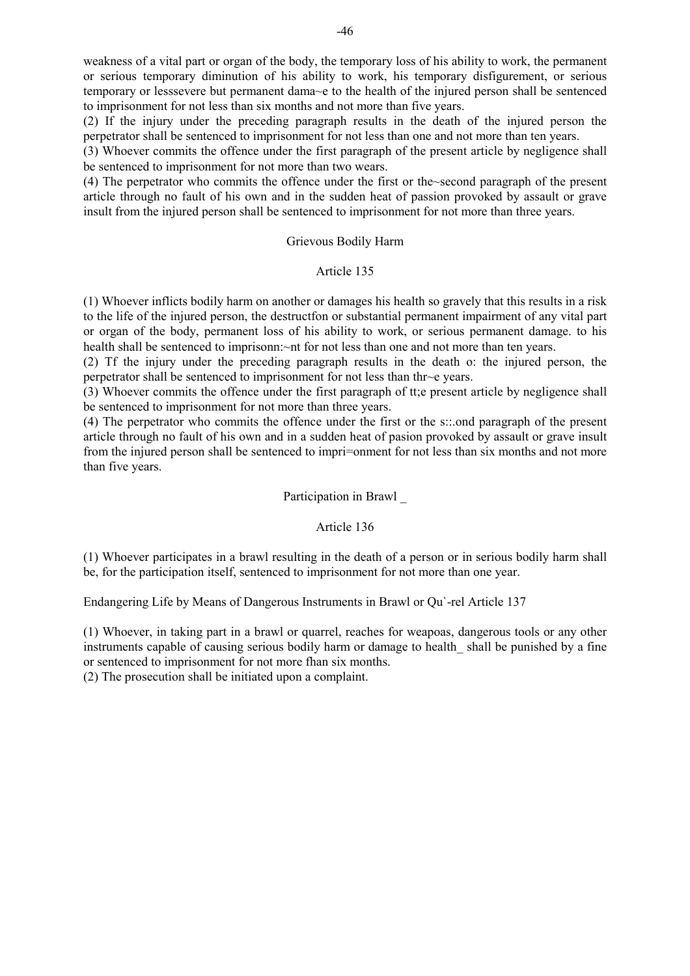weakness of a vital part or organ of the body, the temporary loss of his ability to work, the permanent or serious temporary diminution of his ability to work, his temporary disfigurement, or serious temporary or lesssevere but permanent dama~e to the health of the injured person shall be sentenced to imprisonment for not less than six months and not more than five years.

(2) If the injury under the preceding paragraph results in the death of the injured person the perpetrator shall be sentenced to imprisonment for not less than one and not more than ten years.

(3) Whoever commits the offence under the first paragraph of the present article by negligence shall be sentenced to imprisonment for not more than two wears.

(4) The perpetrator who commits the offence under the first or the~second paragraph of the present article through no fault of his own and in the sudden heat of passion provoked by assault or grave insult from the injured person shall be sentenced to imprisonment for not more than three years.

#### Grievous Bodily Harm

#### Article 135

(1) Whoever inflicts bodily harm on another or damages his health so gravely that this results in a risk to the life of the injured person, the destructfon or substantial permanent impairment of any vital part or organ of the body, permanent loss of his ability to work, or serious permanent damage. to his health shall be sentenced to imprisonn:~nt for not less than one and not more than ten years.

(2) Tf the injury under the preceding paragraph results in the death o: the injured person, the perpetrator shall be sentenced to imprisonment for not less than thr~e years.

(3) Whoever commits the offence under the first paragraph of tt;e present article by negligence shall be sentenced to imprisonment for not more than three years.

(4) The perpetrator who commits the offence under the first or the s::.ond paragraph of the present article through no fault of his own and in a sudden heat of pasion provoked by assault or grave insult from the injured person shall be sentenced to impri=onment for not less than six months and not more than five years.

#### Participation in Brawl \_

#### Article 136

(1) Whoever participates in a brawl resulting in the death of a person or in serious bodily harm shall be, for the participation itself, sentenced to imprisonment for not more than one year.

Endangering Life by Means of Dangerous Instruments in Brawl or Qu`-rel Article 137

(1) Whoever, in taking part in a brawl or quarrel, reaches for weapoas, dangerous tools or any other instruments capable of causing serious bodily harm or damage to health shall be punished by a fine or sentenced to imprisonment for not more fhan six months.

(2) The prosecution shall be initiated upon a complaint.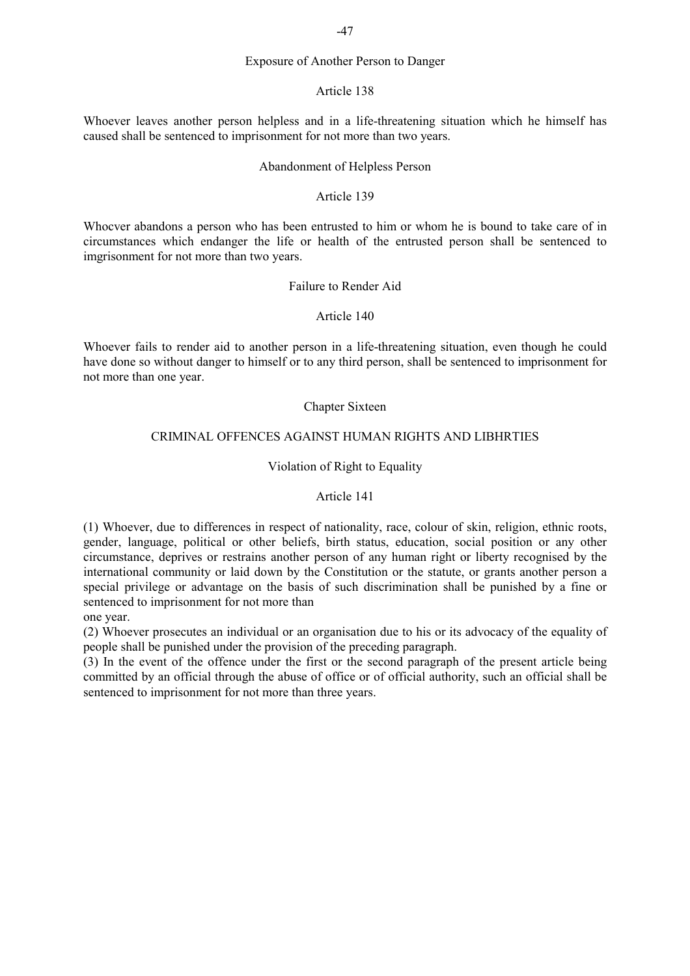## Exposure of Another Person to Danger

#### Article 138

Whoever leaves another person helpless and in a life-threatening situation which he himself has caused shall be sentenced to imprisonment for not more than two years.

#### Abandonment of Helpless Person

## Article 139

Whocver abandons a person who has been entrusted to him or whom he is bound to take care of in circumstances which endanger the life or health of the entrusted person shall be sentenced to imgrisonment for not more than two years.

#### Failure to Render Aid

#### Article 140

Whoever fails to render aid to another person in a life-threatening situation, even though he could have done so without danger to himself or to any third person, shall be sentenced to imprisonment for not more than one year.

#### Chapter Sixteen

## CRIMINAL OFFENCES AGAINST HUMAN RIGHTS AND LIBHRTIES

#### Violation of Right to Equality

## Article 141

(1) Whoever, due to differences in respect of nationality, race, colour of skin, religion, ethnic roots, gender, language, political or other beliefs, birth status, education, social position or any other circumstance, deprives or restrains another person of any human right or liberty recognised by the international community or laid down by the Constitution or the statute, or grants another person a special privilege or advantage on the basis of such discrimination shall be punished by a fine or sentenced to imprisonment for not more than

one year.

(2) Whoever prosecutes an individual or an organisation due to his or its advocacy of the equality of people shall be punished under the provision of the preceding paragraph.

(3) In the event of the offence under the first or the second paragraph of the present article being committed by an official through the abuse of office or of official authority, such an official shall be sentenced to imprisonment for not more than three years.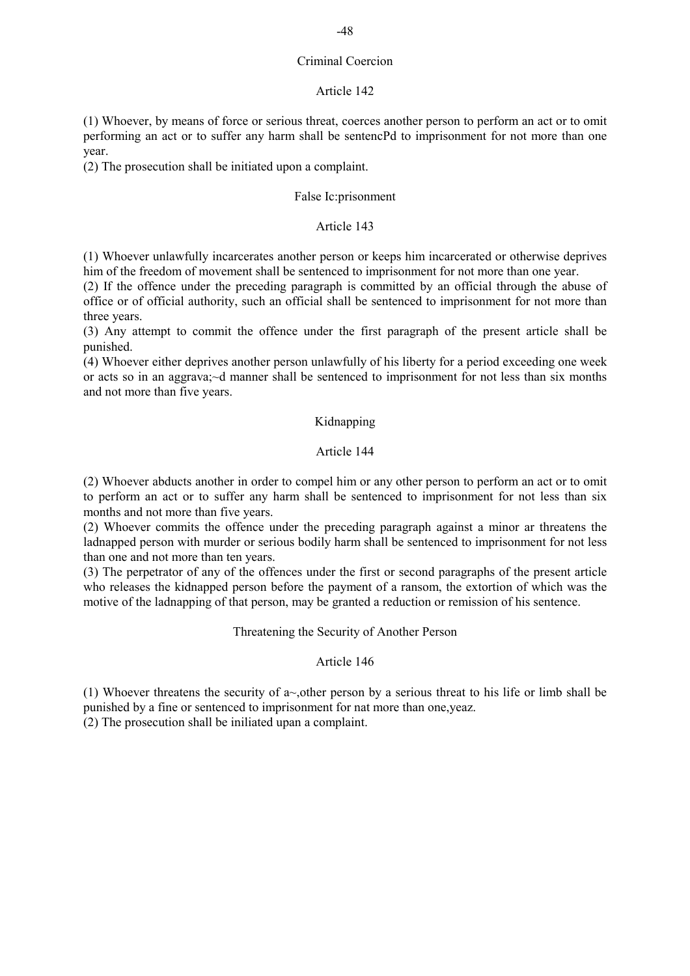## Criminal Coercion

## Article 142

(1) Whoever, by means of force or serious threat, coerces another person to perform an act or to omit performing an act or to suffer any harm shall be sentencPd to imprisonment for not more than one year.

(2) The prosecution shall be initiated upon a complaint.

## False Ic:prisonment

## Article 143

(1) Whoever unlawfully incarcerates another person or keeps him incarcerated or otherwise deprives him of the freedom of movement shall be sentenced to imprisonment for not more than one year.

(2) If the offence under the preceding paragraph is committed by an official through the abuse of office or of official authority, such an official shall be sentenced to imprisonment for not more than three years.

(3) Any attempt to commit the offence under the first paragraph of the present article shall be punished.

(4) Whoever either deprives another person unlawfully of his liberty for a period exceeding one week or acts so in an aggrava;~d manner shall be sentenced to imprisonment for not less than six months and not more than five years.

## Kidnapping

## Article 144

(2) Whoever abducts another in order to compel him or any other person to perform an act or to omit to perform an act or to suffer any harm shall be sentenced to imprisonment for not less than six months and not more than five years.

(2) Whoever commits the offence under the preceding paragraph against a minor ar threatens the ladnapped person with murder or serious bodily harm shall be sentenced to imprisonment for not less than one and not more than ten years.

(3) The perpetrator of any of the offences under the first or second paragraphs of the present article who releases the kidnapped person before the payment of a ransom, the extortion of which was the motive of the ladnapping of that person, may be granted a reduction or remission of his sentence.

Threatening the Security of Another Person

## Article 146

(1) Whoever threatens the security of a - other person by a serious threat to his life or limb shall be punished by a fine or sentenced to imprisonment for nat more than one,yeaz.

(2) The prosecution shall be iniliated upan a complaint.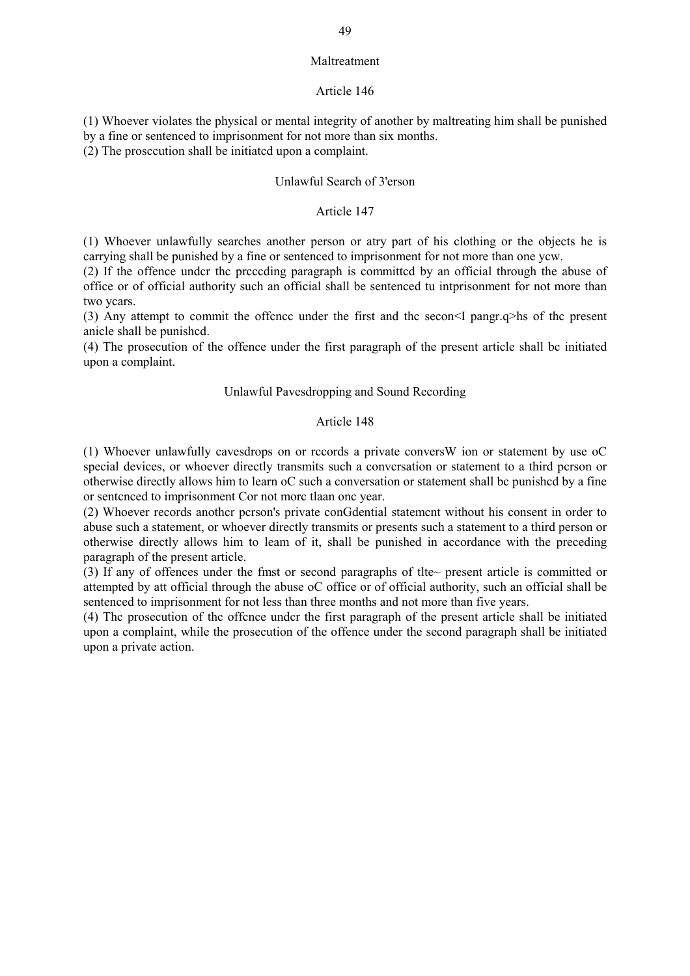#### Maltreatment

#### Article 146

(1) Whoever violates the physical or mental integrity of another by maltreating him shall be punished by a fine or sentenced to imprisonment for not more than six months.

(2) The prosccution shall be initiatcd upon a complaint.

#### Unlawful Search of 3'erson

## Article 147

(1) Whoever unlawfully searches another person or atry part of his clothing or the objects he is carrying shall be punished by a fine or sentenced to imprisonment for not more than one ycw.

(2) If the offence undcr thc prcccding paragraph is committcd by an official through the abuse of office or of official authority such an official shall be sentenced tu intprisonment for not more than two ycars.

(3) Any attempt to commit the offcncc under the first and thc secon<I pangr.q>hs of thc present anicle shall be punishcd.

(4) The prosecution of the offence under the first paragraph of the present article shall bc initiated upon a complaint.

#### Unlawful Pavesdropping and Sound Recording

#### Article 148

(1) Whoever unlawfully cavesdrops on or rccords a private conversW ion or statement by use oC special devices, or whoever directly transmits such a conversation or statement to a third person or otherwise directly allows him to learn oC such a conversation or statement shall bc punishcd by a fine or sentcnced to imprisonment Cor not morc tlaan onc year.

(2) Whoever records anothcr pcrson's private conGdential statemcnt without his consent in order to abuse such a statement, or whoever directly transmits or presents such a statement to a third person or otherwise directly allows him to leam of it, shall be punished in accordance with the preceding paragraph of the present article.

(3) If any of offences under the fmst or second paragraphs of tlte~ present article is committed or attempted by att official through the abuse oC office or of official authority, such an official shall be sentenced to imprisonment for not less than three months and not more than five years.

(4) Thc prosecution of thc offcnce undcr the first paragraph of the present article shall be initiated upon a complaint, while the prosecution of the offence under the second paragraph shall be initiated upon a private action.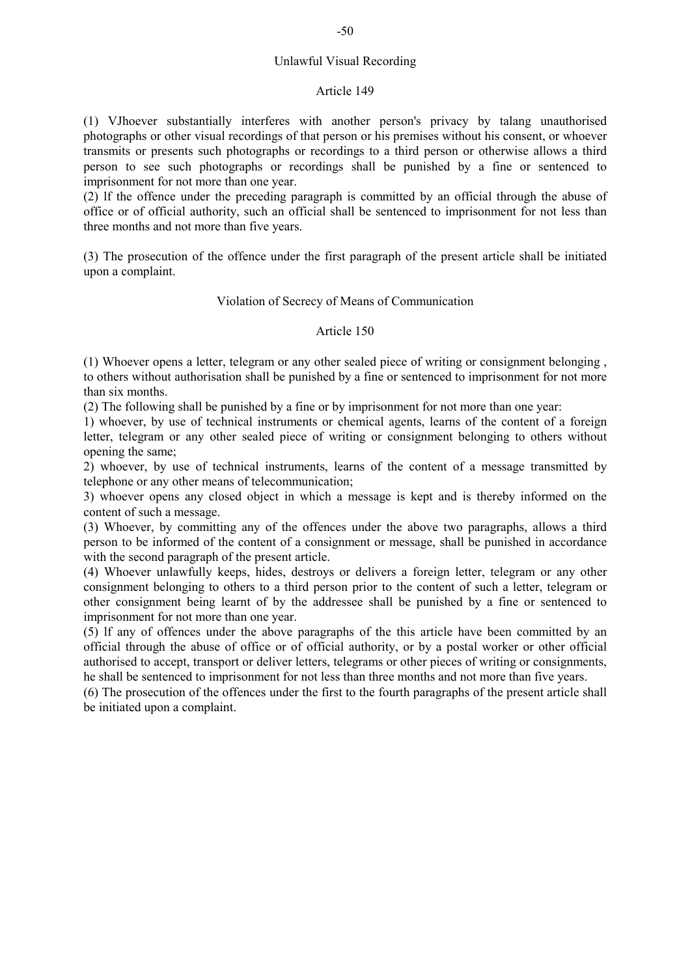#### Article 149

(1) VJhoever substantially interferes with another person's privacy by talang unauthorised photographs or other visual recordings of that person or his premises without his consent, or whoever transmits or presents such photographs or recordings to a third person or otherwise allows a third person to see such photographs or recordings shall be punished by a fine or sentenced to imprisonment for not more than one year.

(2) lf the offence under the preceding paragraph is committed by an official through the abuse of office or of official authority, such an official shall be sentenced to imprisonment for not less than three months and not more than five years.

(3) The prosecution of the offence under the first paragraph of the present article shall be initiated upon a complaint.

## Violation of Secrecy of Means of Communication

## Article 150

(1) Whoever opens a letter, telegram or any other sealed piece of writing or consignment belonging , to others without authorisation shall be punished by a fine or sentenced to imprisonment for not more than six months.

(2) The following shall be punished by a fine or by imprisonment for not more than one year:

1) whoever, by use of technical instruments or chemical agents, learns of the content of a foreign letter, telegram or any other sealed piece of writing or consignment belonging to others without opening the same;

2) whoever, by use of technical instruments, learns of the content of a message transmitted by telephone or any other means of telecommunication;

3) whoever opens any closed object in which a message is kept and is thereby informed on the content of such a message.

(3) Whoever, by committing any of the offences under the above two paragraphs, allows a third person to be informed of the content of a consignment or message, shall be punished in accordance with the second paragraph of the present article.

(4) Whoever unlawfully keeps, hides, destroys or delivers a foreign letter, telegram or any other consignment belonging to others to a third person prior to the content of such a letter, telegram or other consignment being learnt of by the addressee shall be punished by a fine or sentenced to imprisonment for not more than one year.

(5) lf any of offences under the above paragraphs of the this article have been committed by an official through the abuse of office or of official authority, or by a postal worker or other official authorised to accept, transport or deliver letters, telegrams or other pieces of writing or consignments, he shall be sentenced to imprisonment for not less than three months and not more than five years.

(6) The prosecution of the offences under the first to the fourth paragraphs of the present article shall be initiated upon a complaint.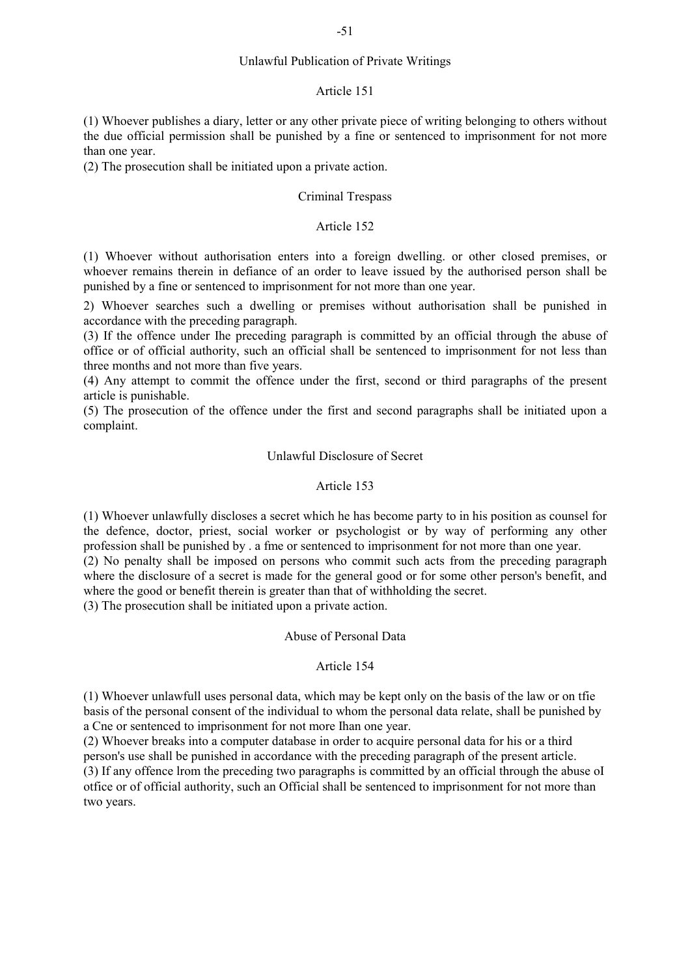## Unlawful Publication of Private Writings

#### Article 151

(1) Whoever publishes a diary, letter or any other private piece of writing belonging to others without the due official permission shall be punished by a fine or sentenced to imprisonment for not more than one year.

(2) The prosecution shall be initiated upon a private action.

## Criminal Trespass

## Article 152

(1) Whoever without authorisation enters into a foreign dwelling. or other closed premises, or whoever remains therein in defiance of an order to leave issued by the authorised person shall be punished by a fine or sentenced to imprisonment for not more than one year.

2) Whoever searches such a dwelling or premises without authorisation shall be punished in accordance with the preceding paragraph.

(3) If the offence under Ihe preceding paragraph is committed by an official through the abuse of office or of official authority, such an official shall be sentenced to imprisonment for not less than three months and not more than five years.

(4) Any attempt to commit the offence under the first, second or third paragraphs of the present article is punishable.

(5) The prosecution of the offence under the first and second paragraphs shall be initiated upon a complaint.

## Unlawful Disclosure of Secret

#### Article 153

(1) Whoever unlawfully discloses a secret which he has become party to in his position as counsel for the defence, doctor, priest, social worker or psychologist or by way of performing any other profession shall be punished by . a fme or sentenced to imprisonment for not more than one year. (2) No penalty shall be imposed on persons who commit such acts from the preceding paragraph where the disclosure of a secret is made for the general good or for some other person's benefit, and where the good or benefit therein is greater than that of withholding the secret.

(3) The prosecution shall be initiated upon a private action.

#### Abuse of Personal Data

## Article 154

(1) Whoever unlawfull uses personal data, which may be kept only on the basis of the law or on tfie basis of the personal consent of the individual to whom the personal data relate, shall be punished by a Cne or sentenced to imprisonment for not more Ihan one year.

(2) Whoever breaks into a computer database in order to acquire personal data for his or a third person's use shall be punished in accordance with the preceding paragraph of the present article. (3) If any offence lrom the preceding two paragraphs is committed by an official through the abuse oI otfice or of official authority, such an Official shall be sentenced to imprisonment for not more than two years.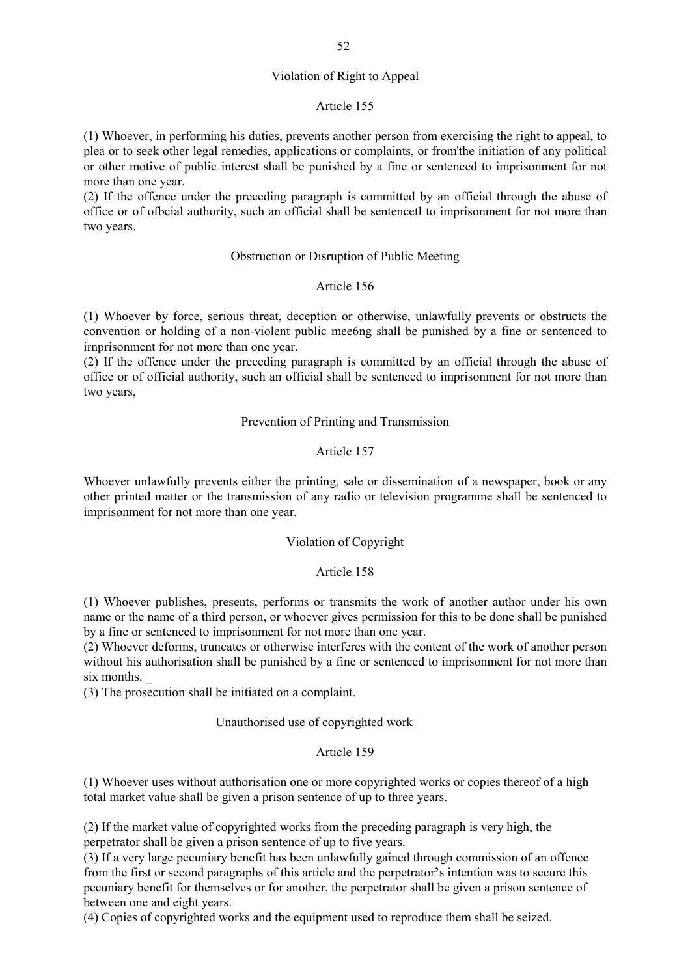## Violation of Right to Appeal

#### Article 155

(1) Whoever, in performing his duties, prevents another person from exercising the right to appeal, to plea or to seek other legal remedies, applications or complaints, or from'the initiation of any political or other motive of public interest shall be punished by a fine or sentenced to imprisonment for not more than one year.

(2) If the offence under the preceding paragraph is committed by an official through the abuse of office or of ofbcial authority, such an official shall be sentencetl to imprisonment for not more than two years.

#### Obstruction or Disruption of Public Meeting

#### Article 156

(1) Whoever by force, serious threat, deception or otherwise, unlawfully prevents or obstructs the convention or holding of a non-violent public mee6ng shall be punished by a fine or sentenced to irnprisonment for not more than one year.

(2) If the offence under the preceding paragraph is committed by an official through the abuse of office or of official authority, such an official shall be sentenced to imprisonment for not more than two years,

#### Prevention of Printing and Transmission

## Article 157

Whoever unlawfully prevents either the printing, sale or dissemination of a newspaper, book or any other printed matter or the transmission of any radio or television programme shall be sentenced to imprisonment for not more than one year.

## Violation of Copyright

#### Article 158

(1) Whoever publishes, presents, performs or transmits the work of another author under his own name or the name of a third person, or whoever gives permission for this to be done shall be punished by a fine or sentenced to imprisonment for not more than one year.

(2) Whoever deforms, truncates or otherwise interferes with the content of the work of another person without his authorisation shall be punished by a fine or sentenced to imprisonment for not more than six months.

(3) The prosecution shall be initiated on a complaint.

#### Unauthorised use of copyrighted work

#### Article 159

(1) Whoever uses without authorisation one or more copyrighted works or copies thereof of a high total market value shall be given a prison sentence of up to three years.

(2) If the market value of copyrighted works from the preceding paragraph is very high, the perpetrator shall be given a prison sentence of up to five years.

 $(3)$  If a very large pecuniary benefit has been unlawfully gained through commission of an offence from the first or second paragraphs of this article and the perpetrator's intention was to secure this pecuniary benefit for themselves or for another, the perpetrator shall be given a prison sentence of between one and eight years.

(4) Copies of copyrighted works and the equipment used to reproduce them shall be seized.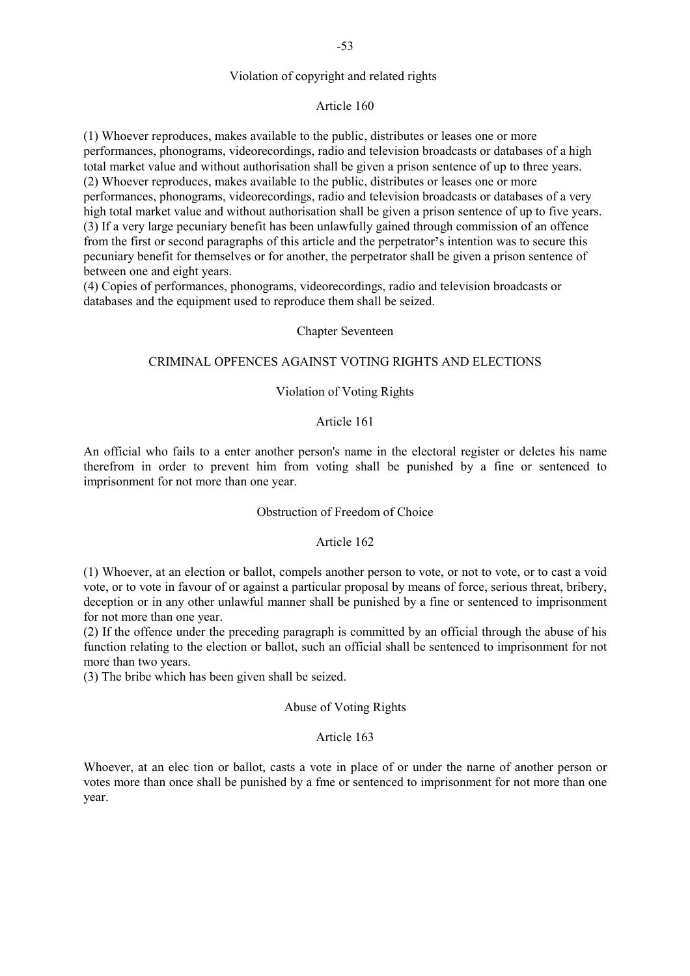## Violation of copyright and related rights

## Article 160

(1) Whoever reproduces, makes available to the public, distributes or leases one or more performances, phonograms, videorecordings, radio and television broadcasts or databases of a high total market value and without authorisation shall be given a prison sentence of up to three years. (2) Whoever reproduces, makes available to the public, distributes or leases one or more performances, phonograms, videorecordings, radio and television broadcasts or databases of a very high total market value and without authorisation shall be given a prison sentence of up to five years. (3) If a very large pecuniary benefit has been unlawfully gained through commission of an offence from the first or second paragraphs of this article and the perpetrator's intention was to secure this pecuniary benefit for themselves or for another, the perpetrator shall be given a prison sentence of between one and eight years.

(4) Copies of performances, phonograms, videorecordings, radio and television broadcasts or databases and the equipment used to reproduce them shall be seized.

#### Chapter Seventeen

#### CRIMINAL OPFENCES AGAINST VOTING RIGHTS AND ELECTIONS

## Violation of Voting Rights

#### Article 161

An official who fails to a enter another person's name in the electoral register or deletes his name therefrom in order to prevent him from voting shall be punished by a fine or sentenced to imprisonment for not more than one year.

#### Obstruction of Freedom of Choice

## Article 162

(1) Whoever, at an election or ballot, compels another person to vote, or not to vote, or to cast a void vote, or to vote in favour of or against a particular proposal by means of force, serious threat, bribery, deception or in any other unlawful manner shall be punished by a fine or sentenced to imprisonment for not more than one year.

(2) If the offence under the preceding paragraph is committed by an official through the abuse of his function relating to the election or ballot, such an official shall be sentenced to imprisonment for not more than two years.

(3) The bribe which has been given shall be seized.

## Abuse of Voting Rights

#### Article 163

Whoever, at an elec tion or ballot, casts a vote in place of or under the narne of another person or votes more than once shall be punished by a fme or sentenced to imprisonment for not more than one year.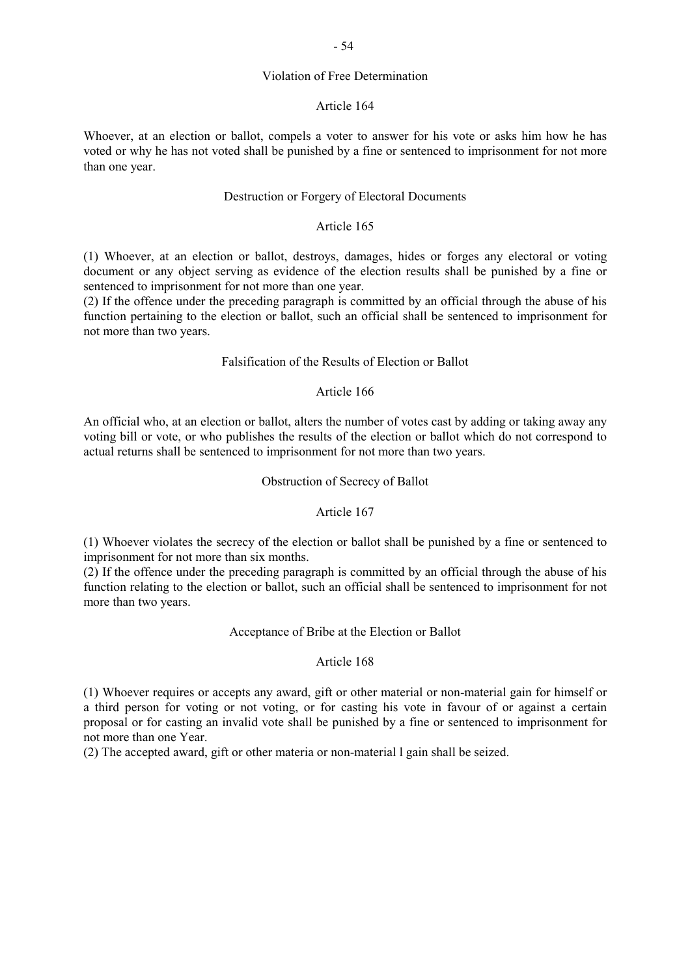#### Violation of Free Determination

#### Article 164

Whoever, at an election or ballot, compels a voter to answer for his vote or asks him how he has voted or why he has not voted shall be punished by a fine or sentenced to imprisonment for not more than one year.

## Destruction or Forgery of Electoral Documents

## Article 165

(1) Whoever, at an election or ballot, destroys, damages, hides or forges any electoral or voting document or any object serving as evidence of the election results shall be punished by a fine or sentenced to imprisonment for not more than one year.

(2) If the offence under the preceding paragraph is committed by an official through the abuse of his function pertaining to the election or ballot, such an official shall be sentenced to imprisonment for not more than two years.

## Falsification of the Results of Election or Ballot

## Article 166

An official who, at an election or ballot, alters the number of votes cast by adding or taking away any voting bill or vote, or who publishes the results of the election or ballot which do not correspond to actual returns shall be sentenced to imprisonment for not more than two years.

#### Obstruction of Secrecy of Ballot

#### Article 167

(1) Whoever violates the secrecy of the election or ballot shall be punished by a fine or sentenced to imprisonment for not more than six months.

(2) If the offence under the preceding paragraph is committed by an official through the abuse of his function relating to the election or ballot, such an official shall be sentenced to imprisonment for not more than two years.

## Acceptance of Bribe at the Election or Ballot

#### Article 168

(1) Whoever requires or accepts any award, gift or other material or non-material gain for himself or a third person for voting or not voting, or for casting his vote in favour of or against a certain proposal or for casting an invalid vote shall be punished by a fine or sentenced to imprisonment for not more than one Year.

(2) The accepted award, gift or other materia or non-material l gain shall be seized.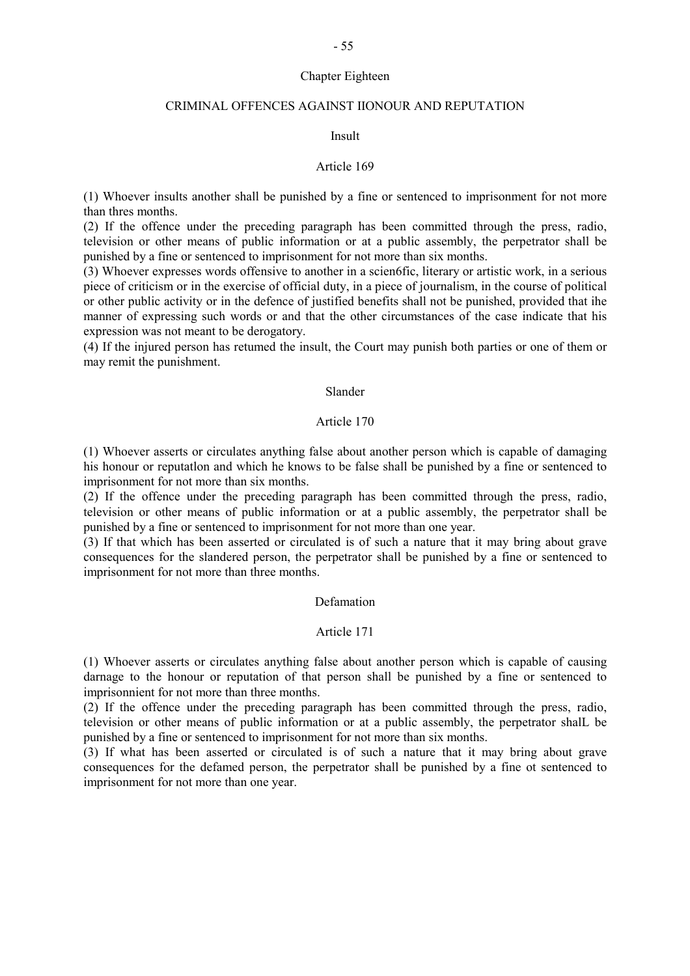## Chapter Eighteen

## CRIMINAL OFFENCES AGAINST IIONOUR AND REPUTATION

#### Insult

#### Article 169

(1) Whoever insults another shall be punished by a fine or sentenced to imprisonment for not more than thres months.

(2) If the offence under the preceding paragraph has been committed through the press, radio, television or other means of public information or at a public assembly, the perpetrator shall be punished by a fine or sentenced to imprisonment for not more than six months.

(3) Whoever expresses words offensive to another in a scien6fic, literary or artistic work, in a serious piece of criticism or in the exercise of official duty, in a piece of journalism, in the course of political or other public activity or in the defence of justified benefits shall not be punished, provided that ihe manner of expressing such words or and that the other circumstances of the case indicate that his expression was not meant to be derogatory.

(4) If the injured person has retumed the insult, the Court may punish both parties or one of them or may remit the punishment.

## Slander

#### Article 170

(1) Whoever asserts or circulates anything false about another person which is capable of damaging his honour or reputatlon and which he knows to be false shall be punished by a fine or sentenced to imprisonment for not more than six months.

(2) If the offence under the preceding paragraph has been committed through the press, radio, television or other means of public information or at a public assembly, the perpetrator shall be punished by a fine or sentenced to imprisonment for not more than one year.

(3) If that which has been asserted or circulated is of such a nature that it may bring about grave consequences for the slandered person, the perpetrator shall be punished by a fine or sentenced to imprisonment for not more than three months.

## Defamation

## Article 171

(1) Whoever asserts or circulates anything false about another person which is capable of causing darnage to the honour or reputation of that person shall be punished by a fine or sentenced to imprisonnient for not more than three months.

(2) If the offence under the preceding paragraph has been committed through the press, radio, television or other means of public information or at a public assembly, the perpetrator shalL be punished by a fine or sentenced to imprisonment for not more than six months.

(3) If what has been asserted or circulated is of such a nature that it may bring about grave consequences for the defamed person, the perpetrator shall be punished by a fine ot sentenced to imprisonment for not more than one year.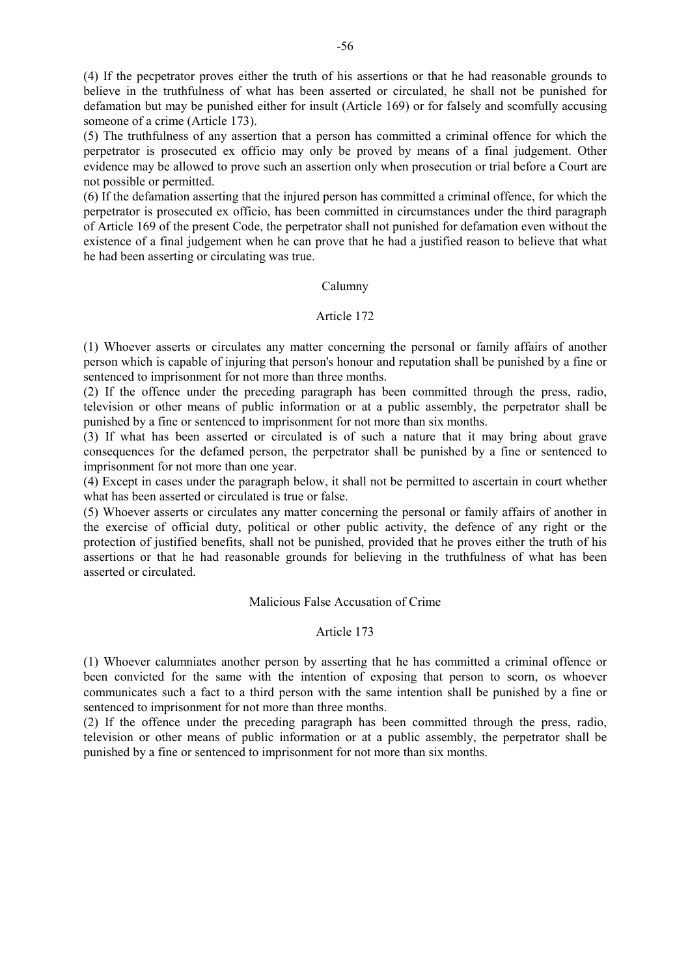(4) If the pecpetrator proves either the truth of his assertions or that he had reasonable grounds to believe in the truthfulness of what has been asserted or circulated, he shall not be punished for defamation but may be punished either for insult (Article 169) or for falsely and scomfully accusing someone of a crime (Article 173).

(5) The truthfulness of any assertion that a person has committed a criminal offence for which the perpetrator is prosecuted ex officio may only be proved by means of a final judgement. Other evidence may be allowed to prove such an assertion only when prosecution or trial before a Court are not possible or permitted.

(6) If the defamation asserting that the injured person has committed a criminal offence, for which the perpetrator is prosecuted ex officio, has been committed in circumstances under the third paragraph of Article 169 of the present Code, the perpetrator shall not punished for defamation even without the existence of a final judgement when he can prove that he had a justified reason to believe that what he had been asserting or circulating was true.

## Calumny

## Article 172

(1) Whoever asserts or circulates any matter concerning the personal or family affairs of another person which is capable of injuring that person's honour and reputation shall be punished by a fine or sentenced to imprisonment for not more than three months.

(2) If the offence under the preceding paragraph has been committed through the press, radio, television or other means of public information or at a public assembly, the perpetrator shall be punished by a fine or sentenced to imprisonment for not more than six months.

(3) If what has been asserted or circulated is of such a nature that it may bring about grave consequences for the defamed person, the perpetrator shall be punished by a fine or sentenced to imprisonment for not more than one year.

(4) Except in cases under the paragraph below, it shall not be permitted to ascertain in court whether what has been asserted or circulated is true or false.

(5) Whoever asserts or circulates any matter concerning the personal or family affairs of another in the exercise of official duty, political or other public activity, the defence of any right or the protection of justified benefits, shall not be punished, provided that he proves either the truth of his assertions or that he had reasonable grounds for believing in the truthfulness of what has been asserted or circulated.

## Malicious False Accusation of Crime

## Article 173

(1) Whoever calumniates another person by asserting that he has committed a criminal offence or been convicted for the same with the intention of exposing that person to scorn, os whoever communicates such a fact to a third person with the same intention shall be punished by a fine or sentenced to imprisonment for not more than three months.

(2) If the offence under the preceding paragraph has been committed through the press, radio, television or other means of public information or at a public assembly, the perpetrator shall be punished by a fine or sentenced to imprisonment for not more than six months.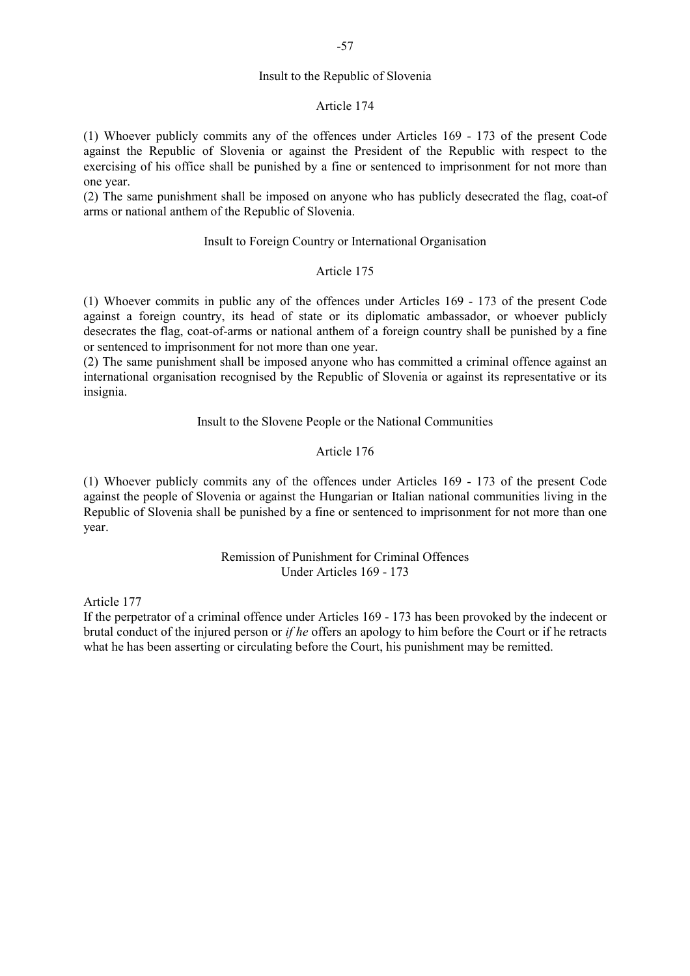## Insult to the Republic of Slovenia

#### Article 174

(1) Whoever publicly commits any of the offences under Articles 169 - 173 of the present Code against the Republic of Slovenia or against the President of the Republic with respect to the exercising of his office shall be punished by a fine or sentenced to imprisonment for not more than one year.

(2) The same punishment shall be imposed on anyone who has publicly desecrated the flag, coat-of arms or national anthem of the Republic of Slovenia.

## Insult to Foreign Country or International Organisation

#### Article 175

(1) Whoever commits in public any of the offences under Articles 169 - 173 of the present Code against a foreign country, its head of state or its diplomatic ambassador, or whoever publicly desecrates the flag, coat-of-arms or national anthem of a foreign country shall be punished by a fine or sentenced to imprisonment for not more than one year.

(2) The same punishment shall be imposed anyone who has committed a criminal offence against an international organisation recognised by the Republic of Slovenia or against its representative or its insignia.

#### Insult to the Slovene People or the National Communities

## Article 176

(1) Whoever publicly commits any of the offences under Articles 169 - 173 of the present Code against the people of Slovenia or against the Hungarian or Italian national communities living in the Republic of Slovenia shall be punished by a fine or sentenced to imprisonment for not more than one year.

## Remission of Punishment for Criminal Offences Under Articles 169 - 173

#### Article 177

If the perpetrator of a criminal offence under Articles 169 - 173 has been provoked by the indecent or brutal conduct of the injured person or *if he* offers an apology to him before the Court or if he retracts what he has been asserting or circulating before the Court, his punishment may be remitted.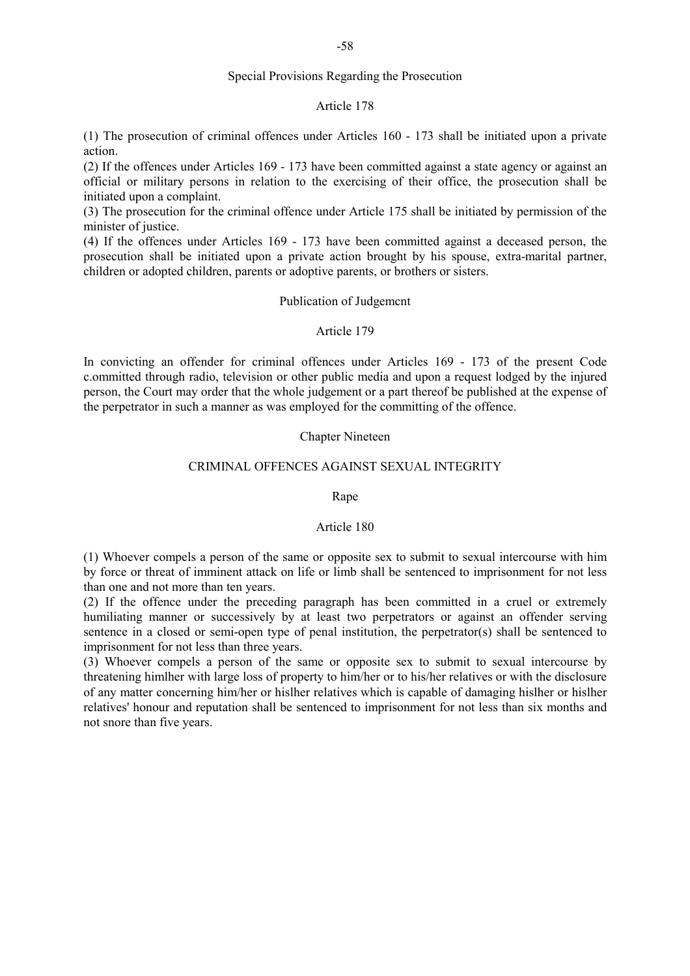## Special Provisions Regarding the Prosecution

#### Article 178

(1) The prosecution of criminal offences under Articles 160 - 173 shall be initiated upon a private action.

(2) If the offences under Articles 169 - 173 have been committed against a state agency or against an official or military persons in relation to the exercising of their office, the prosecution shall be initiated upon a complaint.

(3) The prosecution for the criminal offence under Article 175 shall be initiated by permission of the minister of justice.

(4) If the offences under Articles 169 - 173 have been committed against a deceased person, the prosecution shall be initiated upon a private action brought by his spouse, extra-marital partner, children or adopted children, parents or adoptive parents, or brothers or sisters.

#### Publication of Judgemcnt

## Article 179

In convicting an offender for criminal offences under Articles 169 - 173 of the present Code c.ommitted through radio, television or other public media and upon a request lodged by the injured person, the Court may order that the whole judgement or a part thereof be published at the expense of the perpetrator in such a manner as was employed for the committing of the offence.

## Chapter Nineteen

## CRIMINAL OFFENCES AGAINST SEXUAL INTEGRITY

#### Rape

#### Article 180

(1) Whoever compels a person of the same or opposite sex to submit to sexual intercourse with him by force or threat of imminent attack on life or limb shall be sentenced to imprisonment for not less than one and not more than ten years.

(2) If the offence under the preceding paragraph has been committed in a cruel or extremely humiliating manner or successively by at least two perpetrators or against an offender serving sentence in a closed or semi-open type of penal institution, the perpetrator(s) shall be sentenced to imprisonment for not less than three years.

(3) Whoever compels a person of the same or opposite sex to submit to sexual intercourse by threatening himlher with large loss of property to him/her or to his/her relatives or with the disclosure of any matter concerning him/her or hislher relatives which is capable of damaging hislher or hislher relatives' honour and reputation shall be sentenced to imprisonment for not less than six months and not snore than five years.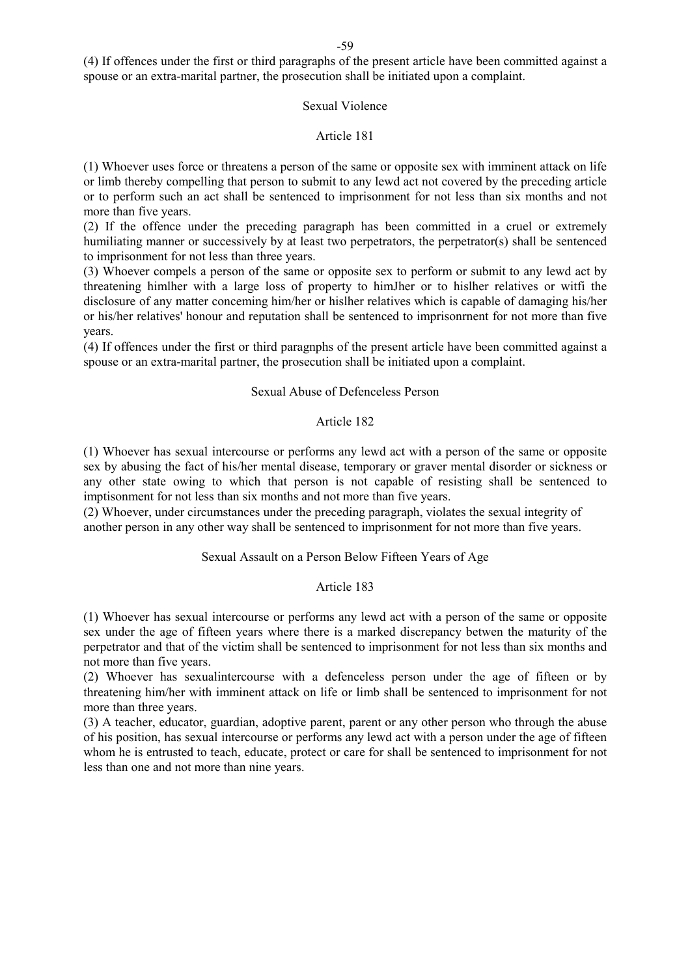(4) If offences under the first or third paragraphs of the present article have been committed against a spouse or an extra-marital partner, the prosecution shall be initiated upon a complaint.

## Sexual Violence

#### Article 181

(1) Whoever uses force or threatens a person of the same or opposite sex with imminent attack on life or limb thereby compelling that person to submit to any lewd act not covered by the preceding article or to perform such an act shall be sentenced to imprisonment for not less than six months and not more than five years.

(2) If the offence under the preceding paragraph has been committed in a cruel or extremely humiliating manner or successively by at least two perpetrators, the perpetrator(s) shall be sentenced to imprisonment for not less than three years.

(3) Whoever compels a person of the same or opposite sex to perform or submit to any lewd act by threatening himlher with a large loss of property to himJher or to hislher relatives or witfi the disclosure of any matter conceming him/her or hislher relatives which is capable of damaging his/her or his/her relatives' honour and reputation shall be sentenced to imprisonrnent for not more than five years.

(4) If offences under the first or third paragnphs of the present article have been committed against a spouse or an extra-marital partner, the prosecution shall be initiated upon a complaint.

#### Sexual Abuse of Defenceless Person

## Article 182

(1) Whoever has sexual intercourse or performs any lewd act with a person of the same or opposite sex by abusing the fact of his/her mental disease, temporary or graver mental disorder or sickness or any other state owing to which that person is not capable of resisting shall be sentenced to imptisonment for not less than six months and not more than five years.

(2) Whoever, under circumstances under the preceding paragraph, violates the sexual integrity of another person in any other way shall be sentenced to imprisonment for not more than five years.

## Sexual Assault on a Person Below Fifteen Years of Age

## Article 183

(1) Whoever has sexual intercourse or performs any lewd act with a person of the same or opposite sex under the age of fifteen years where there is a marked discrepancy betwen the maturity of the perpetrator and that of the victim shall be sentenced to imprisonment for not less than six months and not more than five years.

(2) Whoever has sexualintercourse with a defenceless person under the age of fifteen or by threatening him/her with imminent attack on life or limb shall be sentenced to imprisonment for not more than three years.

(3) A teacher, educator, guardian, adoptive parent, parent or any other person who through the abuse of his position, has sexual intercourse or performs any lewd act with a person under the age of fifteen whom he is entrusted to teach, educate, protect or care for shall be sentenced to imprisonment for not less than one and not more than nine years.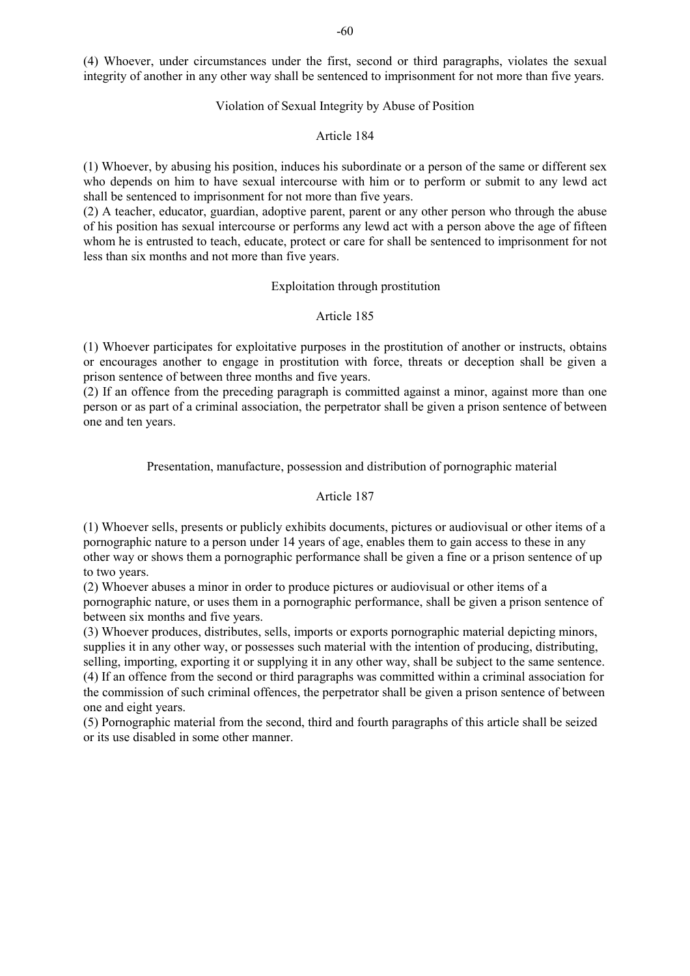(4) Whoever, under circumstances under the first, second or third paragraphs, violates the sexual integrity of another in any other way shall be sentenced to imprisonment for not more than five years.

#### Violation of Sexual Integrity by Abuse of Position

## Article 184

(1) Whoever, by abusing his position, induces his subordinate or a person of the same or different sex who depends on him to have sexual intercourse with him or to perform or submit to any lewd act shall be sentenced to imprisonment for not more than five years.

(2) A teacher, educator, guardian, adoptive parent, parent or any other person who through the abuse of his position has sexual intercourse or performs any lewd act with a person above the age of fifteen whom he is entrusted to teach, educate, protect or care for shall be sentenced to imprisonment for not less than six months and not more than five years.

#### Exploitation through prostitution

## Article 185

(1) Whoever participates for exploitative purposes in the prostitution of another or instructs, obtains or encourages another to engage in prostitution with force, threats or deception shall be given a prison sentence of between three months and five years.

(2) If an offence from the preceding paragraph is committed against a minor, against more than one person or as part of a criminal association, the perpetrator shall be given a prison sentence of between one and ten years.

## Presentation, manufacture, possession and distribution of pornographic material

## Article 187

(1) Whoever sells, presents or publicly exhibits documents, pictures or audiovisual or other items of a pornographic nature to a person under 14 years of age, enables them to gain access to these in any other way or shows them a pornographic performance shall be given a fine or a prison sentence of up to two years.

(2) Whoever abuses a minor in order to produce pictures or audiovisual or other items of a pornographic nature, or uses them in a pornographic performance, shall be given a prison sentence of between six months and five years.

(3) Whoever produces, distributes, sells, imports or exports pornographic material depicting minors, supplies it in any other way, or possesses such material with the intention of producing, distributing, selling, importing, exporting it or supplying it in any other way, shall be subject to the same sentence. (4) If an offence from the second or third paragraphs was committed within a criminal association for the commission of such criminal offences, the perpetrator shall be given a prison sentence of between one and eight years.

(5) Pornographic material from the second, third and fourth paragraphs of this article shall be seized or its use disabled in some other manner.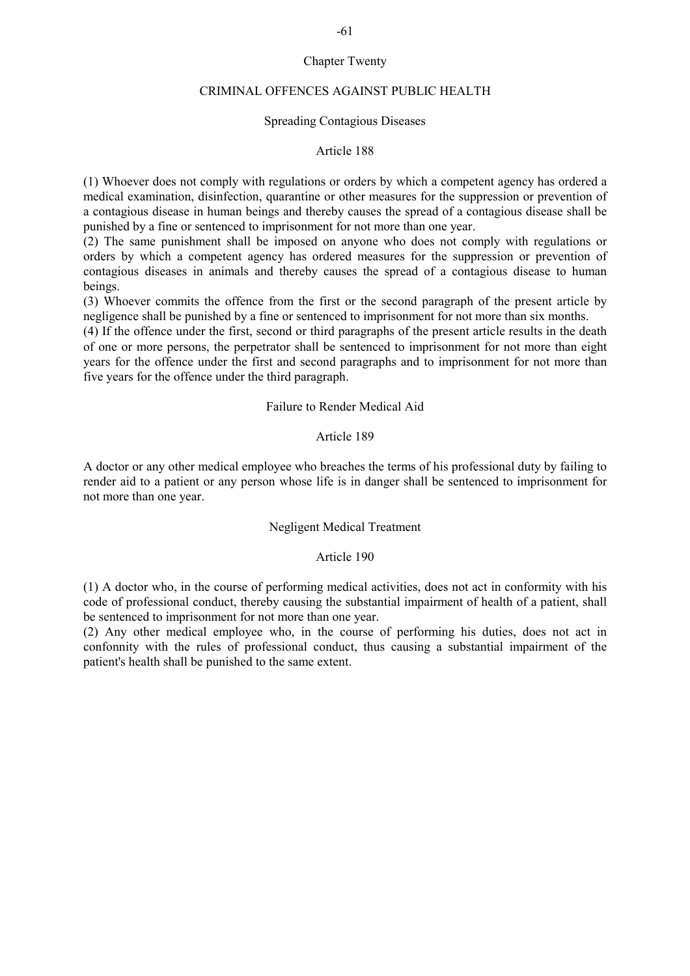## Chapter Twenty

#### CRIMINAL OFFENCES AGAINST PUBLIC HEALTH

## Spreading Contagious Diseases

## Article 188

(1) Whoever does not comply with regulations or orders by which a competent agency has ordered a medical examination, disinfection, quarantine or other measures for the suppression or prevention of a contagious disease in human beings and thereby causes the spread of a contagious disease shall be punished by a fine or sentenced to imprisonment for not more than one year.

(2) The same punishment shall be imposed on anyone who does not comply with regulations or orders by which a competent agency has ordered measures for the suppression or prevention of contagious diseases in animals and thereby causes the spread of a contagious disease to human beings.

(3) Whoever commits the offence from the first or the second paragraph of the present article by negligence shall be punished by a fine or sentenced to imprisonment for not more than six months.

(4) If the offence under the first, second or third paragraphs of the present article results in the death of one or more persons, the perpetrator shall be sentenced to imprisonment for not more than eight years for the offence under the first and second paragraphs and to imprisonment for not more than five years for the offence under the third paragraph.

#### Failure to Render Medical Aid

## Article 189

A doctor or any other medical employee who breaches the terms of his professional duty by failing to render aid to a patient or any person whose life is in danger shall be sentenced to imprisonment for not more than one year.

## Negligent Medical Treatment

#### Article 190

(1) A doctor who, in the course of performing medical activities, does not act in conformity with his code of professional conduct, thereby causing the substantial impairment of health of a patient, shall be sentenced to imprisonment for not more than one year.

(2) Any other medical employee who, in the course of performing his duties, does not act in confonnity with the rules of professional conduct, thus causing a substantial impairment of the patient's health shall be punished to the same extent.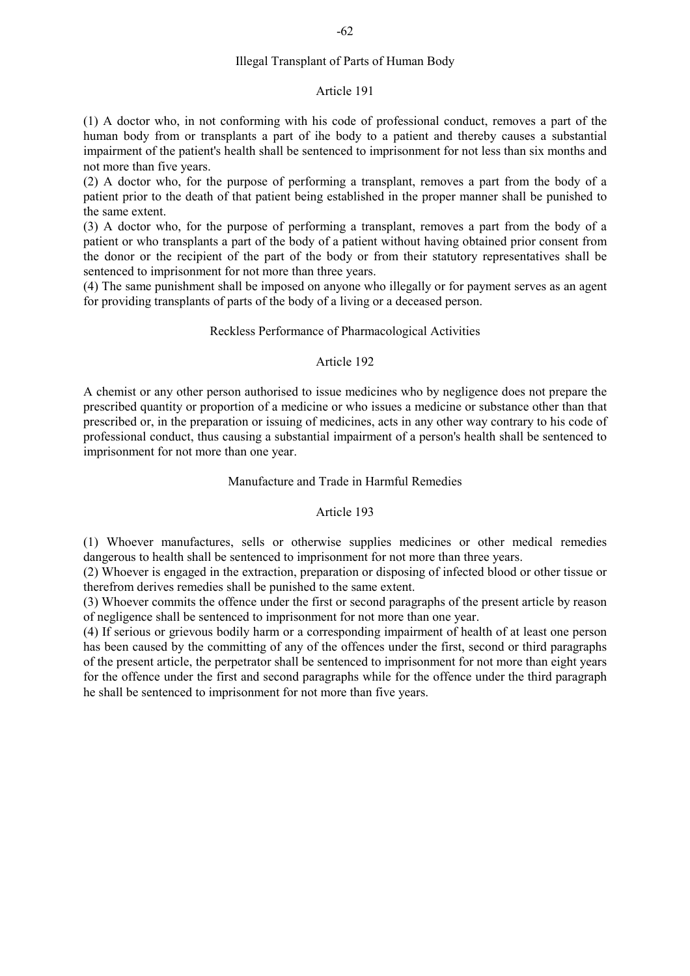## Article 191

(1) A doctor who, in not conforming with his code of professional conduct, removes a part of the human body from or transplants a part of ihe body to a patient and thereby causes a substantial impairment of the patient's health shall be sentenced to imprisonment for not less than six months and not more than five years.

(2) A doctor who, for the purpose of performing a transplant, removes a part from the body of a patient prior to the death of that patient being established in the proper manner shall be punished to the same extent.

(3) A doctor who, for the purpose of performing a transplant, removes a part from the body of a patient or who transplants a part of the body of a patient without having obtained prior consent from the donor or the recipient of the part of the body or from their statutory representatives shall be sentenced to imprisonment for not more than three years.

(4) The same punishment shall be imposed on anyone who illegally or for payment serves as an agent for providing transplants of parts of the body of a living or a deceased person.

## Reckless Performance of Pharmacological Activities

## Article 192

A chemist or any other person authorised to issue medicines who by negligence does not prepare the prescribed quantity or proportion of a medicine or who issues a medicine or substance other than that prescribed or, in the preparation or issuing of medicines, acts in any other way contrary to his code of professional conduct, thus causing a substantial impairment of a person's health shall be sentenced to imprisonment for not more than one year.

## Manufacture and Trade in Harmful Remedies

## Article 193

(1) Whoever manufactures, sells or otherwise supplies medicines or other medical remedies dangerous to health shall be sentenced to imprisonment for not more than three years.

(2) Whoever is engaged in the extraction, preparation or disposing of infected blood or other tissue or therefrom derives remedies shall be punished to the same extent.

(3) Whoever commits the offence under the first or second paragraphs of the present article by reason of negligence shall be sentenced to imprisonment for not more than one year.

(4) If serious or grievous bodily harm or a corresponding impairment of health of at least one person has been caused by the committing of any of the offences under the first, second or third paragraphs of the present article, the perpetrator shall be sentenced to imprisonment for not more than eight years for the offence under the first and second paragraphs while for the offence under the third paragraph he shall be sentenced to imprisonment for not more than five years.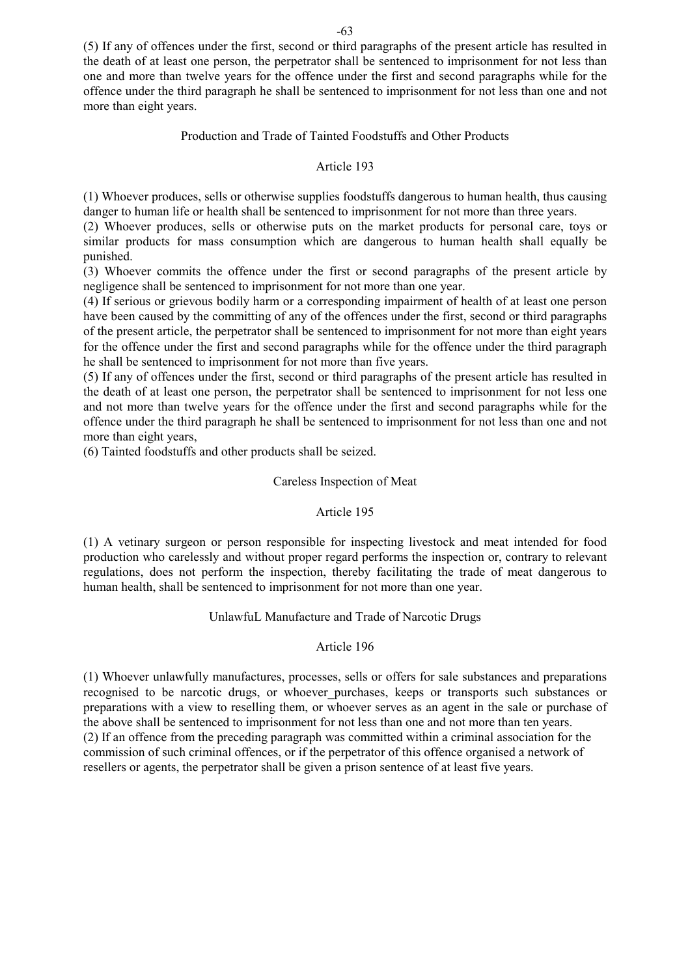(5) If any of offences under the first, second or third paragraphs of the present article has resulted in the death of at least one person, the perpetrator shall be sentenced to imprisonment for not less than one and more than twelve years for the offence under the first and second paragraphs while for the offence under the third paragraph he shall be sentenced to imprisonment for not less than one and not more than eight years.

## Production and Trade of Tainted Foodstuffs and Other Products

## Article 193

(1) Whoever produces, sells or otherwise supplies foodstuffs dangerous to human health, thus causing danger to human life or health shall be sentenced to imprisonment for not more than three years.

(2) Whoever produces, sells or otherwise puts on the market products for personal care, toys or similar products for mass consumption which are dangerous to human health shall equally be punished.

(3) Whoever commits the offence under the first or second paragraphs of the present article by negligence shall be sentenced to imprisonment for not more than one year.

(4) If serious or grievous bodily harm or a corresponding impairment of health of at least one person have been caused by the committing of any of the offences under the first, second or third paragraphs of the present article, the perpetrator shall be sentenced to imprisonment for not more than eight years for the offence under the first and second paragraphs while for the offence under the third paragraph he shall be sentenced to imprisonment for not more than five years.

(5) If any of offences under the first, second or third paragraphs of the present article has resulted in the death of at least one person, the perpetrator shall be sentenced to imprisonment for not less one and not more than twelve years for the offence under the first and second paragraphs while for the offence under the third paragraph he shall be sentenced to imprisonment for not less than one and not more than eight years,

(6) Tainted foodstuffs and other products shall be seized.

## Careless Inspection of Meat

## Article 195

(1) A vetinary surgeon or person responsible for inspecting livestock and meat intended for food production who carelessly and without proper regard performs the inspection or, contrary to relevant regulations, does not perform the inspection, thereby facilitating the trade of meat dangerous to human health, shall be sentenced to imprisonment for not more than one year.

## UnlawfuL Manufacture and Trade of Narcotic Drugs

## Article 196

(1) Whoever unlawfully manufactures, processes, sells or offers for sale substances and preparations recognised to be narcotic drugs, or whoever purchases, keeps or transports such substances or preparations with a view to reselling them, or whoever serves as an agent in the sale or purchase of the above shall be sentenced to imprisonment for not less than one and not more than ten years. (2) If an offence from the preceding paragraph was committed within a criminal association for the commission of such criminal offences, or if the perpetrator of this offence organised a network of resellers or agents, the perpetrator shall be given a prison sentence of at least five years.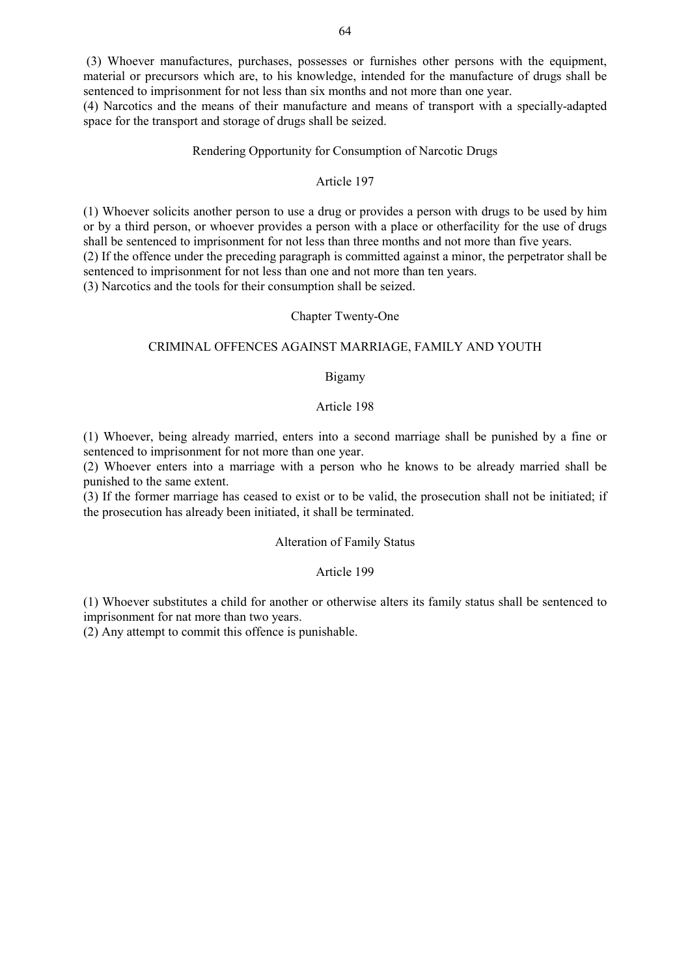(3) Whoever manufactures, purchases, possesses or furnishes other persons with the equipment, material or precursors which are, to his knowledge, intended for the manufacture of drugs shall be sentenced to imprisonment for not less than six months and not more than one year.

(4) Narcotics and the means of their manufacture and means of transport with a specially-adapted space for the transport and storage of drugs shall be seized.

## Rendering Opportunity for Consumption of Narcotic Drugs

## Article 197

(1) Whoever solicits another person to use a drug or provides a person with drugs to be used by him or by a third person, or whoever provides a person with a place or otherfacility for the use of drugs shall be sentenced to imprisonment for not less than three months and not more than five years. (2) If the offence under the preceding paragraph is committed against a minor, the perpetrator shall be sentenced to imprisonment for not less than one and not more than ten years.

(3) Narcotics and the tools for their consumption shall be seized.

## Chapter Twenty-One

#### CRIMINAL OFFENCES AGAINST MARRIAGE, FAMILY AND YOUTH

## Bigamy

#### Article 198

(1) Whoever, being already married, enters into a second marriage shall be punished by a fine or sentenced to imprisonment for not more than one year.

(2) Whoever enters into a marriage with a person who he knows to be already married shall be punished to the same extent.

(3) If the former marriage has ceased to exist or to be valid, the prosecution shall not be initiated; if the prosecution has already been initiated, it shall be terminated.

## Alteration of Family Status

## Article 199

(1) Whoever substitutes a child for another or otherwise alters its family status shall be sentenced to imprisonment for nat more than two years.

(2) Any attempt to commit this offence is punishable.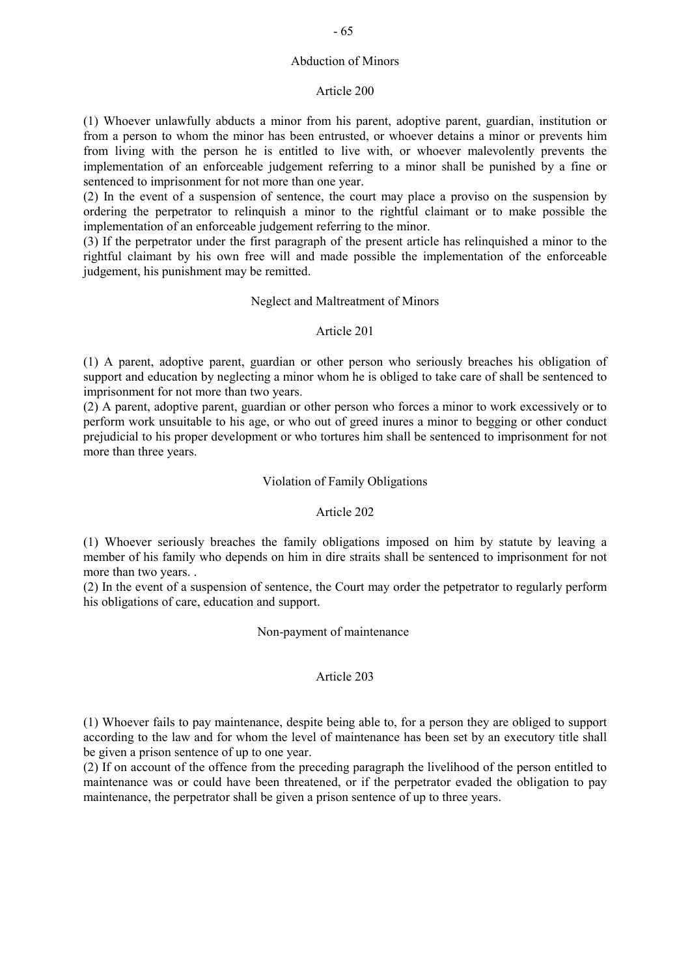## Abduction of Minors

## Article 200

(1) Whoever unlawfully abducts a minor from his parent, adoptive parent, guardian, institution or from a person to whom the minor has been entrusted, or whoever detains a minor or prevents him from living with the person he is entitled to live with, or whoever malevolently prevents the implementation of an enforceable judgement referring to a minor shall be punished by a fine or sentenced to imprisonment for not more than one year.

(2) In the event of a suspension of sentence, the court may place a proviso on the suspension by ordering the perpetrator to relinquish a minor to the rightful claimant or to make possible the implementation of an enforceable judgement referring to the minor.

(3) If the perpetrator under the first paragraph of the present article has relinquished a minor to the rightful claimant by his own free will and made possible the implementation of the enforceable judgement, his punishment may be remitted.

## Neglect and Maltreatment of Minors

## Article 201

(1) A parent, adoptive parent, guardian or other person who seriously breaches his obligation of support and education by neglecting a minor whom he is obliged to take care of shall be sentenced to imprisonment for not more than two years.

(2) A parent, adoptive parent, guardian or other person who forces a minor to work excessively or to perform work unsuitable to his age, or who out of greed inures a minor to begging or other conduct prejudicial to his proper development or who tortures him shall be sentenced to imprisonment for not more than three years.

## Violation of Family Obligations

## Article 202

(1) Whoever seriously breaches the family obligations imposed on him by statute by leaving a member of his family who depends on him in dire straits shall be sentenced to imprisonment for not more than two years. .

(2) In the event of a suspension of sentence, the Court may order the petpetrator to regularly perform his obligations of care, education and support.

## Non-payment of maintenance

## Article 203

(1) Whoever fails to pay maintenance, despite being able to, for a person they are obliged to support according to the law and for whom the level of maintenance has been set by an executory title shall be given a prison sentence of up to one year.

(2) If on account of the offence from the preceding paragraph the livelihood of the person entitled to maintenance was or could have been threatened, or if the perpetrator evaded the obligation to pay maintenance, the perpetrator shall be given a prison sentence of up to three years.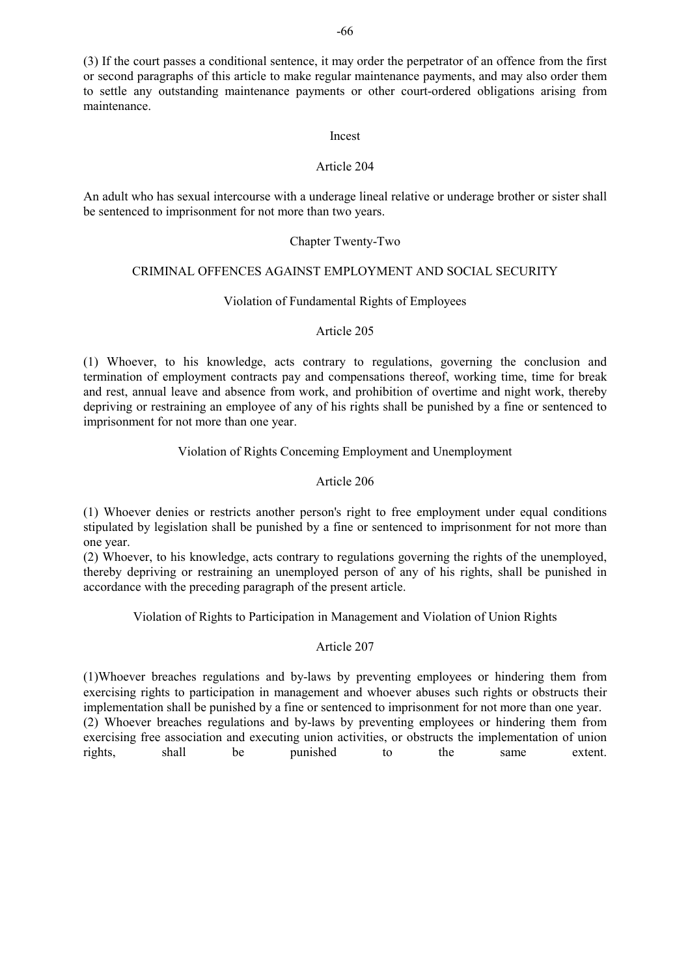(3) If the court passes a conditional sentence, it may order the perpetrator of an offence from the first or second paragraphs of this article to make regular maintenance payments, and may also order them to settle any outstanding maintenance payments or other court-ordered obligations arising from maintenance.

#### Incest

## Article 204

An adult who has sexual intercourse with a underage lineal relative or underage brother or sister shall be sentenced to imprisonment for not more than two years.

## Chapter Twenty-Two

## CRIMINAL OFFENCES AGAINST EMPLOYMENT AND SOCIAL SECURITY

## Violation of Fundamental Rights of Employees

## Article 205

(1) Whoever, to his knowledge, acts contrary to regulations, governing the conclusion and termination of employment contracts pay and compensations thereof, working time, time for break and rest, annual leave and absence from work, and prohibition of overtime and night work, thereby depriving or restraining an employee of any of his rights shall be punished by a fine or sentenced to imprisonment for not more than one year.

## Violation of Rights Conceming Employment and Unemployment

## Article 206

(1) Whoever denies or restricts another person's right to free employment under equal conditions stipulated by legislation shall be punished by a fine or sentenced to imprisonment for not more than one year.

(2) Whoever, to his knowledge, acts contrary to regulations governing the rights of the unemployed, thereby depriving or restraining an unemployed person of any of his rights, shall be punished in accordance with the preceding paragraph of the present article.

Violation of Rights to Participation in Management and Violation of Union Rights

## Article 207

(1)Whoever breaches regulations and by-laws by preventing employees or hindering them from exercising rights to participation in management and whoever abuses such rights or obstructs their implementation shall be punished by a fine or sentenced to imprisonment for not more than one year. (2) Whoever breaches regulations and by-laws by preventing employees or hindering them from exercising free association and executing union activities, or obstructs the implementation of union rights, shall be punished to the same extent.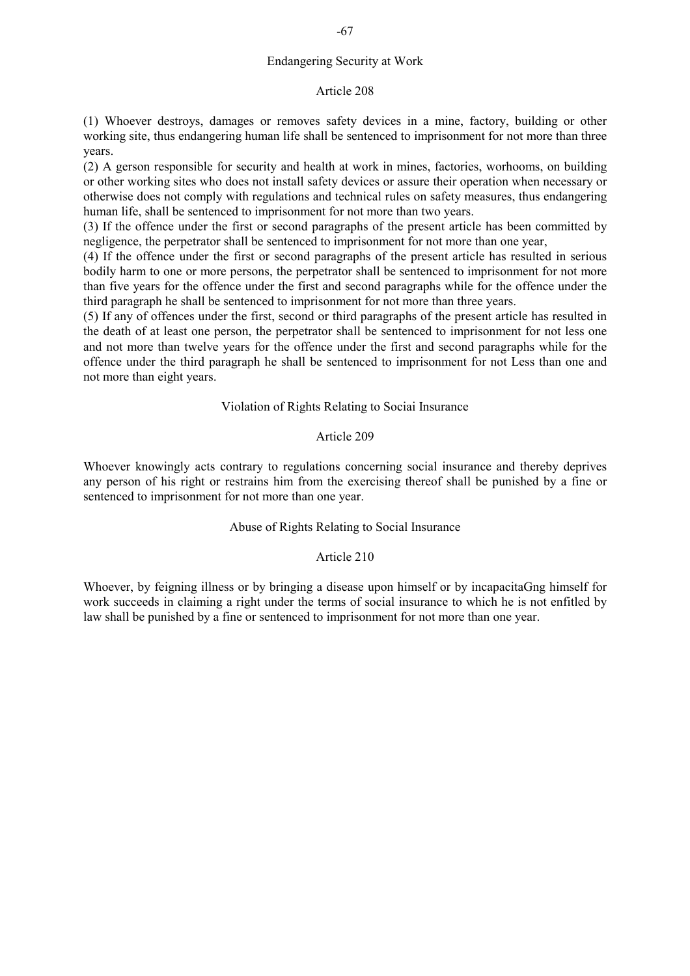## Endangering Security at Work

#### Article 208

(1) Whoever destroys, damages or removes safety devices in a mine, factory, building or other working site, thus endangering human life shall be sentenced to imprisonment for not more than three years.

(2) A gerson responsible for security and health at work in mines, factories, worhooms, on building or other working sites who does not install safety devices or assure their operation when necessary or otherwise does not comply with regulations and technical rules on safety measures, thus endangering human life, shall be sentenced to imprisonment for not more than two years.

(3) If the offence under the first or second paragraphs of the present article has been committed by negligence, the perpetrator shall be sentenced to imprisonment for not more than one year,

(4) If the offence under the first or second paragraphs of the present article has resulted in serious bodily harm to one or more persons, the perpetrator shall be sentenced to imprisonment for not more than five years for the offence under the first and second paragraphs while for the offence under the third paragraph he shall be sentenced to imprisonment for not more than three years.

(5) If any of offences under the first, second or third paragraphs of the present article has resulted in the death of at least one person, the perpetrator shall be sentenced to imprisonment for not less one and not more than twelve years for the offence under the first and second paragraphs while for the offence under the third paragraph he shall be sentenced to imprisonment for not Less than one and not more than eight years.

#### Violation of Rights Relating to Sociai Insurance

## Article 209

Whoever knowingly acts contrary to regulations concerning social insurance and thereby deprives any person of his right or restrains him from the exercising thereof shall be punished by a fine or sentenced to imprisonment for not more than one year.

## Abuse of Rights Relating to Social Insurance

#### Article 210

Whoever, by feigning illness or by bringing a disease upon himself or by incapacitaGng himself for work succeeds in claiming a right under the terms of social insurance to which he is not enfitled by law shall be punished by a fine or sentenced to imprisonment for not more than one year.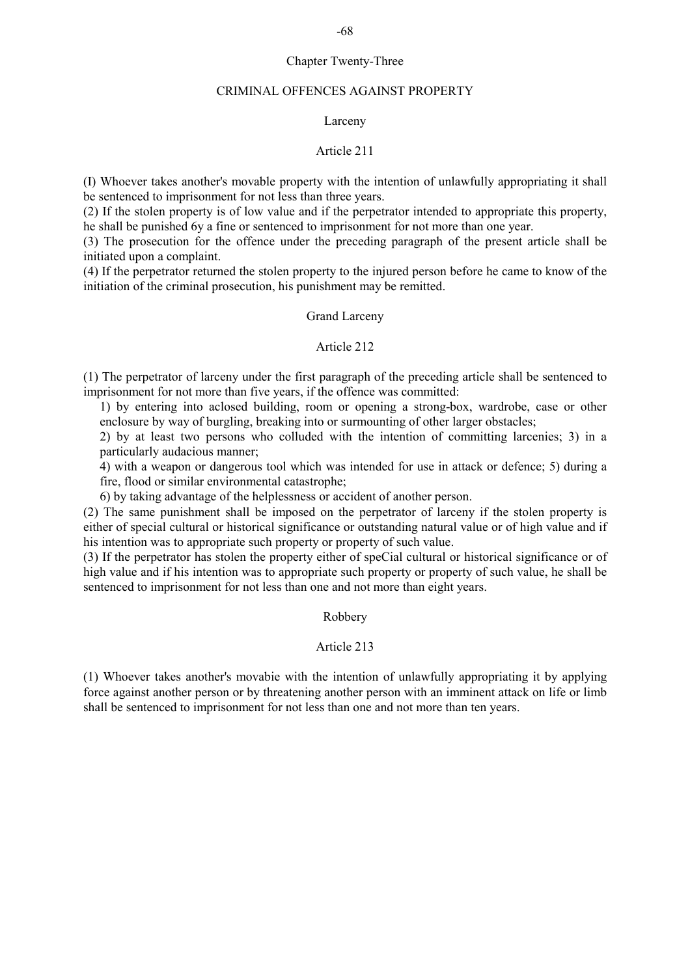#### Chapter Twenty-Three

#### CRIMINAL OFFENCES AGAINST PROPERTY

## Larceny

#### Article 211

(I) Whoever takes another's movable property with the intention of unlawfully appropriating it shall be sentenced to imprisonment for not less than three years.

(2) If the stolen property is of low value and if the perpetrator intended to appropriate this property, he shall be punished 6y a fine or sentenced to imprisonment for not more than one year.

(3) The prosecution for the offence under the preceding paragraph of the present article shall be initiated upon a complaint.

(4) If the perpetrator returned the stolen property to the injured person before he came to know of the initiation of the criminal prosecution, his punishment may be remitted.

## Grand Larceny

#### Article 212

(1) The perpetrator of larceny under the first paragraph of the preceding article shall be sentenced to imprisonment for not more than five years, if the offence was committed:

1) by entering into aclosed building, room or opening a strong-box, wardrobe, case or other enclosure by way of burgling, breaking into or surmounting of other larger obstacles;

2) by at least two persons who colluded with the intention of committing larcenies; 3) in a particularly audacious manner;

4) with a weapon or dangerous tool which was intended for use in attack or defence; 5) during a fire, flood or similar environmental catastrophe;

6) by taking advantage of the helplessness or accident of another person.

(2) The same punishment shall be imposed on the perpetrator of larceny if the stolen property is either of special cultural or historical significance or outstanding natural value or of high value and if his intention was to appropriate such property or property of such value.

(3) If the perpetrator has stolen the property either of speCial cultural or historical significance or of high value and if his intention was to appropriate such property or property of such value, he shall be sentenced to imprisonment for not less than one and not more than eight years.

#### Robbery

#### Article 213

(1) Whoever takes another's movabie with the intention of unlawfully appropriating it by applying force against another person or by threatening another person with an imminent attack on life or limb shall be sentenced to imprisonment for not less than one and not more than ten years.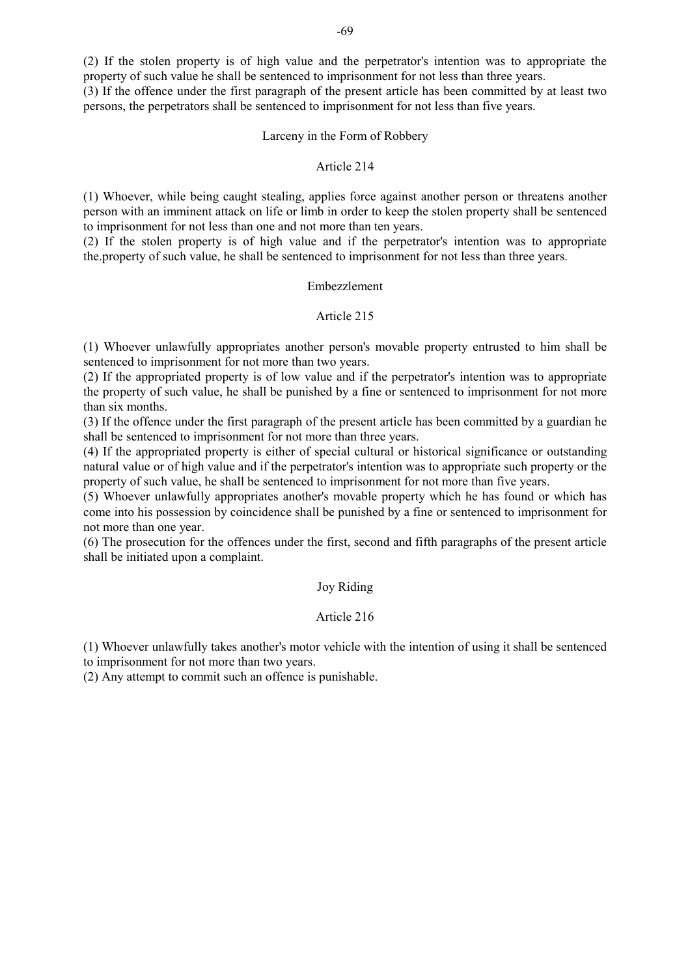(2) If the stolen property is of high value and the perpetrator's intention was to appropriate the property of such value he shall be sentenced to imprisonment for not less than three years.

(3) If the offence under the first paragraph of the present article has been committed by at least two persons, the perpetrators shall be sentenced to imprisonment for not less than five years.

#### Larceny in the Form of Robbery

#### Article 214

(1) Whoever, while being caught stealing, applies force against another person or threatens another person with an imminent attack on life or limb in order to keep the stolen property shall be sentenced to imprisonment for not less than one and not more than ten years.

(2) If the stolen property is of high value and if the perpetrator's intention was to appropriate the.property of such value, he shall be sentenced to imprisonment for not less than three years.

## Embezzlement

## Article 215

(1) Whoever unlawfully appropriates another person's movable property entrusted to him shall be sentenced to imprisonment for not more than two years.

(2) If the appropriated property is of low value and if the perpetrator's intention was to appropriate the property of such value, he shall be punished by a fine or sentenced to imprisonment for not more than six months.

(3) If the offence under the first paragraph of the present article has been committed by a guardian he shall be sentenced to imprisonment for not more than three years.

(4) If the appropriated property is either of special cultural or historical significance or outstanding natural value or of high value and if the perpetrator's intention was to appropriate such property or the property of such value, he shall be sentenced to imprisonment for not more than five years.

(5) Whoever unlawfully appropriates another's movable property which he has found or which has come into his possession by coincidence shall be punished by a fine or sentenced to imprisonment for not more than one year.

(6) The prosecution for the offences under the first, second and fifth paragraphs of the present article shall be initiated upon a complaint.

#### Joy Riding

## Article 216

(1) Whoever unlawfully takes another's motor vehicle with the intention of using it shall be sentenced to imprisonment for not more than two years.

(2) Any attempt to commit such an offence is punishable.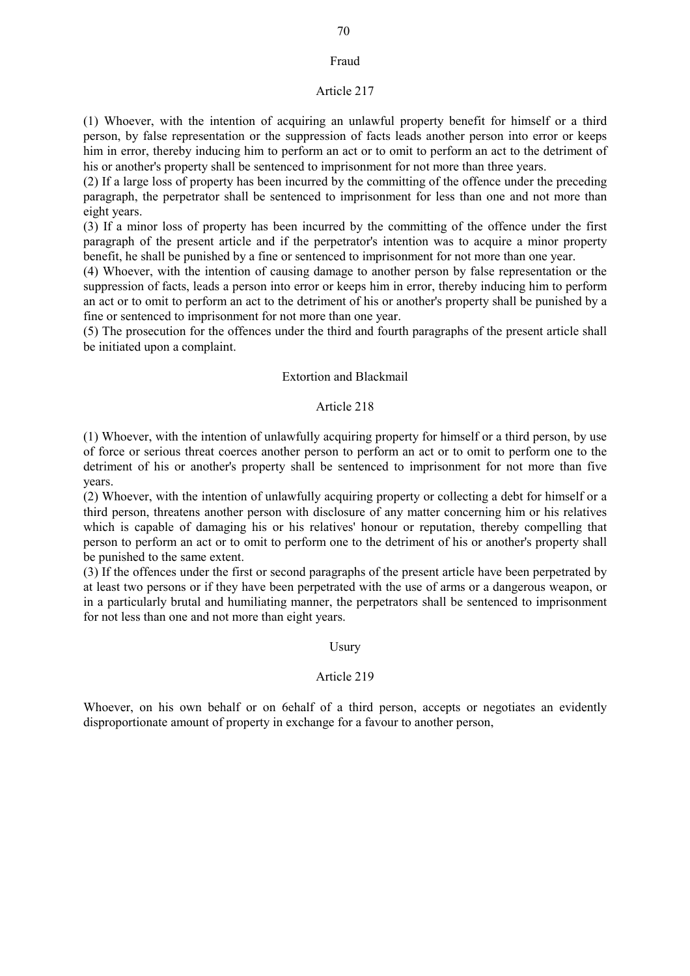#### Fraud

#### Article 217

(1) Whoever, with the intention of acquiring an unlawful property benefit for himself or a third person, by false representation or the suppression of facts leads another person into error or keeps him in error, thereby inducing him to perform an act or to omit to perform an act to the detriment of his or another's property shall be sentenced to imprisonment for not more than three years.

(2) If a large loss of property has been incurred by the committing of the offence under the preceding paragraph, the perpetrator shall be sentenced to imprisonment for less than one and not more than eight years.

(3) If a minor loss of property has been incurred by the committing of the offence under the first paragraph of the present article and if the perpetrator's intention was to acquire a minor property benefit, he shall be punished by a fine or sentenced to imprisonment for not more than one year.

(4) Whoever, with the intention of causing damage to another person by false representation or the suppression of facts, leads a person into error or keeps him in error, thereby inducing him to perform an act or to omit to perform an act to the detriment of his or another's property shall be punished by a fine or sentenced to imprisonment for not more than one year.

(5) The prosecution for the offences under the third and fourth paragraphs of the present article shall be initiated upon a complaint.

#### Extortion and Blackmail

#### Article 218

(1) Whoever, with the intention of unlawfully acquiring property for himself or a third person, by use of force or serious threat coerces another person to perform an act or to omit to perform one to the detriment of his or another's property shall be sentenced to imprisonment for not more than five years.

(2) Whoever, with the intention of unlawfully acquiring property or collecting a debt for himself or a third person, threatens another person with disclosure of any matter concerning him or his relatives which is capable of damaging his or his relatives' honour or reputation, thereby compelling that person to perform an act or to omit to perform one to the detriment of his or another's property shall be punished to the same extent.

(3) If the offences under the first or second paragraphs of the present article have been perpetrated by at least two persons or if they have been perpetrated with the use of arms or a dangerous weapon, or in a particularly brutal and humiliating manner, the perpetrators shall be sentenced to imprisonment for not less than one and not more than eight years.

#### Usury

#### Article 219

Whoever, on his own behalf or on 6ehalf of a third person, accepts or negotiates an evidently disproportionate amount of property in exchange for a favour to another person,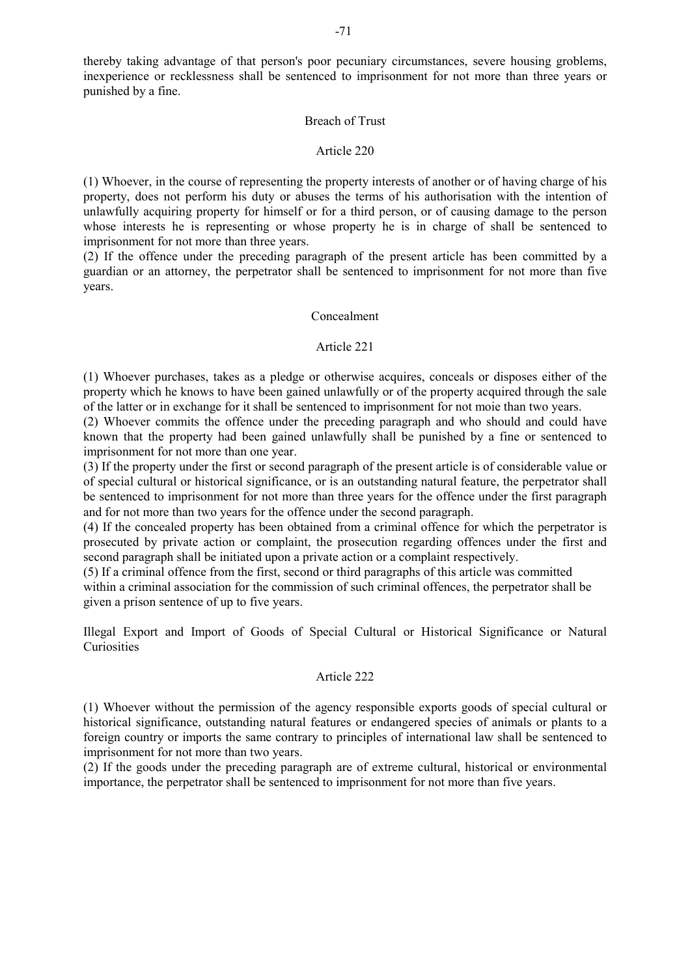thereby taking advantage of that person's poor pecuniary circumstances, severe housing groblems, inexperience or recklessness shall be sentenced to imprisonment for not more than three years or punished by a fine.

#### Breach of Trust

#### Article 220

(1) Whoever, in the course of representing the property interests of another or of having charge of his property, does not perform his duty or abuses the terms of his authorisation with the intention of unlawfully acquiring property for himself or for a third person, or of causing damage to the person whose interests he is representing or whose property he is in charge of shall be sentenced to imprisonment for not more than three years.

(2) If the offence under the preceding paragraph of the present article has been committed by a guardian or an attorney, the perpetrator shall be sentenced to imprisonment for not more than five years.

#### Concealment

#### Article 221

(1) Whoever purchases, takes as a pledge or otherwise acquires, conceals or disposes either of the property which he knows to have been gained unlawfully or of the property acquired through the sale of the latter or in exchange for it shall be sentenced to imprisonment for not moie than two years.

(2) Whoever commits the offence under the preceding paragraph and who should and could have known that the property had been gained unlawfully shall be punished by a fine or sentenced to imprisonment for not more than one year.

(3) If the property under the first or second paragraph of the present article is of considerable value or of special cultural or historical significance, or is an outstanding natural feature, the perpetrator shall be sentenced to imprisonment for not more than three years for the offence under the first paragraph and for not more than two years for the offence under the second paragraph.

(4) If the concealed property has been obtained from a criminal offence for which the perpetrator is prosecuted by private action or complaint, the prosecution regarding offences under the first and second paragraph shall be initiated upon a private action or a complaint respectively.

(5) If a criminal offence from the first, second or third paragraphs of this article was committed within a criminal association for the commission of such criminal offences, the perpetrator shall be given a prison sentence of up to five years.

Illegal Export and Import of Goods of Special Cultural or Historical Significance or Natural **Curiosities** 

## Article 222

(1) Whoever without the permission of the agency responsible exports goods of special cultural or historical significance, outstanding natural features or endangered species of animals or plants to a foreign country or imports the same contrary to principles of international law shall be sentenced to imprisonment for not more than two years.

(2) If the goods under the preceding paragraph are of extreme cultural, historical or environmental importance, the perpetrator shall be sentenced to imprisonment for not more than five years.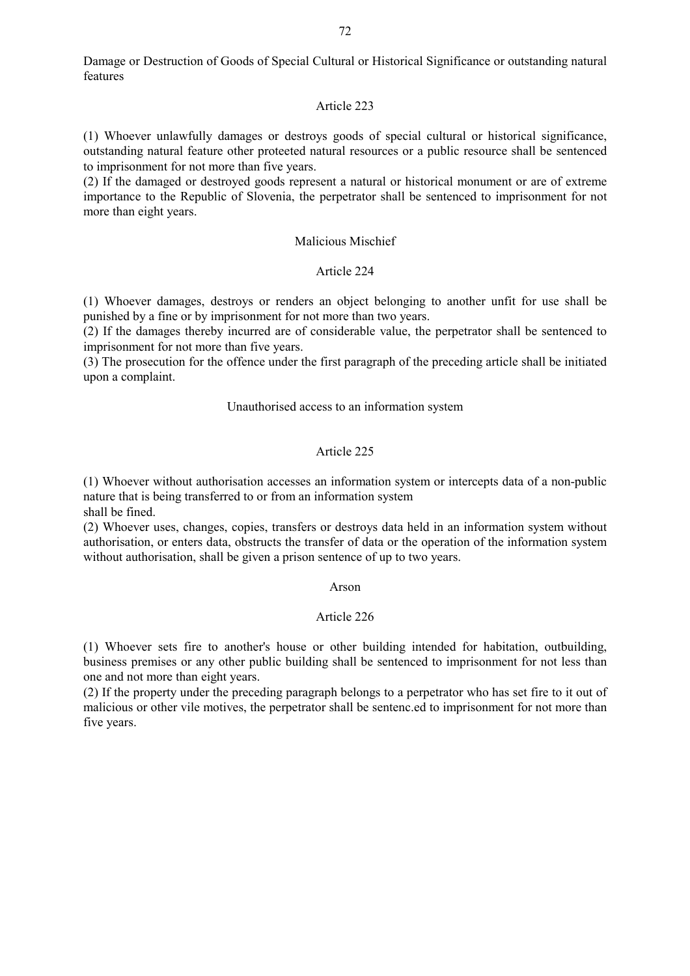Damage or Destruction of Goods of Special Cultural or Historical Significance or outstanding natural features

### Article 223

(1) Whoever unlawfully damages or destroys goods of special cultural or historical significance, outstanding natural feature other proteeted natural resources or a public resource shall be sentenced to imprisonment for not more than five years.

(2) If the damaged or destroyed goods represent a natural or historical monument or are of extreme importance to the Republic of Slovenia, the perpetrator shall be sentenced to imprisonment for not more than eight years.

## Malicious Mischief

#### Article 224

(1) Whoever damages, destroys or renders an object belonging to another unfit for use shall be punished by a fine or by imprisonment for not more than two years.

(2) If the damages thereby incurred are of considerable value, the perpetrator shall be sentenced to imprisonment for not more than five years.

(3) The prosecution for the offence under the first paragraph of the preceding article shall be initiated upon a complaint.

### Unauthorised access to an information system

## Article 225

(1) Whoever without authorisation accesses an information system or intercepts data of a non-public nature that is being transferred to or from an information system shall be fined.

(2) Whoever uses, changes, copies, transfers or destroys data held in an information system without authorisation, or enters data, obstructs the transfer of data or the operation of the information system without authorisation, shall be given a prison sentence of up to two years.

#### Arson

# Article 226

(1) Whoever sets fire to another's house or other building intended for habitation, outbuilding, business premises or any other public building shall be sentenced to imprisonment for not less than one and not more than eight years.

(2) If the property under the preceding paragraph belongs to a perpetrator who has set fire to it out of malicious or other vile motives, the perpetrator shall be sentenc.ed to imprisonment for not more than five years.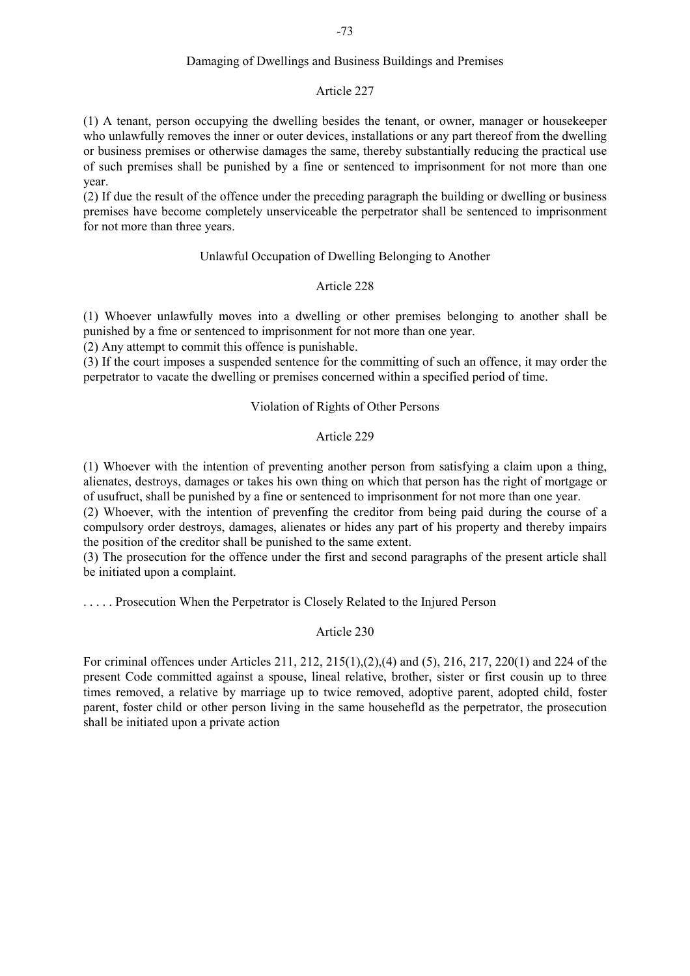## Damaging of Dwellings and Business Buildings and Premises

## Article 227

(1) A tenant, person occupying the dwelling besides the tenant, or owner, manager or housekeeper who unlawfully removes the inner or outer devices, installations or any part thereof from the dwelling or business premises or otherwise damages the same, thereby substantially reducing the practical use of such premises shall be punished by a fine or sentenced to imprisonment for not more than one year.

(2) If due the result of the offence under the preceding paragraph the building or dwelling or business premises have become completely unserviceable the perpetrator shall be sentenced to imprisonment for not more than three years.

## Unlawful Occupation of Dwelling Belonging to Another

## Article 228

(1) Whoever unlawfully moves into a dwelling or other premises belonging to another shall be punished by a fme or sentenced to imprisonment for not more than one year.

(2) Any attempt to commit this offence is punishable.

(3) If the court imposes a suspended sentence for the committing of such an offence, it may order the perpetrator to vacate the dwelling or premises concerned within a specified period of time.

## Violation of Rights of Other Persons

## Article 229

(1) Whoever with the intention of preventing another person from satisfying a claim upon a thing, alienates, destroys, damages or takes his own thing on which that person has the right of mortgage or of usufruct, shall be punished by a fine or sentenced to imprisonment for not more than one year.

(2) Whoever, with the intention of prevenfing the creditor from being paid during the course of a compulsory order destroys, damages, alienates or hides any part of his property and thereby impairs the position of the creditor shall be punished to the same extent.

(3) The prosecution for the offence under the first and second paragraphs of the present article shall be initiated upon a complaint.

. . . . . Prosecution When the Perpetrator is Closely Related to the Injured Person

# Article 230

For criminal offences under Articles 211, 212, 215(1),(2),(4) and (5), 216, 217, 220(1) and 224 of the present Code committed against a spouse, lineal relative, brother, sister or first cousin up to three times removed, a relative by marriage up to twice removed, adoptive parent, adopted child, foster parent, foster child or other person living in the same househefld as the perpetrator, the prosecution shall be initiated upon a private action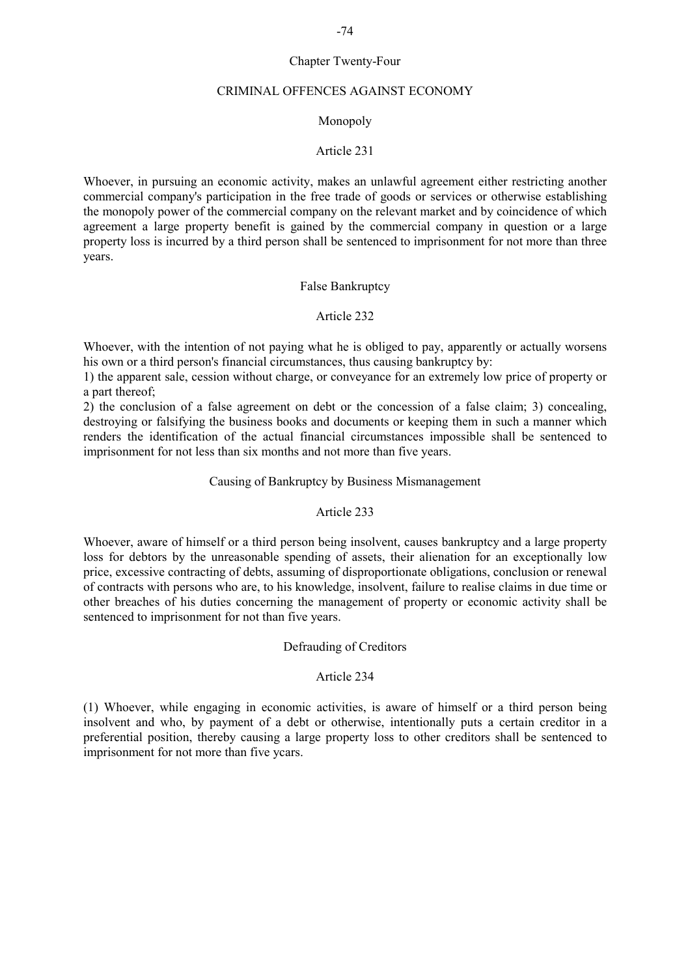## Chapter Twenty-Four

### CRIMINAL OFFENCES AGAINST ECONOMY

# Monopoly

## Article 231

Whoever, in pursuing an economic activity, makes an unlawful agreement either restricting another commercial company's participation in the free trade of goods or services or otherwise establishing the monopoly power of the commercial company on the relevant market and by coincidence of which agreement a large property benefit is gained by the commercial company in question or a large property loss is incurred by a third person shall be sentenced to imprisonment for not more than three years.

#### False Bankruptcy

## Article 232

Whoever, with the intention of not paying what he is obliged to pay, apparently or actually worsens his own or a third person's financial circumstances, thus causing bankruptcy by:

1) the apparent sale, cession without charge, or conveyance for an extremely low price of property or a part thereof;

2) the conclusion of a false agreement on debt or the concession of a false claim; 3) concealing, destroying or falsifying the business books and documents or keeping them in such a manner which renders the identification of the actual financial circumstances impossible shall be sentenced to imprisonment for not less than six months and not more than five years.

#### Causing of Bankruptcy by Business Mismanagement

# Article 233

Whoever, aware of himself or a third person being insolvent, causes bankruptcy and a large property loss for debtors by the unreasonable spending of assets, their alienation for an exceptionally low price, excessive contracting of debts, assuming of disproportionate obligations, conclusion or renewal of contracts with persons who are, to his knowledge, insolvent, failure to realise claims in due time or other breaches of his duties concerning the management of property or economic activity shall be sentenced to imprisonment for not than five years.

## Defrauding of Creditors

## Article 234

(1) Whoever, while engaging in economic activities, is aware of himself or a third person being insolvent and who, by payment of a debt or otherwise, intentionally puts a certain creditor in a preferential position, thereby causing a large property loss to other creditors shall be sentenced to imprisonment for not more than five ycars.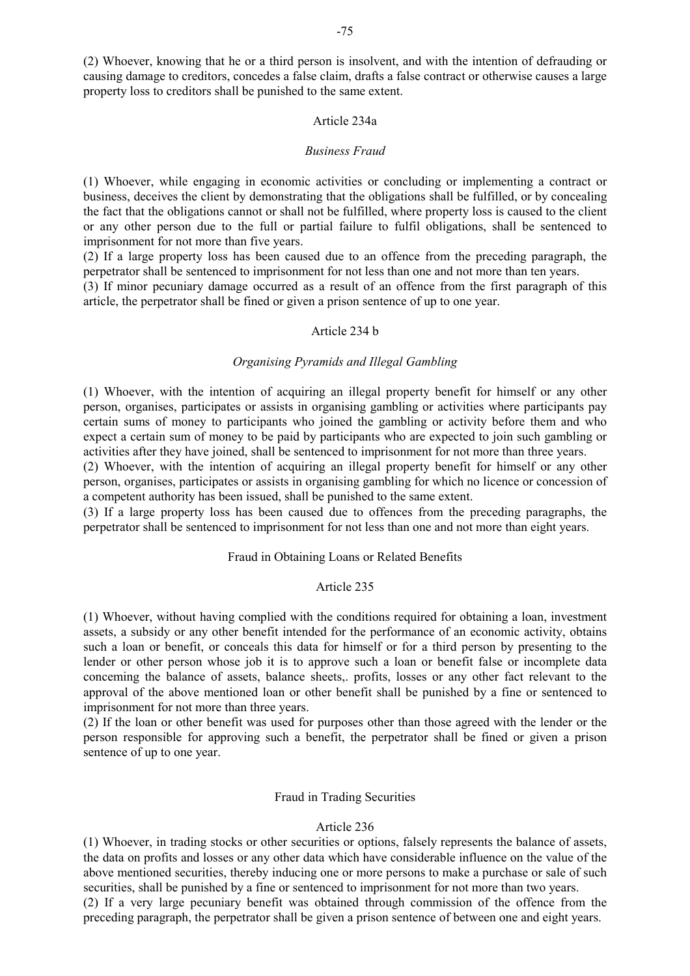(2) Whoever, knowing that he or a third person is insolvent, and with the intention of defrauding or causing damage to creditors, concedes a false claim, drafts a false contract or otherwise causes a large property loss to creditors shall be punished to the same extent.

## Article 234a

#### *Business Fraud*

(1) Whoever, while engaging in economic activities or concluding or implementing a contract or business, deceives the client by demonstrating that the obligations shall be fulfilled, or by concealing the fact that the obligations cannot or shall not be fulfilled, where property loss is caused to the client or any other person due to the full or partial failure to fulfil obligations, shall be sentenced to imprisonment for not more than five years.

(2) If a large property loss has been caused due to an offence from the preceding paragraph, the perpetrator shall be sentenced to imprisonment for not less than one and not more than ten years.

(3) If minor pecuniary damage occurred as a result of an offence from the first paragraph of this article, the perpetrator shall be fined or given a prison sentence of up to one year.

#### Article 234 b

## *Organising Pyramids and Illegal Gambling*

(1) Whoever, with the intention of acquiring an illegal property benefit for himself or any other person, organises, participates or assists in organising gambling or activities where participants pay certain sums of money to participants who joined the gambling or activity before them and who expect a certain sum of money to be paid by participants who are expected to join such gambling or activities after they have joined, shall be sentenced to imprisonment for not more than three years.

(2) Whoever, with the intention of acquiring an illegal property benefit for himself or any other person, organises, participates or assists in organising gambling for which no licence or concession of a competent authority has been issued, shall be punished to the same extent.

(3) If a large property loss has been caused due to offences from the preceding paragraphs, the perpetrator shall be sentenced to imprisonment for not less than one and not more than eight years.

## Fraud in Obtaining Loans or Related Benefits

#### Article 235

(1) Whoever, without having complied with the conditions required for obtaining a loan, investment assets, a subsidy or any other benefit intended for the performance of an economic activity, obtains such a loan or benefit, or conceals this data for himself or for a third person by presenting to the lender or other person whose job it is to approve such a loan or benefit false or incomplete data conceming the balance of assets, balance sheets,. profits, losses or any other fact relevant to the approval of the above mentioned loan or other benefit shall be punished by a fine or sentenced to imprisonment for not more than three years.

(2) If the loan or other benefit was used for purposes other than those agreed with the lender or the person responsible for approving such a benefit, the perpetrator shall be fined or given a prison sentence of up to one year.

#### Fraud in Trading Securities

#### Article 236

(1) Whoever, in trading stocks or other securities or options, falsely represents the balance of assets, the data on profits and losses or any other data which have considerable influence on the value of the above mentioned securities, thereby inducing one or more persons to make a purchase or sale of such securities, shall be punished by a fine or sentenced to imprisonment for not more than two years. (2) If a very large pecuniary benefit was obtained through commission of the offence from the preceding paragraph, the perpetrator shall be given a prison sentence of between one and eight years.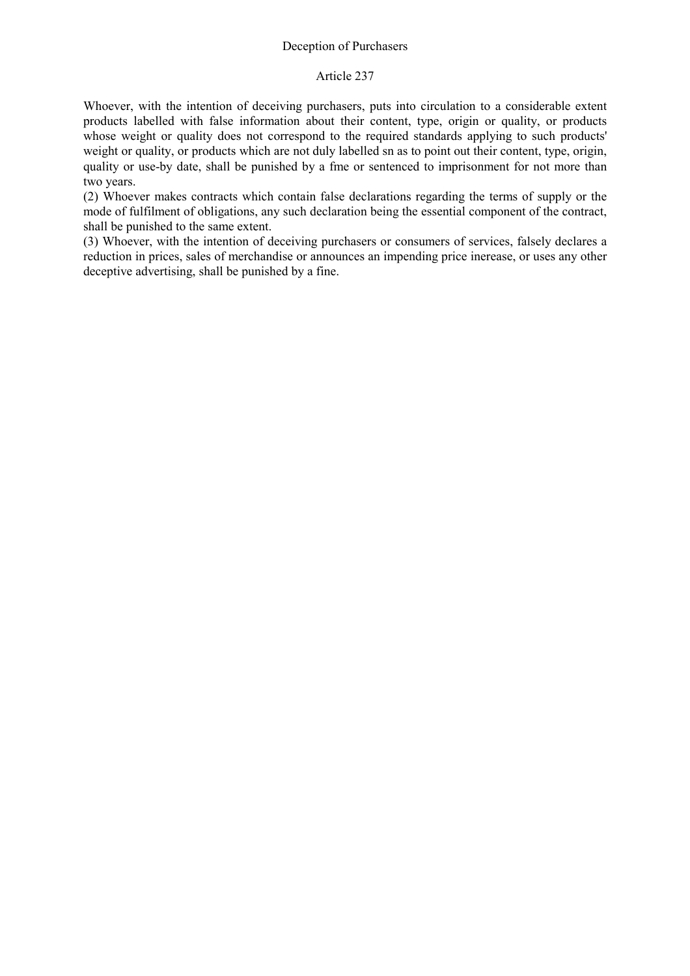## Article 237

Whoever, with the intention of deceiving purchasers, puts into circulation to a considerable extent products labelled with false information about their content, type, origin or quality, or products whose weight or quality does not correspond to the required standards applying to such products' weight or quality, or products which are not duly labelled sn as to point out their content, type, origin, quality or use-by date, shall be punished by a fme or sentenced to imprisonment for not more than two years.

(2) Whoever makes contracts which contain false declarations regarding the terms of supply or the mode of fulfilment of obligations, any such declaration being the essential component of the contract, shall be punished to the same extent.

(3) Whoever, with the intention of deceiving purchasers or consumers of services, falsely declares a reduction in prices, sales of merchandise or announces an impending price inerease, or uses any other deceptive advertising, shall be punished by a fine.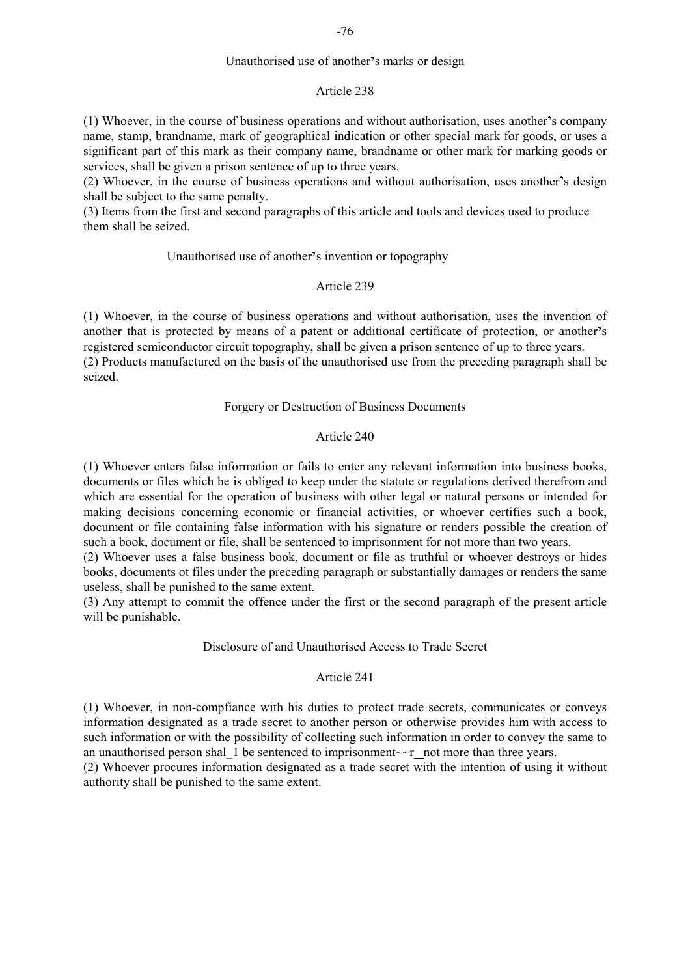## Unauthorised use of another's marks or design

#### Article 238

(1) Whoever, in the course of business operations and without authorisation, uses another's company name, stamp, brandname, mark of geographical indication or other special mark for goods, or uses a significant part of this mark as their company name, brandname or other mark for marking goods or services, shall be given a prison sentence of up to three years.

(2) Whoever, in the course of business operations and without authorisation, uses another's design shall be subject to the same penalty.

(3) Items from the first and second paragraphs of this article and tools and devices used to produce them shall be seized.

#### Unauthorised use of another's invention or topography

## Article 239

(1) Whoever, in the course of business operations and without authorisation, uses the invention of another that is protected by means of a patent or additional certificate of protection, or another's registered semiconductor circuit topography, shall be given a prison sentence of up to three years. (2) Products manufactured on the basis of the unauthorised use from the preceding paragraph shall be seized.

### Forgery or Destruction of Business Documents

## Article 240

(1) Whoever enters false information or fails to enter any relevant information into business books, documents or files which he is obliged to keep under the statute or regulations derived therefrom and which are essential for the operation of business with other legal or natural persons or intended for making decisions concerning economic or financial activities, or whoever certifies such a book, document or file containing false information with his signature or renders possible the creation of such a book, document or file, shall be sentenced to imprisonment for not more than two years.

(2) Whoever uses a false business book, document or file as truthful or whoever destroys or hides books, documents ot files under the preceding paragraph or substantially damages or renders the same useless, shall be punished to the same extent.

(3) Any attempt to commit the offence under the first or the second paragraph of the present article will be punishable.

## Disclosure of and Unauthorised Access to Trade Secret

### Article 241

(1) Whoever, in non-compfiance with his duties to protect trade secrets, communicates or conveys information designated as a trade secret to another person or otherwise provides him with access to such information or with the possibility of collecting such information in order to convey the same to an unauthorised person shal 1 be sentenced to imprisonment~~r\_not more than three years.

(2) Whoever procures information designated as a trade secret with the intention of using it without authority shall be punished to the same extent.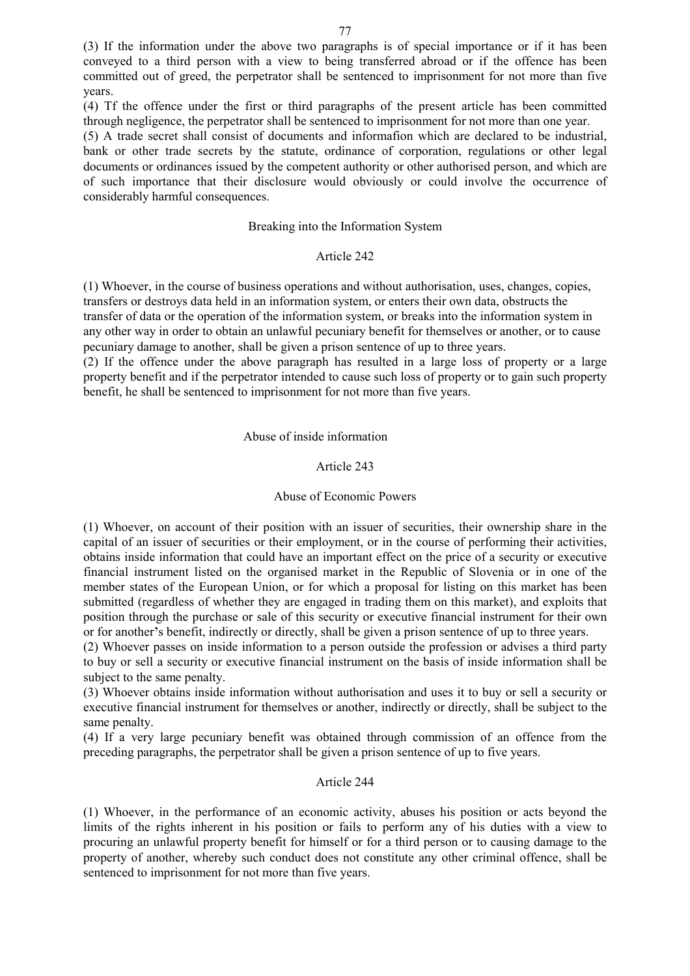(3) If the information under the above two paragraphs is of special importance or if it has been conveyed to a third person with a view to being transferred abroad or if the offence has been committed out of greed, the perpetrator shall be sentenced to imprisonment for not more than five years.

(4) Tf the offence under the first or third paragraphs of the present article has been committed through negligence, the perpetrator shall be sentenced to imprisonment for not more than one year.

(5) A trade secret shall consist of documents and informafion which are declared to be industrial, bank or other trade secrets by the statute, ordinance of corporation, regulations or other legal documents or ordinances issued by the competent authority or other authorised person, and which are of such importance that their disclosure would obviously or could involve the occurrence of considerably harmful consequences.

### Breaking into the Information System

#### Article 242

(1) Whoever, in the course of business operations and without authorisation, uses, changes, copies, transfers or destroys data held in an information system, or enters their own data, obstructs the transfer of data or the operation of the information system, or breaks into the information system in any other way in order to obtain an unlawful pecuniary benefit for themselves or another, or to cause pecuniary damage to another, shall be given a prison sentence of up to three years.

(2) If the offence under the above paragraph has resulted in a large loss of property or a large property benefit and if the perpetrator intended to cause such loss of property or to gain such property benefit, he shall be sentenced to imprisonment for not more than five years.

Abuse of inside information

## Article 243

#### Abuse of Economic Powers

(1) Whoever, on account of their position with an issuer of securities, their ownership share in the capital of an issuer of securities or their employment, or in the course of performing their activities, obtains inside information that could have an important effect on the price of a security or executive financial instrument listed on the organised market in the Republic of Slovenia or in one of the member states of the European Union, or for which a proposal for listing on this market has been submitted (regardless of whether they are engaged in trading them on this market), and exploits that position through the purchase or sale of this security or executive financial instrument for their own or for another's benefit, indirectly or directly, shall be given a prison sentence of up to three years.

(2) Whoever passes on inside information to a person outside the profession or advises a third party to buy or sell a security or executive financial instrument on the basis of inside information shall be subject to the same penalty.

(3) Whoever obtains inside information without authorisation and uses it to buy or sell a security or executive financial instrument for themselves or another, indirectly or directly, shall be subject to the same penalty.

(4) If a very large pecuniary benefit was obtained through commission of an offence from the preceding paragraphs, the perpetrator shall be given a prison sentence of up to five years.

## Article 244

(1) Whoever, in the performance of an economic activity, abuses his position or acts beyond the limits of the rights inherent in his position or fails to perform any of his duties with a view to procuring an unlawful property benefit for himself or for a third person or to causing damage to the property of another, whereby such conduct does not constitute any other criminal offence, shall be sentenced to imprisonment for not more than five years.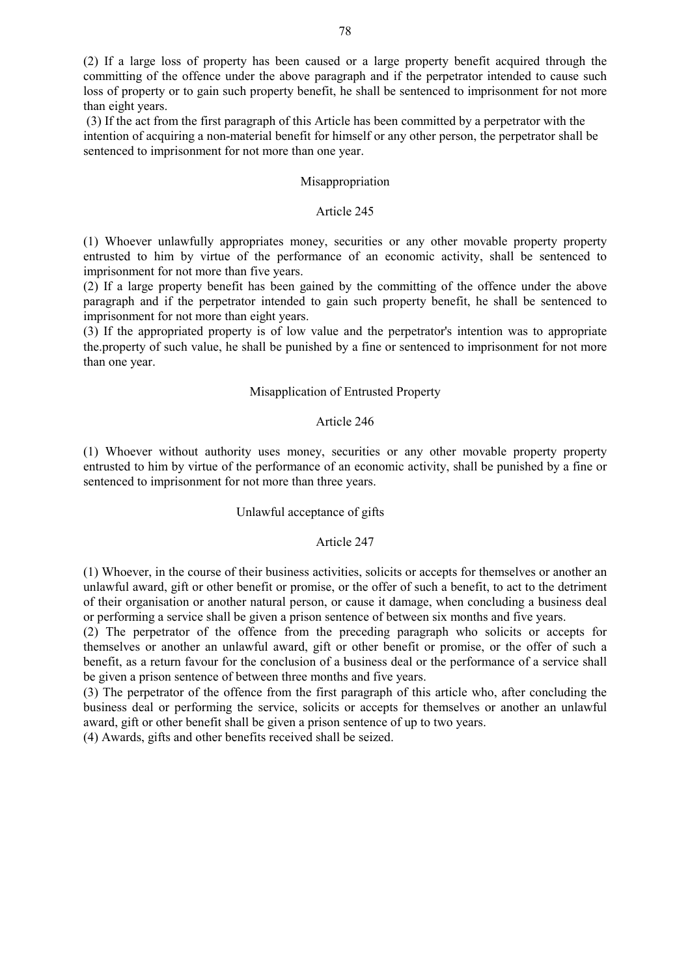(2) If a large loss of property has been caused or a large property benefit acquired through the committing of the offence under the above paragraph and if the perpetrator intended to cause such loss of property or to gain such property benefit, he shall be sentenced to imprisonment for not more than eight years.

 (3) If the act from the first paragraph of this Article has been committed by a perpetrator with the intention of acquiring a non-material benefit for himself or any other person, the perpetrator shall be sentenced to imprisonment for not more than one year.

#### Misappropriation

## Article 245

(1) Whoever unlawfully appropriates money, securities or any other movable property property entrusted to him by virtue of the performance of an economic activity, shall be sentenced to imprisonment for not more than five years.

(2) If a large property benefit has been gained by the committing of the offence under the above paragraph and if the perpetrator intended to gain such property benefit, he shall be sentenced to imprisonment for not more than eight years.

(3) If the appropriated property is of low value and the perpetrator's intention was to appropriate the.property of such value, he shall be punished by a fine or sentenced to imprisonment for not more than one year.

### Misapplication of Entrusted Property

#### Article 246

(1) Whoever without authority uses money, securities or any other movable property property entrusted to him by virtue of the performance of an economic activity, shall be punished by a fine or sentenced to imprisonment for not more than three years.

### Unlawful acceptance of gifts

### Article 247

(1) Whoever, in the course of their business activities, solicits or accepts for themselves or another an unlawful award, gift or other benefit or promise, or the offer of such a benefit, to act to the detriment of their organisation or another natural person, or cause it damage, when concluding a business deal or performing a service shall be given a prison sentence of between six months and five years.

(2) The perpetrator of the offence from the preceding paragraph who solicits or accepts for themselves or another an unlawful award, gift or other benefit or promise, or the offer of such a benefit, as a return favour for the conclusion of a business deal or the performance of a service shall be given a prison sentence of between three months and five years.

(3) The perpetrator of the offence from the first paragraph of this article who, after concluding the business deal or performing the service, solicits or accepts for themselves or another an unlawful award, gift or other benefit shall be given a prison sentence of up to two years.

(4) Awards, gifts and other benefits received shall be seized.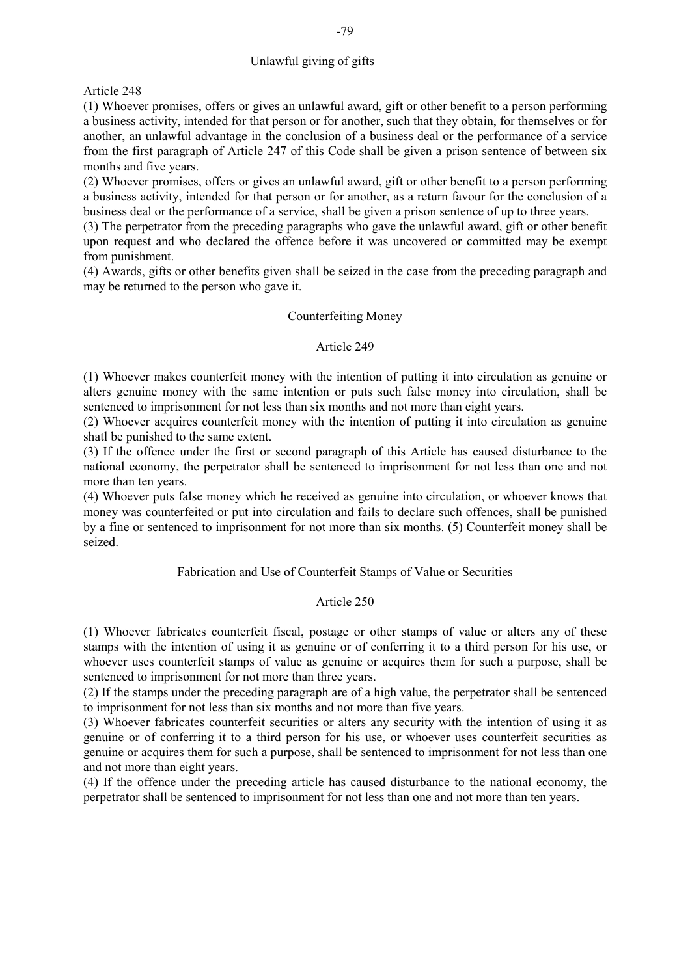# Unlawful giving of gifts

Article 248

(1) Whoever promises, offers or gives an unlawful award, gift or other benefit to a person performing a business activity, intended for that person or for another, such that they obtain, for themselves or for another, an unlawful advantage in the conclusion of a business deal or the performance of a service from the first paragraph of Article 247 of this Code shall be given a prison sentence of between six months and five years.

(2) Whoever promises, offers or gives an unlawful award, gift or other benefit to a person performing a business activity, intended for that person or for another, as a return favour for the conclusion of a business deal or the performance of a service, shall be given a prison sentence of up to three years.

(3) The perpetrator from the preceding paragraphs who gave the unlawful award, gift or other benefit upon request and who declared the offence before it was uncovered or committed may be exempt from punishment.

(4) Awards, gifts or other benefits given shall be seized in the case from the preceding paragraph and may be returned to the person who gave it.

## Counterfeiting Money

#### Article 249

(1) Whoever makes counterfeit money with the intention of putting it into circulation as genuine or alters genuine money with the same intention or puts such false money into circulation, shall be sentenced to imprisonment for not less than six months and not more than eight years.

(2) Whoever acquires counterfeit money with the intention of putting it into circulation as genuine shatl be punished to the same extent.

(3) If the offence under the first or second paragraph of this Article has caused disturbance to the national economy, the perpetrator shall be sentenced to imprisonment for not less than one and not more than ten years.

(4) Whoever puts false money which he received as genuine into circulation, or whoever knows that money was counterfeited or put into circulation and fails to declare such offences, shall be punished by a fine or sentenced to imprisonment for not more than six months. (5) Counterfeit money shall be seized.

Fabrication and Use of Counterfeit Stamps of Value or Securities

# Article 250

(1) Whoever fabricates counterfeit fiscal, postage or other stamps of value or alters any of these stamps with the intention of using it as genuine or of conferring it to a third person for his use, or whoever uses counterfeit stamps of value as genuine or acquires them for such a purpose, shall be sentenced to imprisonment for not more than three years.

(2) If the stamps under the preceding paragraph are of a high value, the perpetrator shall be sentenced to imprisonment for not less than six months and not more than five years.

(3) Whoever fabricates counterfeit securities or alters any security with the intention of using it as genuine or of conferring it to a third person for his use, or whoever uses counterfeit securities as genuine or acquires them for such a purpose, shall be sentenced to imprisonment for not less than one and not more than eight years.

(4) If the offence under the preceding article has caused disturbance to the national economy, the perpetrator shall be sentenced to imprisonment for not less than one and not more than ten years.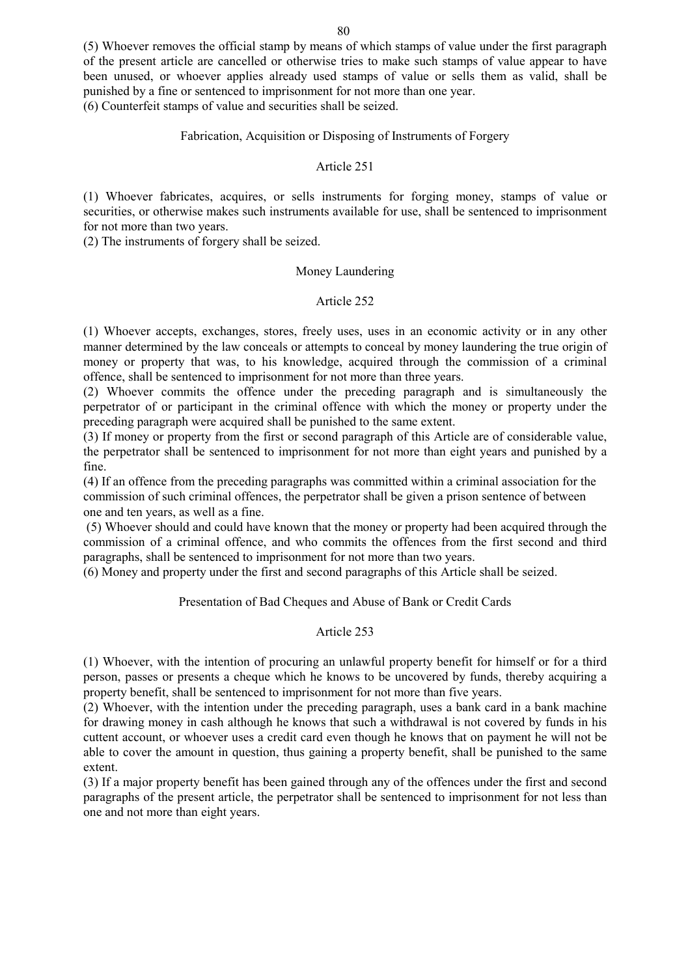(5) Whoever removes the official stamp by means of which stamps of value under the first paragraph of the present article are cancelled or otherwise tries to make such stamps of value appear to have been unused, or whoever applies already used stamps of value or sells them as valid, shall be punished by a fine or sentenced to imprisonment for not more than one year.

(6) Counterfeit stamps of value and securities shall be seized.

## Fabrication, Acquisition or Disposing of Instruments of Forgery

## Article 251

(1) Whoever fabricates, acquires, or sells instruments for forging money, stamps of value or securities, or otherwise makes such instruments available for use, shall be sentenced to imprisonment for not more than two years.

(2) The instruments of forgery shall be seized.

### Money Laundering

# Article 252

(1) Whoever accepts, exchanges, stores, freely uses, uses in an economic activity or in any other manner determined by the law conceals or attempts to conceal by money laundering the true origin of money or property that was, to his knowledge, acquired through the commission of a criminal offence, shall be sentenced to imprisonment for not more than three years.

(2) Whoever commits the offence under the preceding paragraph and is simultaneously the perpetrator of or participant in the criminal offence with which the money or property under the preceding paragraph were acquired shall be punished to the same extent.

(3) If money or property from the first or second paragraph of this Article are of considerable value, the perpetrator shall be sentenced to imprisonment for not more than eight years and punished by a fine.

(4) If an offence from the preceding paragraphs was committed within a criminal association for the commission of such criminal offences, the perpetrator shall be given a prison sentence of between one and ten years, as well as a fine.

 (5) Whoever should and could have known that the money or property had been acquired through the commission of a criminal offence, and who commits the offences from the first second and third paragraphs, shall be sentenced to imprisonment for not more than two years.

(6) Money and property under the first and second paragraphs of this Article shall be seized.

# Presentation of Bad Cheques and Abuse of Bank or Credit Cards

# Article 253

(1) Whoever, with the intention of procuring an unlawful property benefit for himself or for a third person, passes or presents a cheque which he knows to be uncovered by funds, thereby acquiring a property benefit, shall be sentenced to imprisonment for not more than five years.

(2) Whoever, with the intention under the preceding paragraph, uses a bank card in a bank machine for drawing money in cash although he knows that such a withdrawal is not covered by funds in his cuttent account, or whoever uses a credit card even though he knows that on payment he will not be able to cover the amount in question, thus gaining a property benefit, shall be punished to the same extent.

(3) If a major property benefit has been gained through any of the offences under the first and second paragraphs of the present article, the perpetrator shall be sentenced to imprisonment for not less than one and not more than eight years.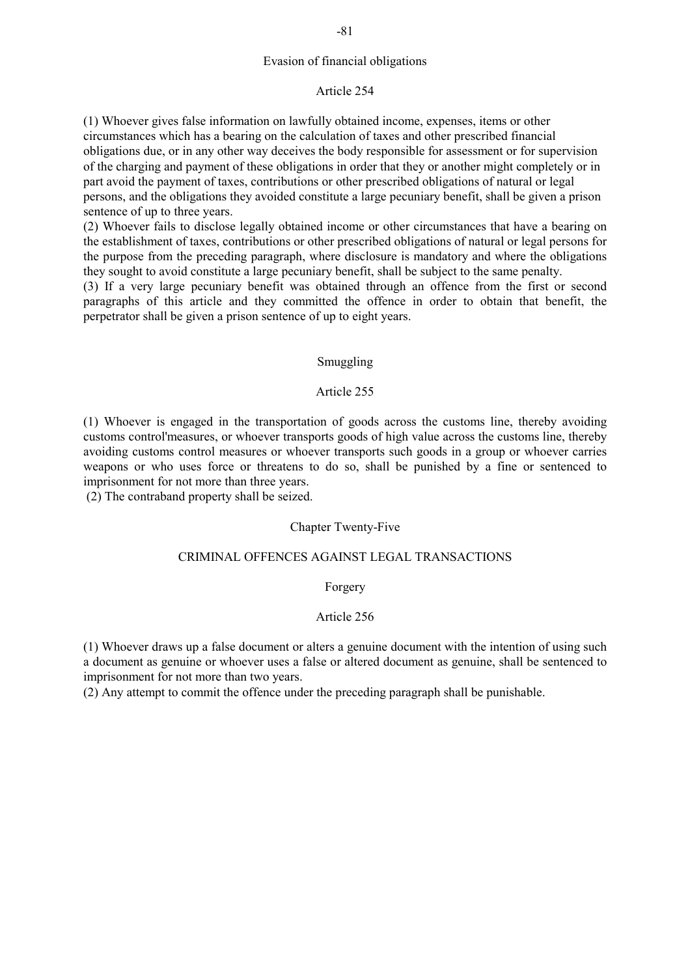## Evasion of financial obligations

#### Article 254

(1) Whoever gives false information on lawfully obtained income, expenses, items or other circumstances which has a bearing on the calculation of taxes and other prescribed financial obligations due, or in any other way deceives the body responsible for assessment or for supervision of the charging and payment of these obligations in order that they or another might completely or in part avoid the payment of taxes, contributions or other prescribed obligations of natural or legal persons, and the obligations they avoided constitute a large pecuniary benefit, shall be given a prison sentence of up to three years.

(2) Whoever fails to disclose legally obtained income or other circumstances that have a bearing on the establishment of taxes, contributions or other prescribed obligations of natural or legal persons for the purpose from the preceding paragraph, where disclosure is mandatory and where the obligations they sought to avoid constitute a large pecuniary benefit, shall be subject to the same penalty.

(3) If a very large pecuniary benefit was obtained through an offence from the first or second paragraphs of this article and they committed the offence in order to obtain that benefit, the perpetrator shall be given a prison sentence of up to eight years.

## Smuggling

## Article 255

(1) Whoever is engaged in the transportation of goods across the customs line, thereby avoiding customs control'measures, or whoever transports goods of high value across the customs line, thereby avoiding customs control measures or whoever transports such goods in a group or whoever carries weapons or who uses force or threatens to do so, shall be punished by a fine or sentenced to imprisonment for not more than three years.

(2) The contraband property shall be seized.

## Chapter Twenty-Five

## CRIMINAL OFFENCES AGAINST LEGAL TRANSACTIONS

#### Forgery

## Article 256

(1) Whoever draws up a false document or alters a genuine document with the intention of using such a document as genuine or whoever uses a false or altered document as genuine, shall be sentenced to imprisonment for not more than two years.

(2) Any attempt to commit the offence under the preceding paragraph shall be punishable.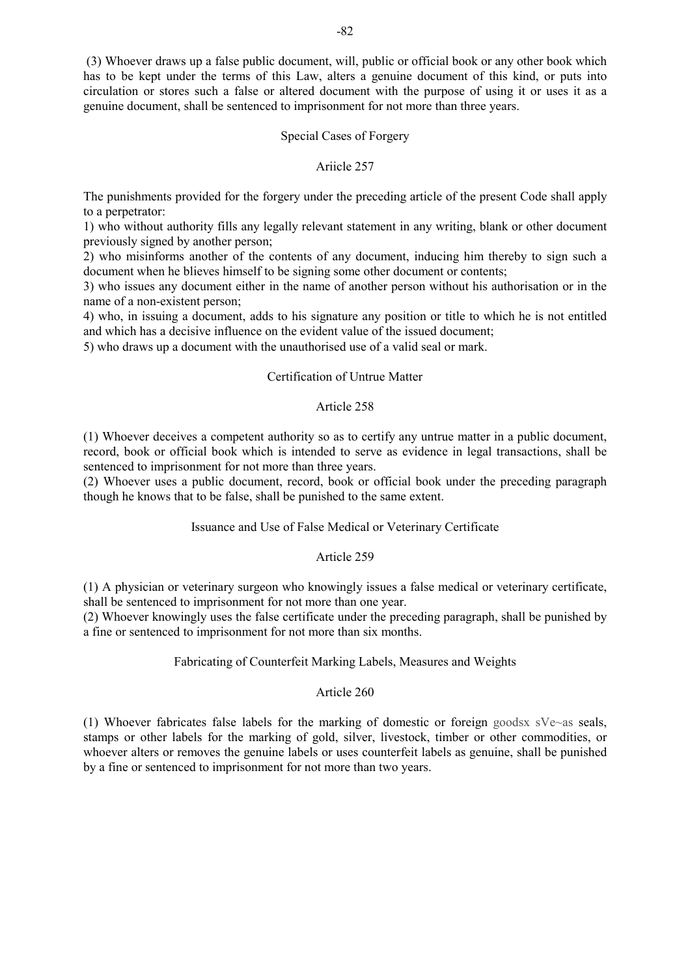(3) Whoever draws up a false public document, will, public or official book or any other book which has to be kept under the terms of this Law, alters a genuine document of this kind, or puts into circulation or stores such a false or altered document with the purpose of using it or uses it as a genuine document, shall be sentenced to imprisonment for not more than three years.

## Special Cases of Forgery

## Ariicle 257

The punishments provided for the forgery under the preceding article of the present Code shall apply to a perpetrator:

1) who without authority fills any legally relevant statement in any writing, blank or other document previously signed by another person;

2) who misinforms another of the contents of any document, inducing him thereby to sign such a document when he blieves himself to be signing some other document or contents;

3) who issues any document either in the name of another person without his authorisation or in the name of a non-existent person;

4) who, in issuing a document, adds to his signature any position or title to which he is not entitled and which has a decisive influence on the evident value of the issued document;

5) who draws up a document with the unauthorised use of a valid seal or mark.

# Certification of Untrue Matter

## Article 258

(1) Whoever deceives a competent authority so as to certify any untrue matter in a public document, record, book or official book which is intended to serve as evidence in legal transactions, shall be sentenced to imprisonment for not more than three years.

(2) Whoever uses a public document, record, book or official book under the preceding paragraph though he knows that to be false, shall be punished to the same extent.

# Issuance and Use of False Medical or Veterinary Certificate

# Article 259

(1) A physician or veterinary surgeon who knowingly issues a false medical or veterinary certificate, shall be sentenced to imprisonment for not more than one year.

(2) Whoever knowingly uses the false certificate under the preceding paragraph, shall be punished by a fine or sentenced to imprisonment for not more than six months.

# Fabricating of Counterfeit Marking Labels, Measures and Weights

# Article 260

(1) Whoever fabricates false labels for the marking of domestic or foreign goodsx sVe~as seals, stamps or other labels for the marking of gold, silver, livestock, timber or other commodities, or whoever alters or removes the genuine labels or uses counterfeit labels as genuine, shall be punished by a fine or sentenced to imprisonment for not more than two years.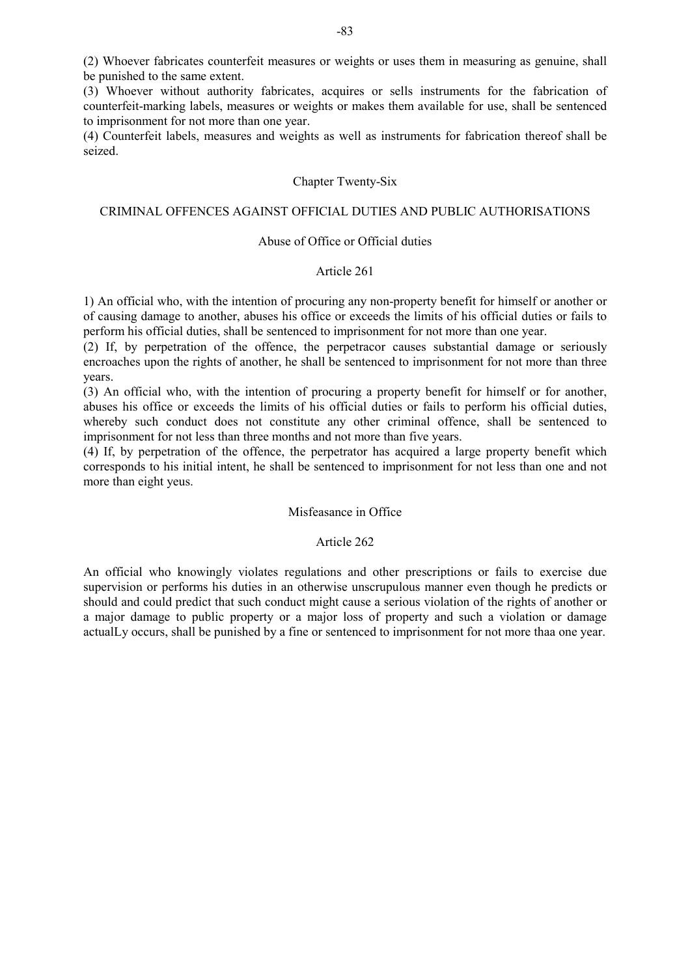(2) Whoever fabricates counterfeit measures or weights or uses them in measuring as genuine, shall be punished to the same extent.

(3) Whoever without authority fabricates, acquires or sells instruments for the fabrication of counterfeit-marking labels, measures or weights or makes them available for use, shall be sentenced to imprisonment for not more than one year.

(4) Counterfeit labels, measures and weights as well as instruments for fabrication thereof shall be seized.

## Chapter Twenty-Six

## CRIMINAL OFFENCES AGAINST OFFICIAL DUTIES AND PUBLIC AUTHORISATIONS

# Abuse of Office or Official duties

## Article 261

1) An official who, with the intention of procuring any non-property benefit for himself or another or of causing damage to another, abuses his office or exceeds the limits of his official duties or fails to perform his official duties, shall be sentenced to imprisonment for not more than one year.

(2) If, by perpetration of the offence, the perpetracor causes substantial damage or seriously encroaches upon the rights of another, he shall be sentenced to imprisonment for not more than three years.

(3) An official who, with the intention of procuring a property benefit for himself or for another, abuses his office or exceeds the limits of his official duties or fails to perform his official duties, whereby such conduct does not constitute any other criminal offence, shall be sentenced to imprisonment for not less than three months and not more than five years.

(4) If, by perpetration of the offence, the perpetrator has acquired a large property benefit which corresponds to his initial intent, he shall be sentenced to imprisonment for not less than one and not more than eight yeus.

### Misfeasance in Office

# Article 262

An official who knowingly violates regulations and other prescriptions or fails to exercise due supervision or performs his duties in an otherwise unscrupulous manner even though he predicts or should and could predict that such conduct might cause a serious violation of the rights of another or a major damage to public property or a major loss of property and such a violation or damage actualLy occurs, shall be punished by a fine or sentenced to imprisonment for not more thaa one year.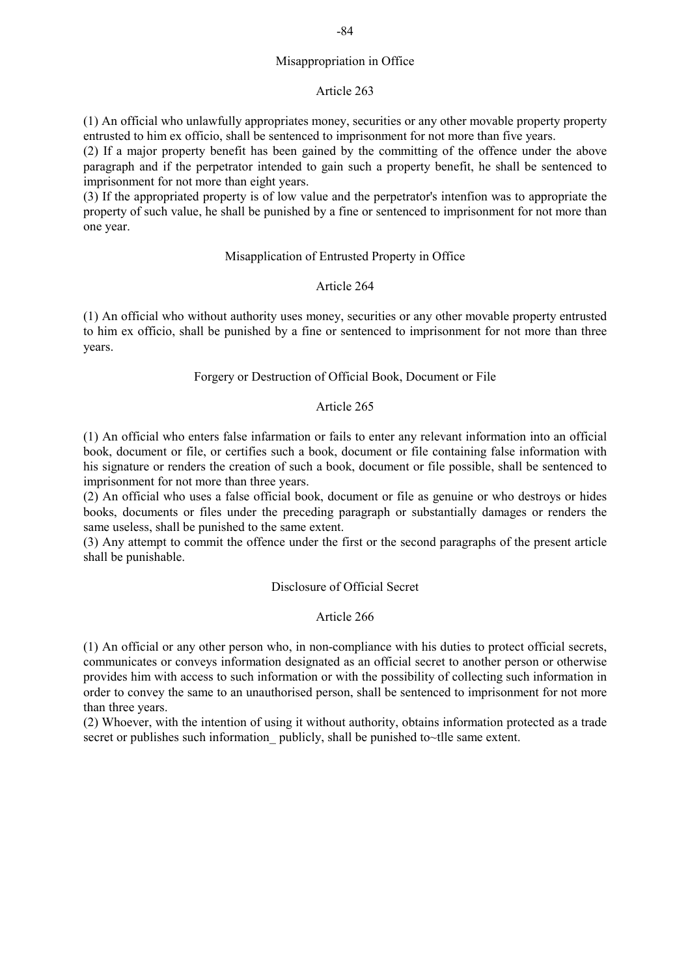# Misappropriation in Office

#### Article 263

(1) An official who unlawfully appropriates money, securities or any other movable property property entrusted to him ex officio, shall be sentenced to imprisonment for not more than five years.

(2) If a major property benefit has been gained by the committing of the offence under the above paragraph and if the perpetrator intended to gain such a property benefit, he shall be sentenced to imprisonment for not more than eight years.

(3) If the appropriated property is of low value and the perpetrator's intenfion was to appropriate the property of such value, he shall be punished by a fine or sentenced to imprisonment for not more than one year.

#### Misapplication of Entrusted Property in Office

## Article 264

(1) An official who without authority uses money, securities or any other movable property entrusted to him ex officio, shall be punished by a fine or sentenced to imprisonment for not more than three years.

## Forgery or Destruction of Official Book, Document or File

### Article 265

(1) An official who enters false infarmation or fails to enter any relevant information into an official book, document or file, or certifies such a book, document or file containing false information with his signature or renders the creation of such a book, document or file possible, shall be sentenced to imprisonment for not more than three years.

(2) An official who uses a false official book, document or file as genuine or who destroys or hides books, documents or files under the preceding paragraph or substantially damages or renders the same useless, shall be punished to the same extent.

(3) Any attempt to commit the offence under the first or the second paragraphs of the present article shall be punishable.

## Disclosure of Official Secret

# Article 266

(1) An official or any other person who, in non-compliance with his duties to protect official secrets, communicates or conveys information designated as an official secret to another person or otherwise provides him with access to such information or with the possibility of collecting such information in order to convey the same to an unauthorised person, shall be sentenced to imprisonment for not more than three years.

(2) Whoever, with the intention of using it without authority, obtains information protected as a trade secret or publishes such information publicly, shall be punished to~tlle same extent.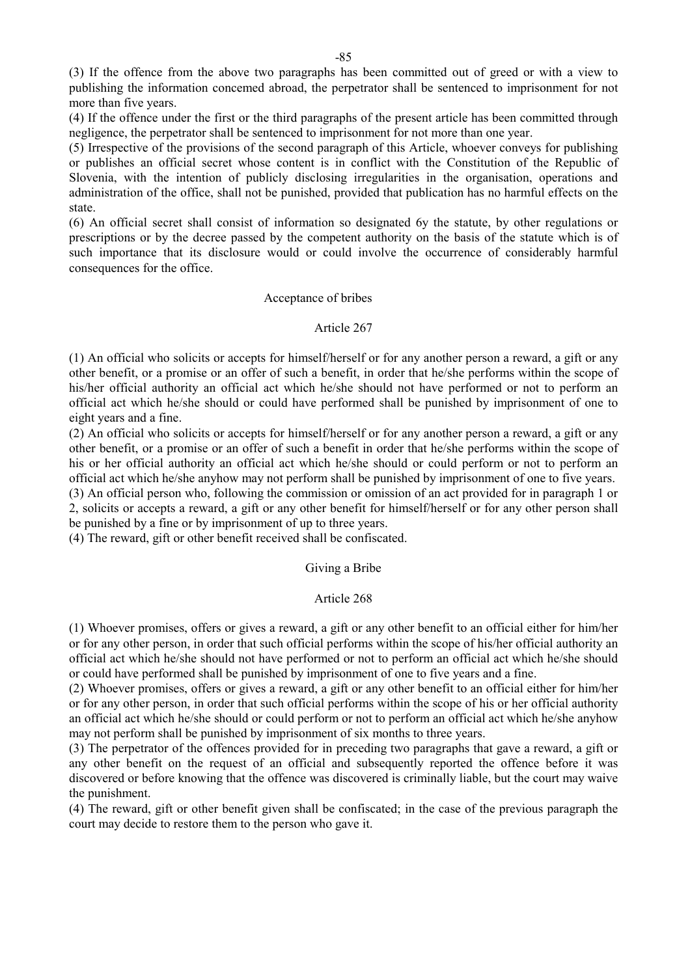(3) If the offence from the above two paragraphs has been committed out of greed or with a view to publishing the information concemed abroad, the perpetrator shall be sentenced to imprisonment for not more than five years.

(4) If the offence under the first or the third paragraphs of the present article has been committed through negligence, the perpetrator shall be sentenced to imprisonment for not more than one year.

(5) Irrespective of the provisions of the second paragraph of this Article, whoever conveys for publishing or publishes an official secret whose content is in conflict with the Constitution of the Republic of Slovenia, with the intention of publicly disclosing irregularities in the organisation, operations and administration of the office, shall not be punished, provided that publication has no harmful effects on the state.

(6) An official secret shall consist of information so designated 6y the statute, by other regulations or prescriptions or by the decree passed by the competent authority on the basis of the statute which is of such importance that its disclosure would or could involve the occurrence of considerably harmful consequences for the office.

#### Acceptance of bribes

## Article 267

(1) An official who solicits or accepts for himself/herself or for any another person a reward, a gift or any other benefit, or a promise or an offer of such a benefit, in order that he/she performs within the scope of his/her official authority an official act which he/she should not have performed or not to perform an official act which he/she should or could have performed shall be punished by imprisonment of one to eight years and a fine.

(2) An official who solicits or accepts for himself/herself or for any another person a reward, a gift or any other benefit, or a promise or an offer of such a benefit in order that he/she performs within the scope of his or her official authority an official act which he/she should or could perform or not to perform an official act which he/she anyhow may not perform shall be punished by imprisonment of one to five years.

(3) An official person who, following the commission or omission of an act provided for in paragraph 1 or 2, solicits or accepts a reward, a gift or any other benefit for himself/herself or for any other person shall be punished by a fine or by imprisonment of up to three years.

(4) The reward, gift or other benefit received shall be confiscated.

### Giving a Bribe

#### Article 268

(1) Whoever promises, offers or gives a reward, a gift or any other benefit to an official either for him/her or for any other person, in order that such official performs within the scope of his/her official authority an official act which he/she should not have performed or not to perform an official act which he/she should or could have performed shall be punished by imprisonment of one to five years and a fine.

(2) Whoever promises, offers or gives a reward, a gift or any other benefit to an official either for him/her or for any other person, in order that such official performs within the scope of his or her official authority an official act which he/she should or could perform or not to perform an official act which he/she anyhow may not perform shall be punished by imprisonment of six months to three years.

(3) The perpetrator of the offences provided for in preceding two paragraphs that gave a reward, a gift or any other benefit on the request of an official and subsequently reported the offence before it was discovered or before knowing that the offence was discovered is criminally liable, but the court may waive the punishment.

(4) The reward, gift or other benefit given shall be confiscated; in the case of the previous paragraph the court may decide to restore them to the person who gave it.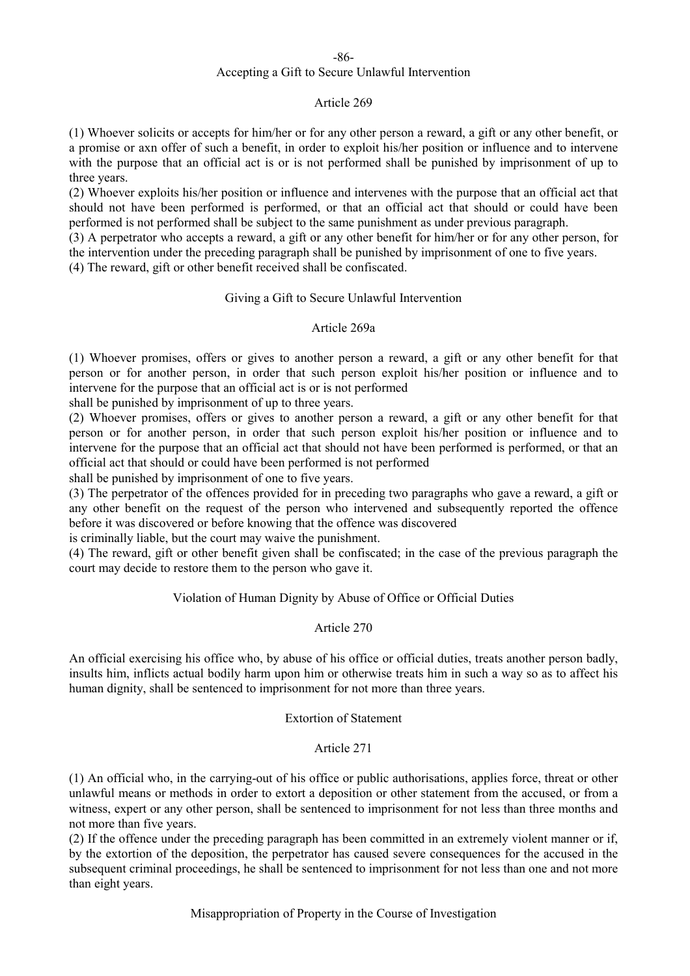-86-

# Accepting a Gift to Secure Unlawful Intervention

## Article 269

(1) Whoever solicits or accepts for him/her or for any other person a reward, a gift or any other benefit, or a promise or axn offer of such a benefit, in order to exploit his/her position or influence and to intervene with the purpose that an official act is or is not performed shall be punished by imprisonment of up to three years.

(2) Whoever exploits his/her position or influence and intervenes with the purpose that an official act that should not have been performed is performed, or that an official act that should or could have been performed is not performed shall be subject to the same punishment as under previous paragraph.

(3) A perpetrator who accepts a reward, a gift or any other benefit for him/her or for any other person, for the intervention under the preceding paragraph shall be punished by imprisonment of one to five years.

(4) The reward, gift or other benefit received shall be confiscated.

# Giving a Gift to Secure Unlawful Intervention

# Article 269a

(1) Whoever promises, offers or gives to another person a reward, a gift or any other benefit for that person or for another person, in order that such person exploit his/her position or influence and to intervene for the purpose that an official act is or is not performed

shall be punished by imprisonment of up to three years.

(2) Whoever promises, offers or gives to another person a reward, a gift or any other benefit for that person or for another person, in order that such person exploit his/her position or influence and to intervene for the purpose that an official act that should not have been performed is performed, or that an official act that should or could have been performed is not performed

shall be punished by imprisonment of one to five years.

(3) The perpetrator of the offences provided for in preceding two paragraphs who gave a reward, a gift or any other benefit on the request of the person who intervened and subsequently reported the offence before it was discovered or before knowing that the offence was discovered

is criminally liable, but the court may waive the punishment.

(4) The reward, gift or other benefit given shall be confiscated; in the case of the previous paragraph the court may decide to restore them to the person who gave it.

# Violation of Human Dignity by Abuse of Office or Official Duties

# Article 270

An official exercising his office who, by abuse of his office or official duties, treats another person badly, insults him, inflicts actual bodily harm upon him or otherwise treats him in such a way so as to affect his human dignity, shall be sentenced to imprisonment for not more than three years.

# Extortion of Statement

# Article 271

(1) An official who, in the carrying-out of his office or public authorisations, applies force, threat or other unlawful means or methods in order to extort a deposition or other statement from the accused, or from a witness, expert or any other person, shall be sentenced to imprisonment for not less than three months and not more than five years.

(2) If the offence under the preceding paragraph has been committed in an extremely violent manner or if, by the extortion of the deposition, the perpetrator has caused severe consequences for the accused in the subsequent criminal proceedings, he shall be sentenced to imprisonment for not less than one and not more than eight years.

Misappropriation of Property in the Course of Investigation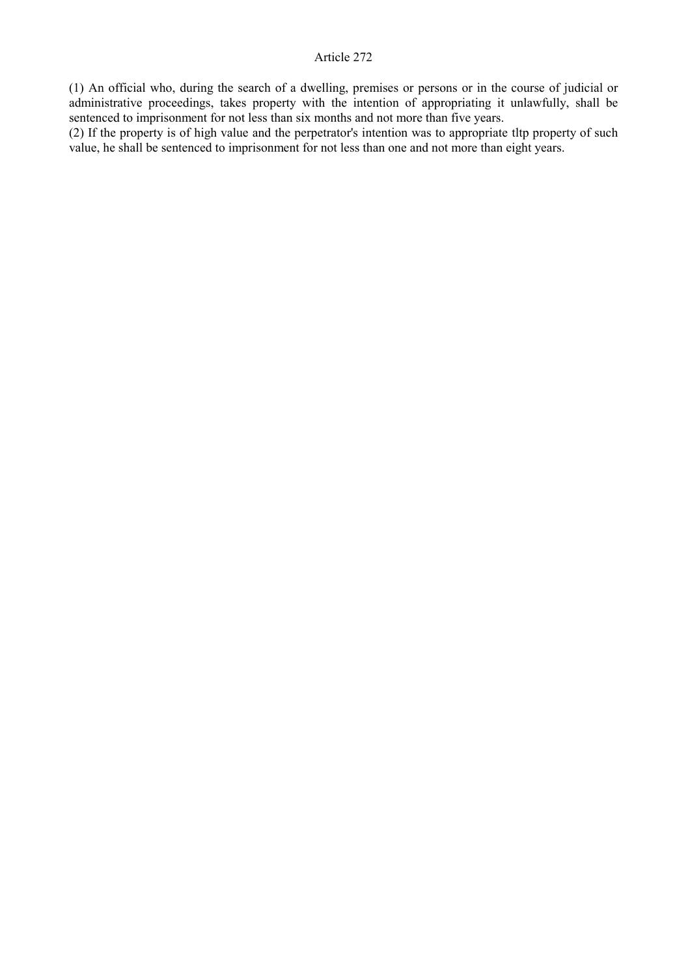(1) An official who, during the search of a dwelling, premises or persons or in the course of judicial or administrative proceedings, takes property with the intention of appropriating it unlawfully, shall be sentenced to imprisonment for not less than six months and not more than five years.

(2) If the property is of high value and the perpetrator's intention was to appropriate tltp property of such value, he shall be sentenced to imprisonment for not less than one and not more than eight years.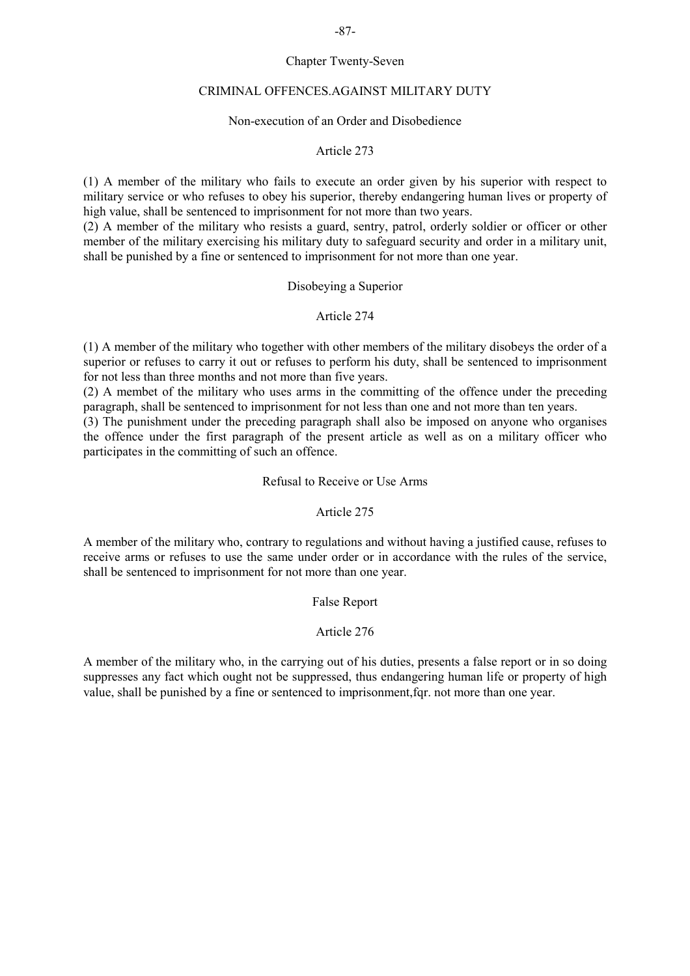# Chapter Twenty-Seven

## CRIMINAL OFFENCES.AGAINST MILITARY DUTY

## Non-execution of an Order and Disobedience

## Article 273

(1) A member of the military who fails to execute an order given by his superior with respect to military service or who refuses to obey his superior, thereby endangering human lives or property of high value, shall be sentenced to imprisonment for not more than two years.

(2) A member of the military who resists a guard, sentry, patrol, orderly soldier or officer or other member of the military exercising his military duty to safeguard security and order in a military unit, shall be punished by a fine or sentenced to imprisonment for not more than one year.

## Disobeying a Superior

## Article 274

(1) A member of the military who together with other members of the military disobeys the order of a superior or refuses to carry it out or refuses to perform his duty, shall be sentenced to imprisonment for not less than three months and not more than five years.

(2) A membet of the military who uses arms in the committing of the offence under the preceding paragraph, shall be sentenced to imprisonment for not less than one and not more than ten years.

(3) The punishment under the preceding paragraph shall also be imposed on anyone who organises the offence under the first paragraph of the present article as well as on a military officer who participates in the committing of such an offence.

## Refusal to Receive or Use Arms

### Article 275

A member of the military who, contrary to regulations and without having a justified cause, refuses to receive arms or refuses to use the same under order or in accordance with the rules of the service, shall be sentenced to imprisonment for not more than one year.

False Report

# Article 276

A member of the military who, in the carrying out of his duties, presents a false report or in so doing suppresses any fact which ought not be suppressed, thus endangering human life or property of high value, shall be punished by a fine or sentenced to imprisonment,fqr. not more than one year.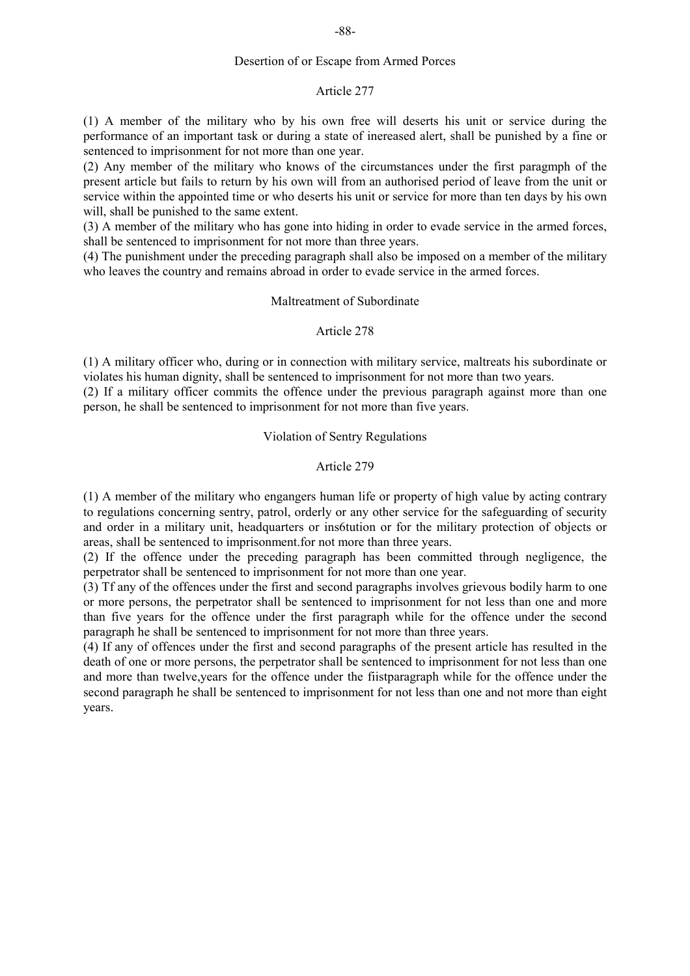## Desertion of or Escape from Armed Porces

#### Article 277

(1) A member of the military who by his own free will deserts his unit or service during the performance of an important task or during a state of inereased alert, shall be punished by a fine or sentenced to imprisonment for not more than one year.

(2) Any member of the military who knows of the circumstances under the first paragmph of the present article but fails to return by his own will from an authorised period of leave from the unit or service within the appointed time or who deserts his unit or service for more than ten days by his own will, shall be punished to the same extent.

(3) A member of the military who has gone into hiding in order to evade service in the armed forces, shall be sentenced to imprisonment for not more than three years.

(4) The punishment under the preceding paragraph shall also be imposed on a member of the military who leaves the country and remains abroad in order to evade service in the armed forces.

## Maltreatment of Subordinate

## Article 278

(1) A military officer who, during or in connection with military service, maltreats his subordinate or violates his human dignity, shall be sentenced to imprisonment for not more than two years.

(2) If a military officer commits the offence under the previous paragraph against more than one person, he shall be sentenced to imprisonment for not more than five years.

## Violation of Sentry Regulations

# Article 279

(1) A member of the military who engangers human life or property of high value by acting contrary to regulations concerning sentry, patrol, orderly or any other service for the safeguarding of security and order in a military unit, headquarters or ins6tution or for the military protection of objects or areas, shall be sentenced to imprisonment.for not more than three years.

(2) If the offence under the preceding paragraph has been committed through negligence, the perpetrator shall be sentenced to imprisonment for not more than one year.

(3) Tf any of the offences under the first and second paragraphs involves grievous bodily harm to one or more persons, the perpetrator shall be sentenced to imprisonment for not less than one and more than five years for the offence under the first paragraph while for the offence under the second paragraph he shall be sentenced to imprisonment for not more than three years.

(4) If any of offences under the first and second paragraphs of the present article has resulted in the death of one or more persons, the perpetrator shall be sentenced to imprisonment for not less than one and more than twelve,years for the offence under the fiistparagraph while for the offence under the second paragraph he shall be sentenced to imprisonment for not less than one and not more than eight years.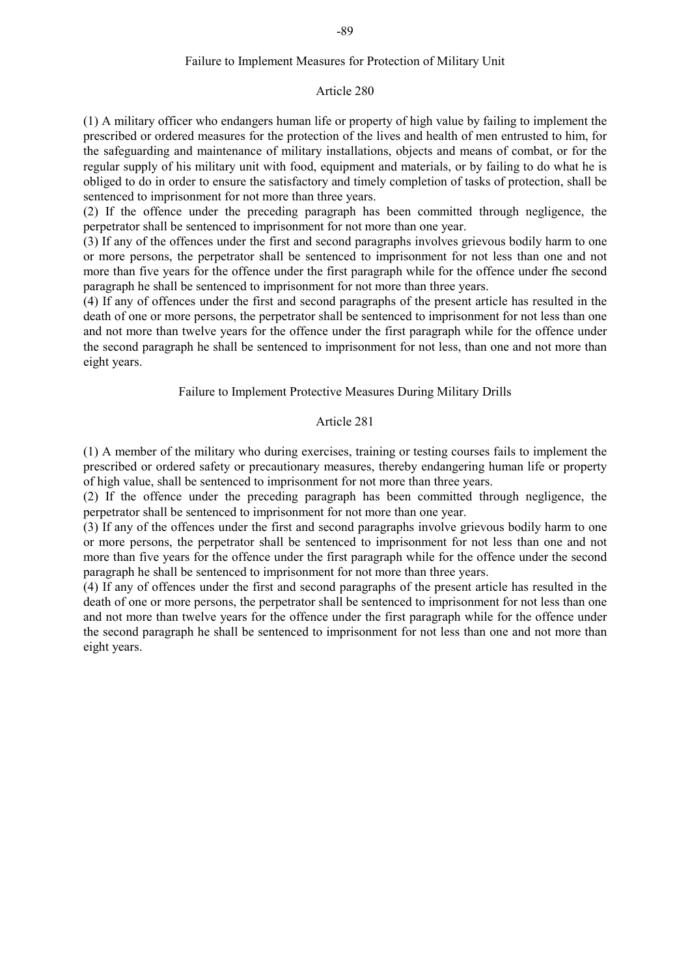### Failure to Implement Measures for Protection of Military Unit

#### Article 280

(1) A military officer who endangers human life or property of high value by failing to implement the prescribed or ordered measures for the protection of the lives and health of men entrusted to him, for the safeguarding and maintenance of military installations, objects and means of combat, or for the regular supply of his military unit with food, equipment and materials, or by failing to do what he is obliged to do in order to ensure the satisfactory and timely completion of tasks of protection, shall be sentenced to imprisonment for not more than three years.

(2) If the offence under the preceding paragraph has been committed through negligence, the perpetrator shall be sentenced to imprisonment for not more than one year.

(3) If any of the offences under the first and second paragraphs involves grievous bodily harm to one or more persons, the perpetrator shall be sentenced to imprisonment for not less than one and not more than five years for the offence under the first paragraph while for the offence under fhe second paragraph he shall be sentenced to imprisonment for not more than three years.

(4) If any of offences under the first and second paragraphs of the present article has resulted in the death of one or more persons, the perpetrator shall be sentenced to imprisonment for not less than one and not more than twelve years for the offence under the first paragraph while for the offence under the second paragraph he shall be sentenced to imprisonment for not less, than one and not more than eight years.

### Failure to Implement Protective Measures During Military Drills

### Article 281

(1) A member of the military who during exercises, training or testing courses fails to implement the prescribed or ordered safety or precautionary measures, thereby endangering human life or property of high value, shall be sentenced to imprisonment for not more than three years.

(2) If the offence under the preceding paragraph has been committed through negligence, the perpetrator shall be sentenced to imprisonment for not more than one year.

(3) If any of the offences under the first and second paragraphs involve grievous bodily harm to one or more persons, the perpetrator shall be sentenced to imprisonment for not less than one and not more than five years for the offence under the first paragraph while for the offence under the second paragraph he shall be sentenced to imprisonment for not more than three years.

(4) If any of offences under the first and second paragraphs of the present article has resulted in the death of one or more persons, the perpetrator shall be sentenced to imprisonment for not less than one and not more than twelve years for the offence under the first paragraph while for the offence under the second paragraph he shall be sentenced to imprisonment for not less than one and not more than eight years.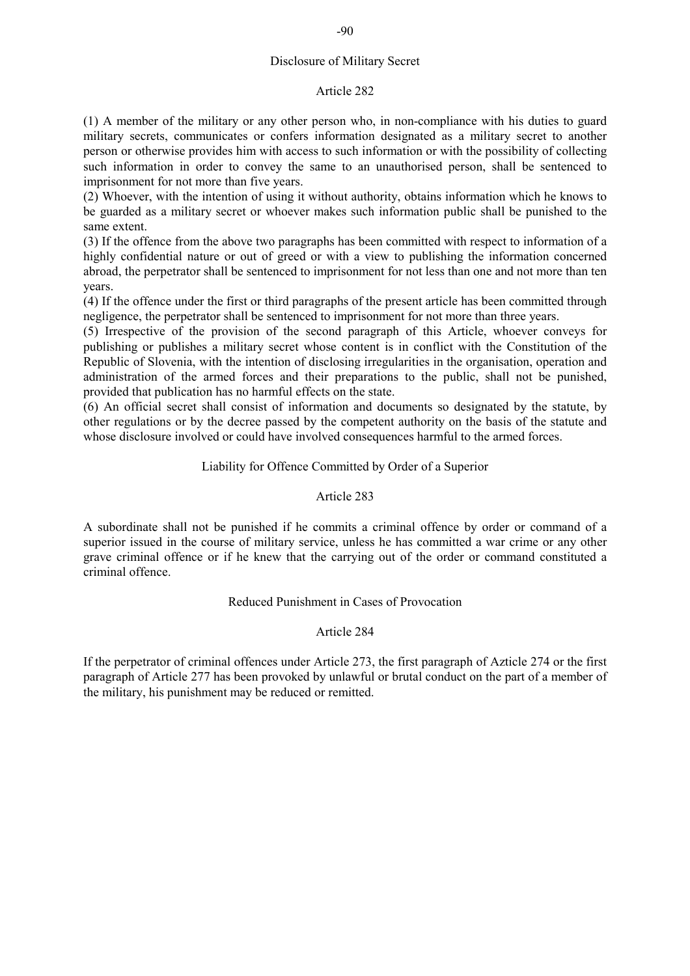# Disclosure of Military Secret

# Article 282

(1) A member of the military or any other person who, in non-compliance with his duties to guard military secrets, communicates or confers information designated as a military secret to another person or otherwise provides him with access to such information or with the possibility of collecting such information in order to convey the same to an unauthorised person, shall be sentenced to imprisonment for not more than five years.

(2) Whoever, with the intention of using it without authority, obtains information which he knows to be guarded as a military secret or whoever makes such information public shall be punished to the same extent.

(3) If the offence from the above two paragraphs has been committed with respect to information of a highly confidential nature or out of greed or with a view to publishing the information concerned abroad, the perpetrator shall be sentenced to imprisonment for not less than one and not more than ten years.

(4) If the offence under the first or third paragraphs of the present article has been committed through negligence, the perpetrator shall be sentenced to imprisonment for not more than three years.

(5) Irrespective of the provision of the second paragraph of this Article, whoever conveys for publishing or publishes a military secret whose content is in conflict with the Constitution of the Republic of Slovenia, with the intention of disclosing irregularities in the organisation, operation and administration of the armed forces and their preparations to the public, shall not be punished, provided that publication has no harmful effects on the state.

(6) An official secret shall consist of information and documents so designated by the statute, by other regulations or by the decree passed by the competent authority on the basis of the statute and whose disclosure involved or could have involved consequences harmful to the armed forces.

# Liability for Offence Committed by Order of a Superior

# Article 283

A subordinate shall not be punished if he commits a criminal offence by order or command of a superior issued in the course of military service, unless he has committed a war crime or any other grave criminal offence or if he knew that the carrying out of the order or command constituted a criminal offence.

# Reduced Punishment in Cases of Provocation

# Article 284

If the perpetrator of criminal offences under Article 273, the first paragraph of Azticle 274 or the first paragraph of Article 277 has been provoked by unlawful or brutal conduct on the part of a member of the military, his punishment may be reduced or remitted.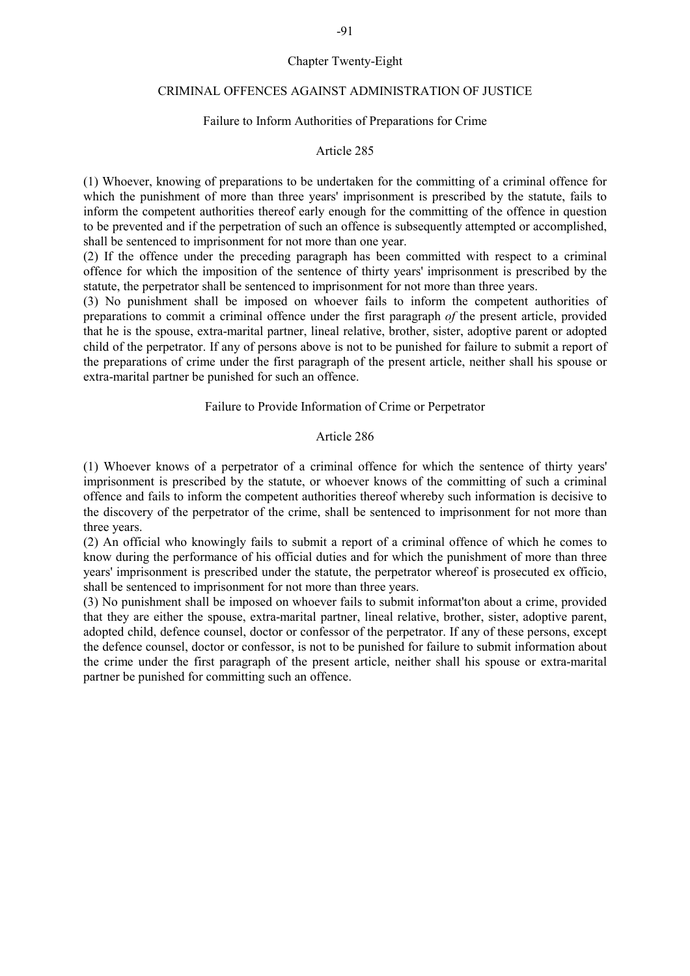## Chapter Twenty-Eight

### CRIMINAL OFFENCES AGAINST ADMINISTRATION OF JUSTICE

## Failure to Inform Authorities of Preparations for Crime

## Article 285

(1) Whoever, knowing of preparations to be undertaken for the committing of a criminal offence for which the punishment of more than three years' imprisonment is prescribed by the statute, fails to inform the competent authorities thereof early enough for the committing of the offence in question to be prevented and if the perpetration of such an offence is subsequently attempted or accomplished, shall be sentenced to imprisonment for not more than one year.

(2) If the offence under the preceding paragraph has been committed with respect to a criminal offence for which the imposition of the sentence of thirty years' imprisonment is prescribed by the statute, the perpetrator shall be sentenced to imprisonment for not more than three years.

(3) No punishment shall be imposed on whoever fails to inform the competent authorities of preparations to commit a criminal offence under the first paragraph *of* the present article, provided that he is the spouse, extra-marital partner, lineal relative, brother, sister, adoptive parent or adopted child of the perpetrator. If any of persons above is not to be punished for failure to submit a report of the preparations of crime under the first paragraph of the present article, neither shall his spouse or extra-marital partner be punished for such an offence.

#### Failure to Provide Information of Crime or Perpetrator

## Article 286

(1) Whoever knows of a perpetrator of a criminal offence for which the sentence of thirty years' imprisonment is prescribed by the statute, or whoever knows of the committing of such a criminal offence and fails to inform the competent authorities thereof whereby such information is decisive to the discovery of the perpetrator of the crime, shall be sentenced to imprisonment for not more than three years.

(2) An official who knowingly fails to submit a report of a criminal offence of which he comes to know during the performance of his official duties and for which the punishment of more than three years' imprisonment is prescribed under the statute, the perpetrator whereof is prosecuted ex officio, shall be sentenced to imprisonment for not more than three years.

(3) No punishment shall be imposed on whoever fails to submit informat'ton about a crime, provided that they are either the spouse, extra-marital partner, lineal relative, brother, sister, adoptive parent, adopted child, defence counsel, doctor or confessor of the perpetrator. If any of these persons, except the defence counsel, doctor or confessor, is not to be punished for failure to submit information about the crime under the first paragraph of the present article, neither shall his spouse or extra-marital partner be punished for committing such an offence.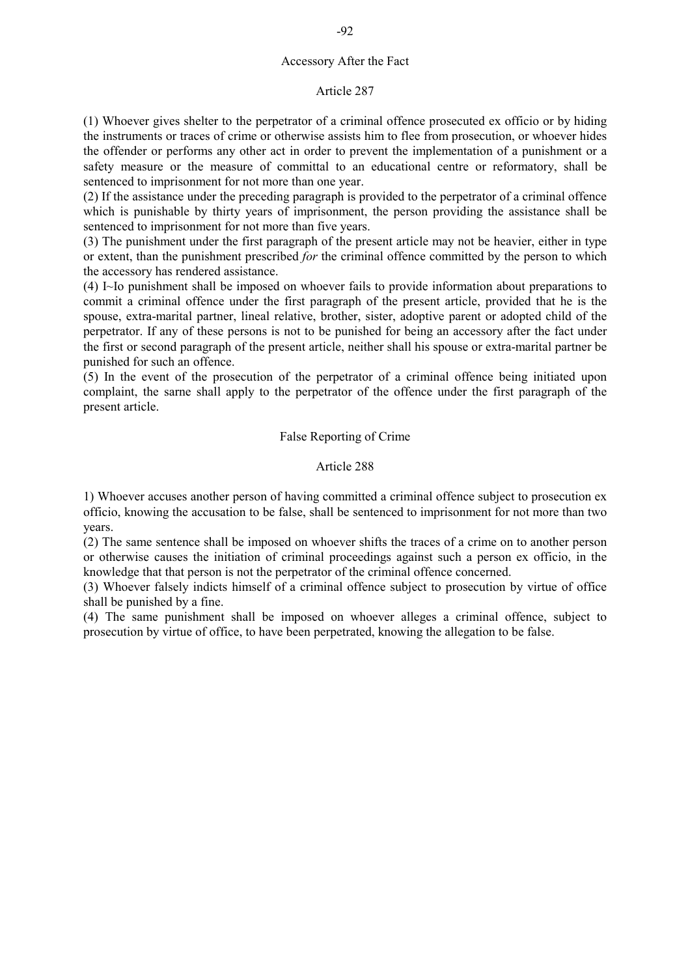## Accessory After the Fact

## Article 287

(1) Whoever gives shelter to the perpetrator of a criminal offence prosecuted ex officio or by hiding the instruments or traces of crime or otherwise assists him to flee from prosecution, or whoever hides the offender or performs any other act in order to prevent the implementation of a punishment or a safety measure or the measure of committal to an educational centre or reformatory, shall be sentenced to imprisonment for not more than one year.

(2) If the assistance under the preceding paragraph is provided to the perpetrator of a criminal offence which is punishable by thirty years of imprisonment, the person providing the assistance shall be sentenced to imprisonment for not more than five years.

(3) The punishment under the first paragraph of the present article may not be heavier, either in type or extent, than the punishment prescribed *for* the criminal offence committed by the person to which the accessory has rendered assistance.

(4) I~Io punishment shall be imposed on whoever fails to provide information about preparations to commit a criminal offence under the first paragraph of the present article, provided that he is the spouse, extra-marital partner, lineal relative, brother, sister, adoptive parent or adopted child of the perpetrator. If any of these persons is not to be punished for being an accessory after the fact under the first or second paragraph of the present article, neither shall his spouse or extra-marital partner be punished for such an offence.

 $(5)$  In the event of the prosecution of the perpetrator of a criminal offence being initiated upon complaint, the sarne shall apply to the perpetrator of the offence under the first paragraph of the present article.

# False Reporting of Crime

# Article 288

1) Whoever accuses another person of having committed a criminal offence subject to prosecution ex officio, knowing the accusation to be false, shall be sentenced to imprisonment for not more than two years.

(2) The same sentence shall be imposed on whoever shifts the traces of a crime on to another person or otherwise causes the initiation of criminal proceedings against such a person ex officio, in the knowledge that that person is not the perpetrator of the criminal offence concerned.

(3) Whoever falsely indicts himself of a criminal offence subject to prosecution by virtue of office shall be punished by a fine.

(4) The same punishment shall be imposed on whoever alleges a criminal offence, subject to prosecution by virtue of office, to have been perpetrated, knowing the allegation to be false.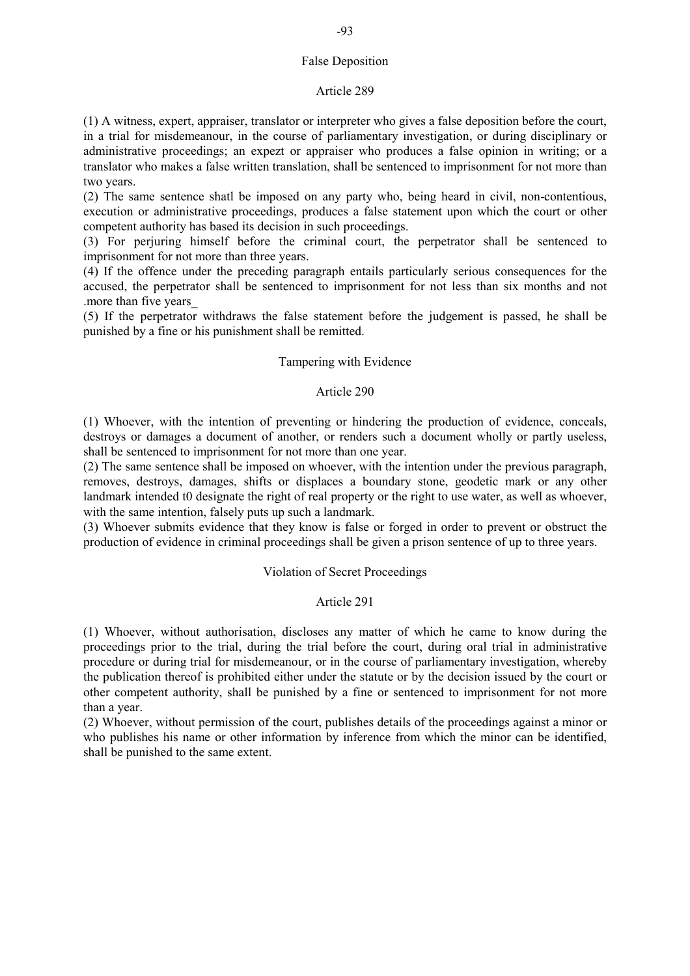## False Deposition

### Article 289

(1) A witness, expert, appraiser, translator or interpreter who gives a false deposition before the court, in a trial for misdemeanour, in the course of parliamentary investigation, or during disciplinary or administrative proceedings; an expezt or appraiser who produces a false opinion in writing; or a translator who makes a false written translation, shall be sentenced to imprisonment for not more than two years.

(2) The same sentence shatl be imposed on any party who, being heard in civil, non-contentious, execution or administrative proceedings, produces a false statement upon which the court or other competent authority has based its decision in such proceedings.

(3) For perjuring himself before the criminal court, the perpetrator shall be sentenced to imprisonment for not more than three years.

(4) If the offence under the preceding paragraph entails particularly serious consequences for the accused, the perpetrator shall be sentenced to imprisonment for not less than six months and not .more than five years\_

(5) If the perpetrator withdraws the false statement before the judgement is passed, he shall be punished by a fine or his punishment shall be remitted.

# Tampering with Evidence

## Article 290

(1) Whoever, with the intention of preventing or hindering the production of evidence, conceals, destroys or damages a document of another, or renders such a document wholly or partly useless, shall be sentenced to imprisonment for not more than one year.

(2) The same sentence shall be imposed on whoever, with the intention under the previous paragraph, removes, destroys, damages, shifts or displaces a boundary stone, geodetic mark or any other landmark intended t0 designate the right of real property or the right to use water, as well as whoever, with the same intention, falsely puts up such a landmark.

(3) Whoever submits evidence that they know is false or forged in order to prevent or obstruct the production of evidence in criminal proceedings shall be given a prison sentence of up to three years.

# Violation of Secret Proceedings

# Article 291

(1) Whoever, without authorisation, discloses any matter of which he came to know during the proceedings prior to the trial, during the trial before the court, during oral trial in administrative procedure or during trial for misdemeanour, or in the course of parliamentary investigation, whereby the publication thereof is prohibited either under the statute or by the decision issued by the court or other competent authority, shall be punished by a fine or sentenced to imprisonment for not more than a year.

(2) Whoever, without permission of the court, publishes details of the proceedings against a minor or who publishes his name or other information by inference from which the minor can be identified, shall be punished to the same extent.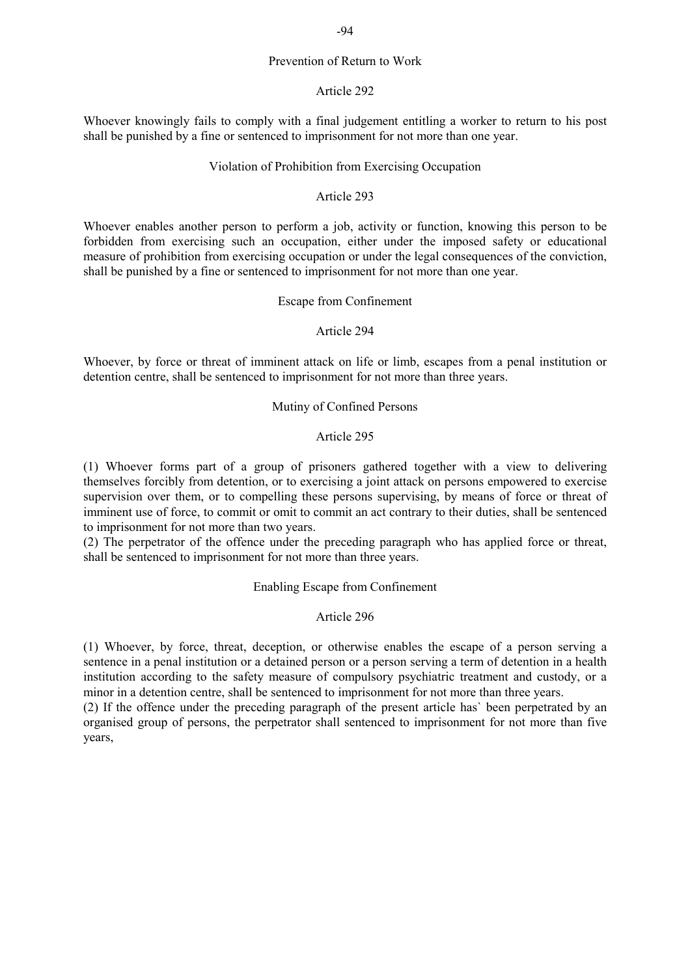# Prevention of Return to Work

#### Article 292

Whoever knowingly fails to comply with a final judgement entitling a worker to return to his post shall be punished by a fine or sentenced to imprisonment for not more than one year.

## Violation of Prohibition from Exercising Occupation

# Article 293

Whoever enables another person to perform a job, activity or function, knowing this person to be forbidden from exercising such an occupation, either under the imposed safety or educational measure of prohibition from exercising occupation or under the legal consequences of the conviction, shall be punished by a fine or sentenced to imprisonment for not more than one year.

### Escape from Confinement

## Article 294

Whoever, by force or threat of imminent attack on life or limb, escapes from a penal institution or detention centre, shall be sentenced to imprisonment for not more than three years.

### Mutiny of Confined Persons

## Article 295

(1) Whoever forms part of a group of prisoners gathered together with a view to delivering themselves forcibly from detention, or to exercising a joint attack on persons empowered to exercise supervision over them, or to compelling these persons supervising, by means of force or threat of imminent use of force, to commit or omit to commit an act contrary to their duties, shall be sentenced to imprisonment for not more than two years.

(2) The perpetrator of the offence under the preceding paragraph who has applied force or threat, shall be sentenced to imprisonment for not more than three years.

Enabling Escape from Confinement

# Article 296

(1) Whoever, by force, threat, deception, or otherwise enables the escape of a person serving a sentence in a penal institution or a detained person or a person serving a term of detention in a health institution according to the safety measure of compulsory psychiatric treatment and custody, or a minor in a detention centre, shall be sentenced to imprisonment for not more than three years.

(2) If the offence under the preceding paragraph of the present article has` been perpetrated by an organised group of persons, the perpetrator shall sentenced to imprisonment for not more than five years,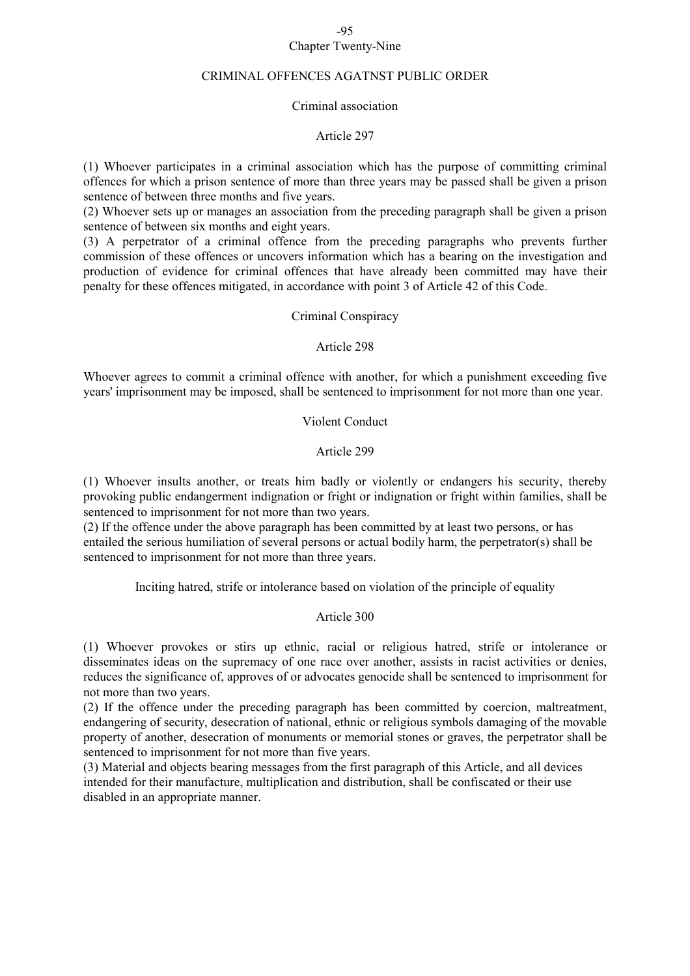### -95 Chapter Twenty-Nine

### CRIMINAL OFFENCES AGATNST PUBLIC ORDER

#### Criminal association

### Article 297

(1) Whoever participates in a criminal association which has the purpose of committing criminal offences for which a prison sentence of more than three years may be passed shall be given a prison sentence of between three months and five years.

(2) Whoever sets up or manages an association from the preceding paragraph shall be given a prison sentence of between six months and eight years.

(3) A perpetrator of a criminal offence from the preceding paragraphs who prevents further commission of these offences or uncovers information which has a bearing on the investigation and production of evidence for criminal offences that have already been committed may have their penalty for these offences mitigated, in accordance with point 3 of Article 42 of this Code.

## Criminal Conspiracy

#### Article 298

Whoever agrees to commit a criminal offence with another, for which a punishment exceeding five years' imprisonment may be imposed, shall be sentenced to imprisonment for not more than one year.

## Violent Conduct

### Article 299

(1) Whoever insults another, or treats him badly or violently or endangers his security, thereby provoking public endangerment indignation or fright or indignation or fright within families, shall be sentenced to imprisonment for not more than two years.

(2) If the offence under the above paragraph has been committed by at least two persons, or has entailed the serious humiliation of several persons or actual bodily harm, the perpetrator(s) shall be sentenced to imprisonment for not more than three years.

Inciting hatred, strife or intolerance based on violation of the principle of equality

## Article 300

(1) Whoever provokes or stirs up ethnic, racial or religious hatred, strife or intolerance or disseminates ideas on the supremacy of one race over another, assists in racist activities or denies, reduces the significance of, approves of or advocates genocide shall be sentenced to imprisonment for not more than two years.

(2) If the offence under the preceding paragraph has been committed by coercion, maltreatment, endangering of security, desecration of national, ethnic or religious symbols damaging of the movable property of another, desecration of monuments or memorial stones or graves, the perpetrator shall be sentenced to imprisonment for not more than five years.

(3) Material and objects bearing messages from the first paragraph of this Article, and all devices intended for their manufacture, multiplication and distribution, shall be confiscated or their use disabled in an appropriate manner.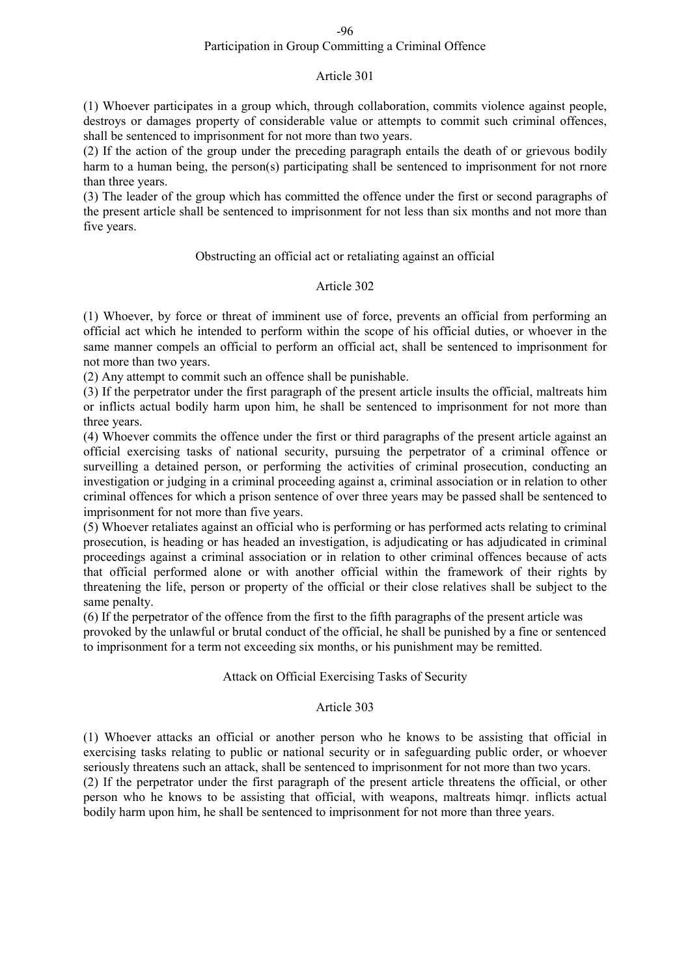## Participation in Group Committing a Criminal Offence

# Article 301

(1) Whoever participates in a group which, through collaboration, commits violence against people, destroys or damages property of considerable value or attempts to commit such criminal offences, shall be sentenced to imprisonment for not more than two years.

(2) If the action of the group under the preceding paragraph entails the death of or grievous bodily harm to a human being, the person(s) participating shall be sentenced to imprisonment for not rnore than three years.

(3) The leader of the group which has committed the offence under the first or second paragraphs of the present article shall be sentenced to imprisonment for not less than six months and not more than five years.

### Obstructing an official act or retaliating against an official

## Article 302

(1) Whoever, by force or threat of imminent use of force, prevents an official from performing an official act which he intended to perform within the scope of his official duties, or whoever in the same manner compels an official to perform an official act, shall be sentenced to imprisonment for not more than two years.

(2) Any attempt to commit such an offence shall be punishable.

(3) If the perpetrator under the first paragraph of the present article insults the official, maltreats him or inflicts actual bodily harm upon him, he shall be sentenced to imprisonment for not more than three years.

(4) Whoever commits the offence under the first or third paragraphs of the present article against an official exercising tasks of national security, pursuing the perpetrator of a criminal offence or surveilling a detained person, or performing the activities of criminal prosecution, conducting an investigation or judging in a criminal proceeding against a, criminal association or in relation to other criminal offences for which a prison sentence of over three years may be passed shall be sentenced to imprisonment for not more than five years.

(5) Whoever retaliates against an official who is performing or has performed acts relating to criminal prosecution, is heading or has headed an investigation, is adjudicating or has adjudicated in criminal proceedings against a criminal association or in relation to other criminal offences because of acts that official performed alone or with another official within the framework of their rights by threatening the life, person or property of the official or their close relatives shall be subject to the same penalty.

(6) If the perpetrator of the offence from the first to the fifth paragraphs of the present article was provoked by the unlawful or brutal conduct of the official, he shall be punished by a fine or sentenced to imprisonment for a term not exceeding six months, or his punishment may be remitted.

# Attack on Official Exercising Tasks of Security

### Article 303

(1) Whoever attacks an official or another person who he knows to be assisting that official in exercising tasks relating to public or national security or in safeguarding public order, or whoever seriously threatens such an attack, shall be sentenced to imprisonment for not more than two ycars. (2) If the perpetrator under the first paragraph of the present article threatens the official, or other person who he knows to be assisting that official, with weapons, maltreats himqr. inflicts actual bodily harm upon him, he shall be sentenced to imprisonment for not more than three years.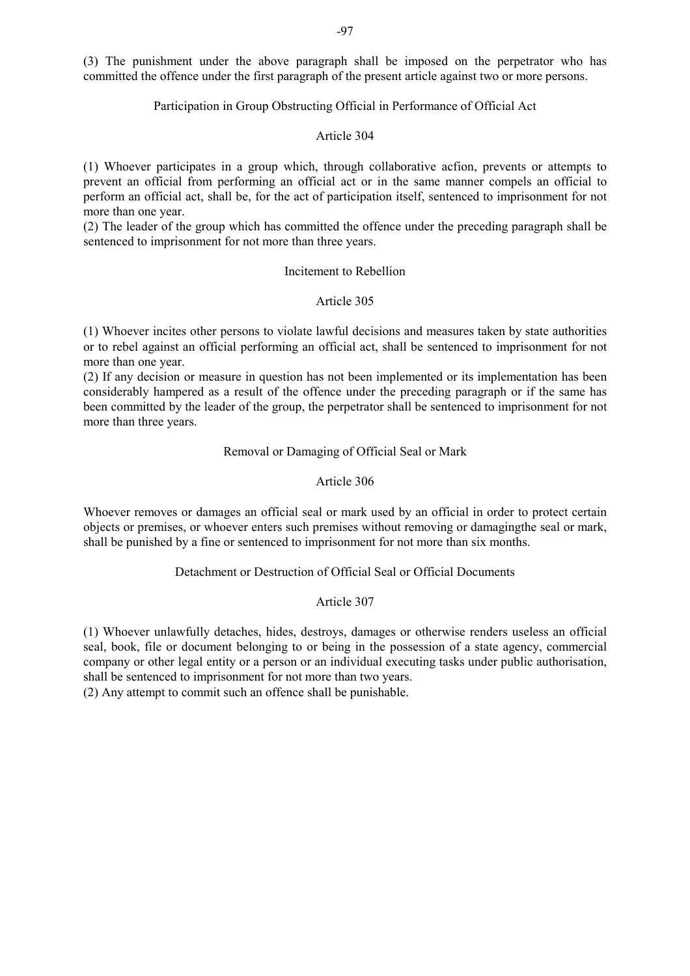(3) The punishment under the above paragraph shall be imposed on the perpetrator who has committed the offence under the first paragraph of the present article against two or more persons.

# Participation in Group Obstructing Official in Performance of Official Act

## Article 304

(1) Whoever participates in a group which, through collaborative acfion, prevents or attempts to prevent an official from performing an official act or in the same manner compels an official to perform an official act, shall be, for the act of participation itself, sentenced to imprisonment for not more than one year.

(2) The leader of the group which has committed the offence under the preceding paragraph shall be sentenced to imprisonment for not more than three years.

## Incitement to Rebellion

## Article 305

(1) Whoever incites other persons to violate lawful decisions and measures taken by state authorities or to rebel against an official performing an official act, shall be sentenced to imprisonment for not more than one year.

(2) If any decision or measure in question has not been implemented or its implementation has been considerably hampered as a result of the offence under the preceding paragraph or if the same has been committed by the leader of the group, the perpetrator shall be sentenced to imprisonment for not more than three years.

# Removal or Damaging of Official Seal or Mark

## Article 306

Whoever removes or damages an official seal or mark used by an official in order to protect certain objects or premises, or whoever enters such premises without removing or damagingthe seal or mark, shall be punished by a fine or sentenced to imprisonment for not more than six months.

# Detachment or Destruction of Official Seal or Official Documents

# Article 307

(1) Whoever unlawfully detaches, hides, destroys, damages or otherwise renders useless an official seal, book, file or document belonging to or being in the possession of a state agency, commercial company or other legal entity or a person or an individual executing tasks under public authorisation, shall be sentenced to imprisonment for not more than two years.

(2) Any attempt to commit such an offence shall be punishable.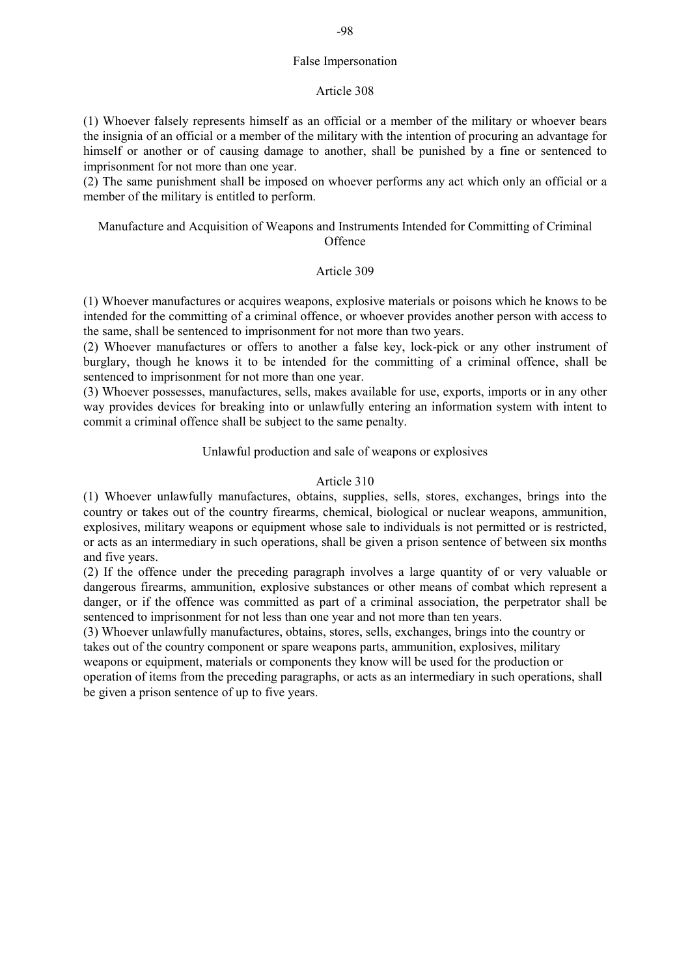# False Impersonation

## Article 308

(1) Whoever falsely represents himself as an official or a member of the military or whoever bears the insignia of an official or a member of the military with the intention of procuring an advantage for himself or another or of causing damage to another, shall be punished by a fine or sentenced to imprisonment for not more than one year.

(2) The same punishment shall be imposed on whoever performs any act which only an official or a member of the military is entitled to perform.

# Manufacture and Acquisition of Weapons and Instruments Intended for Committing of Criminal **Offence**

# Article 309

(1) Whoever manufactures or acquires weapons, explosive materials or poisons which he knows to be intended for the committing of a criminal offence, or whoever provides another person with access to the same, shall be sentenced to imprisonment for not more than two years.

(2) Whoever manufactures or offers to another a false key, lock-pick or any other instrument of burglary, though he knows it to be intended for the committing of a criminal offence, shall be sentenced to imprisonment for not more than one year.

(3) Whoever possesses, manufactures, sells, makes available for use, exports, imports or in any other way provides devices for breaking into or unlawfully entering an information system with intent to commit a criminal offence shall be subject to the same penalty.

# Unlawful production and sale of weapons or explosives

# Article 310

(1) Whoever unlawfully manufactures, obtains, supplies, sells, stores, exchanges, brings into the country or takes out of the country firearms, chemical, biological or nuclear weapons, ammunition, explosives, military weapons or equipment whose sale to individuals is not permitted or is restricted, or acts as an intermediary in such operations, shall be given a prison sentence of between six months and five years.

(2) If the offence under the preceding paragraph involves a large quantity of or very valuable or dangerous firearms, ammunition, explosive substances or other means of combat which represent a danger, or if the offence was committed as part of a criminal association, the perpetrator shall be sentenced to imprisonment for not less than one year and not more than ten years.

(3) Whoever unlawfully manufactures, obtains, stores, sells, exchanges, brings into the country or takes out of the country component or spare weapons parts, ammunition, explosives, military weapons or equipment, materials or components they know will be used for the production or operation of items from the preceding paragraphs, or acts as an intermediary in such operations, shall be given a prison sentence of up to five years.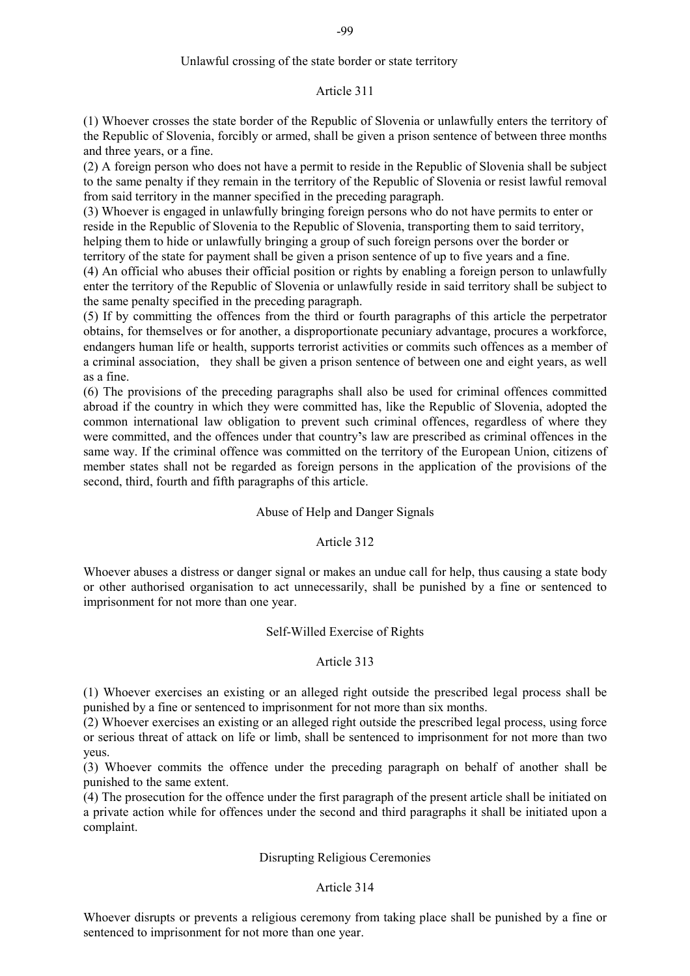# Article 311

(1) Whoever crosses the state border of the Republic of Slovenia or unlawfully enters the territory of the Republic of Slovenia, forcibly or armed, shall be given a prison sentence of between three months and three years, or a fine.

(2) A foreign person who does not have a permit to reside in the Republic of Slovenia shall be subject to the same penalty if they remain in the territory of the Republic of Slovenia or resist lawful removal from said territory in the manner specified in the preceding paragraph.

(3) Whoever is engaged in unlawfully bringing foreign persons who do not have permits to enter or reside in the Republic of Slovenia to the Republic of Slovenia, transporting them to said territory,

helping them to hide or unlawfully bringing a group of such foreign persons over the border or territory of the state for payment shall be given a prison sentence of up to five years and a fine.

(4) An official who abuses their official position or rights by enabling a foreign person to unlawfully enter the territory of the Republic of Slovenia or unlawfully reside in said territory shall be subject to the same penalty specified in the preceding paragraph.

(5) If by committing the offences from the third or fourth paragraphs of this article the perpetrator obtains, for themselves or for another, a disproportionate pecuniary advantage, procures a workforce, endangers human life or health, supports terrorist activities or commits such offences as a member of a criminal association, they shall be given a prison sentence of between one and eight years, as well as a fine.

(6) The provisions of the preceding paragraphs shall also be used for criminal offences committed abroad if the country in which they were committed has, like the Republic of Slovenia, adopted the common international law obligation to prevent such criminal offences, regardless of where they were committed, and the offences under that country's law are prescribed as criminal offences in the same way. If the criminal offence was committed on the territory of the European Union, citizens of member states shall not be regarded as foreign persons in the application of the provisions of the second, third, fourth and fifth paragraphs of this article.

# Abuse of Help and Danger Signals

# Article 312

Whoever abuses a distress or danger signal or makes an undue call for help, thus causing a state body or other authorised organisation to act unnecessarily, shall be punished by a fine or sentenced to imprisonment for not more than one year.

# Self-Willed Exercise of Rights

# Article 313

(1) Whoever exercises an existing or an alleged right outside the prescribed legal process shall be punished by a fine or sentenced to imprisonment for not more than six months.

(2) Whoever exercises an existing or an alleged right outside the prescribed legal process, using force or serious threat of attack on life or limb, shall be sentenced to imprisonment for not more than two yeus.

(3) Whoever commits the offence under the preceding paragraph on behalf of another shall be punished to the same extent.

(4) The prosecution for the offence under the first paragraph of the present article shall be initiated on a private action while for offences under the second and third paragraphs it shall be initiated upon a complaint.

# Disrupting Religious Ceremonies

# Article 314

Whoever disrupts or prevents a religious ceremony from taking place shall be punished by a fine or sentenced to imprisonment for not more than one year.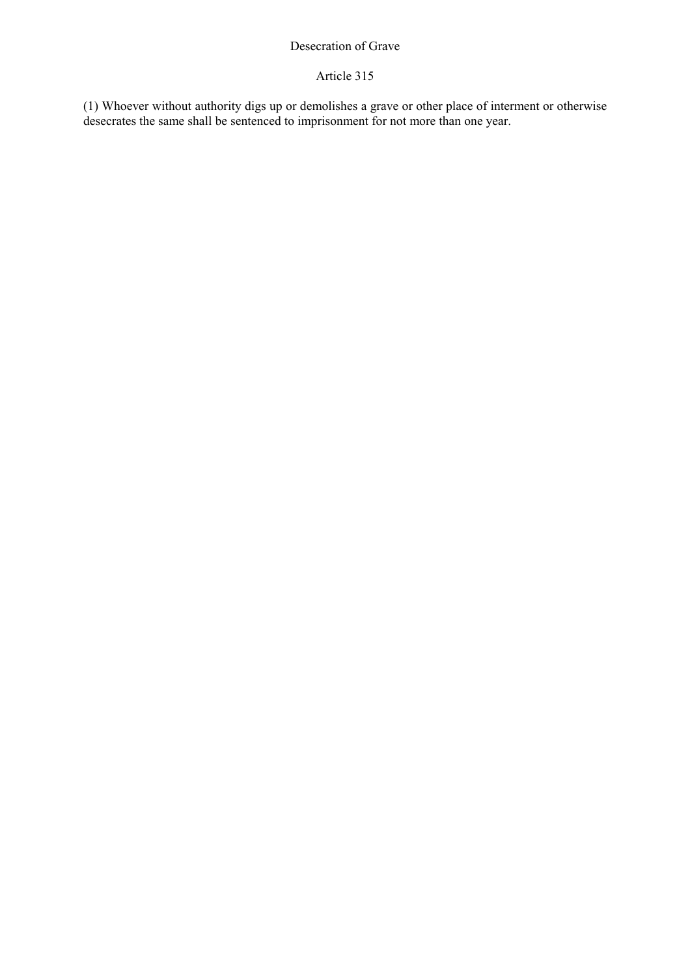# Desecration of Grave

# Article 315

(1) Whoever without authority digs up or demolishes a grave or other place of interment or otherwise desecrates the same shall be sentenced to imprisonment for not more than one year.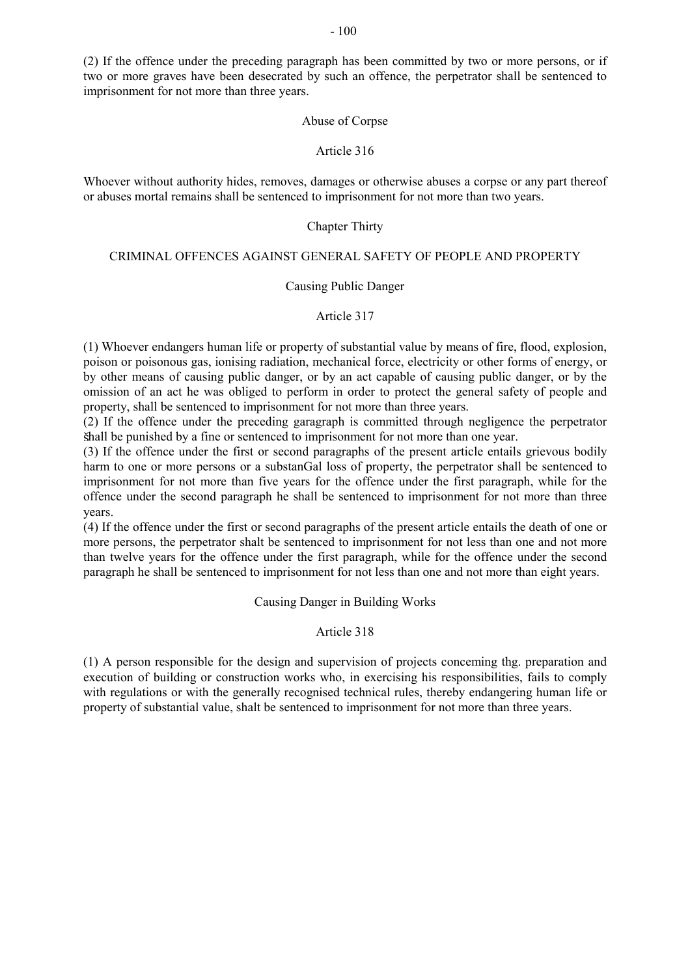(2) If the offence under the preceding paragraph has been committed by two or more persons, or if two or more graves have been desecrated by such an offence, the perpetrator shall be sentenced to imprisonment for not more than three years.

## Abuse of Corpse

## Article 316

Whoever without authority hides, removes, damages or otherwise abuses a corpse or any part thereof or abuses mortal remains shall be sentenced to imprisonment for not more than two years.

## Chapter Thirty

## CRIMINAL OFFENCES AGAINST GENERAL SAFETY OF PEOPLE AND PROPERTY

## Causing Public Danger

# Article 317

(1) Whoever endangers human life or property of substantial value by means of fire, flood, explosion, poison or poisonous gas, ionising radiation, mechanical force, electricity or other forms of energy, or by other means of causing public danger, or by an act capable of causing public danger, or by the omission of an act he was obliged to perform in order to protect the general safety of people and property, shall be sentenced to imprisonment for not more than three years.

(2) If the offence under the preceding garagraph is committed through negligence the perpetrator hall be punished by a fine or sentenced to imprisonment for not more than one year.

(3) If the offence under the first or second paragraphs of the present article entails grievous bodily harm to one or more persons or a substanGal loss of property, the perpetrator shall be sentenced to imprisonment for not more than five years for the offence under the first paragraph, while for the offence under the second paragraph he shall be sentenced to imprisonment for not more than three years.

(4) If the offence under the first or second paragraphs of the present article entails the death of one or more persons, the perpetrator shalt be sentenced to imprisonment for not less than one and not more than twelve years for the offence under the first paragraph, while for the offence under the second paragraph he shall be sentenced to imprisonment for not less than one and not more than eight years.

Causing Danger in Building Works

# Article 318

(1) A person responsible for the design and supervision of projects conceming thg. preparation and execution of building or construction works who, in exercising his responsibilities, fails to comply with regulations or with the generally recognised technical rules, thereby endangering human life or property of substantial value, shalt be sentenced to imprisonment for not more than three years.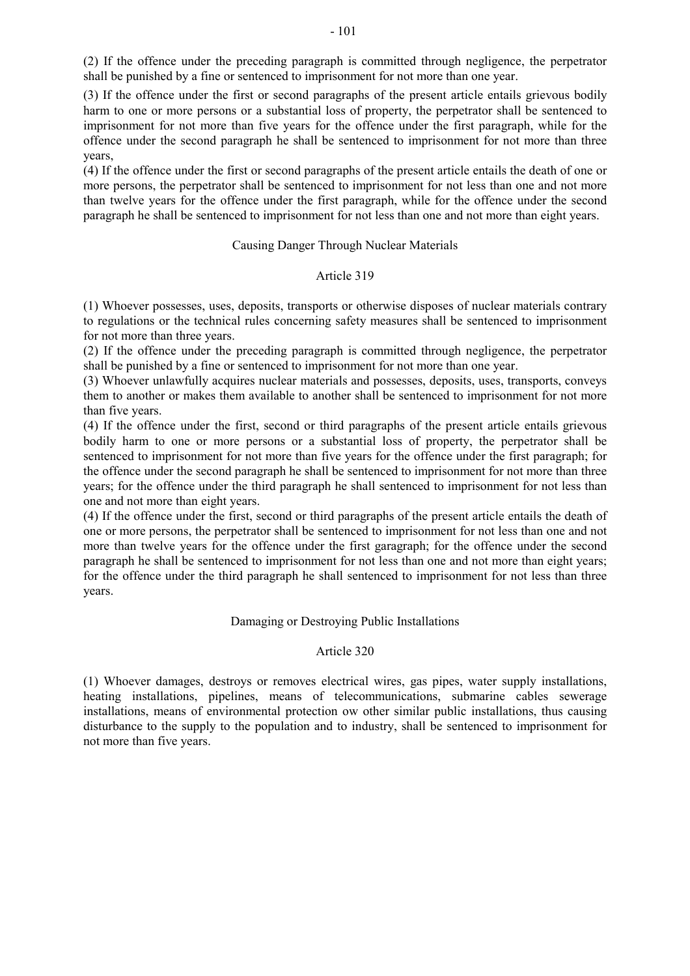(2) If the offence under the preceding paragraph is committed through negligence, the perpetrator shall be punished by a fine or sentenced to imprisonment for not more than one year.

(3) If the offence under the first or second paragraphs of the present article entails grievous bodily harm to one or more persons or a substantial loss of property, the perpetrator shall be sentenced to imprisonment for not more than five years for the offence under the first paragraph, while for the offence under the second paragraph he shall be sentenced to imprisonment for not more than three years,

(4) If the offence under the first or second paragraphs of the present article entails the death of one or more persons, the perpetrator shall be sentenced to imprisonment for not less than one and not more than twelve years for the offence under the first paragraph, while for the offence under the second paragraph he shall be sentenced to imprisonment for not less than one and not more than eight years.

## Causing Danger Through Nuclear Materials

# Article 319

(1) Whoever possesses, uses, deposits, transports or otherwise disposes of nuclear materials contrary to regulations or the technical rules concerning safety measures shall be sentenced to imprisonment for not more than three years.

(2) If the offence under the preceding paragraph is committed through negligence, the perpetrator shall be punished by a fine or sentenced to imprisonment for not more than one year.

(3) Whoever unlawfully acquires nuclear materials and possesses, deposits, uses, transports, conveys them to another or makes them available to another shall be sentenced to imprisonment for not more than five years.

(4) If the offence under the first, second or third paragraphs of the present article entails grievous bodily harm to one or more persons or a substantial loss of property, the perpetrator shall be sentenced to imprisonment for not more than five years for the offence under the first paragraph; for the offence under the second paragraph he shall be sentenced to imprisonment for not more than three years; for the offence under the third paragraph he shall sentenced to imprisonment for not less than one and not more than eight years.

(4) If the offence under the first, second or third paragraphs of the present article entails the death of one or more persons, the perpetrator shall be sentenced to imprisonment for not less than one and not more than twelve years for the offence under the first garagraph; for the offence under the second paragraph he shall be sentenced to imprisonment for not less than one and not more than eight years; for the offence under the third paragraph he shall sentenced to imprisonment for not less than three years.

# Damaging or Destroying Public Installations

# Article 320

(1) Whoever damages, destroys or removes electrical wires, gas pipes, water supply installations, heating installations, pipelines, means of telecommunications, submarine cables sewerage installations, means of environmental protection ow other similar public installations, thus causing disturbance to the supply to the population and to industry, shall be sentenced to imprisonment for not more than five years.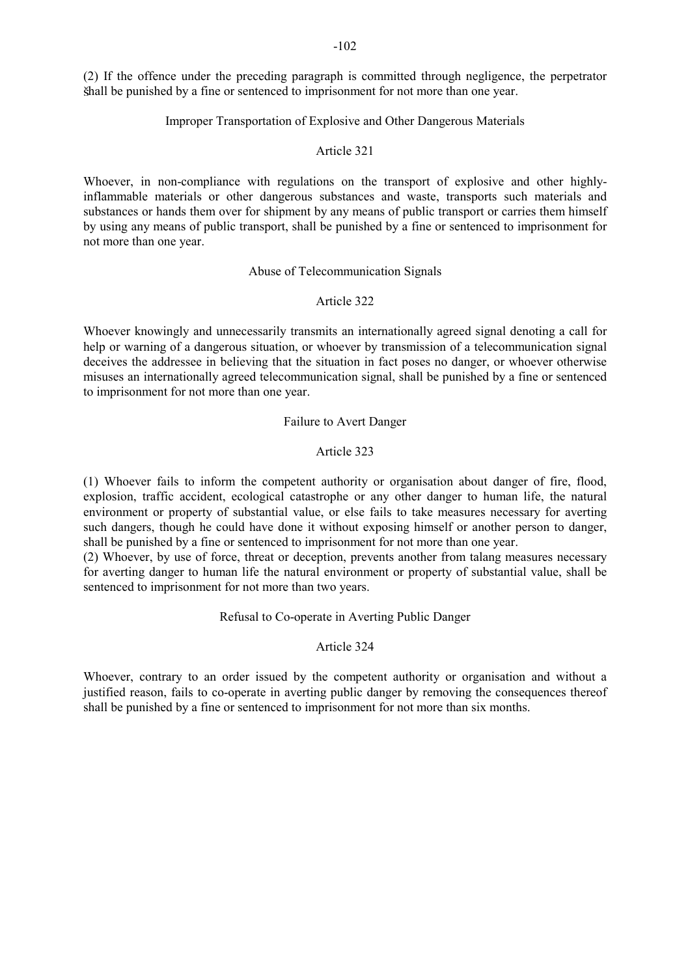-102

(2) If the offence under the preceding paragraph is committed through negligence, the perpetrator hall be punished by a fine or sentenced to imprisonment for not more than one year.

# Improper Transportation of Explosive and Other Dangerous Materials

## Article 321

Whoever, in non-compliance with regulations on the transport of explosive and other highlyinflammable materials or other dangerous substances and waste, transports such materials and substances or hands them over for shipment by any means of public transport or carries them himself by using any means of public transport, shall be punished by a fine or sentenced to imprisonment for not more than one year.

## Abuse of Telecommunication Signals

# Article 322

Whoever knowingly and unnecessarily transmits an internationally agreed signal denoting a call for help or warning of a dangerous situation, or whoever by transmission of a telecommunication signal deceives the addressee in believing that the situation in fact poses no danger, or whoever otherwise misuses an internationally agreed telecommunication signal, shall be punished by a fine or sentenced to imprisonment for not more than one year.

## Failure to Avert Danger

## Article 323

(1) Whoever fails to inform the competent authority or organisation about danger of fire, flood, explosion, traffic accident, ecological catastrophe or any other danger to human life, the natural environment or property of substantial value, or else fails to take measures necessary for averting such dangers, though he could have done it without exposing himself or another person to danger, shall be punished by a fine or sentenced to imprisonment for not more than one year.

(2) Whoever, by use of force, threat or deception, prevents another from talang measures necessary for averting danger to human life the natural environment or property of substantial value, shall be sentenced to imprisonment for not more than two years.

# Refusal to Co-operate in Averting Public Danger

### Article 324

Whoever, contrary to an order issued by the competent authority or organisation and without a justified reason, fails to co-operate in averting public danger by removing the consequences thereof shall be punished by a fine or sentenced to imprisonment for not more than six months.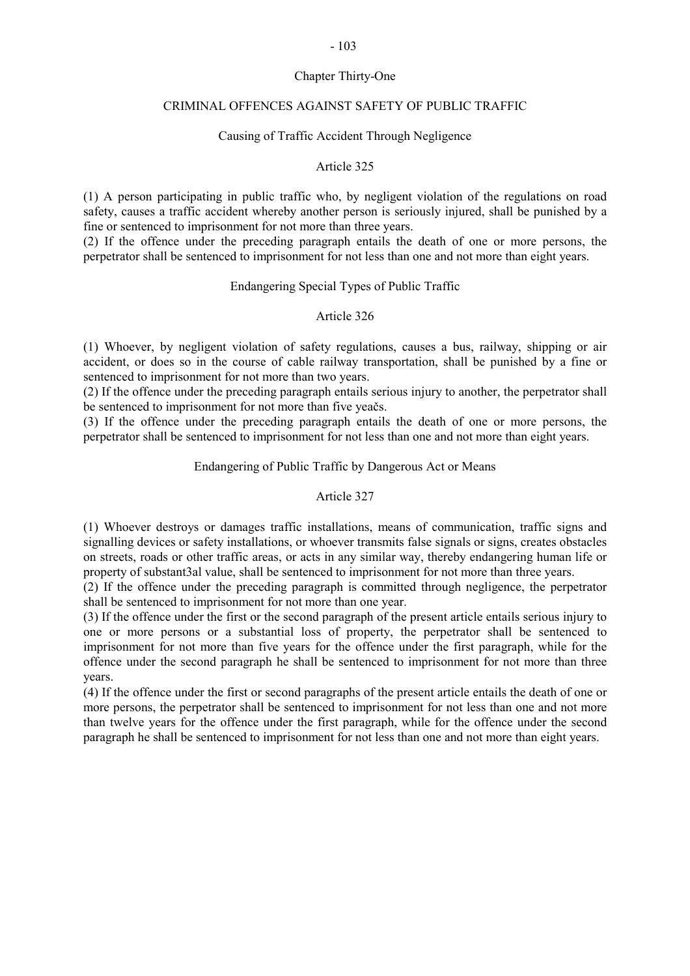# Chapter Thirty-One

# CRIMINAL OFFENCES AGAINST SAFETY OF PUBLIC TRAFFIC

# Causing of Traffic Accident Through Negligence

# Article 325

(1) A person participating in public traffic who, by negligent violation of the regulations on road safety, causes a traffic accident whereby another person is seriously injured, shall be punished by a fine or sentenced to imprisonment for not more than three years.

(2) If the offence under the preceding paragraph entails the death of one or more persons, the perpetrator shall be sentenced to imprisonment for not less than one and not more than eight years.

## Endangering Special Types of Public Traffic

## Article 326

(1) Whoever, by negligent violation of safety regulations, causes a bus, railway, shipping or air accident, or does so in the course of cable railway transportation, shall be punished by a fine or sentenced to imprisonment for not more than two years.

(2) If the offence under the preceding paragraph entails serious injury to another, the perpetrator shall be sentenced to imprisonment for not more than five yeačs.

(3) If the offence under the preceding paragraph entails the death of one or more persons, the perpetrator shall be sentenced to imprisonment for not less than one and not more than eight years.

## Endangering of Public Traffic by Dangerous Act or Means

# Article 327

(1) Whoever destroys or damages traffic installations, means of communication, traffic signs and signalling devices or safety installations, or whoever transmits false signals or signs, creates obstacles on streets, roads or other traffic areas, or acts in any similar way, thereby endangering human life or property of substant3al value, shall be sentenced to imprisonment for not more than three years.

(2) If the offence under the preceding paragraph is committed through negligence, the perpetrator shall be sentenced to imprisonment for not more than one year.

(3) If the offence under the first or the second paragraph of the present article entails serious injury to one or more persons or a substantial loss of property, the perpetrator shall be sentenced to imprisonment for not more than five years for the offence under the first paragraph, while for the offence under the second paragraph he shall be sentenced to imprisonment for not more than three years.

(4) If the offence under the first or second paragraphs of the present article entails the death of one or more persons, the perpetrator shall be sentenced to imprisonment for not less than one and not more than twelve years for the offence under the first paragraph, while for the offence under the second paragraph he shall be sentenced to imprisonment for not less than one and not more than eight years.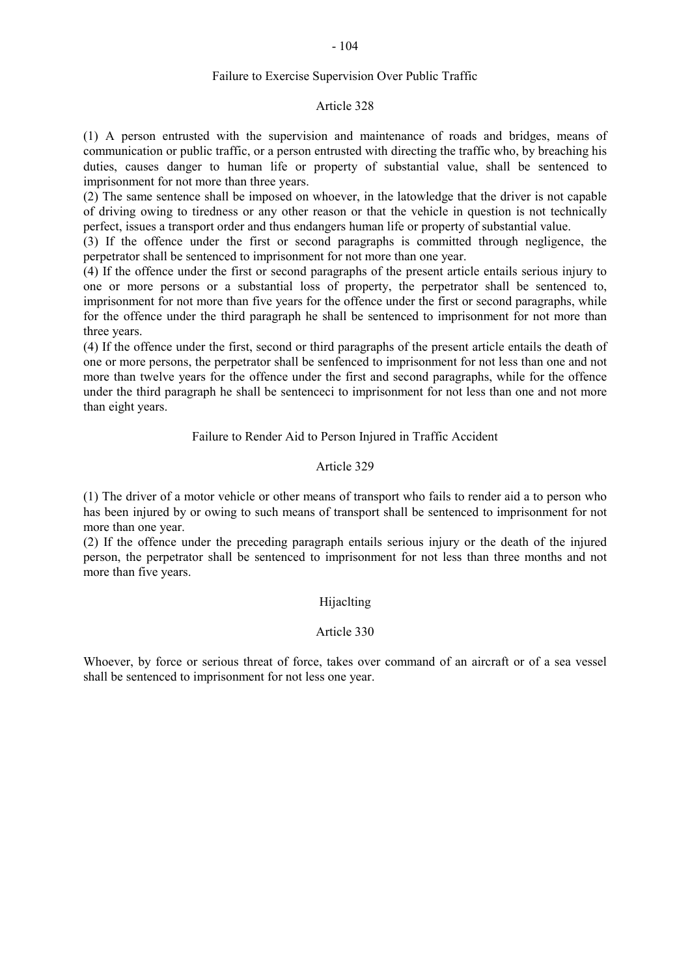# Failure to Exercise Supervision Over Public Traffic

### Article 328

(1) A person entrusted with the supervision and maintenance of roads and bridges, means of communication or public traffic, or a person entrusted with directing the traffic who, by breaching his duties, causes danger to human life or property of substantial value, shall be sentenced to imprisonment for not more than three years.

(2) The same sentence shall be imposed on whoever, in the latowledge that the driver is not capable of driving owing to tiredness or any other reason or that the vehicle in question is not technically perfect, issues a transport order and thus endangers human life or property of substantial value.

(3) If the offence under the first or second paragraphs is committed through negligence, the perpetrator shall be sentenced to imprisonment for not more than one year.

(4) If the offence under the first or second paragraphs of the present article entails serious injury to one or more persons or a substantial loss of property, the perpetrator shall be sentenced to, imprisonment for not more than five years for the offence under the first or second paragraphs, while for the offence under the third paragraph he shall be sentenced to imprisonment for not more than three years.

(4) If the offence under the first, second or third paragraphs of the present article entails the death of one or more persons, the perpetrator shall be senfenced to imprisonment for not less than one and not more than twelve years for the offence under the first and second paragraphs, while for the offence under the third paragraph he shall be sentenceci to imprisonment for not less than one and not more than eight years.

## Failure to Render Aid to Person Injured in Traffic Accident

# Article 329

(1) The driver of a motor vehicle or other means of transport who fails to render aid a to person who has been injured by or owing to such means of transport shall be sentenced to imprisonment for not more than one year.

(2) If the offence under the preceding paragraph entails serious injury or the death of the injured person, the perpetrator shall be sentenced to imprisonment for not less than three months and not more than five years.

## Hijaclting

# Article 330

Whoever, by force or serious threat of force, takes over command of an aircraft or of a sea vessel shall be sentenced to imprisonment for not less one year.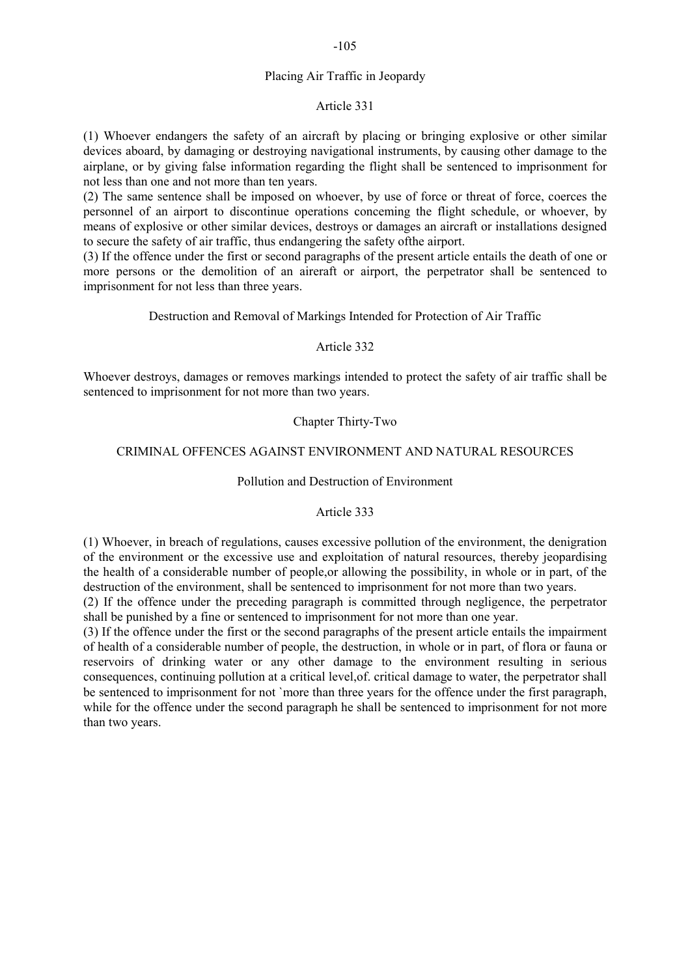# Placing Air Traffic in Jeopardy

## Article 331

(1) Whoever endangers the safety of an aircraft by placing or bringing explosive or other similar devices aboard, by damaging or destroying navigational instruments, by causing other damage to the airplane, or by giving false information regarding the flight shall be sentenced to imprisonment for not less than one and not more than ten years.

(2) The same sentence shall be imposed on whoever, by use of force or threat of force, coerces the personnel of an airport to discontinue operations conceming the flight schedule, or whoever, by means of explosive or other similar devices, destroys or damages an aircraft or installations designed to secure the safety of air traffic, thus endangering the safety ofthe airport.

(3) If the offence under the first or second paragraphs of the present article entails the death of one or more persons or the demolition of an aireraft or airport, the perpetrator shall be sentenced to imprisonment for not less than three years.

# Destruction and Removal of Markings Intended for Protection of Air Traffic

## Article 332

Whoever destroys, damages or removes markings intended to protect the safety of air traffic shall be sentenced to imprisonment for not more than two years.

# Chapter Thirty-Two

# CRIMINAL OFFENCES AGAINST ENVIRONMENT AND NATURAL RESOURCES

## Pollution and Destruction of Environment

#### Article 333

(1) Whoever, in breach of regulations, causes excessive pollution of the environment, the denigration of the environment or the excessive use and exploitation of natural resources, thereby jeopardising the health of a considerable number of people,or allowing the possibility, in whole or in part, of the destruction of the environment, shall be sentenced to imprisonment for not more than two years.

(2) If the offence under the preceding paragraph is committed through negligence, the perpetrator shall be punished by a fine or sentenced to imprisonment for not more than one year.

(3) If the offence under the first or the second paragraphs of the present article entails the impairment of health of a considerable number of people, the destruction, in whole or in part, of flora or fauna or reservoirs of drinking water or any other damage to the environment resulting in serious consequences, continuing pollution at a critical level,of. critical damage to water, the perpetrator shall be sentenced to imprisonment for not `more than three years for the offence under the first paragraph, while for the offence under the second paragraph he shall be sentenced to imprisonment for not more than two years.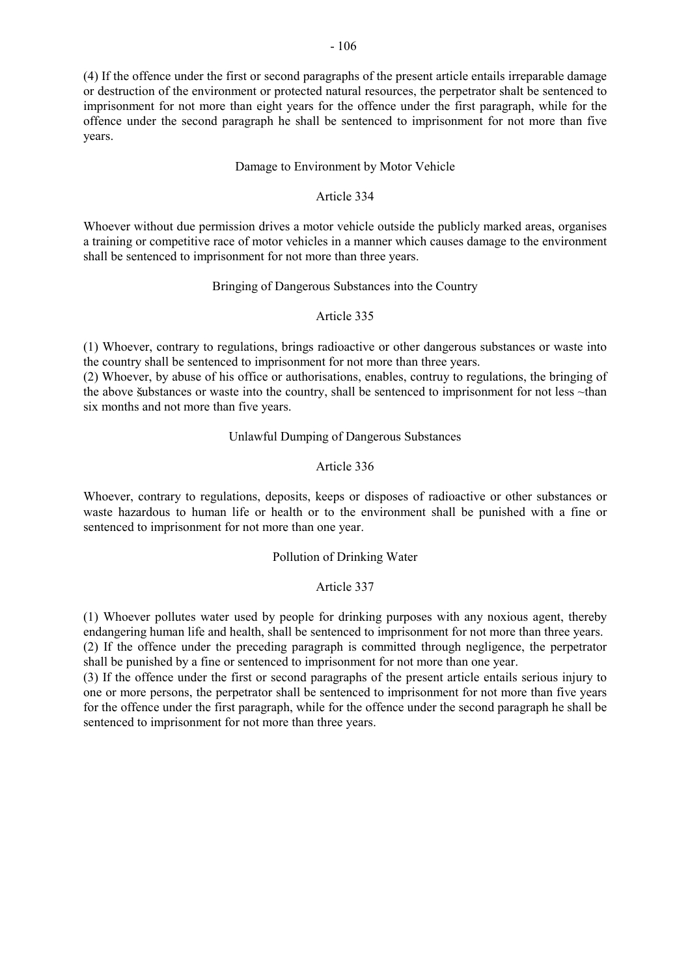(4) If the offence under the first or second paragraphs of the present article entails irreparable damage or destruction of the environment or protected natural resources, the perpetrator shalt be sentenced to imprisonment for not more than eight years for the offence under the first paragraph, while for the offence under the second paragraph he shall be sentenced to imprisonment for not more than five years.

## Damage to Environment by Motor Vehicle

### Article 334

Whoever without due permission drives a motor vehicle outside the publicly marked areas, organises a training or competitive race of motor vehicles in a manner which causes damage to the environment shall be sentenced to imprisonment for not more than three years.

# Bringing of Dangerous Substances into the Country

# Article 335

(1) Whoever, contrary to regulations, brings radioactive or other dangerous substances or waste into the country shall be sentenced to imprisonment for not more than three years.

(2) Whoever, by abuse of his office or authorisations, enables, contruy to regulations, the bringing of the above šubstances or waste into the country, shall be sentenced to imprisonment for not less  $\nu$ than six months and not more than five years.

# Unlawful Dumping of Dangerous Substances

# Article 336

Whoever, contrary to regulations, deposits, keeps or disposes of radioactive or other substances or waste hazardous to human life or health or to the environment shall be punished with a fine or sentenced to imprisonment for not more than one year.

#### Pollution of Drinking Water

# Article 337

(1) Whoever pollutes water used by people for drinking purposes with any noxious agent, thereby endangering human life and health, shall be sentenced to imprisonment for not more than three years.

(2) If the offence under the preceding paragraph is committed through negligence, the perpetrator shall be punished by a fine or sentenced to imprisonment for not more than one year.

(3) If the offence under the first or second paragraphs of the present article entails serious injury to one or more persons, the perpetrator shall be sentenced to imprisonment for not more than five years for the offence under the first paragraph, while for the offence under the second paragraph he shall be sentenced to imprisonment for not more than three years.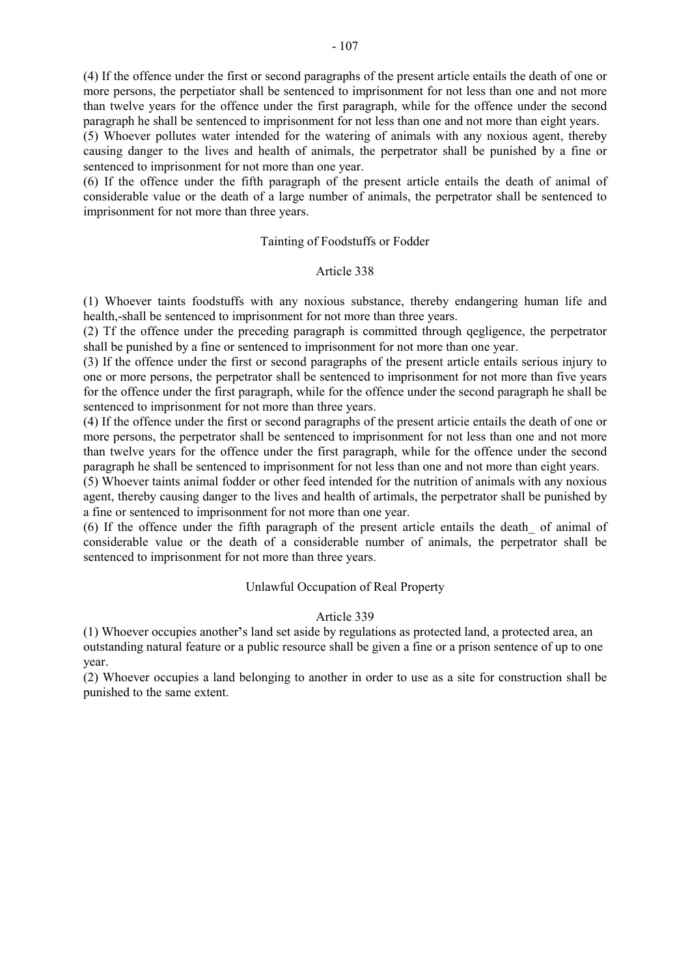(5) Whoever pollutes water intended for the watering of animals with any noxious agent, thereby causing danger to the lives and health of animals, the perpetrator shall be punished by a fine or sentenced to imprisonment for not more than one year.

(6) If the offence under the fifth paragraph of the present article entails the death of animal of considerable value or the death of a large number of animals, the perpetrator shall be sentenced to imprisonment for not more than three years.

# Tainting of Foodstuffs or Fodder

# Article 338

(1) Whoever taints foodstuffs with any noxious substance, thereby endangering human life and health,-shall be sentenced to imprisonment for not more than three years.

(2) Tf the offence under the preceding paragraph is committed through qegligence, the perpetrator shall be punished by a fine or sentenced to imprisonment for not more than one year.

(3) If the offence under the first or second paragraphs of the present article entails serious injury to one or more persons, the perpetrator shall be sentenced to imprisonment for not more than five years for the offence under the first paragraph, while for the offence under the second paragraph he shall be sentenced to imprisonment for not more than three years.

(4) If the offence under the first or second paragraphs of the present articie entails the death of one or more persons, the perpetrator shall be sentenced to imprisonment for not less than one and not more than twelve years for the offence under the first paragraph, while for the offence under the second paragraph he shall be sentenced to imprisonment for not less than one and not more than eight years.

(5) Whoever taints animal fodder or other feed intended for the nutrition of animals with any noxious agent, thereby causing danger to the lives and health of artimals, the perpetrator shall be punished by a fine or sentenced to imprisonment for not more than one year.

(6) If the offence under the fifth paragraph of the present article entails the death\_ of animal of considerable value or the death of a considerable number of animals, the perpetrator shall be sentenced to imprisonment for not more than three years.

# Unlawful Occupation of Real Property

# Article 339

(1) Whoever occupies another's land set aside by regulations as protected land, a protected area, an outstanding natural feature or a public resource shall be given a fine or a prison sentence of up to one year.

(2) Whoever occupies a land belonging to another in order to use as a site for construction shall be punished to the same extent.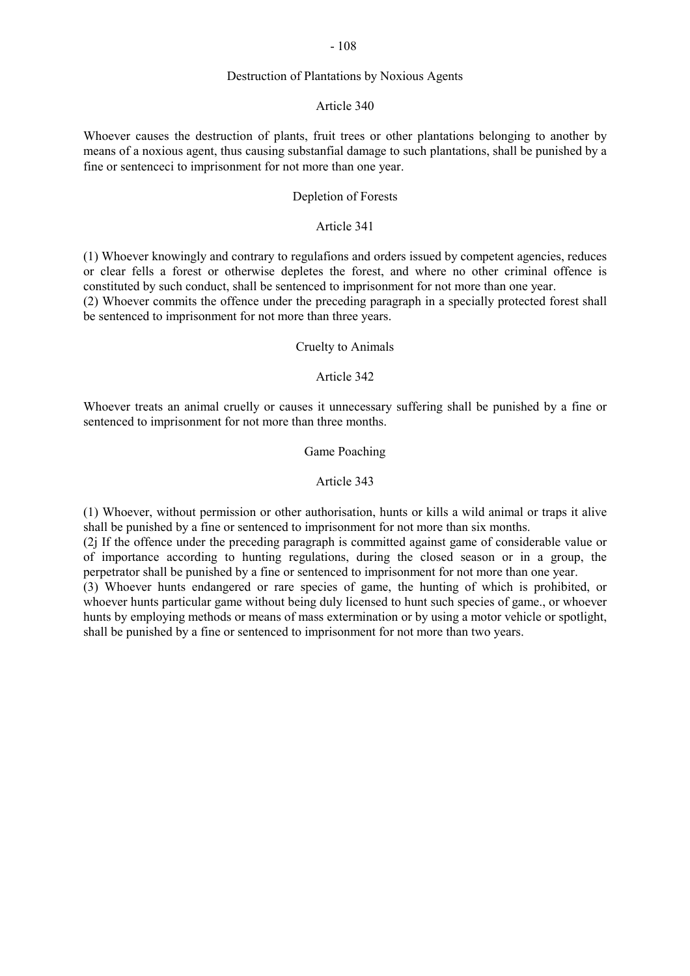### Destruction of Plantations by Noxious Agents

#### Article 340

Whoever causes the destruction of plants, fruit trees or other plantations belonging to another by means of a noxious agent, thus causing substanfial damage to such plantations, shall be punished by a fine or sentenceci to imprisonment for not more than one year.

# Depletion of Forests

# Article 341

(1) Whoever knowingly and contrary to regulafions and orders issued by competent agencies, reduces or clear fells a forest or otherwise depletes the forest, and where no other criminal offence is constituted by such conduct, shall be sentenced to imprisonment for not more than one year.

(2) Whoever commits the offence under the preceding paragraph in a specially protected forest shall be sentenced to imprisonment for not more than three years.

#### Cruelty to Animals

# Article 342

Whoever treats an animal cruelly or causes it unnecessary suffering shall be punished by a fine or sentenced to imprisonment for not more than three months.

### Game Poaching

#### Article 343

(1) Whoever, without permission or other authorisation, hunts or kills a wild animal or traps it alive shall be punished by a fine or sentenced to imprisonment for not more than six months.

(2j If the offence under the preceding paragraph is committed against game of considerable value or of importance according to hunting regulations, during the closed season or in a group, the perpetrator shall be punished by a fine or sentenced to imprisonment for not more than one year.

(3) Whoever hunts endangered or rare species of game, the hunting of which is prohibited, or whoever hunts particular game without being duly licensed to hunt such species of game., or whoever hunts by employing methods or means of mass extermination or by using a motor vehicle or spotlight, shall be punished by a fine or sentenced to imprisonment for not more than two years.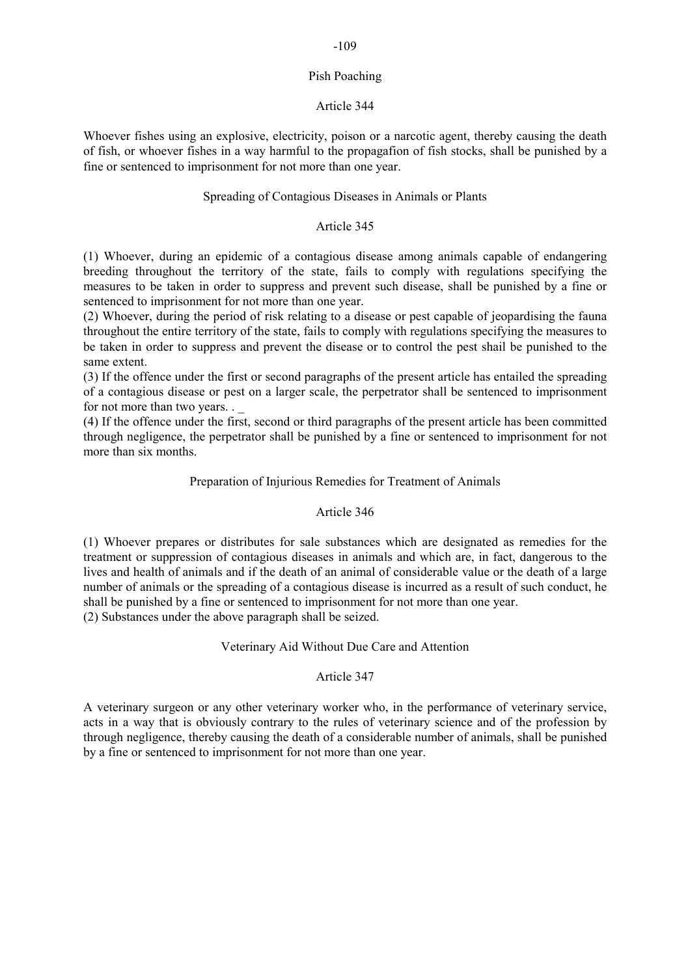#### Pish Poaching

# Article 344

Whoever fishes using an explosive, electricity, poison or a narcotic agent, thereby causing the death of fish, or whoever fishes in a way harmful to the propagafion of fish stocks, shall be punished by a fine or sentenced to imprisonment for not more than one year.

# Spreading of Contagious Diseases in Animals or Plants

# Article 345

(1) Whoever, during an epidemic of a contagious disease among animals capable of endangering breeding throughout the territory of the state, fails to comply with regulations specifying the measures to be taken in order to suppress and prevent such disease, shall be punished by a fine or sentenced to imprisonment for not more than one year.

(2) Whoever, during the period of risk relating to a disease or pest capable of jeopardising the fauna throughout the entire territory of the state, fails to comply with regulations specifying the measures to be taken in order to suppress and prevent the disease or to control the pest shail be punished to the same extent.

(3) If the offence under the first or second paragraphs of the present article has entailed the spreading of a contagious disease or pest on a larger scale, the perpetrator shall be sentenced to imprisonment for not more than two years. . \_

(4) If the offence under the first, second or third paragraphs of the present article has been committed through negligence, the perpetrator shall be punished by a fine or sentenced to imprisonment for not more than six months.

# Preparation of Injurious Remedies for Treatment of Animals

# Article 346

(1) Whoever prepares or distributes for sale substances which are designated as remedies for the treatment or suppression of contagious diseases in animals and which are, in fact, dangerous to the lives and health of animals and if the death of an animal of considerable value or the death of a large number of animals or the spreading of a contagious disease is incurred as a result of such conduct, he shall be punished by a fine or sentenced to imprisonment for not more than one year. (2) Substances under the above paragraph shall be seized.

# Veterinary Aid Without Due Care and Attention

# Article 347

A veterinary surgeon or any other veterinary worker who, in the performance of veterinary service, acts in a way that is obviously contrary to the rules of veterinary science and of the profession by through negligence, thereby causing the death of a considerable number of animals, shall be punished by a fine or sentenced to imprisonment for not more than one year.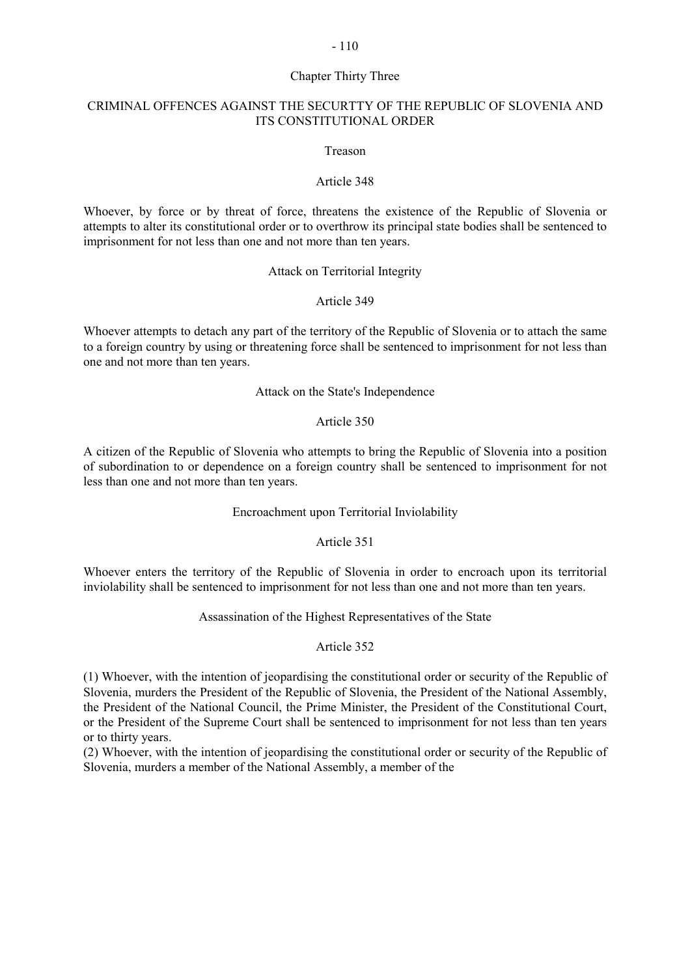### Chapter Thirty Three

# CRIMINAL OFFENCES AGAINST THE SECURTTY OF THE REPUBLIC OF SLOVENIA AND ITS CONSTITUTIONAL ORDER

#### Treason

# Article 348

Whoever, by force or by threat of force, threatens the existence of the Republic of Slovenia or attempts to alter its constitutional order or to overthrow its principal state bodies shall be sentenced to imprisonment for not less than one and not more than ten years.

#### Attack on Territorial Integrity

# Article 349

Whoever attempts to detach any part of the territory of the Republic of Slovenia or to attach the same to a foreign country by using or threatening force shall be sentenced to imprisonment for not less than one and not more than ten years.

### Attack on the State's Independence

#### Article 350

A citizen of the Republic of Slovenia who attempts to bring the Republic of Slovenia into a position of subordination to or dependence on a foreign country shall be sentenced to imprisonment for not less than one and not more than ten years.

#### Encroachment upon Territorial Inviolability

# Article 351

Whoever enters the territory of the Republic of Slovenia in order to encroach upon its territorial inviolability shall be sentenced to imprisonment for not less than one and not more than ten years.

### Assassination of the Highest Representatives of the State

# Article 352

(1) Whoever, with the intention of jeopardising the constitutional order or security of the Republic of Slovenia, murders the President of the Republic of Slovenia, the President of the National Assembly, the President of the National Council, the Prime Minister, the President of the Constitutional Court, or the President of the Supreme Court shall be sentenced to imprisonment for not less than ten years or to thirty years.

(2) Whoever, with the intention of jeopardising the constitutional order or security of the Republic of Slovenia, murders a member of the National Assembly, a member of the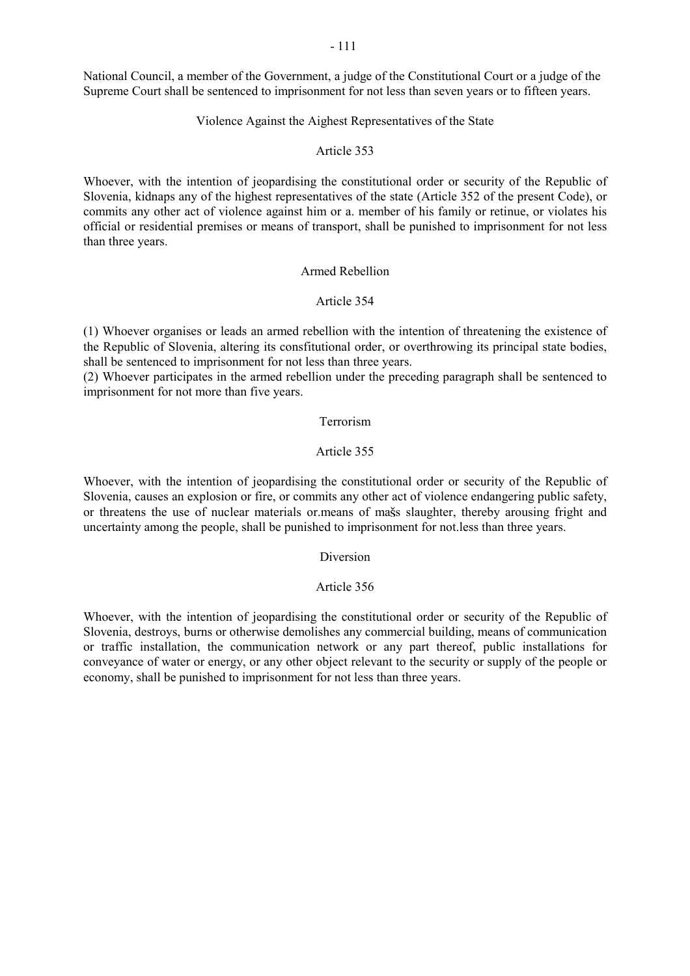National Council, a member of the Government, a judge of the Constitutional Court or a judge of the Supreme Court shall be sentenced to imprisonment for not less than seven years or to fifteen years.

# Violence Against the Aighest Representatives of the State

#### Article 353

Whoever, with the intention of jeopardising the constitutional order or security of the Republic of Slovenia, kidnaps any of the highest representatives of the state (Article 352 of the present Code), or commits any other act of violence against him or a. member of his family or retinue, or violates his official or residential premises or means of transport, shall be punished to imprisonment for not less than three years.

## Armed Rebellion

# Article 354

(1) Whoever organises or leads an armed rebellion with the intention of threatening the existence of the Republic of Slovenia, altering its consfitutional order, or overthrowing its principal state bodies, shall be sentenced to imprisonment for not less than three years.

(2) Whoever participates in the armed rebellion under the preceding paragraph shall be sentenced to imprisonment for not more than five years.

#### Terrorism

# Article 355

Whoever, with the intention of jeopardising the constitutional order or security of the Republic of Slovenia, causes an explosion or fire, or commits any other act of violence endangering public safety, or threatens the use of nuclear materials or means of mass slaughter, thereby arousing fright and uncertainty among the people, shall be punished to imprisonment for not.less than three years.

#### Diversion

#### Article 356

Whoever, with the intention of jeopardising the constitutional order or security of the Republic of Slovenia, destroys, burns or otherwise demolishes any commercial building, means of communication or traffic installation, the communication network or any part thereof, public installations for conveyance of water or energy, or any other object relevant to the security or supply of the people or economy, shall be punished to imprisonment for not less than three years.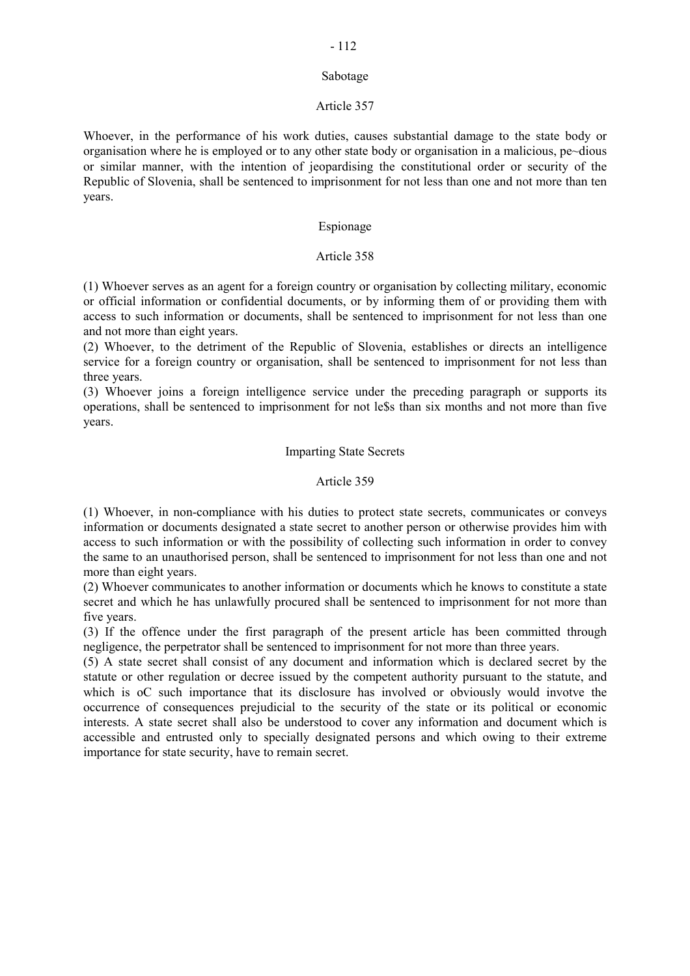#### Sabotage

## Article 357

Whoever, in the performance of his work duties, causes substantial damage to the state body or organisation where he is employed or to any other state body or organisation in a malicious, pe~dious or similar manner, with the intention of jeopardising the constitutional order or security of the Republic of Slovenia, shall be sentenced to imprisonment for not less than one and not more than ten years.

# Espionage

# Article 358

(1) Whoever serves as an agent for a foreign country or organisation by collecting military, economic or official information or confidential documents, or by informing them of or providing them with access to such information or documents, shall be sentenced to imprisonment for not less than one and not more than eight years.

(2) Whoever, to the detriment of the Republic of Slovenia, establishes or directs an intelligence service for a foreign country or organisation, shall be sentenced to imprisonment for not less than three years.

(3) Whoever joins a foreign intelligence service under the preceding paragraph or supports its operations, shall be sentenced to imprisonment for not le\$s than six months and not more than five years.

# Imparting State Secrets

# Article 359

(1) Whoever, in non-compliance with his duties to protect state secrets, communicates or conveys information or documents designated a state secret to another person or otherwise provides him with access to such information or with the possibility of collecting such information in order to convey the same to an unauthorised person, shall be sentenced to imprisonment for not less than one and not more than eight years.

(2) Whoever communicates to another information or documents which he knows to constitute a state secret and which he has unlawfully procured shall be sentenced to imprisonment for not more than five years.

(3) If the offence under the first paragraph of the present article has been committed through negligence, the perpetrator shall be sentenced to imprisonment for not more than three years.

(5) A state secret shall consist of any document and information which is declared secret by the statute or other regulation or decree issued by the competent authority pursuant to the statute, and which is oC such importance that its disclosure has involved or obviously would invotve the occurrence of consequences prejudicial to the security of the state or its political or economic interests. A state secret shall also be understood to cover any information and document which is accessible and entrusted only to specially designated persons and which owing to their extreme importance for state security, have to remain secret.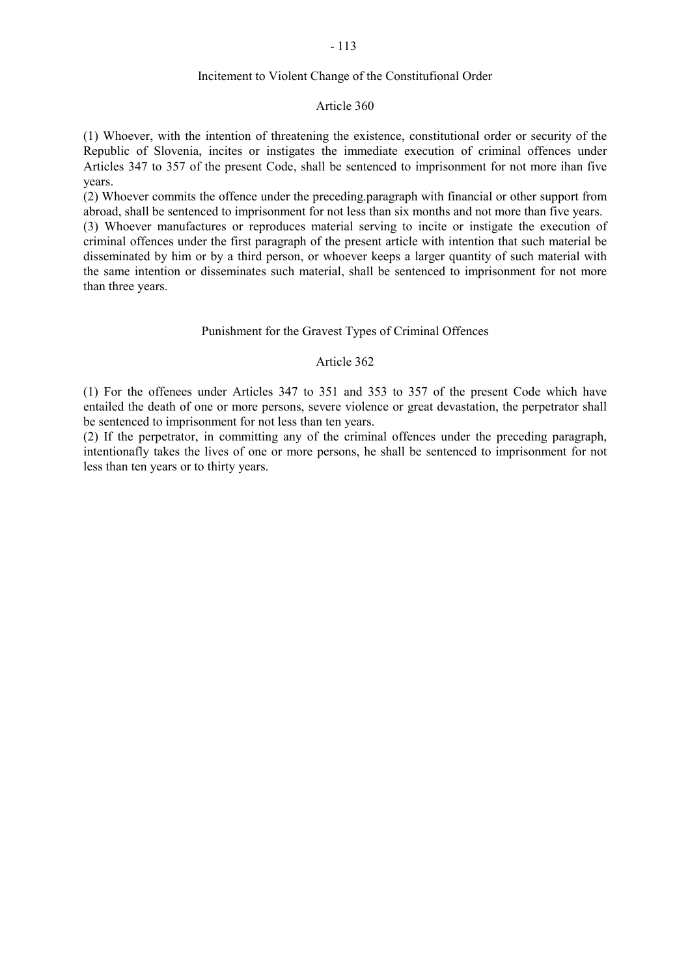## Incitement to Violent Change of the Constitufional Order

#### Article 360

(1) Whoever, with the intention of threatening the existence, constitutional order or security of the Republic of Slovenia, incites or instigates the immediate execution of criminal offences under Articles 347 to 357 of the present Code, shall be sentenced to imprisonment for not more ihan five years.

(2) Whoever commits the offence under the preceding.paragraph with financial or other support from abroad, shall be sentenced to imprisonment for not less than six months and not more than five years.

(3) Whoever manufactures or reproduces material serving to incite or instigate the execution of criminal offences under the first paragraph of the present article with intention that such material be disseminated by him or by a third person, or whoever keeps a larger quantity of such material with the same intention or disseminates such material, shall be sentenced to imprisonment for not more than three years.

#### Punishment for the Gravest Types of Criminal Offences

#### Article 362

(1) For the offenees under Articles 347 to 351 and 353 to 357 of the present Code which have entailed the death of one or more persons, severe violence or great devastation, the perpetrator shall be sentenced to imprisonment for not less than ten years.

(2) If the perpetrator, in committing any of the criminal offences under the preceding paragraph, intentionafly takes the lives of one or more persons, he shall be sentenced to imprisonment for not less than ten years or to thirty years.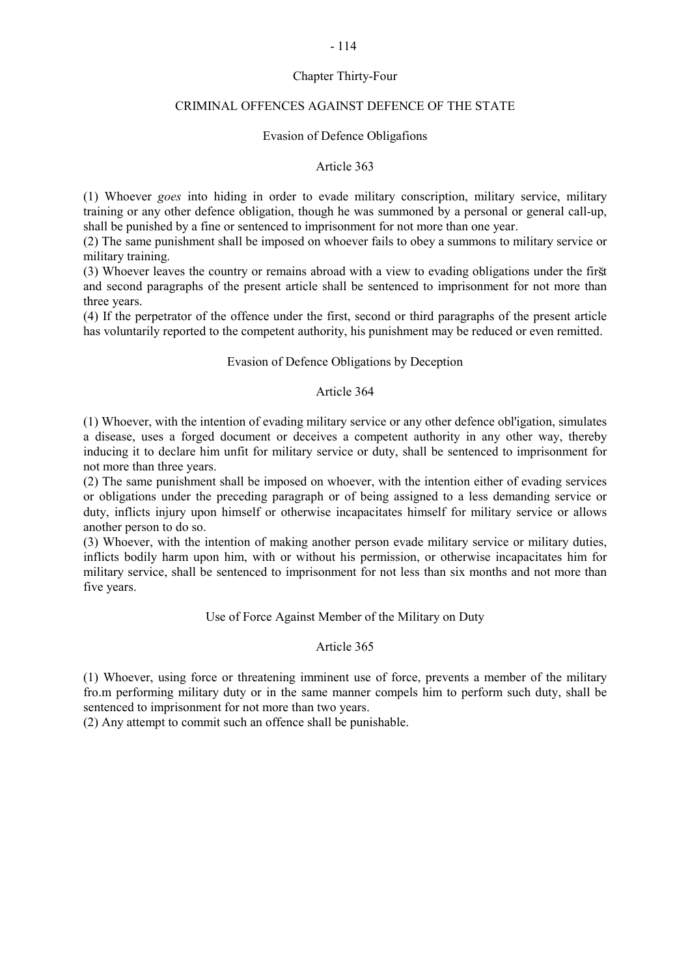# Chapter Thirty-Four

# CRIMINAL OFFENCES AGAINST DEFENCE OF THE STATE

## Evasion of Defence Obligafions

#### Article 363

(1) Whoever *goes* into hiding in order to evade military conscription, military service, military training or any other defence obligation, though he was summoned by a personal or general call-up, shall be punished by a fine or sentenced to imprisonment for not more than one year.

(2) The same punishment shall be imposed on whoever fails to obey a summons to military service or military training.

(3) Whoever leaves the country or remains abroad with a view to evading obligations under the first and second paragraphs of the present article shall be sentenced to imprisonment for not more than three years.

(4) If the perpetrator of the offence under the first, second or third paragraphs of the present article has voluntarily reported to the competent authority, his punishment may be reduced or even remitted.

## Evasion of Defence Obligations by Deception

### Article 364

(1) Whoever, with the intention of evading military service or any other defence obl'igation, simulates a disease, uses a forged document or deceives a competent authority in any other way, thereby inducing it to declare him unfit for military service or duty, shall be sentenced to imprisonment for not more than three years.

(2) The same punishment shall be imposed on whoever, with the intention either of evading services or obligations under the preceding paragraph or of being assigned to a less demanding service or duty, inflicts injury upon himself or otherwise incapacitates himself for military service or allows another person to do so.

(3) Whoever, with the intention of making another person evade military service or military duties, inflicts bodily harm upon him, with or without his permission, or otherwise incapacitates him for military service, shall be sentenced to imprisonment for not less than six months and not more than five years.

# Use of Force Against Member of the Military on Duty

# Article 365

(1) Whoever, using force or threatening imminent use of force, prevents a member of the military fro.m performing military duty or in the same manner compels him to perform such duty, shall be sentenced to imprisonment for not more than two years.

(2) Any attempt to commit such an offence shall be punishable.

#### - 114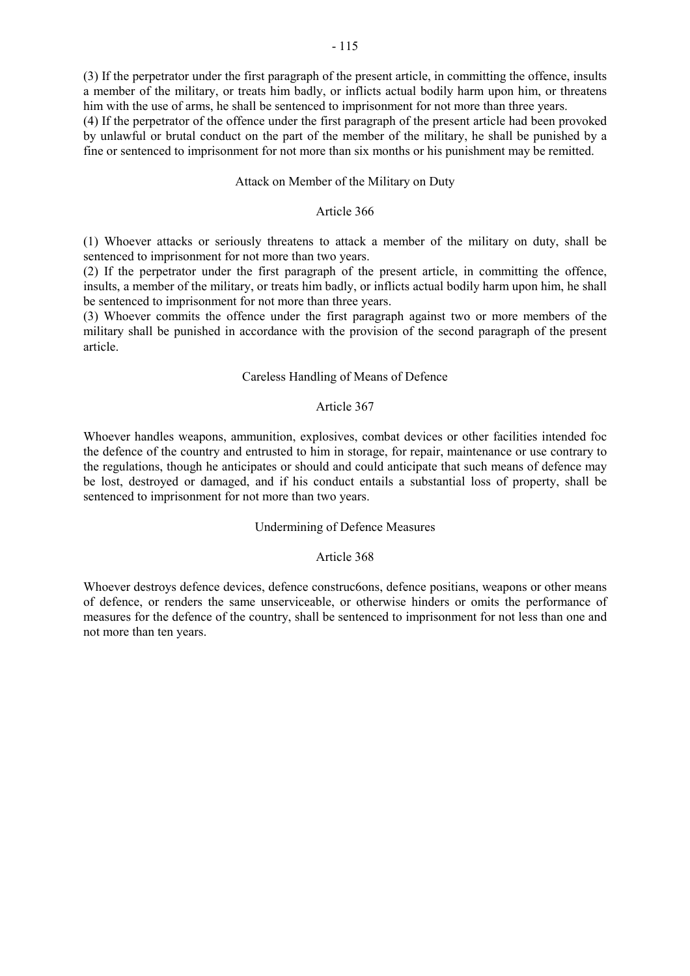(3) If the perpetrator under the first paragraph of the present article, in committing the offence, insults a member of the military, or treats him badly, or inflicts actual bodily harm upon him, or threatens him with the use of arms, he shall be sentenced to imprisonment for not more than three years.

(4) If the perpetrator of the offence under the first paragraph of the present article had been provoked by unlawful or brutal conduct on the part of the member of the military, he shall be punished by a fine or sentenced to imprisonment for not more than six months or his punishment may be remitted.

#### Attack on Member of the Military on Duty

### Article 366

(1) Whoever attacks or seriously threatens to attack a member of the military on duty, shall be sentenced to imprisonment for not more than two years.

(2) If the perpetrator under the first paragraph of the present article, in committing the offence, insults, a member of the military, or treats him badly, or inflicts actual bodily harm upon him, he shall be sentenced to imprisonment for not more than three years.

(3) Whoever commits the offence under the first paragraph against two or more members of the military shall be punished in accordance with the provision of the second paragraph of the present article.

### Careless Handling of Means of Defence

## Article 367

Whoever handles weapons, ammunition, explosives, combat devices or other facilities intended foc the defence of the country and entrusted to him in storage, for repair, maintenance or use contrary to the regulations, though he anticipates or should and could anticipate that such means of defence may be lost, destroyed or damaged, and if his conduct entails a substantial loss of property, shall be sentenced to imprisonment for not more than two years.

# Undermining of Defence Measures

# Article 368

Whoever destroys defence devices, defence construc6ons, defence positians, weapons or other means of defence, or renders the same unserviceable, or otherwise hinders or omits the performance of measures for the defence of the country, shall be sentenced to imprisonment for not less than one and not more than ten years.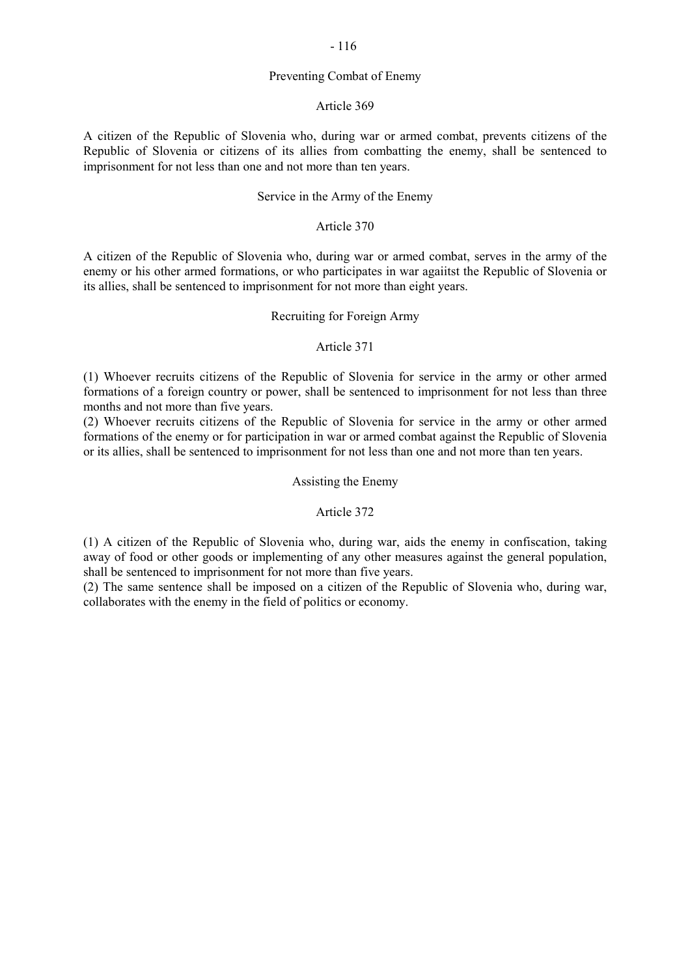#### Preventing Combat of Enemy

#### Article 369

A citizen of the Republic of Slovenia who, during war or armed combat, prevents citizens of the Republic of Slovenia or citizens of its allies from combatting the enemy, shall be sentenced to imprisonment for not less than one and not more than ten years.

# Service in the Army of the Enemy

# Article 370

A citizen of the Republic of Slovenia who, during war or armed combat, serves in the army of the enemy or his other armed formations, or who participates in war agaiitst the Republic of Slovenia or its allies, shall be sentenced to imprisonment for not more than eight years.

### Recruiting for Foreign Army

#### Article 371

(1) Whoever recruits citizens of the Republic of Slovenia for service in the army or other armed formations of a foreign country or power, shall be sentenced to imprisonment for not less than three months and not more than five years.

(2) Whoever recruits citizens of the Republic of Slovenia for service in the army or other armed formations of the enemy or for participation in war or armed combat against the Republic of Slovenia or its allies, shall be sentenced to imprisonment for not less than one and not more than ten years.

#### Assisting the Enemy

#### Article 372

(1) A citizen of the Republic of Slovenia who, during war, aids the enemy in confiscation, taking away of food or other goods or implementing of any other measures against the general population, shall be sentenced to imprisonment for not more than five years.

(2) The same sentence shall be imposed on a citizen of the Republic of Slovenia who, during war, collaborates with the enemy in the field of politics or economy.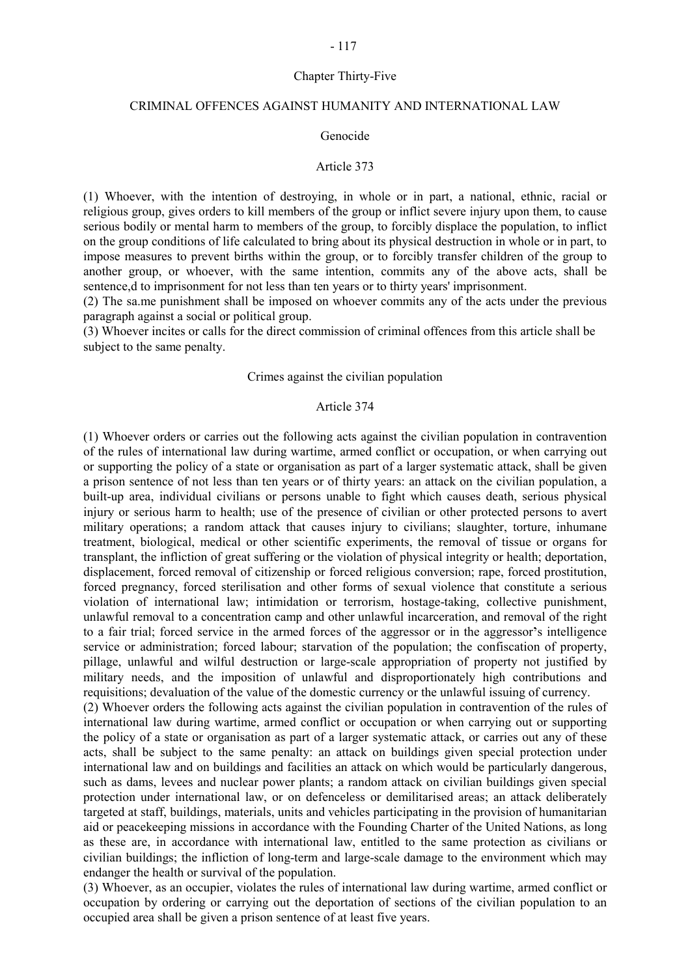# Chapter Thirty-Five

# CRIMINAL OFFENCES AGAINST HUMANITY AND INTERNATIONAL LAW

#### Genocide

#### Article 373

(1) Whoever, with the intention of destroying, in whole or in part, a national, ethnic, racial or religious group, gives orders to kill members of the group or inflict severe injury upon them, to cause serious bodily or mental harm to members of the group, to forcibly displace the population, to inflict on the group conditions of life calculated to bring about its physical destruction in whole or in part, to impose measures to prevent births within the group, or to forcibly transfer children of the group to another group, or whoever, with the same intention, commits any of the above acts, shall be sentence, d to imprisonment for not less than ten years or to thirty years' imprisonment.

(2) The sa.me punishment shall be imposed on whoever commits any of the acts under the previous paragraph against a social or political group.

(3) Whoever incites or calls for the direct commission of criminal offences from this article shall be subject to the same penalty.

#### Crimes against the civilian population

#### Article 374

(1) Whoever orders or carries out the following acts against the civilian population in contravention of the rules of international law during wartime, armed conflict or occupation, or when carrying out or supporting the policy of a state or organisation as part of a larger systematic attack, shall be given a prison sentence of not less than ten years or of thirty years: an attack on the civilian population, a built-up area, individual civilians or persons unable to fight which causes death, serious physical injury or serious harm to health; use of the presence of civilian or other protected persons to avert military operations; a random attack that causes injury to civilians; slaughter, torture, inhumane treatment, biological, medical or other scientific experiments, the removal of tissue or organs for transplant, the infliction of great suffering or the violation of physical integrity or health; deportation, displacement, forced removal of citizenship or forced religious conversion; rape, forced prostitution, forced pregnancy, forced sterilisation and other forms of sexual violence that constitute a serious violation of international law; intimidation or terrorism, hostage-taking, collective punishment, unlawful removal to a concentration camp and other unlawful incarceration, and removal of the right to a fair trial; forced service in the armed forces of the aggressor or in the aggressor's intelligence service or administration; forced labour; starvation of the population; the confiscation of property, pillage, unlawful and wilful destruction or large-scale appropriation of property not justified by military needs, and the imposition of unlawful and disproportionately high contributions and requisitions; devaluation of the value of the domestic currency or the unlawful issuing of currency.

(2) Whoever orders the following acts against the civilian population in contravention of the rules of international law during wartime, armed conflict or occupation or when carrying out or supporting the policy of a state or organisation as part of a larger systematic attack, or carries out any of these acts, shall be subject to the same penalty: an attack on buildings given special protection under international law and on buildings and facilities an attack on which would be particularly dangerous, such as dams, levees and nuclear power plants; a random attack on civilian buildings given special protection under international law, or on defenceless or demilitarised areas; an attack deliberately targeted at staff, buildings, materials, units and vehicles participating in the provision of humanitarian aid or peacekeeping missions in accordance with the Founding Charter of the United Nations, as long as these are, in accordance with international law, entitled to the same protection as civilians or civilian buildings; the infliction of long-term and large-scale damage to the environment which may endanger the health or survival of the population.

(3) Whoever, as an occupier, violates the rules of international law during wartime, armed conflict or occupation by ordering or carrying out the deportation of sections of the civilian population to an occupied area shall be given a prison sentence of at least five years.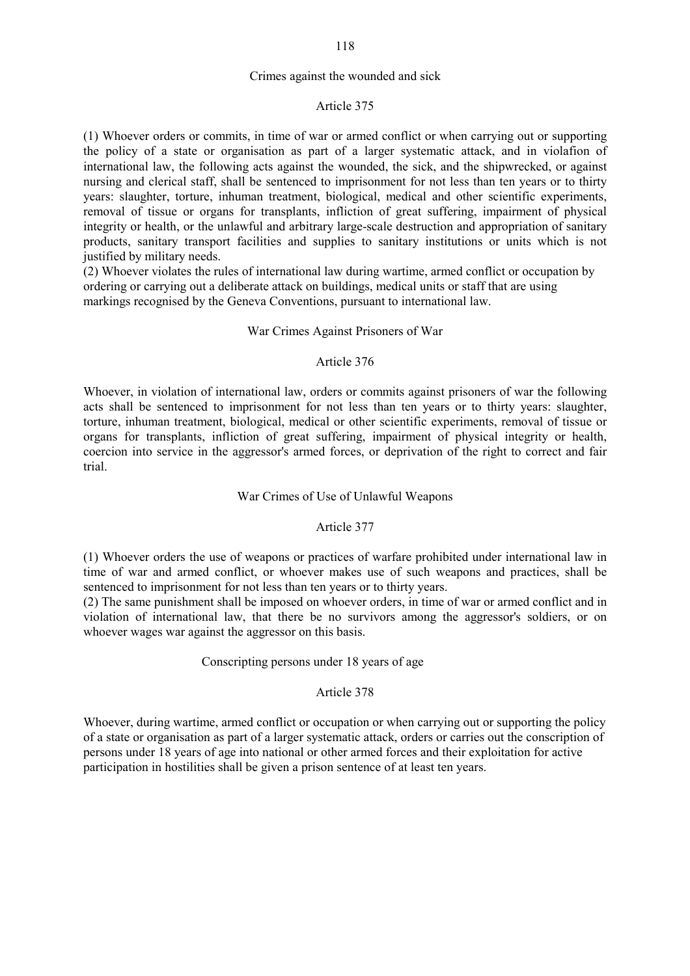## Crimes against the wounded and sick

#### Article 375

(1) Whoever orders or commits, in time of war or armed conflict or when carrying out or supporting the policy of a state or organisation as part of a larger systematic attack, and in violafion of international law, the following acts against the wounded, the sick, and the shipwrecked, or against nursing and clerical staff, shall be sentenced to imprisonment for not less than ten years or to thirty years: slaughter, torture, inhuman treatment, biological, medical and other scientific experiments, removal of tissue or organs for transplants, infliction of great suffering, impairment of physical integrity or health, or the unlawful and arbitrary large-scale destruction and appropriation of sanitary products, sanitary transport facilities and supplies to sanitary institutions or units which is not justified by military needs.

(2) Whoever violates the rules of international law during wartime, armed conflict or occupation by ordering or carrying out a deliberate attack on buildings, medical units or staff that are using markings recognised by the Geneva Conventions, pursuant to international law.

### War Crimes Against Prisoners of War

### Article 376

Whoever, in violation of international law, orders or commits against prisoners of war the following acts shall be sentenced to imprisonment for not less than ten years or to thirty years: slaughter, torture, inhuman treatment, biological, medical or other scientific experiments, removal of tissue or organs for transplants, infliction of great suffering, impairment of physical integrity or health, coercion into service in the aggressor's armed forces, or deprivation of the right to correct and fair trial.

# War Crimes of Use of Unlawful Weapons

#### Article 377

(1) Whoever orders the use of weapons or practices of warfare prohibited under international law in time of war and armed conflict, or whoever makes use of such weapons and practices, shall be sentenced to imprisonment for not less than ten years or to thirty years.

(2) The same punishment shall be imposed on whoever orders, in time of war or armed conflict and in violation of international law, that there be no survivors among the aggressor's soldiers, or on whoever wages war against the aggressor on this basis.

#### Conscripting persons under 18 years of age

# Article 378

Whoever, during wartime, armed conflict or occupation or when carrying out or supporting the policy of a state or organisation as part of a larger systematic attack, orders or carries out the conscription of persons under 18 years of age into national or other armed forces and their exploitation for active participation in hostilities shall be given a prison sentence of at least ten years.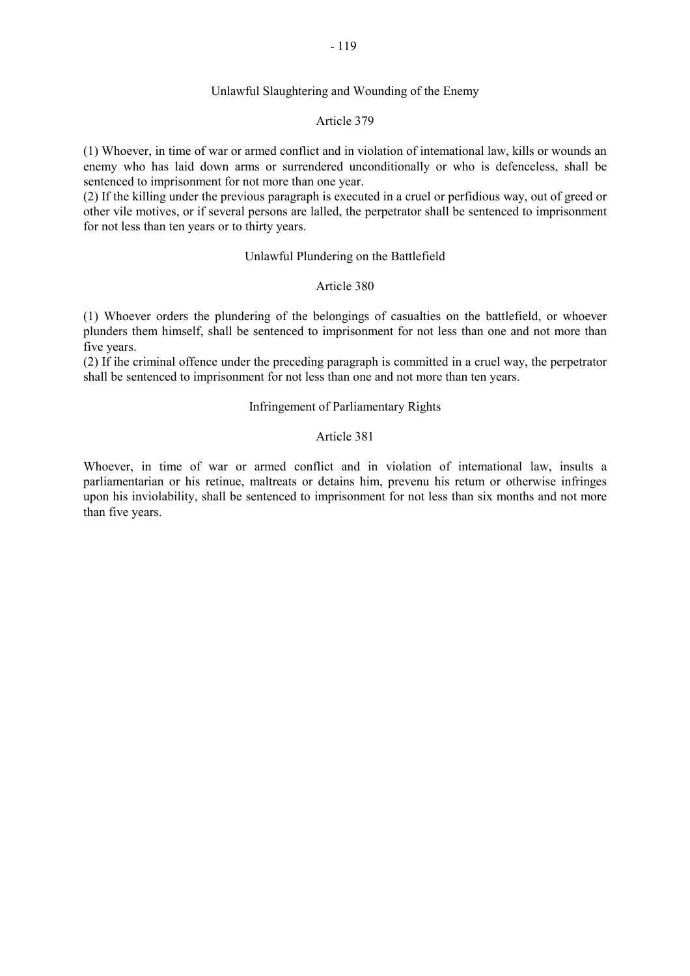#### Unlawful Slaughtering and Wounding of the Enemy

# Article 379

(1) Whoever, in time of war or armed conflict and in violation of intemational law, kills or wounds an enemy who has laid down arms or surrendered unconditionally or who is defenceless, shall be sentenced to imprisonment for not more than one year.

(2) If the killing under the previous paragraph is executed in a cruel or perfidious way, out of greed or other vile motives, or if several persons are lalled, the perpetrator shall be sentenced to imprisonment for not less than ten years or to thirty years.

#### Unlawful Plundering on the Battlefield

#### Article 380

(1) Whoever orders the plundering of the belongings of casualties on the battlefield, or whoever plunders them himself, shall be sentenced to imprisonment for not less than one and not more than five years.

(2) If ihe criminal offence under the preceding paragraph is committed in a cruel way, the perpetrator shall be sentenced to imprisonment for not less than one and not more than ten years.

#### Infringement of Parliamentary Rights

# Article 381

Whoever, in time of war or armed conflict and in violation of intemational law, insults a parliamentarian or his retinue, maltreats or detains him, prevenu his retum or otherwise infringes upon his inviolability, shall be sentenced to imprisonment for not less than six months and not more than five years.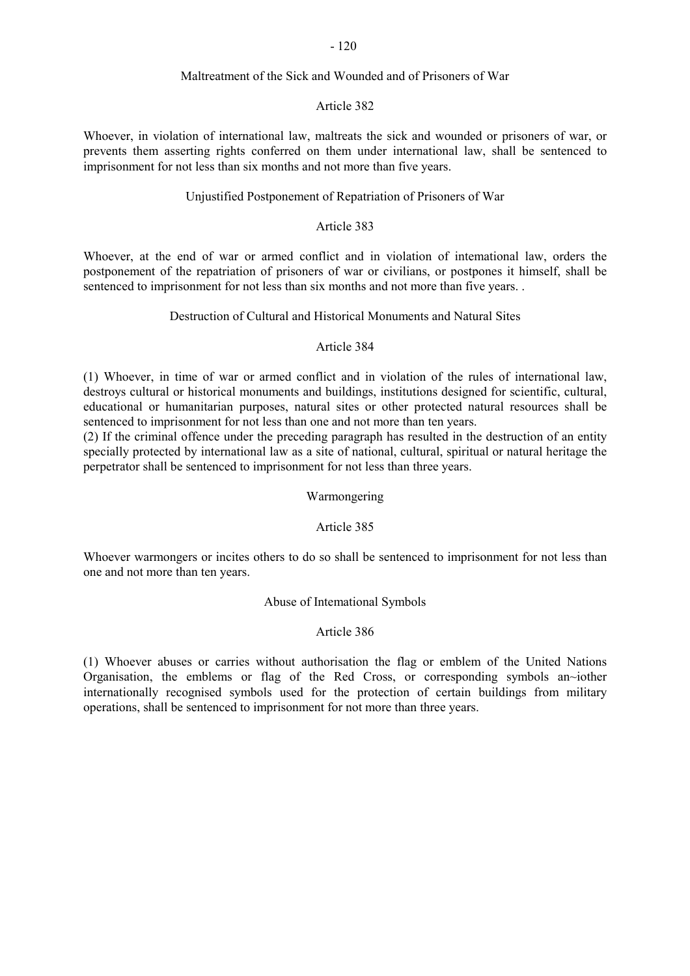# Maltreatment of the Sick and Wounded and of Prisoners of War

# Article 382

Whoever, in violation of international law, maltreats the sick and wounded or prisoners of war, or prevents them asserting rights conferred on them under international law, shall be sentenced to imprisonment for not less than six months and not more than five years.

# Unjustified Postponement of Repatriation of Prisoners of War

# Article 383

Whoever, at the end of war or armed conflict and in violation of intemational law, orders the postponement of the repatriation of prisoners of war or civilians, or postpones it himself, shall be sentenced to imprisonment for not less than six months and not more than five years. .

# Destruction of Cultural and Historical Monuments and Natural Sites

# Article 384

(1) Whoever, in time of war or armed conflict and in violation of the rules of international law, destroys cultural or historical monuments and buildings, institutions designed for scientific, cultural, educational or humanitarian purposes, natural sites or other protected natural resources shall be sentenced to imprisonment for not less than one and not more than ten years.

(2) If the criminal offence under the preceding paragraph has resulted in the destruction of an entity specially protected by international law as a site of national, cultural, spiritual or natural heritage the perpetrator shall be sentenced to imprisonment for not less than three years.

# Warmongering

# Article 385

Whoever warmongers or incites others to do so shall be sentenced to imprisonment for not less than one and not more than ten years.

# Abuse of Intemational Symbols

# Article 386

(1) Whoever abuses or carries without authorisation the flag or emblem of the United Nations Organisation, the emblems or flag of the Red Cross, or corresponding symbols an~iother internationally recognised symbols used for the protection of certain buildings from military operations, shall be sentenced to imprisonment for not more than three years.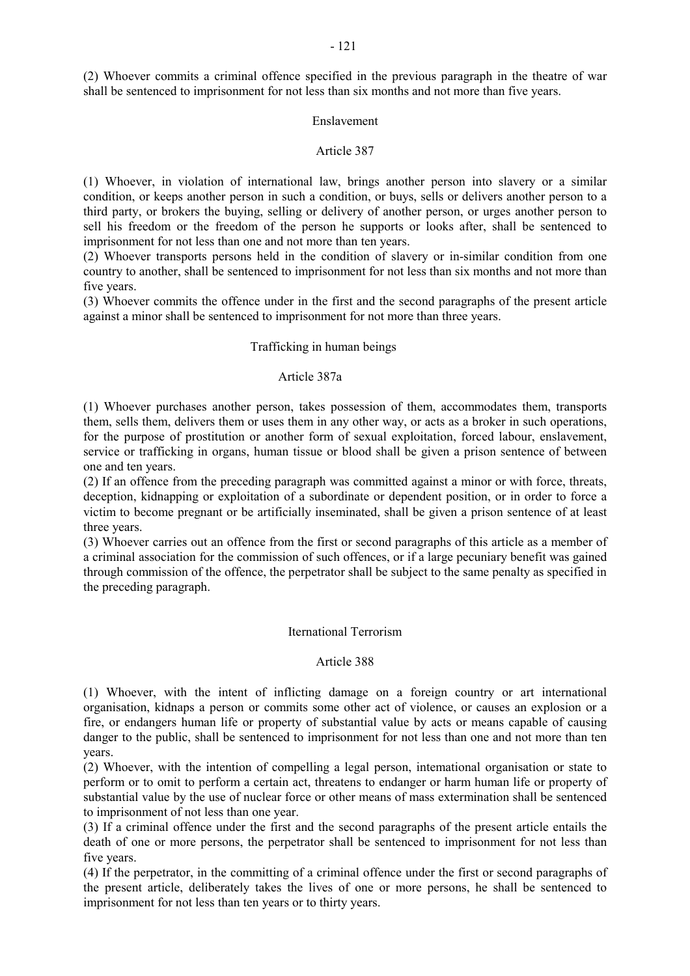(2) Whoever commits a criminal offence specified in the previous paragraph in the theatre of war shall be sentenced to imprisonment for not less than six months and not more than five years.

# Enslavement

# Article 387

(1) Whoever, in violation of international law, brings another person into slavery or a similar condition, or keeps another person in such a condition, or buys, sells or delivers another person to a third party, or brokers the buying, selling or delivery of another person, or urges another person to sell his freedom or the freedom of the person he supports or looks after, shall be sentenced to imprisonment for not less than one and not more than ten years.

(2) Whoever transports persons held in the condition of slavery or in-similar condition from one country to another, shall be sentenced to imprisonment for not less than six months and not more than five years.

(3) Whoever commits the offence under in the first and the second paragraphs of the present article against a minor shall be sentenced to imprisonment for not more than three years.

## Trafficking in human beings

# Article 387a

(1) Whoever purchases another person, takes possession of them, accommodates them, transports them, sells them, delivers them or uses them in any other way, or acts as a broker in such operations, for the purpose of prostitution or another form of sexual exploitation, forced labour, enslavement, service or trafficking in organs, human tissue or blood shall be given a prison sentence of between one and ten years.

(2) If an offence from the preceding paragraph was committed against a minor or with force, threats, deception, kidnapping or exploitation of a subordinate or dependent position, or in order to force a victim to become pregnant or be artificially inseminated, shall be given a prison sentence of at least three years.

(3) Whoever carries out an offence from the first or second paragraphs of this article as a member of a criminal association for the commission of such offences, or if a large pecuniary benefit was gained through commission of the offence, the perpetrator shall be subject to the same penalty as specified in the preceding paragraph.

#### Iternational Terrorism

#### Article 388

(1) Whoever, with the intent of inflicting damage on a foreign country or art international organisation, kidnaps a person or commits some other act of violence, or causes an explosion or a fire, or endangers human life or property of substantial value by acts or means capable of causing danger to the public, shall be sentenced to imprisonment for not less than one and not more than ten years.

(2) Whoever, with the intention of compelling a legal person, intemational organisation or state to perform or to omit to perform a certain act, threatens to endanger or harm human life or property of substantial value by the use of nuclear force or other means of mass extermination shall be sentenced to imprisonment of not less than one year.

(3) If a criminal offence under the first and the second paragraphs of the present article entails the death of one or more persons, the perpetrator shall be sentenced to imprisonment for not less than five years.

(4) If the perpetrator, in the committing of a criminal offence under the first or second paragraphs of the present article, deliberately takes the lives of one or more persons, he shall be sentenced to imprisonment for not less than ten years or to thirty years.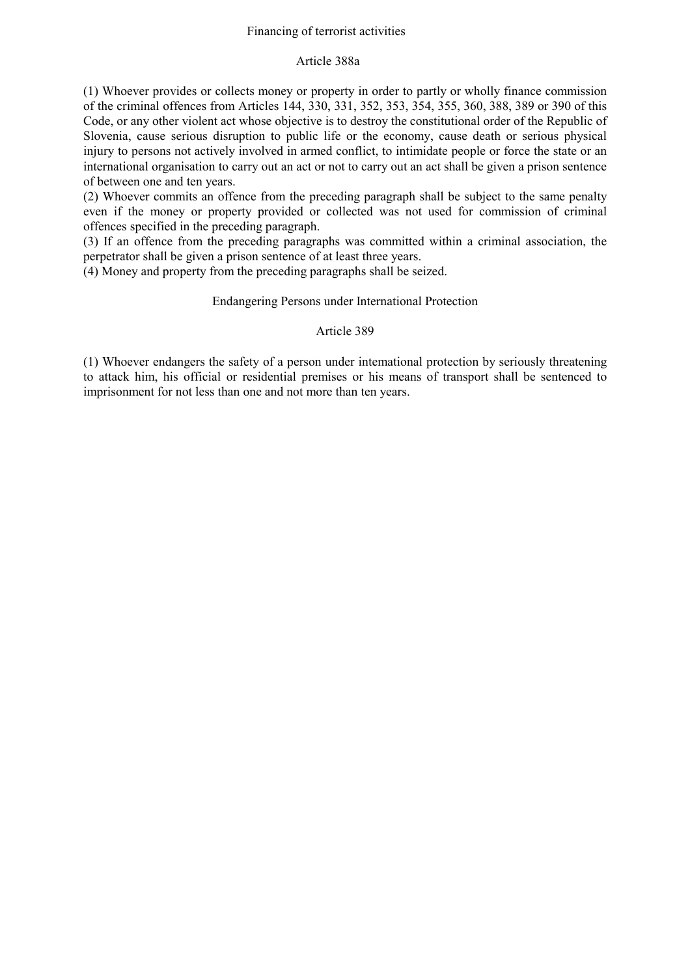# Financing of terrorist activities

# Article 388a

(1) Whoever provides or collects money or property in order to partly or wholly finance commission of the criminal offences from Articles 144, 330, 331, 352, 353, 354, 355, 360, 388, 389 or 390 of this Code, or any other violent act whose objective is to destroy the constitutional order of the Republic of Slovenia, cause serious disruption to public life or the economy, cause death or serious physical injury to persons not actively involved in armed conflict, to intimidate people or force the state or an international organisation to carry out an act or not to carry out an act shall be given a prison sentence of between one and ten years.

(2) Whoever commits an offence from the preceding paragraph shall be subject to the same penalty even if the money or property provided or collected was not used for commission of criminal offences specified in the preceding paragraph.

(3) If an offence from the preceding paragraphs was committed within a criminal association, the perpetrator shall be given a prison sentence of at least three years.

(4) Money and property from the preceding paragraphs shall be seized.

# Endangering Persons under International Protection

# Article 389

(1) Whoever endangers the safety of a person under intemational protection by seriously threatening to attack him, his official or residential premises or his means of transport shall be sentenced to imprisonment for not less than one and not more than ten years.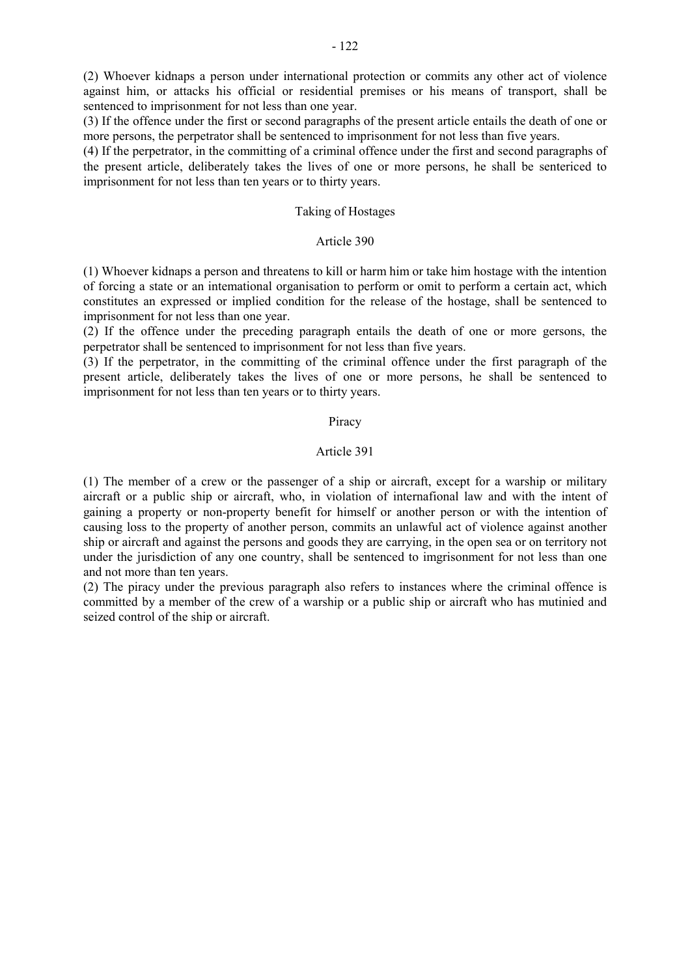(2) Whoever kidnaps a person under international protection or commits any other act of violence against him, or attacks his official or residential premises or his means of transport, shall be sentenced to imprisonment for not less than one year.

(3) If the offence under the first or second paragraphs of the present article entails the death of one or more persons, the perpetrator shall be sentenced to imprisonment for not less than five years.

(4) If the perpetrator, in the committing of a criminal offence under the first and second paragraphs of the present article, deliberately takes the lives of one or more persons, he shall be sentericed to imprisonment for not less than ten years or to thirty years.

# Taking of Hostages

#### Article 390

(1) Whoever kidnaps a person and threatens to kill or harm him or take him hostage with the intention of forcing a state or an intemational organisation to perform or omit to perform a certain act, which constitutes an expressed or implied condition for the release of the hostage, shall be sentenced to imprisonment for not less than one year.

(2) If the offence under the preceding paragraph entails the death of one or more gersons, the perpetrator shall be sentenced to imprisonment for not less than five years.

(3) If the perpetrator, in the committing of the criminal offence under the first paragraph of the present article, deliberately takes the lives of one or more persons, he shall be sentenced to imprisonment for not less than ten years or to thirty years.

#### Piracy

# Article 391

(1) The member of a crew or the passenger of a ship or aircraft, except for a warship or military aircraft or a public ship or aircraft, who, in violation of internafional law and with the intent of gaining a property or non-property benefit for himself or another person or with the intention of causing loss to the property of another person, commits an unlawful act of violence against another ship or aircraft and against the persons and goods they are carrying, in the open sea or on territory not under the jurisdiction of any one country, shall be sentenced to imgrisonment for not less than one and not more than ten years.

(2) The piracy under the previous paragraph also refers to instances where the criminal offence is committed by a member of the crew of a warship or a public ship or aircraft who has mutinied and seized control of the ship or aircraft.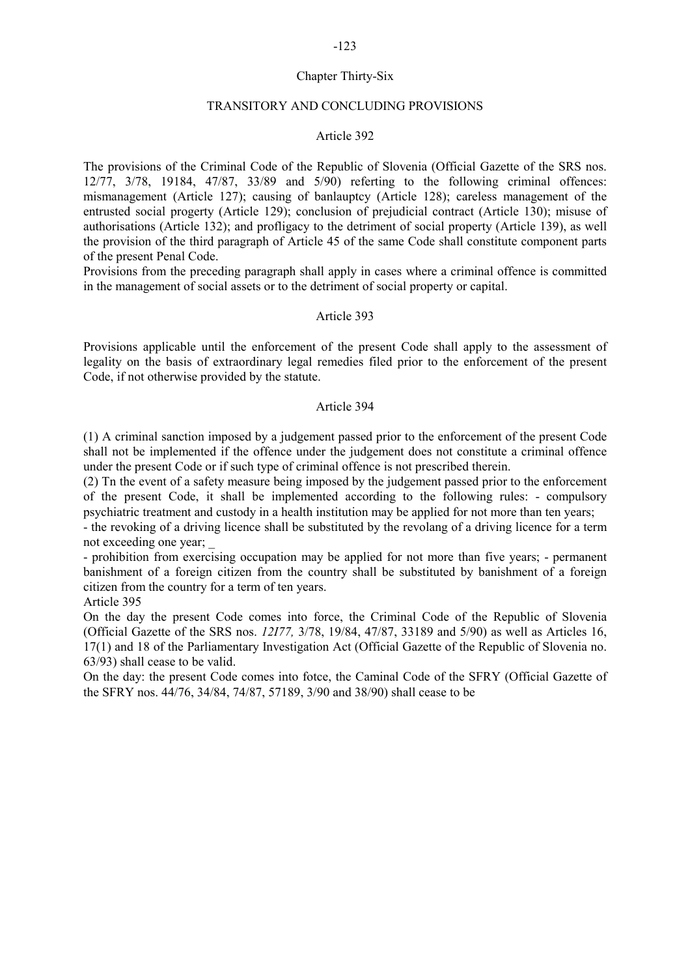# Chapter Thirty-Six

## TRANSITORY AND CONCLUDING PROVISIONS

#### Article 392

The provisions of the Criminal Code of the Republic of Slovenia (Official Gazette of the SRS nos. 12/77, 3/78, 19184, 47/87, 33/89 and 5/90) referting to the following criminal offences: mismanagement (Article 127); causing of banlauptcy (Article 128); careless management of the entrusted social progerty (Article 129); conclusion of prejudicial contract (Article 130); misuse of authorisations (Article 132); and profligacy to the detriment of social property (Article 139), as well the provision of the third paragraph of Article 45 of the same Code shall constitute component parts of the present Penal Code.

Provisions from the preceding paragraph shall apply in cases where a criminal offence is committed in the management of social assets or to the detriment of social property or capital.

#### Article 393

Provisions applicable until the enforcement of the present Code shall apply to the assessment of legality on the basis of extraordinary legal remedies filed prior to the enforcement of the present Code, if not otherwise provided by the statute.

#### Article 394

(1) A criminal sanction imposed by a judgement passed prior to the enforcement of the present Code shall not be implemented if the offence under the judgement does not constitute a criminal offence under the present Code or if such type of criminal offence is not prescribed therein.

(2) Tn the event of a safety measure being imposed by the judgement passed prior to the enforcement of the present Code, it shall be implemented according to the following rules: - compulsory psychiatric treatment and custody in a health institution may be applied for not more than ten years;

- the revoking of a driving licence shall be substituted by the revolang of a driving licence for a term not exceeding one year; \_

- prohibition from exercising occupation may be applied for not more than five years; - permanent banishment of a foreign citizen from the country shall be substituted by banishment of a foreign citizen from the country for a term of ten years.

Article 395

On the day the present Code comes into force, the Criminal Code of the Republic of Slovenia (Official Gazette of the SRS nos. *12I77,* 3/78, 19/84, 47/87, 33189 and 5/90) as well as Articles 16, 17(1) and 18 of the Parliamentary Investigation Act (Official Gazette of the Republic of Slovenia no. 63/93) shall cease to be valid.

On the day: the present Code comes into fotce, the Caminal Code of the SFRY (Official Gazette of the SFRY nos. 44/76, 34/84, 74/87, 57189, 3/90 and 38/90) shall cease to be